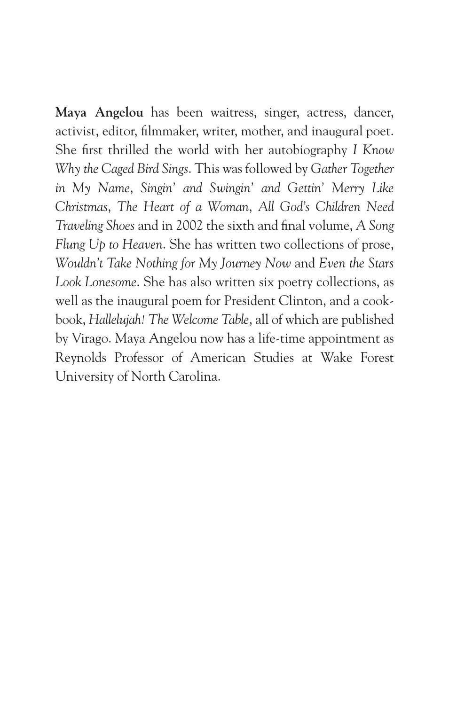**Maya Angelou** has been waitress, singer, actress, dancer, activist, editor, filmmaker, writer, mother, and inaugural poet. She first thrilled the world with her autobiography *I Know Why the Caged Bird Sings*. This was followed by *Gather Together in My Name*, *Singin' and Swingin' and Gettin' Merry Like Christmas*, *The Heart of a Woman*, *All God's Children Need Traveling Shoes* and in 2002 the sixth and final volume, *A Song Flung Up to Heaven*. She has written two collections of prose, *Wouldn't Take Nothing for My Journey Now* and *Even the Stars Look Lonesome*. She has also written six poetry collections, as well as the inaugural poem for President Clinton, and a cookbook, *Hallelujah! The Welcome Table*, all of which are published by Virago. Maya Angelou now has a life-time appointment as Reynolds Professor of American Studies at Wake Forest University of North Carolina.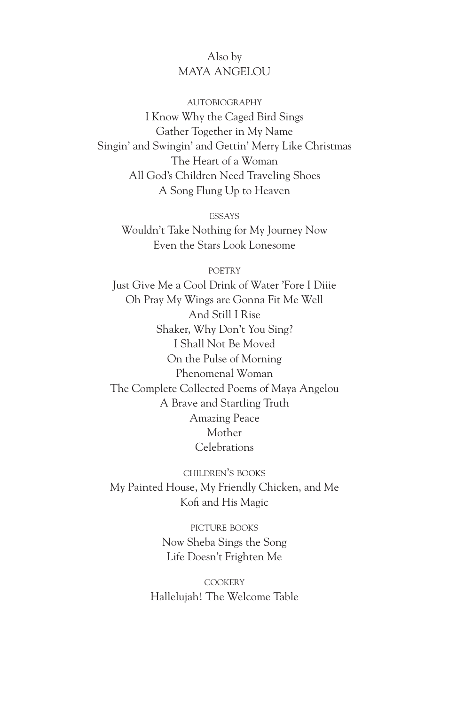#### Also by MAYA ANGELOU

AUTOBIOGRAPHY I Know Why the Caged Bird Sings Gather Together in My Name Singin' and Swingin' and Gettin' Merry Like Christmas The Heart of a Woman All God's Children Need Traveling Shoes A Song Flung Up to Heaven

ESSAYS Wouldn't Take Nothing for My Journey Now Even the Stars Look Lonesome

POETRY

Just Give Me a Cool Drink of Water 'Fore I Diiie Oh Pray My Wings are Gonna Fit Me Well And Still I Rise Shaker, Why Don't You Sing? I Shall Not Be Moved On the Pulse of Morning Phenomenal Woman The Complete Collected Poems of Maya Angelou A Brave and Startling Truth Amazing Peace Mother Celebrations

CHILDREN'S BOOKS My Painted House, My Friendly Chicken, and Me Kofi and His Magic

> PICTURE BOOKS Now Sheba Sings the Song Life Doesn't Frighten Me

**COOKERY** Hallelujah! The Welcome Table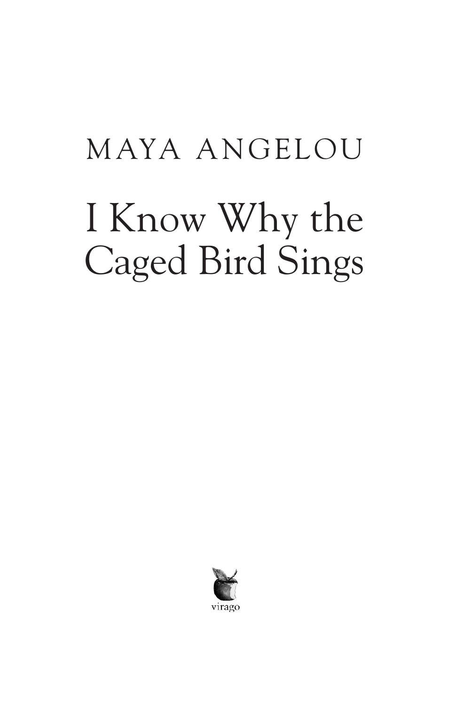# MAYA ANGELOU I Know Why the Caged Bird Sings

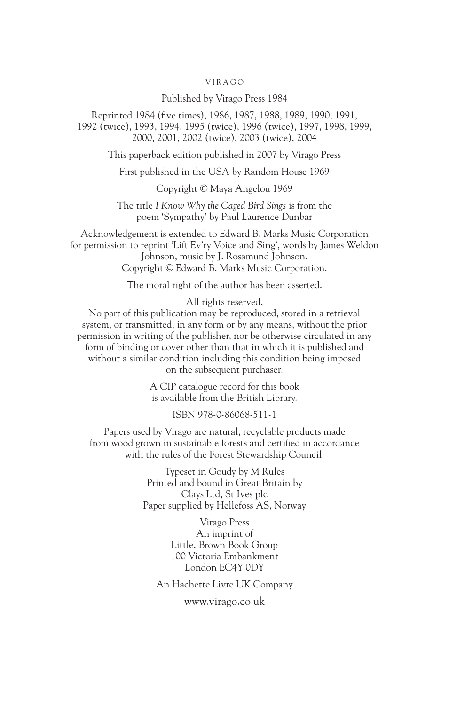#### VIRAGO

#### Published by Virago Press 1984

Reprinted 1984 (five times), 1986, 1987, 1988, 1989, 1990, 1991, 1992 (twice), 1993, 1994, 1995 (twice), 1996 (twice), 1997, 1998, 1999, 2000, 2001, 2002 (twice), 2003 (twice), 2004

This paperback edition published in 2007 by Virago Press

First published in the USA by Random House 1969

Copyright © Maya Angelou 1969

The title *I Know Why the Caged Bird Sings* is from the poem 'Sympathy' by Paul Laurence Dunbar

Acknowledgement is extended to Edward B. Marks Music Corporation for permission to reprint 'Lift Ev'ry Voice and Sing', words by James Weldon Johnson, music by J. Rosamund Johnson. Copyright © Edward B. Marks Music Corporation.

The moral right of the author has been asserted.

All rights reserved.

No part of this publication may be reproduced, stored in a retrieval system, or transmitted, in any form or by any means, without the prior permission in writing of the publisher, nor be otherwise circulated in any form of binding or cover other than that in which it is published and without a similar condition including this condition being imposed on the subsequent purchaser.

> A CIP catalogue record for this book is available from the British Library.

> > ISBN 978-0-86068-511-1

Papers used by Virago are natural, recyclable products made from wood grown in sustainable forests and certified in accordance with the rules of the Forest Stewardship Council.

> Typeset in Goudy by M Rules Printed and bound in Great Britain by Clays Ltd, St Ives plc Paper supplied by Hellefoss AS, Norway

> > Virago Press An imprint of Little, Brown Book Group 100 Victoria Embankment London EC4Y 0DY

An Hachette Livre UK Company

www.virago.co.uk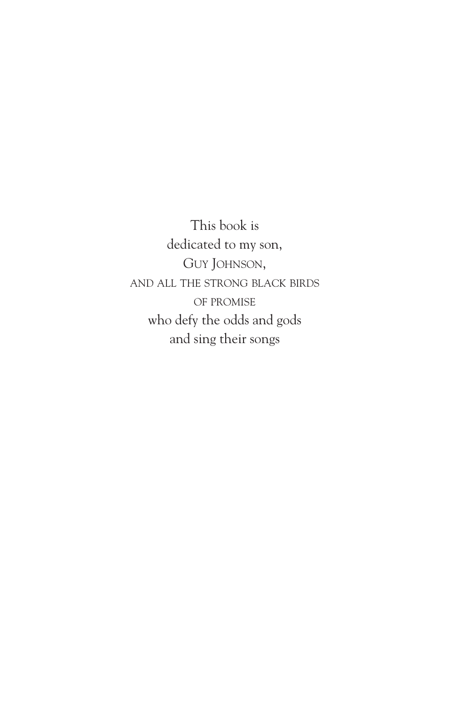This book is dedicated to my son, GUY JOHNSON, AND ALL THE STRONG BLACK BIRDS OF PROMISE who defy the odds and gods and sing their songs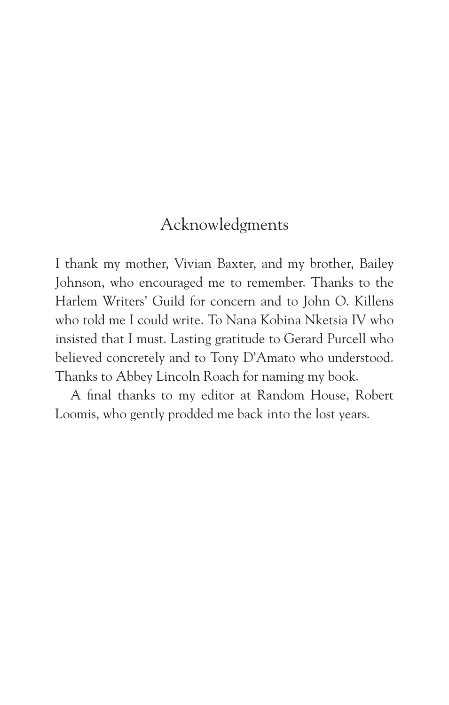### Acknowledgments

I thank my mother, Vivian Baxter, and my brother, Bailey Johnson, who encouraged me to remember. Thanks to the Harlem Writers' Guild for concern and to John O. Killens who told me I could write. To Nana Kobina Nketsia IV who insisted that I must. Lasting gratitude to Gerard Purcell who believed concretely and to Tony D'Amato who understood. Thanks to Abbey Lincoln Roach for naming my book.

A final thanks to my editor at Random House, Robert Loomis, who gently prodded me back into the lost years.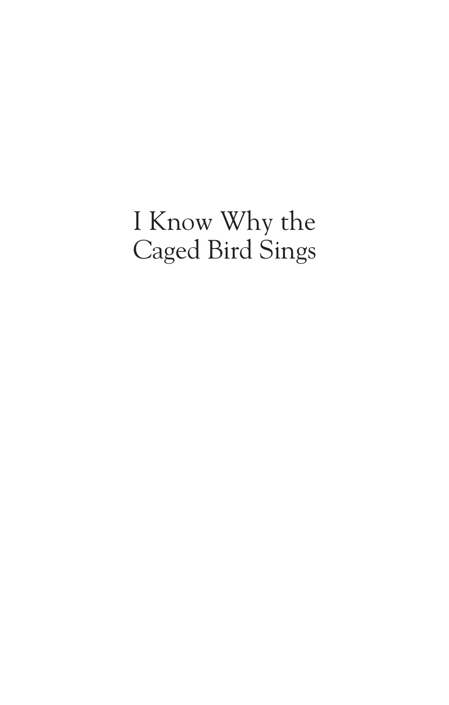## I Know Why the Caged Bird Sings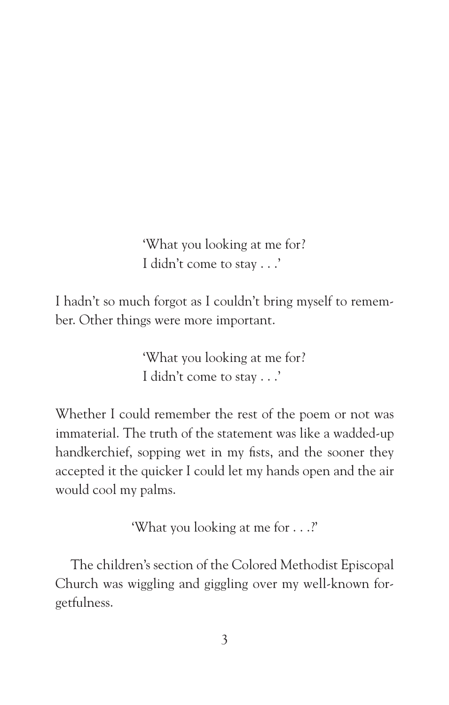'What you looking at me for? I didn't come to stay . . .'

I hadn't so much forgot as I couldn't bring myself to remember. Other things were more important.

> 'What you looking at me for? I didn't come to stay . . .'

Whether I could remember the rest of the poem or not was immaterial. The truth of the statement was like a wadded-up handkerchief, sopping wet in my fists, and the sooner they accepted it the quicker I could let my hands open and the air would cool my palms.

'What you looking at me for . . .?'

The children's section of the Colored Methodist Episcopal Church was wiggling and giggling over my well-known forgetfulness.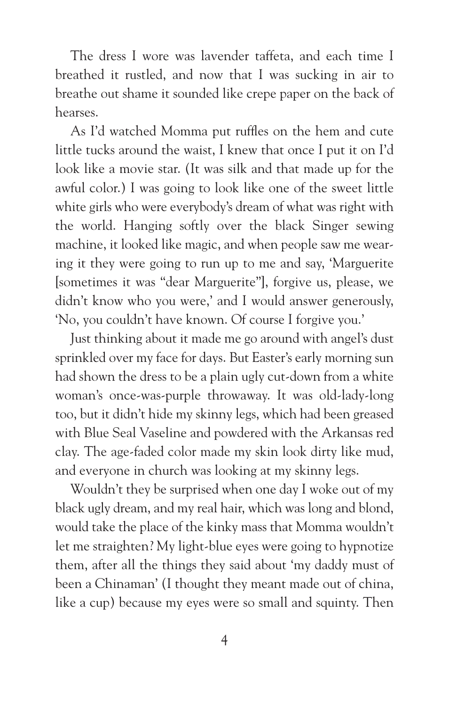The dress I wore was lavender taffeta, and each time I breathed it rustled, and now that I was sucking in air to breathe out shame it sounded like crepe paper on the back of hearses.

As I'd watched Momma put ruffles on the hem and cute little tucks around the waist, I knew that once I put it on I'd look like a movie star. (It was silk and that made up for the awful color.) I was going to look like one of the sweet little white girls who were everybody's dream of what was right with the world. Hanging softly over the black Singer sewing machine, it looked like magic, and when people saw me wearing it they were going to run up to me and say, 'Marguerite [sometimes it was "dear Marguerite"], forgive us, please, we didn't know who you were,' and I would answer generously, 'No, you couldn't have known. Of course I forgive you.'

Just thinking about it made me go around with angel's dust sprinkled over my face for days. But Easter's early morning sun had shown the dress to be a plain ugly cut-down from a white woman's once-was-purple throwaway. It was old-lady-long too, but it didn't hide my skinny legs, which had been greased with Blue Seal Vaseline and powdered with the Arkansas red clay. The age-faded color made my skin look dirty like mud, and everyone in church was looking at my skinny legs.

Wouldn't they be surprised when one day I woke out of my black ugly dream, and my real hair, which was long and blond, would take the place of the kinky mass that Momma wouldn't let me straighten? My light-blue eyes were going to hypnotize them, after all the things they said about 'my daddy must of been a Chinaman' (I thought they meant made out of china, like a cup) because my eyes were so small and squinty. Then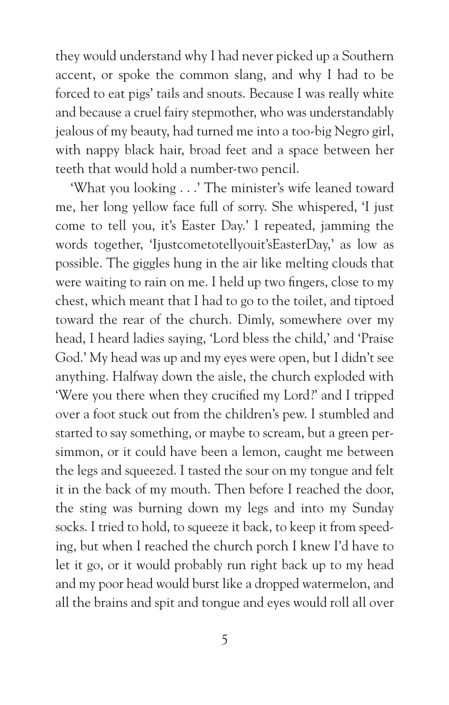they would understand why I had never picked up a Southern accent, or spoke the common slang, and why I had to be forced to eat pigs' tails and snouts. Because I was really white and because a cruel fairy stepmother, who was understandably jealous of my beauty, had turned me into a too-big Negro girl, with nappy black hair, broad feet and a space between her teeth that would hold a number-two pencil.

'What you looking . . .' The minister's wife leaned toward me, her long yellow face full of sorry. She whispered, 'I just come to tell you, it's Easter Day.' I repeated, jamming the words together, 'Ijustcometotellyouit'sEasterDay,' as low as possible. The giggles hung in the air like melting clouds that were waiting to rain on me. I held up two fingers, close to my chest, which meant that I had to go to the toilet, and tiptoed toward the rear of the church. Dimly, somewhere over my head, I heard ladies saying, 'Lord bless the child,' and 'Praise God.' My head was up and my eyes were open, but I didn't see anything. Halfway down the aisle, the church exploded with 'Were you there when they crucified my Lord?' and I tripped over a foot stuck out from the children's pew. I stumbled and started to say something, or maybe to scream, but a green persimmon, or it could have been a lemon, caught me between the legs and squeezed. I tasted the sour on my tongue and felt it in the back of my mouth. Then before I reached the door, the sting was burning down my legs and into my Sunday socks. I tried to hold, to squeeze it back, to keep it from speeding, but when I reached the church porch I knew I'd have to let it go, or it would probably run right back up to my head and my poor head would burst like a dropped watermelon, and all the brains and spit and tongue and eyes would roll all over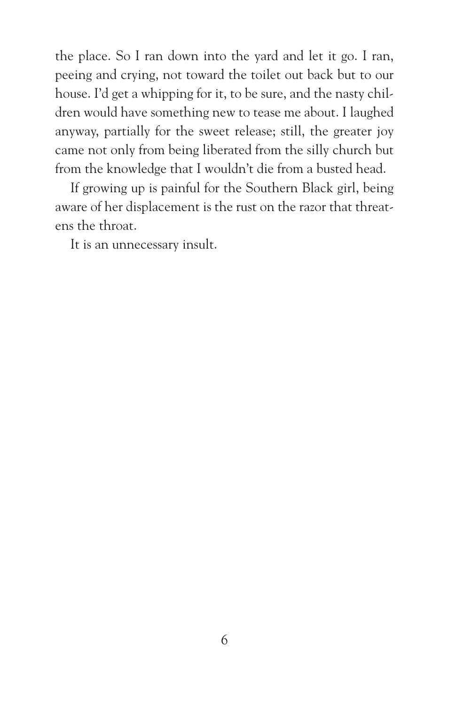the place. So I ran down into the yard and let it go. I ran, peeing and crying, not toward the toilet out back but to our house. I'd get a whipping for it, to be sure, and the nasty children would have something new to tease me about. I laughed anyway, partially for the sweet release; still, the greater joy came not only from being liberated from the silly church but from the knowledge that I wouldn't die from a busted head.

If growing up is painful for the Southern Black girl, being aware of her displacement is the rust on the razor that threatens the throat.

It is an unnecessary insult.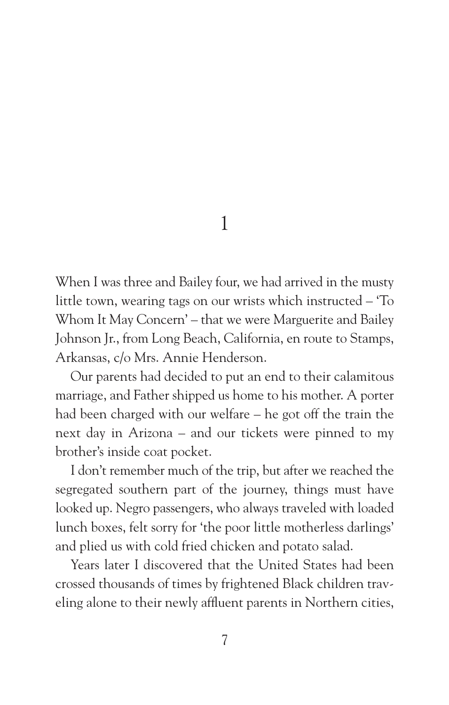1

When I was three and Bailey four, we had arrived in the musty little town, wearing tags on our wrists which instructed – 'To Whom It May Concern' – that we were Marguerite and Bailey Johnson Jr., from Long Beach, California, en route to Stamps, Arkansas, c/o Mrs. Annie Henderson.

Our parents had decided to put an end to their calamitous marriage, and Father shipped us home to his mother. A porter had been charged with our welfare – he got off the train the next day in Arizona – and our tickets were pinned to my brother's inside coat pocket.

I don't remember much of the trip, but after we reached the segregated southern part of the journey, things must have looked up. Negro passengers, who always traveled with loaded lunch boxes, felt sorry for 'the poor little motherless darlings' and plied us with cold fried chicken and potato salad.

Years later I discovered that the United States had been crossed thousands of times by frightened Black children traveling alone to their newly affluent parents in Northern cities,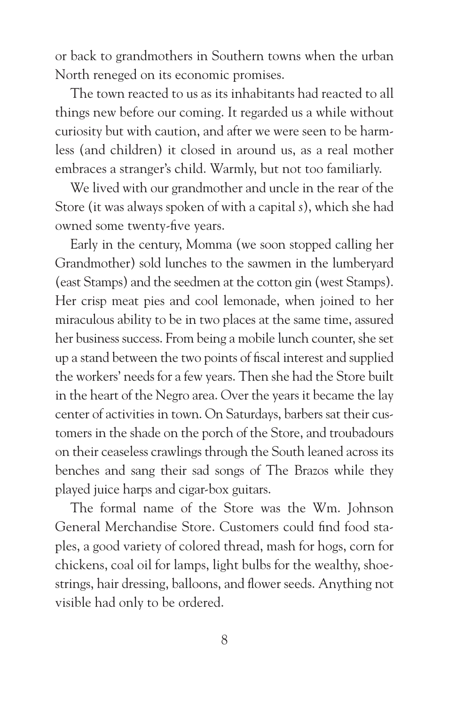or back to grandmothers in Southern towns when the urban North reneged on its economic promises.

The town reacted to us as its inhabitants had reacted to all things new before our coming. It regarded us a while without curiosity but with caution, and after we were seen to be harmless (and children) it closed in around us, as a real mother embraces a stranger's child. Warmly, but not too familiarly.

We lived with our grandmother and uncle in the rear of the Store (it was always spoken of with a capital *s*), which she had owned some twenty-five years.

Early in the century, Momma (we soon stopped calling her Grandmother) sold lunches to the sawmen in the lumberyard (east Stamps) and the seedmen at the cotton gin (west Stamps). Her crisp meat pies and cool lemonade, when joined to her miraculous ability to be in two places at the same time, assured her business success. From being a mobile lunch counter, she set up a stand between the two points of fiscal interest and supplied the workers' needs for a few years. Then she had the Store built in the heart of the Negro area. Over the years it became the lay center of activities in town. On Saturdays, barbers sat their customers in the shade on the porch of the Store, and troubadours on their ceaseless crawlings through the South leaned across its benches and sang their sad songs of The Brazos while they played juice harps and cigar-box guitars.

The formal name of the Store was the Wm. Johnson General Merchandise Store. Customers could find food staples, a good variety of colored thread, mash for hogs, corn for chickens, coal oil for lamps, light bulbs for the wealthy, shoestrings, hair dressing, balloons, and flower seeds. Anything not visible had only to be ordered.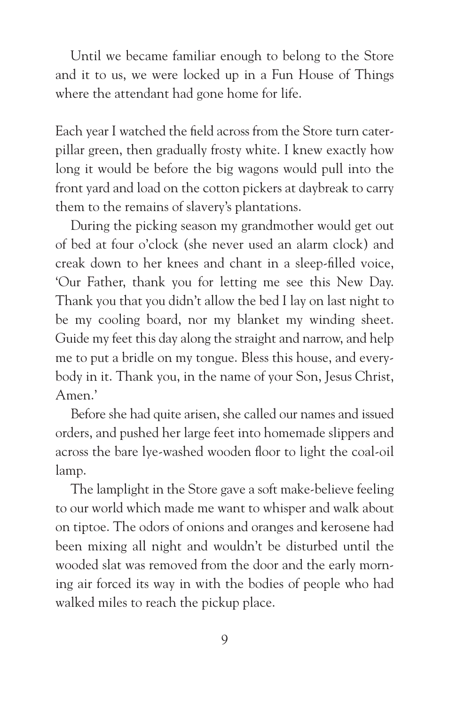Until we became familiar enough to belong to the Store and it to us, we were locked up in a Fun House of Things where the attendant had gone home for life.

Each year I watched the field across from the Store turn caterpillar green, then gradually frosty white. I knew exactly how long it would be before the big wagons would pull into the front yard and load on the cotton pickers at daybreak to carry them to the remains of slavery's plantations.

During the picking season my grandmother would get out of bed at four o'clock (she never used an alarm clock) and creak down to her knees and chant in a sleep-filled voice, 'Our Father, thank you for letting me see this New Day. Thank you that you didn't allow the bed I lay on last night to be my cooling board, nor my blanket my winding sheet. Guide my feet this day along the straight and narrow, and help me to put a bridle on my tongue. Bless this house, and everybody in it. Thank you, in the name of your Son, Jesus Christ, Amen.'

Before she had quite arisen, she called our names and issued orders, and pushed her large feet into homemade slippers and across the bare lye-washed wooden floor to light the coal-oil lamp.

The lamplight in the Store gave a soft make-believe feeling to our world which made me want to whisper and walk about on tiptoe. The odors of onions and oranges and kerosene had been mixing all night and wouldn't be disturbed until the wooded slat was removed from the door and the early morning air forced its way in with the bodies of people who had walked miles to reach the pickup place.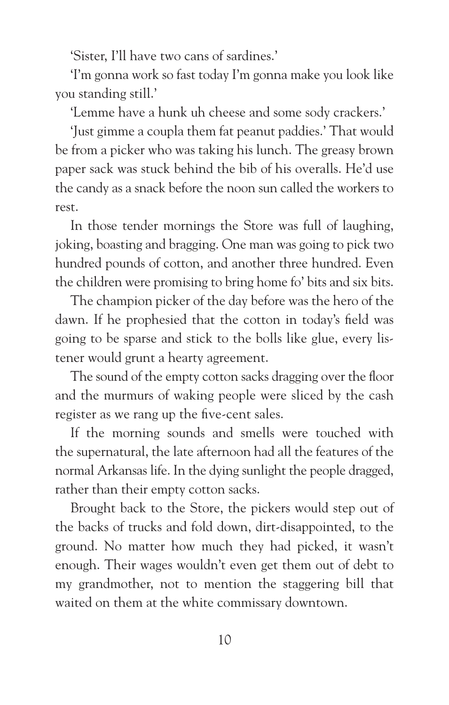'Sister, I'll have two cans of sardines.'

'I'm gonna work so fast today I'm gonna make you look like you standing still.'

'Lemme have a hunk uh cheese and some sody crackers.'

'Just gimme a coupla them fat peanut paddies.' That would be from a picker who was taking his lunch. The greasy brown paper sack was stuck behind the bib of his overalls. He'd use the candy as a snack before the noon sun called the workers to rest.

In those tender mornings the Store was full of laughing, joking, boasting and bragging. One man was going to pick two hundred pounds of cotton, and another three hundred. Even the children were promising to bring home fo' bits and six bits.

The champion picker of the day before was the hero of the dawn. If he prophesied that the cotton in today's field was going to be sparse and stick to the bolls like glue, every listener would grunt a hearty agreement.

The sound of the empty cotton sacks dragging over the floor and the murmurs of waking people were sliced by the cash register as we rang up the five-cent sales.

If the morning sounds and smells were touched with the supernatural, the late afternoon had all the features of the normal Arkansas life. In the dying sunlight the people dragged, rather than their empty cotton sacks.

Brought back to the Store, the pickers would step out of the backs of trucks and fold down, dirt-disappointed, to the ground. No matter how much they had picked, it wasn't enough. Their wages wouldn't even get them out of debt to my grandmother, not to mention the staggering bill that waited on them at the white commissary downtown.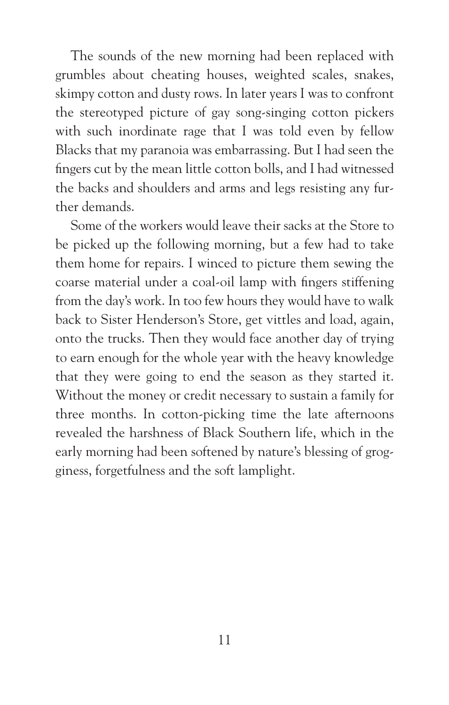The sounds of the new morning had been replaced with grumbles about cheating houses, weighted scales, snakes, skimpy cotton and dusty rows. In later years I was to confront the stereotyped picture of gay song-singing cotton pickers with such inordinate rage that I was told even by fellow Blacks that my paranoia was embarrassing. But I had seen the fingers cut by the mean little cotton bolls, and I had witnessed the backs and shoulders and arms and legs resisting any further demands.

Some of the workers would leave their sacks at the Store to be picked up the following morning, but a few had to take them home for repairs. I winced to picture them sewing the coarse material under a coal-oil lamp with fingers stiffening from the day's work. In too few hours they would have to walk back to Sister Henderson's Store, get vittles and load, again, onto the trucks. Then they would face another day of trying to earn enough for the whole year with the heavy knowledge that they were going to end the season as they started it. Without the money or credit necessary to sustain a family for three months. In cotton-picking time the late afternoons revealed the harshness of Black Southern life, which in the early morning had been softened by nature's blessing of grogginess, forgetfulness and the soft lamplight.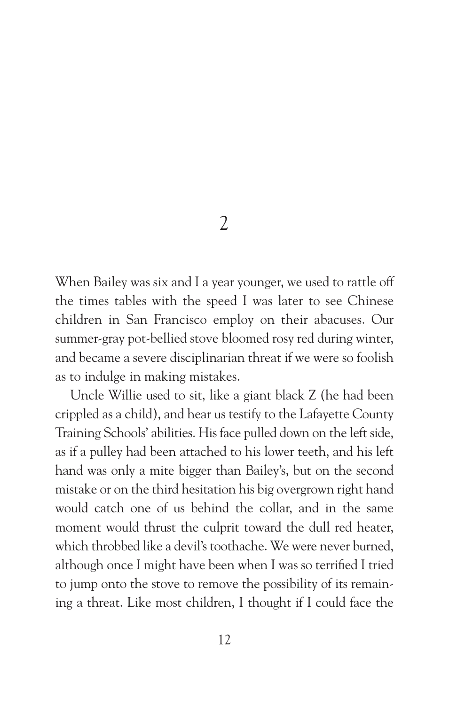2

When Bailey was six and I a year younger, we used to rattle off the times tables with the speed I was later to see Chinese children in San Francisco employ on their abacuses. Our summer-gray pot-bellied stove bloomed rosy red during winter, and became a severe disciplinarian threat if we were so foolish as to indulge in making mistakes.

Uncle Willie used to sit, like a giant black Z (he had been crippled as a child), and hear us testify to the Lafayette County Training Schools' abilities. His face pulled down on the left side, as if a pulley had been attached to his lower teeth, and his left hand was only a mite bigger than Bailey's, but on the second mistake or on the third hesitation his big overgrown right hand would catch one of us behind the collar, and in the same moment would thrust the culprit toward the dull red heater, which throbbed like a devil's toothache. We were never burned, although once I might have been when I was so terrified I tried to jump onto the stove to remove the possibility of its remaining a threat. Like most children, I thought if I could face the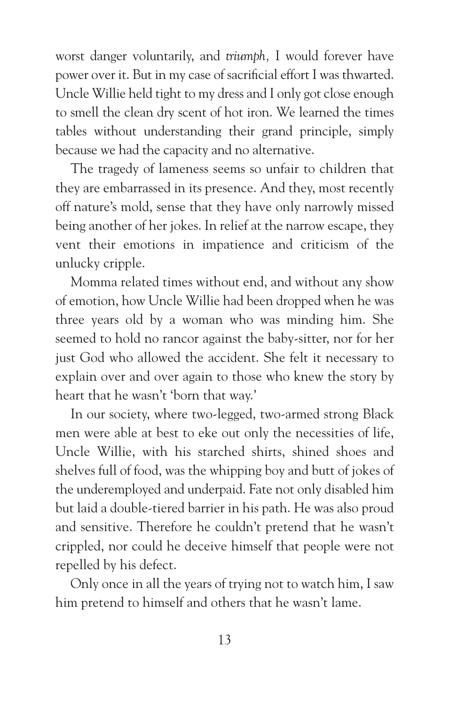worst danger voluntarily, and *triumph,* I would forever have power over it. But in my case of sacrificial effort I was thwarted. Uncle Willie held tight to my dress and I only got close enough to smell the clean dry scent of hot iron. We learned the times tables without understanding their grand principle, simply because we had the capacity and no alternative.

The tragedy of lameness seems so unfair to children that they are embarrassed in its presence. And they, most recently off nature's mold, sense that they have only narrowly missed being another of her jokes. In relief at the narrow escape, they vent their emotions in impatience and criticism of the unlucky cripple.

Momma related times without end, and without any show of emotion, how Uncle Willie had been dropped when he was three years old by a woman who was minding him. She seemed to hold no rancor against the baby-sitter, nor for her just God who allowed the accident. She felt it necessary to explain over and over again to those who knew the story by heart that he wasn't 'born that way.'

In our society, where two-legged, two-armed strong Black men were able at best to eke out only the necessities of life, Uncle Willie, with his starched shirts, shined shoes and shelves full of food, was the whipping boy and butt of jokes of the underemployed and underpaid. Fate not only disabled him but laid a double-tiered barrier in his path. He was also proud and sensitive. Therefore he couldn't pretend that he wasn't crippled, nor could he deceive himself that people were not repelled by his defect.

Only once in all the years of trying not to watch him, I saw him pretend to himself and others that he wasn't lame.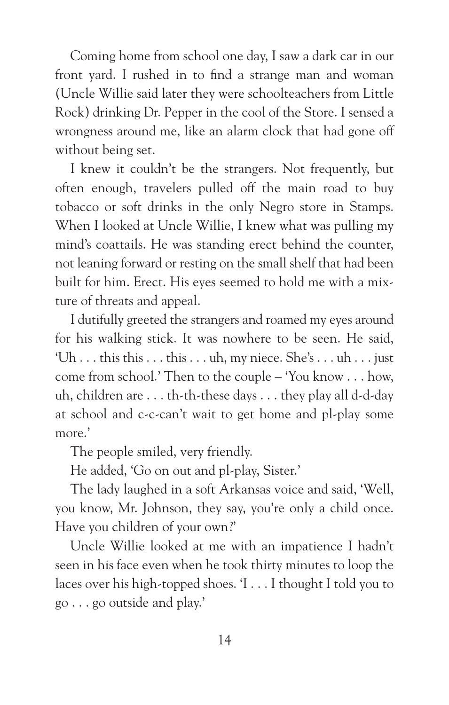Coming home from school one day, I saw a dark car in our front yard. I rushed in to find a strange man and woman (Uncle Willie said later they were schoolteachers from Little Rock) drinking Dr. Pepper in the cool of the Store. I sensed a wrongness around me, like an alarm clock that had gone off without being set.

I knew it couldn't be the strangers. Not frequently, but often enough, travelers pulled off the main road to buy tobacco or soft drinks in the only Negro store in Stamps. When I looked at Uncle Willie, I knew what was pulling my mind's coattails. He was standing erect behind the counter, not leaning forward or resting on the small shelf that had been built for him. Erect. His eyes seemed to hold me with a mixture of threats and appeal.

I dutifully greeted the strangers and roamed my eyes around for his walking stick. It was nowhere to be seen. He said, 'Uh  $\dots$  this this  $\dots$  this  $\dots$  uh, my niece. She's  $\dots$  uh  $\dots$  just come from school.' Then to the couple – 'You know . . . how, uh, children are  $\dots$  th-th-these days  $\dots$  they play all d-d-day at school and c-c-can't wait to get home and pl-play some more.'

The people smiled, very friendly.

He added, 'Go on out and pl-play, Sister.'

The lady laughed in a soft Arkansas voice and said, 'Well, you know, Mr. Johnson, they say, you're only a child once. Have you children of your own?'

Uncle Willie looked at me with an impatience I hadn't seen in his face even when he took thirty minutes to loop the laces over his high-topped shoes. 'I . . . I thought I told you to go . . . go outside and play.'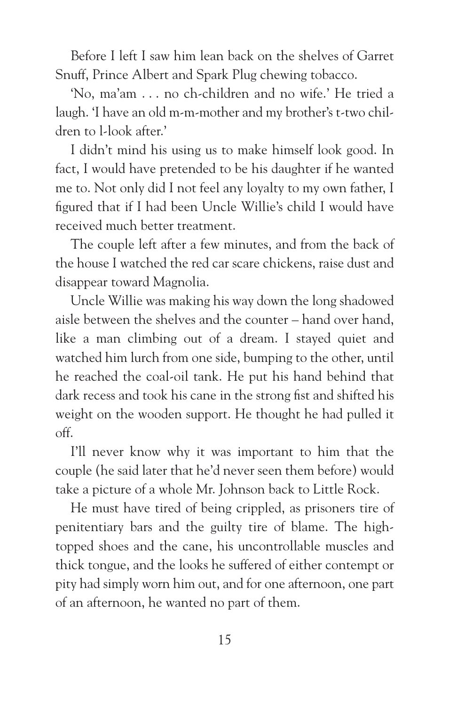Before I left I saw him lean back on the shelves of Garret Snuff, Prince Albert and Spark Plug chewing tobacco.

'No, ma'am . . . no ch-children and no wife.' He tried a laugh. 'I have an old m-m-mother and my brother's t-two children to l-look after.'

I didn't mind his using us to make himself look good. In fact, I would have pretended to be his daughter if he wanted me to. Not only did I not feel any loyalty to my own father, I figured that if I had been Uncle Willie's child I would have received much better treatment.

The couple left after a few minutes, and from the back of the house I watched the red car scare chickens, raise dust and disappear toward Magnolia.

Uncle Willie was making his way down the long shadowed aisle between the shelves and the counter – hand over hand, like a man climbing out of a dream. I stayed quiet and watched him lurch from one side, bumping to the other, until he reached the coal-oil tank. He put his hand behind that dark recess and took his cane in the strong fist and shifted his weight on the wooden support. He thought he had pulled it off.

I'll never know why it was important to him that the couple (he said later that he'd never seen them before) would take a picture of a whole Mr. Johnson back to Little Rock.

He must have tired of being crippled, as prisoners tire of penitentiary bars and the guilty tire of blame. The hightopped shoes and the cane, his uncontrollable muscles and thick tongue, and the looks he suffered of either contempt or pity had simply worn him out, and for one afternoon, one part of an afternoon, he wanted no part of them.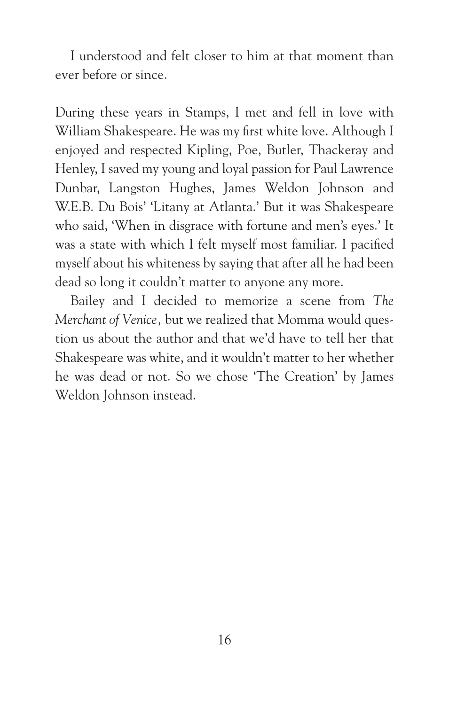I understood and felt closer to him at that moment than ever before or since.

During these years in Stamps, I met and fell in love with William Shakespeare. He was my first white love. Although I enjoyed and respected Kipling, Poe, Butler, Thackeray and Henley, I saved my young and loyal passion for Paul Lawrence Dunbar, Langston Hughes, James Weldon Johnson and W.E.B. Du Bois' 'Litany at Atlanta.' But it was Shakespeare who said, 'When in disgrace with fortune and men's eyes.' It was a state with which I felt myself most familiar. I pacified myself about his whiteness by saying that after all he had been dead so long it couldn't matter to anyone any more.

Bailey and I decided to memorize a scene from *The Merchant of Venice,* but we realized that Momma would question us about the author and that we'd have to tell her that Shakespeare was white, and it wouldn't matter to her whether he was dead or not. So we chose 'The Creation' by James Weldon Johnson instead.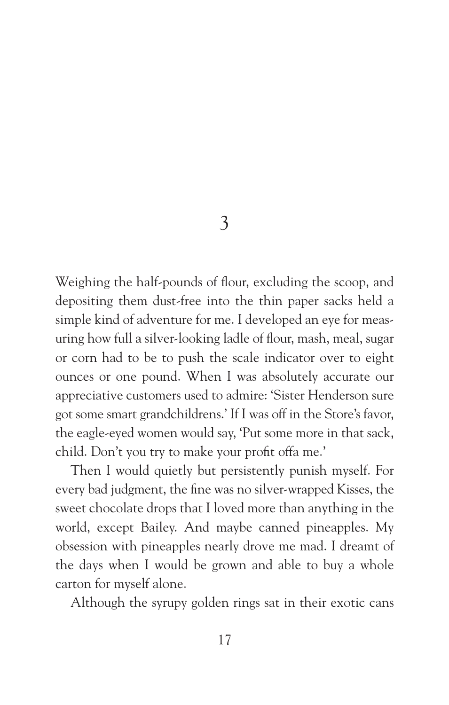3

Weighing the half-pounds of flour, excluding the scoop, and depositing them dust-free into the thin paper sacks held a simple kind of adventure for me. I developed an eye for measuring how full a silver-looking ladle of flour, mash, meal, sugar or corn had to be to push the scale indicator over to eight ounces or one pound. When I was absolutely accurate our appreciative customers used to admire: 'Sister Henderson sure got some smart grandchildrens.' If I was off in the Store's favor, the eagle-eyed women would say, 'Put some more in that sack, child. Don't you try to make your profit offa me.'

Then I would quietly but persistently punish myself. For every bad judgment, the fine was no silver-wrapped Kisses, the sweet chocolate drops that I loved more than anything in the world, except Bailey. And maybe canned pineapples. My obsession with pineapples nearly drove me mad. I dreamt of the days when I would be grown and able to buy a whole carton for myself alone.

Although the syrupy golden rings sat in their exotic cans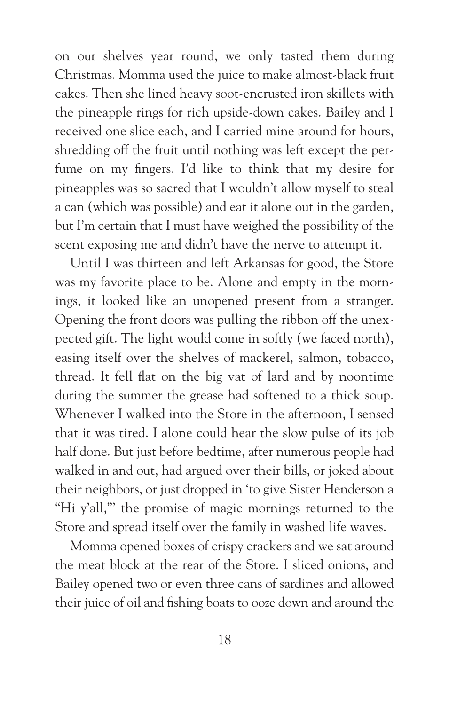on our shelves year round, we only tasted them during Christmas. Momma used the juice to make almost-black fruit cakes. Then she lined heavy soot-encrusted iron skillets with the pineapple rings for rich upside-down cakes. Bailey and I received one slice each, and I carried mine around for hours, shredding off the fruit until nothing was left except the perfume on my fingers. I'd like to think that my desire for pineapples was so sacred that I wouldn't allow myself to steal a can (which was possible) and eat it alone out in the garden, but I'm certain that I must have weighed the possibility of the scent exposing me and didn't have the nerve to attempt it.

Until I was thirteen and left Arkansas for good, the Store was my favorite place to be. Alone and empty in the mornings, it looked like an unopened present from a stranger. Opening the front doors was pulling the ribbon off the unexpected gift. The light would come in softly (we faced north), easing itself over the shelves of mackerel, salmon, tobacco, thread. It fell flat on the big vat of lard and by noontime during the summer the grease had softened to a thick soup. Whenever I walked into the Store in the afternoon, I sensed that it was tired. I alone could hear the slow pulse of its job half done. But just before bedtime, after numerous people had walked in and out, had argued over their bills, or joked about their neighbors, or just dropped in 'to give Sister Henderson a "Hi y'all,"' the promise of magic mornings returned to the Store and spread itself over the family in washed life waves.

Momma opened boxes of crispy crackers and we sat around the meat block at the rear of the Store. I sliced onions, and Bailey opened two or even three cans of sardines and allowed their juice of oil and fishing boats to ooze down and around the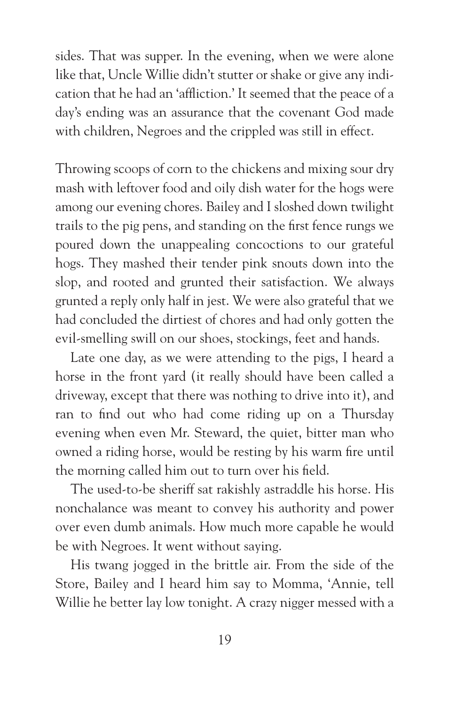sides. That was supper. In the evening, when we were alone like that, Uncle Willie didn't stutter or shake or give any indication that he had an 'affliction.' It seemed that the peace of a day's ending was an assurance that the covenant God made with children, Negroes and the crippled was still in effect.

Throwing scoops of corn to the chickens and mixing sour dry mash with leftover food and oily dish water for the hogs were among our evening chores. Bailey and I sloshed down twilight trails to the pig pens, and standing on the first fence rungs we poured down the unappealing concoctions to our grateful hogs. They mashed their tender pink snouts down into the slop, and rooted and grunted their satisfaction. We always grunted a reply only half in jest. We were also grateful that we had concluded the dirtiest of chores and had only gotten the evil-smelling swill on our shoes, stockings, feet and hands.

Late one day, as we were attending to the pigs, I heard a horse in the front yard (it really should have been called a driveway, except that there was nothing to drive into it), and ran to find out who had come riding up on a Thursday evening when even Mr. Steward, the quiet, bitter man who owned a riding horse, would be resting by his warm fire until the morning called him out to turn over his field.

The used-to-be sheriff sat rakishly astraddle his horse. His nonchalance was meant to convey his authority and power over even dumb animals. How much more capable he would be with Negroes. It went without saying.

His twang jogged in the brittle air. From the side of the Store, Bailey and I heard him say to Momma, 'Annie, tell Willie he better lay low tonight. A crazy nigger messed with a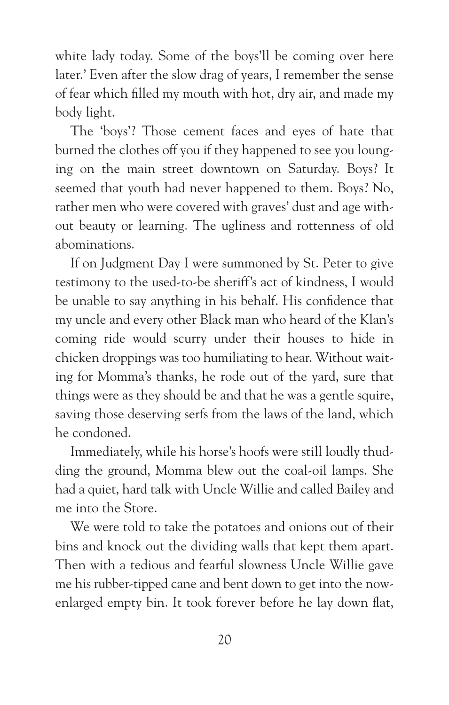white lady today. Some of the boys'll be coming over here later.' Even after the slow drag of years, I remember the sense of fear which filled my mouth with hot, dry air, and made my body light.

The 'boys'? Those cement faces and eyes of hate that burned the clothes off you if they happened to see you lounging on the main street downtown on Saturday. Boys? It seemed that youth had never happened to them. Boys? No, rather men who were covered with graves' dust and age without beauty or learning. The ugliness and rottenness of old abominations.

If on Judgment Day I were summoned by St. Peter to give testimony to the used-to-be sheriff's act of kindness, I would be unable to say anything in his behalf. His confidence that my uncle and every other Black man who heard of the Klan's coming ride would scurry under their houses to hide in chicken droppings was too humiliating to hear. Without waiting for Momma's thanks, he rode out of the yard, sure that things were as they should be and that he was a gentle squire, saving those deserving serfs from the laws of the land, which he condoned.

Immediately, while his horse's hoofs were still loudly thudding the ground, Momma blew out the coal-oil lamps. She had a quiet, hard talk with Uncle Willie and called Bailey and me into the Store.

We were told to take the potatoes and onions out of their bins and knock out the dividing walls that kept them apart. Then with a tedious and fearful slowness Uncle Willie gave me his rubber-tipped cane and bent down to get into the nowenlarged empty bin. It took forever before he lay down flat,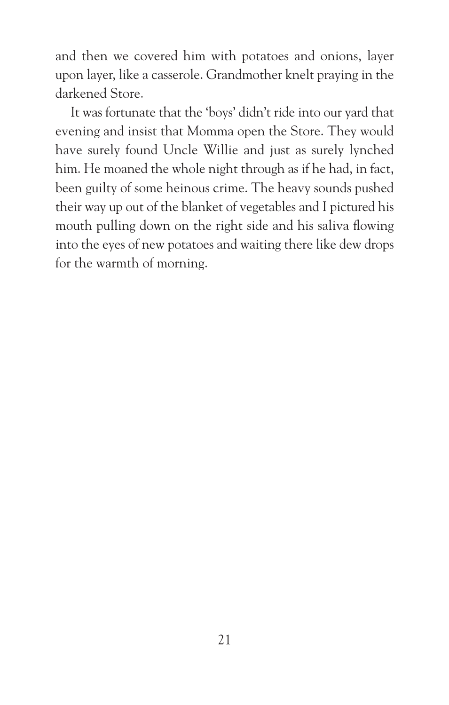and then we covered him with potatoes and onions, layer upon layer, like a casserole. Grandmother knelt praying in the darkened Store.

It was fortunate that the 'boys' didn't ride into our yard that evening and insist that Momma open the Store. They would have surely found Uncle Willie and just as surely lynched him. He moaned the whole night through as if he had, in fact, been guilty of some heinous crime. The heavy sounds pushed their way up out of the blanket of vegetables and I pictured his mouth pulling down on the right side and his saliva flowing into the eyes of new potatoes and waiting there like dew drops for the warmth of morning.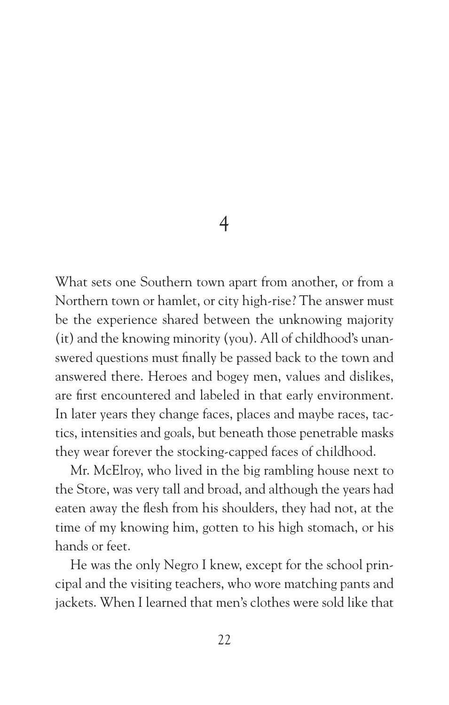4

What sets one Southern town apart from another, or from a Northern town or hamlet, or city high-rise? The answer must be the experience shared between the unknowing majority (it) and the knowing minority (you). All of childhood's unanswered questions must finally be passed back to the town and answered there. Heroes and bogey men, values and dislikes, are first encountered and labeled in that early environment. In later years they change faces, places and maybe races, tactics, intensities and goals, but beneath those penetrable masks they wear forever the stocking-capped faces of childhood.

Mr. McElroy, who lived in the big rambling house next to the Store, was very tall and broad, and although the years had eaten away the flesh from his shoulders, they had not, at the time of my knowing him, gotten to his high stomach, or his hands or feet.

He was the only Negro I knew, except for the school principal and the visiting teachers, who wore matching pants and jackets. When I learned that men's clothes were sold like that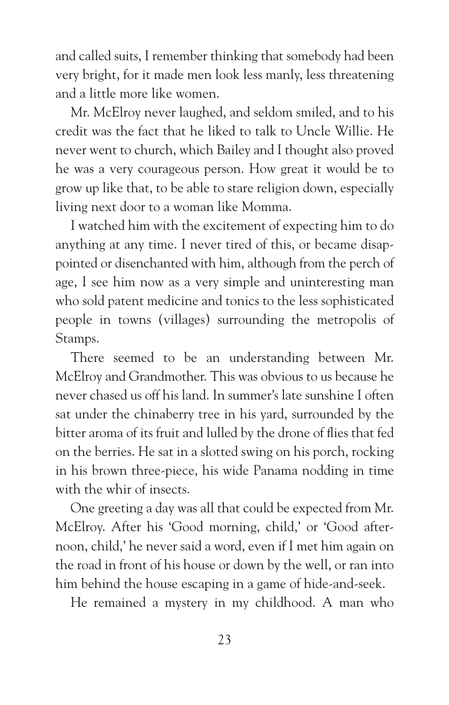and called suits, I remember thinking that somebody had been very bright, for it made men look less manly, less threatening and a little more like women.

Mr. McElroy never laughed, and seldom smiled, and to his credit was the fact that he liked to talk to Uncle Willie. He never went to church, which Bailey and I thought also proved he was a very courageous person. How great it would be to grow up like that, to be able to stare religion down, especially living next door to a woman like Momma.

I watched him with the excitement of expecting him to do anything at any time. I never tired of this, or became disappointed or disenchanted with him, although from the perch of age, I see him now as a very simple and uninteresting man who sold patent medicine and tonics to the less sophisticated people in towns (villages) surrounding the metropolis of Stamps.

There seemed to be an understanding between Mr. McElroy and Grandmother. This was obvious to us because he never chased us off his land. In summer's late sunshine I often sat under the chinaberry tree in his yard, surrounded by the bitter aroma of its fruit and lulled by the drone of flies that fed on the berries. He sat in a slotted swing on his porch, rocking in his brown three-piece, his wide Panama nodding in time with the whir of insects.

One greeting a day was all that could be expected from Mr. McElroy. After his 'Good morning, child,' or 'Good afternoon, child,' he never said a word, even if I met him again on the road in front of his house or down by the well, or ran into him behind the house escaping in a game of hide-and-seek.

He remained a mystery in my childhood. A man who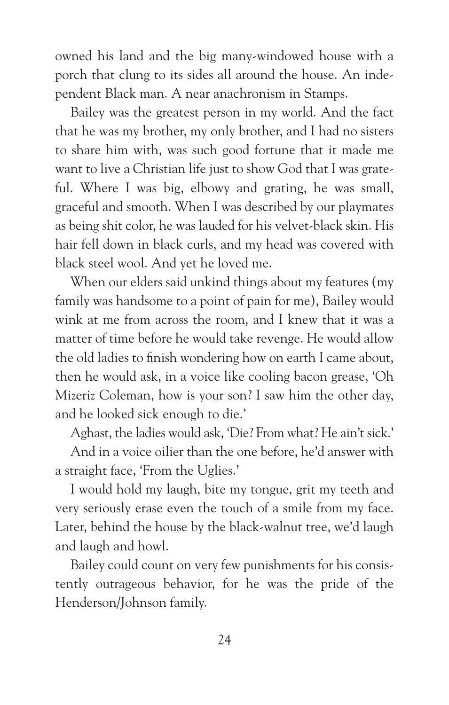owned his land and the big many-windowed house with a porch that clung to its sides all around the house. An independent Black man. A near anachronism in Stamps.

Bailey was the greatest person in my world. And the fact that he was my brother, my only brother, and I had no sisters to share him with, was such good fortune that it made me want to live a Christian life just to show God that I was grateful. Where I was big, elbowy and grating, he was small, graceful and smooth. When I was described by our playmates as being shit color, he was lauded for his velvet-black skin. His hair fell down in black curls, and my head was covered with black steel wool. And yet he loved me.

When our elders said unkind things about my features (my family was handsome to a point of pain for me), Bailey would wink at me from across the room, and I knew that it was a matter of time before he would take revenge. He would allow the old ladies to finish wondering how on earth I came about, then he would ask, in a voice like cooling bacon grease, 'Oh Mizeriz Coleman, how is your son? I saw him the other day, and he looked sick enough to die.'

Aghast, the ladies would ask, 'Die? From what? He ain't sick.'

And in a voice oilier than the one before, he'd answer with a straight face, 'From the Uglies.'

I would hold my laugh, bite my tongue, grit my teeth and very seriously erase even the touch of a smile from my face. Later, behind the house by the black-walnut tree, we'd laugh and laugh and howl.

Bailey could count on very few punishments for his consistently outrageous behavior, for he was the pride of the Henderson/Johnson family.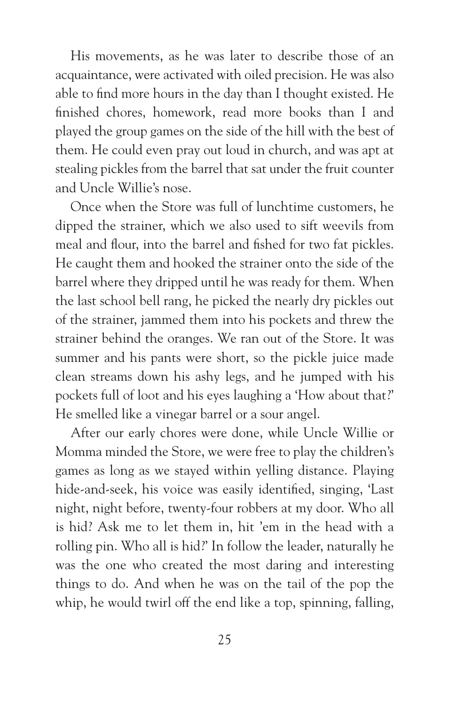His movements, as he was later to describe those of an acquaintance, were activated with oiled precision. He was also able to find more hours in the day than I thought existed. He finished chores, homework, read more books than I and played the group games on the side of the hill with the best of them. He could even pray out loud in church, and was apt at stealing pickles from the barrel that sat under the fruit counter and Uncle Willie's nose.

Once when the Store was full of lunchtime customers, he dipped the strainer, which we also used to sift weevils from meal and flour, into the barrel and fished for two fat pickles. He caught them and hooked the strainer onto the side of the barrel where they dripped until he was ready for them. When the last school bell rang, he picked the nearly dry pickles out of the strainer, jammed them into his pockets and threw the strainer behind the oranges. We ran out of the Store. It was summer and his pants were short, so the pickle juice made clean streams down his ashy legs, and he jumped with his pockets full of loot and his eyes laughing a 'How about that?' He smelled like a vinegar barrel or a sour angel.

After our early chores were done, while Uncle Willie or Momma minded the Store, we were free to play the children's games as long as we stayed within yelling distance. Playing hide-and-seek, his voice was easily identified, singing, 'Last night, night before, twenty-four robbers at my door. Who all is hid? Ask me to let them in, hit 'em in the head with a rolling pin. Who all is hid?' In follow the leader, naturally he was the one who created the most daring and interesting things to do. And when he was on the tail of the pop the whip, he would twirl off the end like a top, spinning, falling,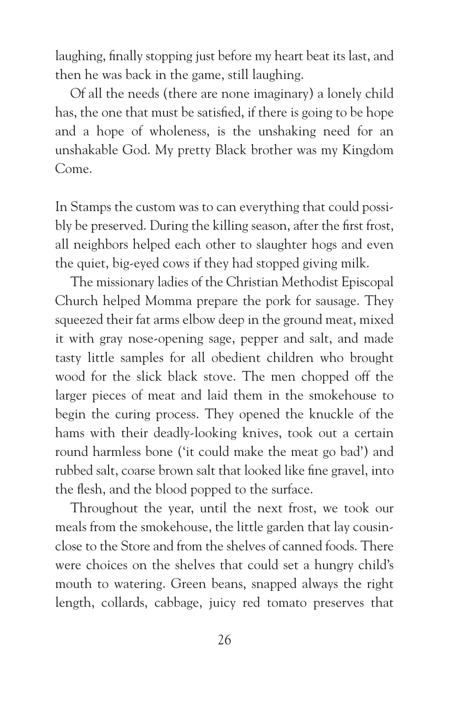laughing, finally stopping just before my heart beat its last, and then he was back in the game, still laughing.

Of all the needs (there are none imaginary) a lonely child has, the one that must be satisfied, if there is going to be hope and a hope of wholeness, is the unshaking need for an unshakable God. My pretty Black brother was my Kingdom Come.

In Stamps the custom was to can everything that could possibly be preserved. During the killing season, after the first frost, all neighbors helped each other to slaughter hogs and even the quiet, big-eyed cows if they had stopped giving milk.

The missionary ladies of the Christian Methodist Episcopal Church helped Momma prepare the pork for sausage. They squeezed their fat arms elbow deep in the ground meat, mixed it with gray nose-opening sage, pepper and salt, and made tasty little samples for all obedient children who brought wood for the slick black stove. The men chopped off the larger pieces of meat and laid them in the smokehouse to begin the curing process. They opened the knuckle of the hams with their deadly-looking knives, took out a certain round harmless bone ('it could make the meat go bad') and rubbed salt, coarse brown salt that looked like fine gravel, into the flesh, and the blood popped to the surface.

Throughout the year, until the next frost, we took our meals from the smokehouse, the little garden that lay cousinclose to the Store and from the shelves of canned foods. There were choices on the shelves that could set a hungry child's mouth to watering. Green beans, snapped always the right length, collards, cabbage, juicy red tomato preserves that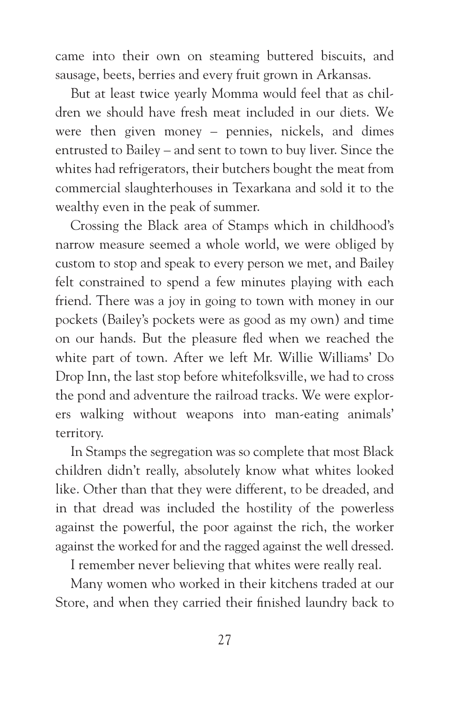came into their own on steaming buttered biscuits, and sausage, beets, berries and every fruit grown in Arkansas.

But at least twice yearly Momma would feel that as children we should have fresh meat included in our diets. We were then given money – pennies, nickels, and dimes entrusted to Bailey – and sent to town to buy liver. Since the whites had refrigerators, their butchers bought the meat from commercial slaughterhouses in Texarkana and sold it to the wealthy even in the peak of summer.

Crossing the Black area of Stamps which in childhood's narrow measure seemed a whole world, we were obliged by custom to stop and speak to every person we met, and Bailey felt constrained to spend a few minutes playing with each friend. There was a joy in going to town with money in our pockets (Bailey's pockets were as good as my own) and time on our hands. But the pleasure fled when we reached the white part of town. After we left Mr. Willie Williams' Do Drop Inn, the last stop before whitefolksville, we had to cross the pond and adventure the railroad tracks. We were explorers walking without weapons into man-eating animals' territory.

In Stamps the segregation was so complete that most Black children didn't really, absolutely know what whites looked like. Other than that they were different, to be dreaded, and in that dread was included the hostility of the powerless against the powerful, the poor against the rich, the worker against the worked for and the ragged against the well dressed.

I remember never believing that whites were really real.

Many women who worked in their kitchens traded at our Store, and when they carried their finished laundry back to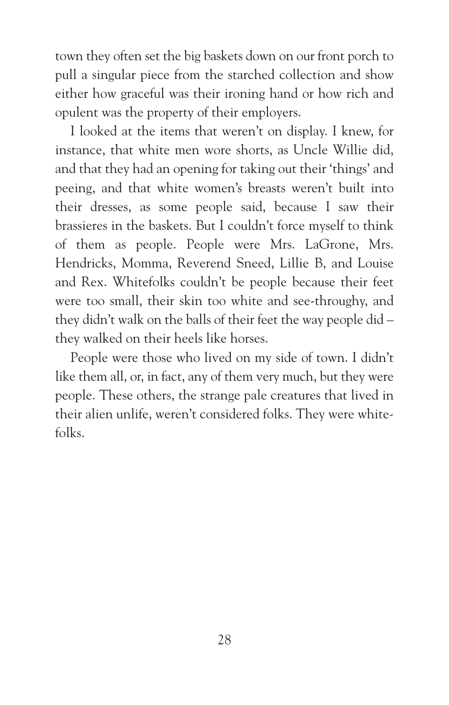town they often set the big baskets down on our front porch to pull a singular piece from the starched collection and show either how graceful was their ironing hand or how rich and opulent was the property of their employers.

I looked at the items that weren't on display. I knew, for instance, that white men wore shorts, as Uncle Willie did, and that they had an opening for taking out their 'things' and peeing, and that white women's breasts weren't built into their dresses, as some people said, because I saw their brassieres in the baskets. But I couldn't force myself to think of them as people. People were Mrs. LaGrone, Mrs. Hendricks, Momma, Reverend Sneed, Lillie B, and Louise and Rex. Whitefolks couldn't be people because their feet were too small, their skin too white and see-throughy, and they didn't walk on the balls of their feet the way people did – they walked on their heels like horses.

People were those who lived on my side of town. I didn't like them all, or, in fact, any of them very much, but they were people. These others, the strange pale creatures that lived in their alien unlife, weren't considered folks. They were whitefolks.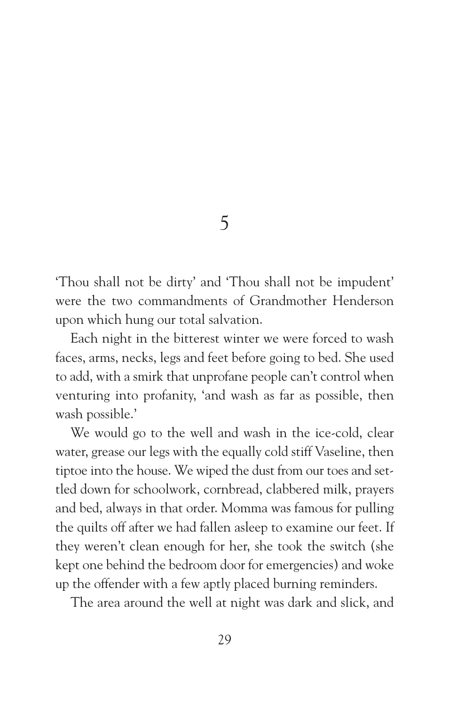5

'Thou shall not be dirty' and 'Thou shall not be impudent' were the two commandments of Grandmother Henderson upon which hung our total salvation.

Each night in the bitterest winter we were forced to wash faces, arms, necks, legs and feet before going to bed. She used to add, with a smirk that unprofane people can't control when venturing into profanity, 'and wash as far as possible, then wash possible.'

We would go to the well and wash in the ice-cold, clear water, grease our legs with the equally cold stiff Vaseline, then tiptoe into the house. We wiped the dust from our toes and settled down for schoolwork, cornbread, clabbered milk, prayers and bed, always in that order. Momma was famous for pulling the quilts off after we had fallen asleep to examine our feet. If they weren't clean enough for her, she took the switch (she kept one behind the bedroom door for emergencies) and woke up the offender with a few aptly placed burning reminders.

The area around the well at night was dark and slick, and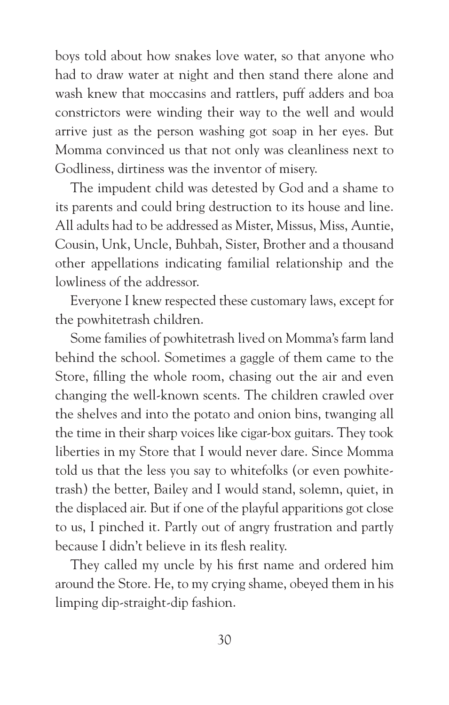boys told about how snakes love water, so that anyone who had to draw water at night and then stand there alone and wash knew that moccasins and rattlers, puff adders and boa constrictors were winding their way to the well and would arrive just as the person washing got soap in her eyes. But Momma convinced us that not only was cleanliness next to Godliness, dirtiness was the inventor of misery.

The impudent child was detested by God and a shame to its parents and could bring destruction to its house and line. All adults had to be addressed as Mister, Missus, Miss, Auntie, Cousin, Unk, Uncle, Buhbah, Sister, Brother and a thousand other appellations indicating familial relationship and the lowliness of the addressor.

Everyone I knew respected these customary laws, except for the powhitetrash children.

Some families of powhitetrash lived on Momma's farm land behind the school. Sometimes a gaggle of them came to the Store, filling the whole room, chasing out the air and even changing the well-known scents. The children crawled over the shelves and into the potato and onion bins, twanging all the time in their sharp voices like cigar-box guitars. They took liberties in my Store that I would never dare. Since Momma told us that the less you say to whitefolks (or even powhitetrash) the better, Bailey and I would stand, solemn, quiet, in the displaced air. But if one of the playful apparitions got close to us, I pinched it. Partly out of angry frustration and partly because I didn't believe in its flesh reality.

They called my uncle by his first name and ordered him around the Store. He, to my crying shame, obeyed them in his limping dip-straight-dip fashion.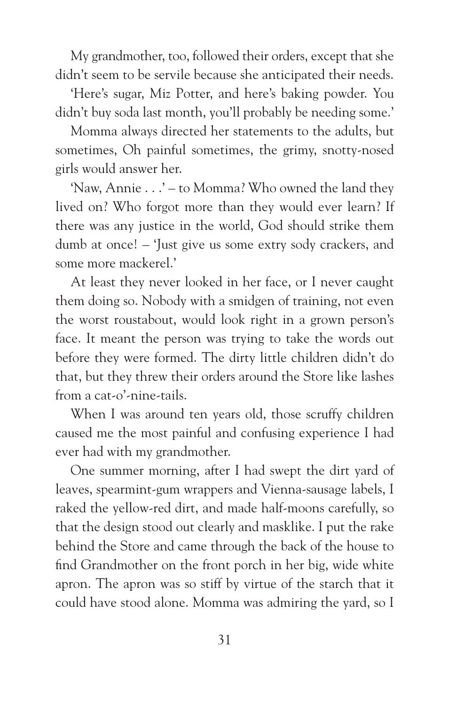My grandmother, too, followed their orders, except that she didn't seem to be servile because she anticipated their needs.

'Here's sugar, Miz Potter, and here's baking powder. You didn't buy soda last month, you'll probably be needing some.'

Momma always directed her statements to the adults, but sometimes, Oh painful sometimes, the grimy, snotty-nosed girls would answer her.

'Naw, Annie . . .' – to Momma? Who owned the land they lived on? Who forgot more than they would ever learn? If there was any justice in the world, God should strike them dumb at once! – 'Just give us some extry sody crackers, and some more mackerel.'

At least they never looked in her face, or I never caught them doing so. Nobody with a smidgen of training, not even the worst roustabout, would look right in a grown person's face. It meant the person was trying to take the words out before they were formed. The dirty little children didn't do that, but they threw their orders around the Store like lashes from a cat-o'-nine-tails.

When I was around ten years old, those scruffy children caused me the most painful and confusing experience I had ever had with my grandmother.

One summer morning, after I had swept the dirt yard of leaves, spearmint-gum wrappers and Vienna-sausage labels, I raked the yellow-red dirt, and made half-moons carefully, so that the design stood out clearly and masklike. I put the rake behind the Store and came through the back of the house to find Grandmother on the front porch in her big, wide white apron. The apron was so stiff by virtue of the starch that it could have stood alone. Momma was admiring the yard, so I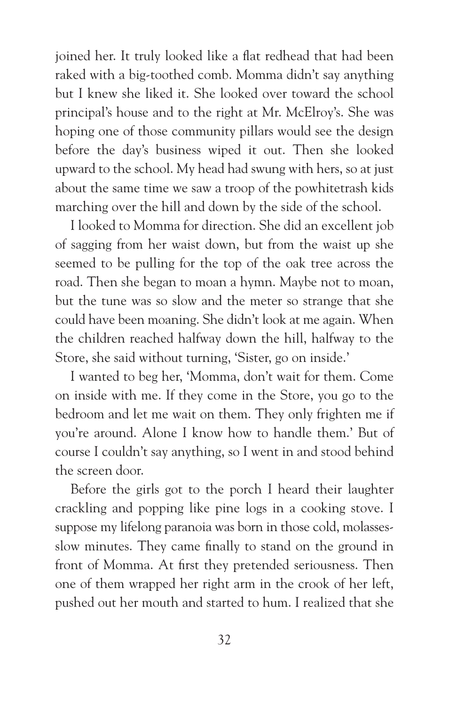joined her. It truly looked like a flat redhead that had been raked with a big-toothed comb. Momma didn't say anything but I knew she liked it. She looked over toward the school principal's house and to the right at Mr. McElroy's. She was hoping one of those community pillars would see the design before the day's business wiped it out. Then she looked upward to the school. My head had swung with hers, so at just about the same time we saw a troop of the powhitetrash kids marching over the hill and down by the side of the school.

I looked to Momma for direction. She did an excellent job of sagging from her waist down, but from the waist up she seemed to be pulling for the top of the oak tree across the road. Then she began to moan a hymn. Maybe not to moan, but the tune was so slow and the meter so strange that she could have been moaning. She didn't look at me again. When the children reached halfway down the hill, halfway to the Store, she said without turning, 'Sister, go on inside.'

I wanted to beg her, 'Momma, don't wait for them. Come on inside with me. If they come in the Store, you go to the bedroom and let me wait on them. They only frighten me if you're around. Alone I know how to handle them.' But of course I couldn't say anything, so I went in and stood behind the screen door.

Before the girls got to the porch I heard their laughter crackling and popping like pine logs in a cooking stove. I suppose my lifelong paranoia was born in those cold, molassesslow minutes. They came finally to stand on the ground in front of Momma. At first they pretended seriousness. Then one of them wrapped her right arm in the crook of her left, pushed out her mouth and started to hum. I realized that she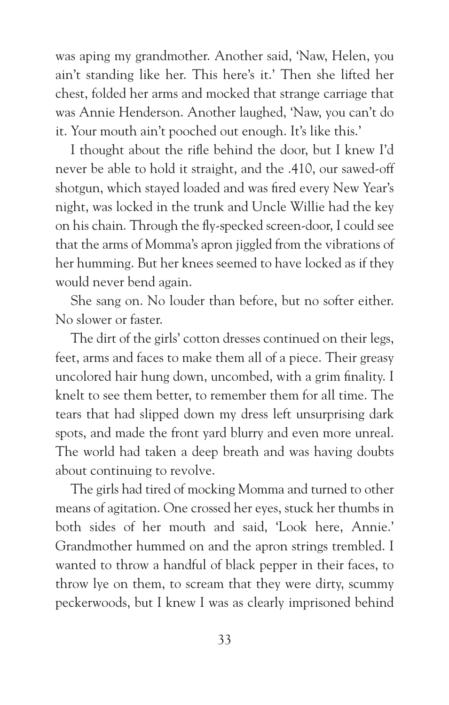was aping my grandmother. Another said, 'Naw, Helen, you ain't standing like her. This here's it.' Then she lifted her chest, folded her arms and mocked that strange carriage that was Annie Henderson. Another laughed, 'Naw, you can't do it. Your mouth ain't pooched out enough. It's like this.'

I thought about the rifle behind the door, but I knew I'd never be able to hold it straight, and the .410, our sawed-off shotgun, which stayed loaded and was fired every New Year's night, was locked in the trunk and Uncle Willie had the key on his chain. Through the fly-specked screen-door, I could see that the arms of Momma's apron jiggled from the vibrations of her humming. But her knees seemed to have locked as if they would never bend again.

She sang on. No louder than before, but no softer either. No slower or faster.

The dirt of the girls' cotton dresses continued on their legs, feet, arms and faces to make them all of a piece. Their greasy uncolored hair hung down, uncombed, with a grim finality. I knelt to see them better, to remember them for all time. The tears that had slipped down my dress left unsurprising dark spots, and made the front yard blurry and even more unreal. The world had taken a deep breath and was having doubts about continuing to revolve.

The girls had tired of mocking Momma and turned to other means of agitation. One crossed her eyes, stuck her thumbs in both sides of her mouth and said, 'Look here, Annie.' Grandmother hummed on and the apron strings trembled. I wanted to throw a handful of black pepper in their faces, to throw lye on them, to scream that they were dirty, scummy peckerwoods, but I knew I was as clearly imprisoned behind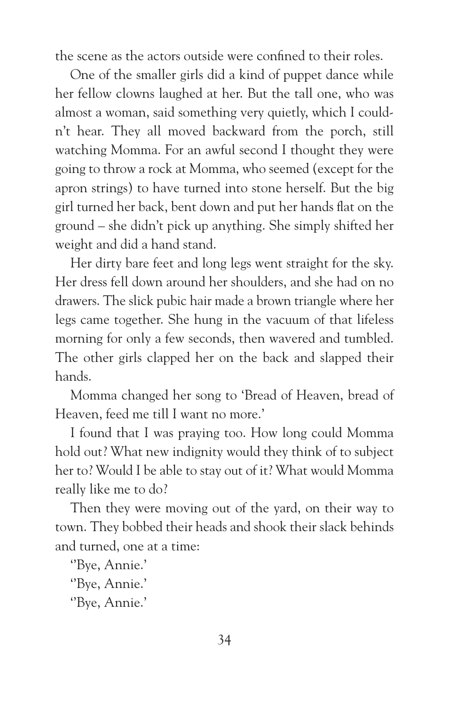the scene as the actors outside were confined to their roles.

One of the smaller girls did a kind of puppet dance while her fellow clowns laughed at her. But the tall one, who was almost a woman, said something very quietly, which I couldn't hear. They all moved backward from the porch, still watching Momma. For an awful second I thought they were going to throw a rock at Momma, who seemed (except for the apron strings) to have turned into stone herself. But the big girl turned her back, bent down and put her hands flat on the ground – she didn't pick up anything. She simply shifted her weight and did a hand stand.

Her dirty bare feet and long legs went straight for the sky. Her dress fell down around her shoulders, and she had on no drawers. The slick pubic hair made a brown triangle where her legs came together. She hung in the vacuum of that lifeless morning for only a few seconds, then wavered and tumbled. The other girls clapped her on the back and slapped their hands.

Momma changed her song to 'Bread of Heaven, bread of Heaven, feed me till I want no more.'

I found that I was praying too. How long could Momma hold out? What new indignity would they think of to subject her to? Would I be able to stay out of it? What would Momma really like me to do?

Then they were moving out of the yard, on their way to town. They bobbed their heads and shook their slack behinds and turned, one at a time:

''Bye, Annie.' ''Bye, Annie.'

''Bye, Annie.'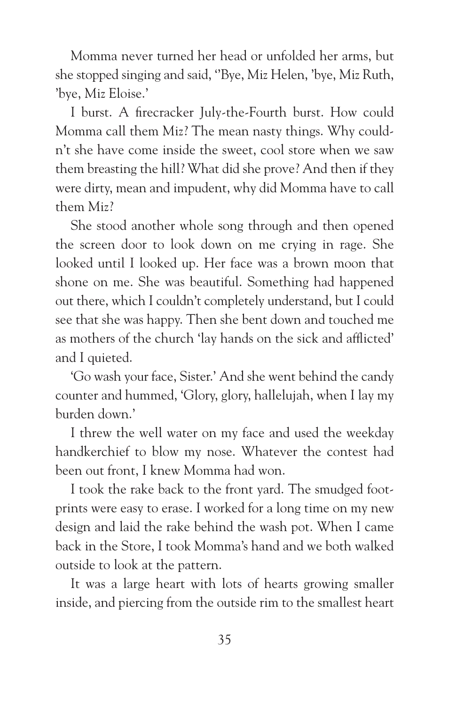Momma never turned her head or unfolded her arms, but she stopped singing and said, ''Bye, Miz Helen, 'bye, Miz Ruth, 'bye, Miz Eloise.'

I burst. A firecracker July-the-Fourth burst. How could Momma call them Miz? The mean nasty things. Why couldn't she have come inside the sweet, cool store when we saw them breasting the hill? What did she prove? And then if they were dirty, mean and impudent, why did Momma have to call them Miz?

She stood another whole song through and then opened the screen door to look down on me crying in rage. She looked until I looked up. Her face was a brown moon that shone on me. She was beautiful. Something had happened out there, which I couldn't completely understand, but I could see that she was happy. Then she bent down and touched me as mothers of the church 'lay hands on the sick and afflicted' and I quieted.

'Go wash your face, Sister.' And she went behind the candy counter and hummed, 'Glory, glory, hallelujah, when I lay my burden down.'

I threw the well water on my face and used the weekday handkerchief to blow my nose. Whatever the contest had been out front, I knew Momma had won.

I took the rake back to the front yard. The smudged footprints were easy to erase. I worked for a long time on my new design and laid the rake behind the wash pot. When I came back in the Store, I took Momma's hand and we both walked outside to look at the pattern.

It was a large heart with lots of hearts growing smaller inside, and piercing from the outside rim to the smallest heart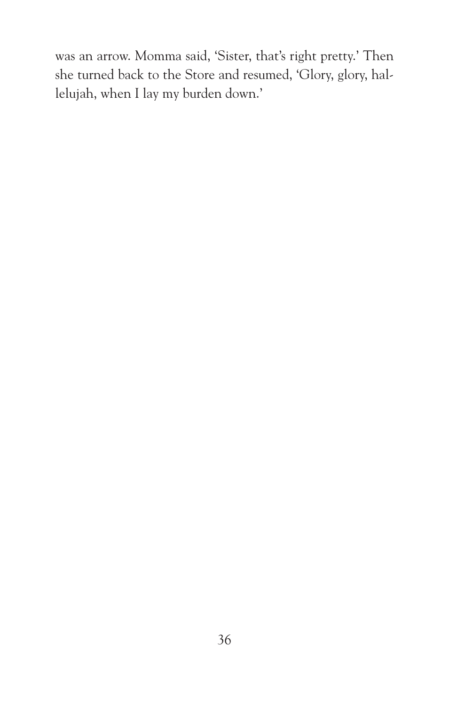was an arrow. Momma said, 'Sister, that's right pretty.' Then she turned back to the Store and resumed, 'Glory, glory, hallelujah, when I lay my burden down.'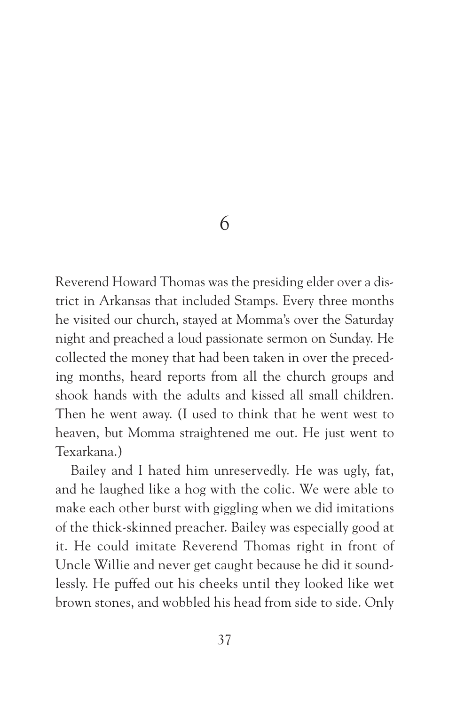6

Reverend Howard Thomas was the presiding elder over a district in Arkansas that included Stamps. Every three months he visited our church, stayed at Momma's over the Saturday night and preached a loud passionate sermon on Sunday. He collected the money that had been taken in over the preceding months, heard reports from all the church groups and shook hands with the adults and kissed all small children. Then he went away. (I used to think that he went west to heaven, but Momma straightened me out. He just went to Texarkana.)

Bailey and I hated him unreservedly. He was ugly, fat, and he laughed like a hog with the colic. We were able to make each other burst with giggling when we did imitations of the thick-skinned preacher. Bailey was especially good at it. He could imitate Reverend Thomas right in front of Uncle Willie and never get caught because he did it soundlessly. He puffed out his cheeks until they looked like wet brown stones, and wobbled his head from side to side. Only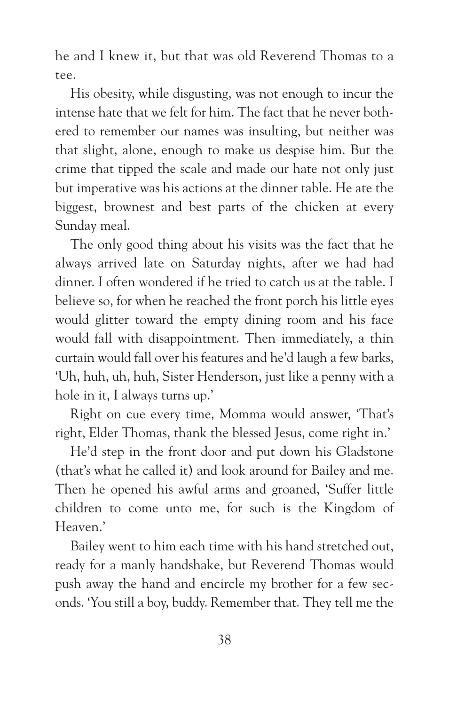he and I knew it, but that was old Reverend Thomas to a tee.

His obesity, while disgusting, was not enough to incur the intense hate that we felt for him. The fact that he never bothered to remember our names was insulting, but neither was that slight, alone, enough to make us despise him. But the crime that tipped the scale and made our hate not only just but imperative was his actions at the dinner table. He ate the biggest, brownest and best parts of the chicken at every Sunday meal.

The only good thing about his visits was the fact that he always arrived late on Saturday nights, after we had had dinner. I often wondered if he tried to catch us at the table. I believe so, for when he reached the front porch his little eyes would glitter toward the empty dining room and his face would fall with disappointment. Then immediately, a thin curtain would fall over his features and he'd laugh a few barks, 'Uh, huh, uh, huh, Sister Henderson, just like a penny with a hole in it, I always turns up.'

Right on cue every time, Momma would answer, 'That's right, Elder Thomas, thank the blessed Jesus, come right in.'

He'd step in the front door and put down his Gladstone (that's what he called it) and look around for Bailey and me. Then he opened his awful arms and groaned, 'Suffer little children to come unto me, for such is the Kingdom of Heaven.'

Bailey went to him each time with his hand stretched out, ready for a manly handshake, but Reverend Thomas would push away the hand and encircle my brother for a few seconds. 'You still a boy, buddy. Remember that. They tell me the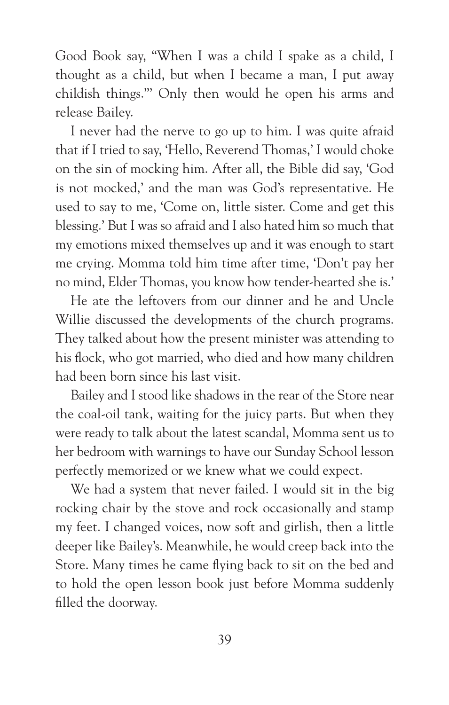Good Book say, "When I was a child I spake as a child, I thought as a child, but when I became a man, I put away childish things."' Only then would he open his arms and release Bailey.

I never had the nerve to go up to him. I was quite afraid that if I tried to say, 'Hello, Reverend Thomas,' I would choke on the sin of mocking him. After all, the Bible did say, 'God is not mocked,' and the man was God's representative. He used to say to me, 'Come on, little sister. Come and get this blessing.' But I was so afraid and I also hated him so much that my emotions mixed themselves up and it was enough to start me crying. Momma told him time after time, 'Don't pay her no mind, Elder Thomas, you know how tender-hearted she is.'

He ate the leftovers from our dinner and he and Uncle Willie discussed the developments of the church programs. They talked about how the present minister was attending to his flock, who got married, who died and how many children had been born since his last visit.

Bailey and I stood like shadows in the rear of the Store near the coal-oil tank, waiting for the juicy parts. But when they were ready to talk about the latest scandal, Momma sent us to her bedroom with warnings to have our Sunday School lesson perfectly memorized or we knew what we could expect.

We had a system that never failed. I would sit in the big rocking chair by the stove and rock occasionally and stamp my feet. I changed voices, now soft and girlish, then a little deeper like Bailey's. Meanwhile, he would creep back into the Store. Many times he came flying back to sit on the bed and to hold the open lesson book just before Momma suddenly filled the doorway.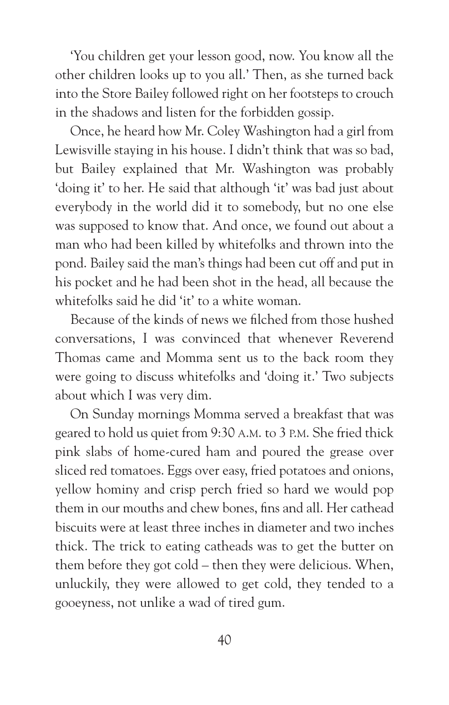'You children get your lesson good, now. You know all the other children looks up to you all.' Then, as she turned back into the Store Bailey followed right on her footsteps to crouch in the shadows and listen for the forbidden gossip.

Once, he heard how Mr. Coley Washington had a girl from Lewisville staying in his house. I didn't think that was so bad, but Bailey explained that Mr. Washington was probably 'doing it' to her. He said that although 'it' was bad just about everybody in the world did it to somebody, but no one else was supposed to know that. And once, we found out about a man who had been killed by whitefolks and thrown into the pond. Bailey said the man's things had been cut off and put in his pocket and he had been shot in the head, all because the whitefolks said he did 'it' to a white woman.

Because of the kinds of news we filched from those hushed conversations, I was convinced that whenever Reverend Thomas came and Momma sent us to the back room they were going to discuss whitefolks and 'doing it.' Two subjects about which I was very dim.

On Sunday mornings Momma served a breakfast that was geared to hold us quiet from 9:30 A.M. to 3 P.M. She fried thick pink slabs of home-cured ham and poured the grease over sliced red tomatoes. Eggs over easy, fried potatoes and onions, yellow hominy and crisp perch fried so hard we would pop them in our mouths and chew bones, fins and all. Her cathead biscuits were at least three inches in diameter and two inches thick. The trick to eating catheads was to get the butter on them before they got cold – then they were delicious. When, unluckily, they were allowed to get cold, they tended to a gooeyness, not unlike a wad of tired gum.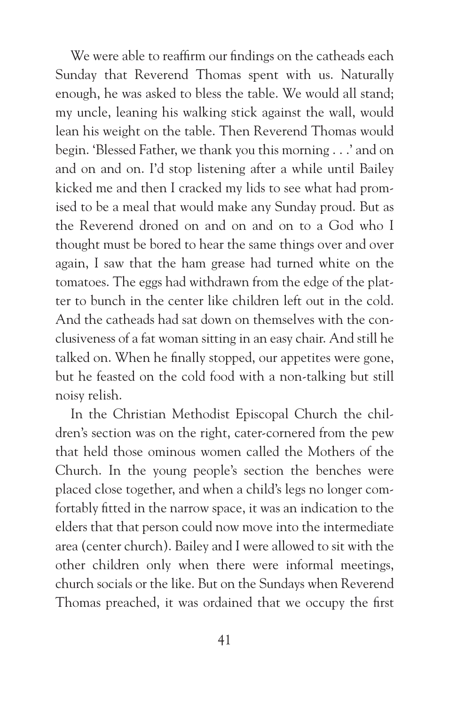We were able to reaffirm our findings on the catheads each Sunday that Reverend Thomas spent with us. Naturally enough, he was asked to bless the table. We would all stand; my uncle, leaning his walking stick against the wall, would lean his weight on the table. Then Reverend Thomas would begin. 'Blessed Father, we thank you this morning . . .' and on and on and on. I'd stop listening after a while until Bailey kicked me and then I cracked my lids to see what had promised to be a meal that would make any Sunday proud. But as the Reverend droned on and on and on to a God who I thought must be bored to hear the same things over and over again, I saw that the ham grease had turned white on the tomatoes. The eggs had withdrawn from the edge of the platter to bunch in the center like children left out in the cold. And the catheads had sat down on themselves with the conclusiveness of a fat woman sitting in an easy chair. And still he talked on. When he finally stopped, our appetites were gone, but he feasted on the cold food with a non-talking but still noisy relish.

In the Christian Methodist Episcopal Church the children's section was on the right, cater-cornered from the pew that held those ominous women called the Mothers of the Church. In the young people's section the benches were placed close together, and when a child's legs no longer comfortably fitted in the narrow space, it was an indication to the elders that that person could now move into the intermediate area (center church). Bailey and I were allowed to sit with the other children only when there were informal meetings, church socials or the like. But on the Sundays when Reverend Thomas preached, it was ordained that we occupy the first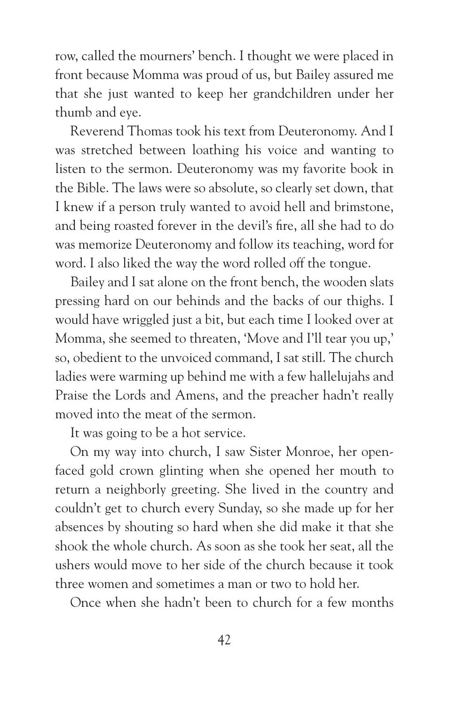row, called the mourners' bench. I thought we were placed in front because Momma was proud of us, but Bailey assured me that she just wanted to keep her grandchildren under her thumb and eye.

Reverend Thomas took his text from Deuteronomy. And I was stretched between loathing his voice and wanting to listen to the sermon. Deuteronomy was my favorite book in the Bible. The laws were so absolute, so clearly set down, that I knew if a person truly wanted to avoid hell and brimstone, and being roasted forever in the devil's fire, all she had to do was memorize Deuteronomy and follow its teaching, word for word. I also liked the way the word rolled off the tongue.

Bailey and I sat alone on the front bench, the wooden slats pressing hard on our behinds and the backs of our thighs. I would have wriggled just a bit, but each time I looked over at Momma, she seemed to threaten, 'Move and I'll tear you up,' so, obedient to the unvoiced command, I sat still. The church ladies were warming up behind me with a few hallelujahs and Praise the Lords and Amens, and the preacher hadn't really moved into the meat of the sermon.

It was going to be a hot service.

On my way into church, I saw Sister Monroe, her openfaced gold crown glinting when she opened her mouth to return a neighborly greeting. She lived in the country and couldn't get to church every Sunday, so she made up for her absences by shouting so hard when she did make it that she shook the whole church. As soon as she took her seat, all the ushers would move to her side of the church because it took three women and sometimes a man or two to hold her.

Once when she hadn't been to church for a few months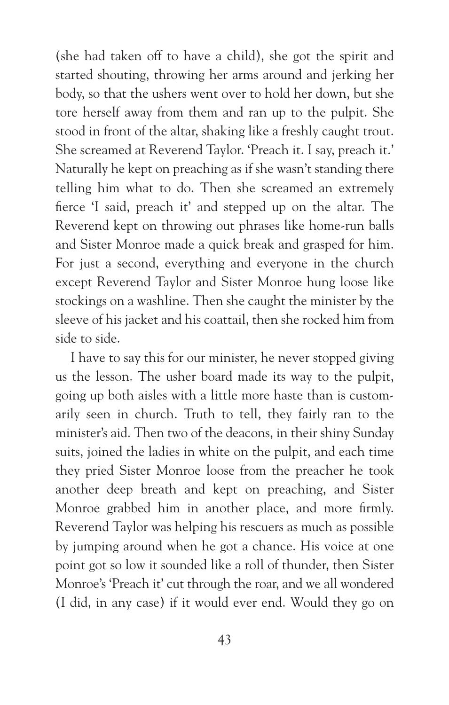(she had taken off to have a child), she got the spirit and started shouting, throwing her arms around and jerking her body, so that the ushers went over to hold her down, but she tore herself away from them and ran up to the pulpit. She stood in front of the altar, shaking like a freshly caught trout. She screamed at Reverend Taylor. 'Preach it. I say, preach it.' Naturally he kept on preaching as if she wasn't standing there telling him what to do. Then she screamed an extremely fierce 'I said, preach it' and stepped up on the altar. The Reverend kept on throwing out phrases like home-run balls and Sister Monroe made a quick break and grasped for him. For just a second, everything and everyone in the church except Reverend Taylor and Sister Monroe hung loose like stockings on a washline. Then she caught the minister by the sleeve of his jacket and his coattail, then she rocked him from side to side.

I have to say this for our minister, he never stopped giving us the lesson. The usher board made its way to the pulpit, going up both aisles with a little more haste than is customarily seen in church. Truth to tell, they fairly ran to the minister's aid. Then two of the deacons, in their shiny Sunday suits, joined the ladies in white on the pulpit, and each time they pried Sister Monroe loose from the preacher he took another deep breath and kept on preaching, and Sister Monroe grabbed him in another place, and more firmly. Reverend Taylor was helping his rescuers as much as possible by jumping around when he got a chance. His voice at one point got so low it sounded like a roll of thunder, then Sister Monroe's 'Preach it' cut through the roar, and we all wondered (I did, in any case) if it would ever end. Would they go on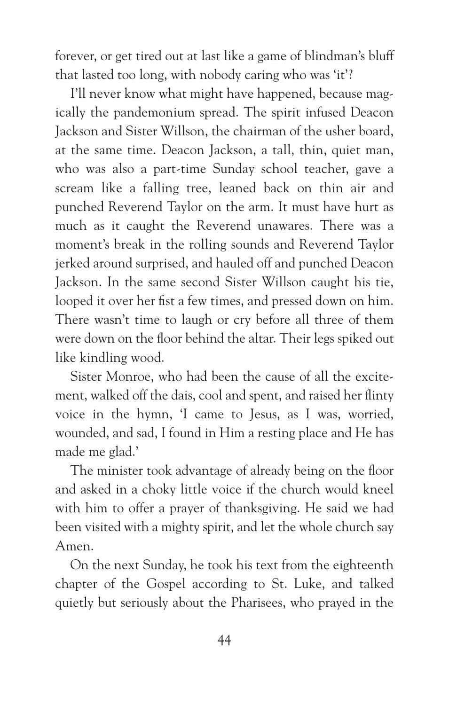forever, or get tired out at last like a game of blindman's bluff that lasted too long, with nobody caring who was 'it'?

I'll never know what might have happened, because magically the pandemonium spread. The spirit infused Deacon Jackson and Sister Willson, the chairman of the usher board, at the same time. Deacon Jackson, a tall, thin, quiet man, who was also a part-time Sunday school teacher, gave a scream like a falling tree, leaned back on thin air and punched Reverend Taylor on the arm. It must have hurt as much as it caught the Reverend unawares. There was a moment's break in the rolling sounds and Reverend Taylor jerked around surprised, and hauled off and punched Deacon Jackson. In the same second Sister Willson caught his tie, looped it over her fist a few times, and pressed down on him. There wasn't time to laugh or cry before all three of them were down on the floor behind the altar. Their legs spiked out like kindling wood.

Sister Monroe, who had been the cause of all the excitement, walked off the dais, cool and spent, and raised her flinty voice in the hymn, 'I came to Jesus, as I was, worried, wounded, and sad, I found in Him a resting place and He has made me glad.'

The minister took advantage of already being on the floor and asked in a choky little voice if the church would kneel with him to offer a prayer of thanksgiving. He said we had been visited with a mighty spirit, and let the whole church say Amen.

On the next Sunday, he took his text from the eighteenth chapter of the Gospel according to St. Luke, and talked quietly but seriously about the Pharisees, who prayed in the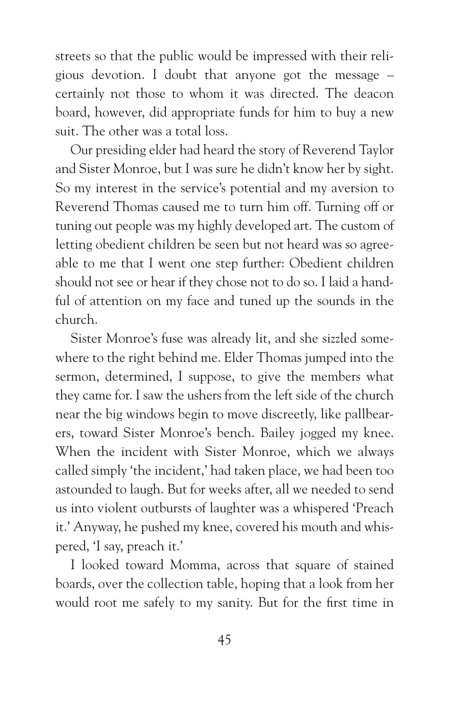streets so that the public would be impressed with their religious devotion. I doubt that anyone got the message – certainly not those to whom it was directed. The deacon board, however, did appropriate funds for him to buy a new suit. The other was a total loss.

Our presiding elder had heard the story of Reverend Taylor and Sister Monroe, but I was sure he didn't know her by sight. So my interest in the service's potential and my aversion to Reverend Thomas caused me to turn him off. Turning off or tuning out people was my highly developed art. The custom of letting obedient children be seen but not heard was so agreeable to me that I went one step further: Obedient children should not see or hear if they chose not to do so. I laid a handful of attention on my face and tuned up the sounds in the church.

Sister Monroe's fuse was already lit, and she sizzled somewhere to the right behind me. Elder Thomas jumped into the sermon, determined, I suppose, to give the members what they came for. I saw the ushers from the left side of the church near the big windows begin to move discreetly, like pallbearers, toward Sister Monroe's bench. Bailey jogged my knee. When the incident with Sister Monroe, which we always called simply 'the incident,' had taken place, we had been too astounded to laugh. But for weeks after, all we needed to send us into violent outbursts of laughter was a whispered 'Preach it.' Anyway, he pushed my knee, covered his mouth and whispered, 'I say, preach it.'

I looked toward Momma, across that square of stained boards, over the collection table, hoping that a look from her would root me safely to my sanity. But for the first time in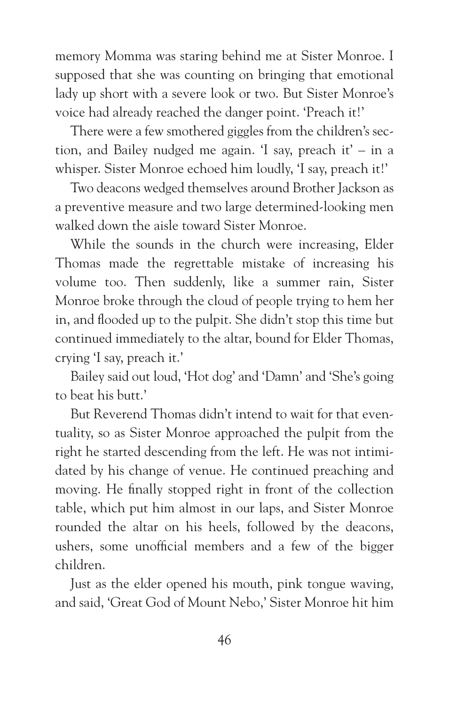memory Momma was staring behind me at Sister Monroe. I supposed that she was counting on bringing that emotional lady up short with a severe look or two. But Sister Monroe's voice had already reached the danger point. 'Preach it!'

There were a few smothered giggles from the children's section, and Bailey nudged me again. 'I say, preach it' – in a whisper. Sister Monroe echoed him loudly, 'I say, preach it!'

Two deacons wedged themselves around Brother Jackson as a preventive measure and two large determined-looking men walked down the aisle toward Sister Monroe.

While the sounds in the church were increasing, Elder Thomas made the regrettable mistake of increasing his volume too. Then suddenly, like a summer rain, Sister Monroe broke through the cloud of people trying to hem her in, and flooded up to the pulpit. She didn't stop this time but continued immediately to the altar, bound for Elder Thomas, crying 'I say, preach it.'

Bailey said out loud, 'Hot dog' and 'Damn' and 'She's going to beat his butt.'

But Reverend Thomas didn't intend to wait for that eventuality, so as Sister Monroe approached the pulpit from the right he started descending from the left. He was not intimidated by his change of venue. He continued preaching and moving. He finally stopped right in front of the collection table, which put him almost in our laps, and Sister Monroe rounded the altar on his heels, followed by the deacons, ushers, some unofficial members and a few of the bigger children.

Just as the elder opened his mouth, pink tongue waving, and said, 'Great God of Mount Nebo,' Sister Monroe hit him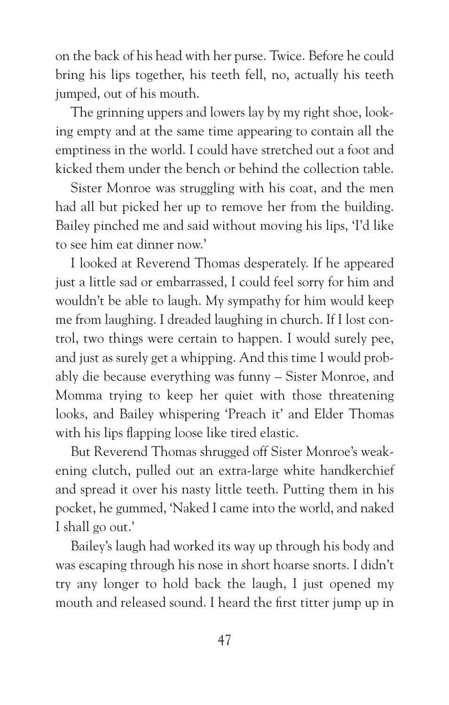on the back of his head with her purse. Twice. Before he could bring his lips together, his teeth fell, no, actually his teeth jumped, out of his mouth.

The grinning uppers and lowers lay by my right shoe, looking empty and at the same time appearing to contain all the emptiness in the world. I could have stretched out a foot and kicked them under the bench or behind the collection table.

Sister Monroe was struggling with his coat, and the men had all but picked her up to remove her from the building. Bailey pinched me and said without moving his lips, 'I'd like to see him eat dinner now.'

I looked at Reverend Thomas desperately. If he appeared just a little sad or embarrassed, I could feel sorry for him and wouldn't be able to laugh. My sympathy for him would keep me from laughing. I dreaded laughing in church. If I lost control, two things were certain to happen. I would surely pee, and just as surely get a whipping. And this time I would probably die because everything was funny – Sister Monroe, and Momma trying to keep her quiet with those threatening looks, and Bailey whispering 'Preach it' and Elder Thomas with his lips flapping loose like tired elastic.

But Reverend Thomas shrugged off Sister Monroe's weakening clutch, pulled out an extra-large white handkerchief and spread it over his nasty little teeth. Putting them in his pocket, he gummed, 'Naked I came into the world, and naked I shall go out.'

Bailey's laugh had worked its way up through his body and was escaping through his nose in short hoarse snorts. I didn't try any longer to hold back the laugh, I just opened my mouth and released sound. I heard the first titter jump up in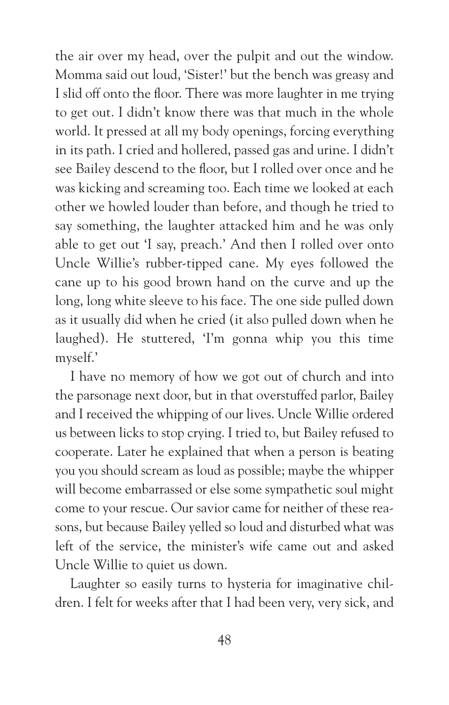the air over my head, over the pulpit and out the window. Momma said out loud, 'Sister!' but the bench was greasy and I slid off onto the floor. There was more laughter in me trying to get out. I didn't know there was that much in the whole world. It pressed at all my body openings, forcing everything in its path. I cried and hollered, passed gas and urine. I didn't see Bailey descend to the floor, but I rolled over once and he was kicking and screaming too. Each time we looked at each other we howled louder than before, and though he tried to say something, the laughter attacked him and he was only able to get out 'I say, preach.' And then I rolled over onto Uncle Willie's rubber-tipped cane. My eyes followed the cane up to his good brown hand on the curve and up the long, long white sleeve to his face. The one side pulled down as it usually did when he cried (it also pulled down when he laughed). He stuttered, 'I'm gonna whip you this time myself.'

I have no memory of how we got out of church and into the parsonage next door, but in that overstuffed parlor, Bailey and I received the whipping of our lives. Uncle Willie ordered us between licks to stop crying. I tried to, but Bailey refused to cooperate. Later he explained that when a person is beating you you should scream as loud as possible; maybe the whipper will become embarrassed or else some sympathetic soul might come to your rescue. Our savior came for neither of these reasons, but because Bailey yelled so loud and disturbed what was left of the service, the minister's wife came out and asked Uncle Willie to quiet us down.

Laughter so easily turns to hysteria for imaginative children. I felt for weeks after that I had been very, very sick, and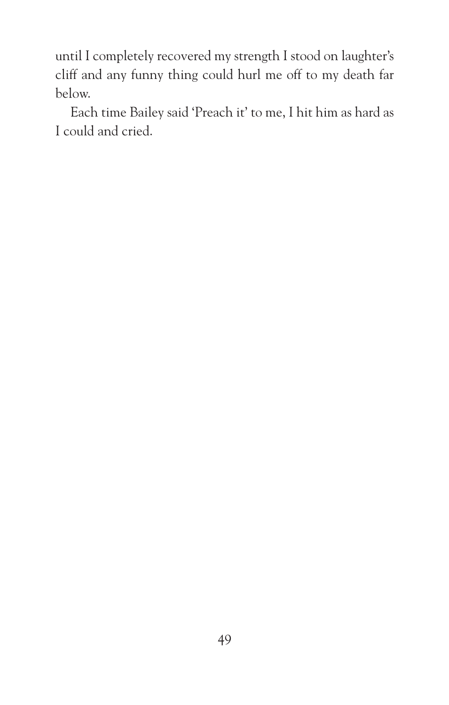until I completely recovered my strength I stood on laughter's cliff and any funny thing could hurl me off to my death far below.

Each time Bailey said 'Preach it' to me, I hit him as hard as I could and cried.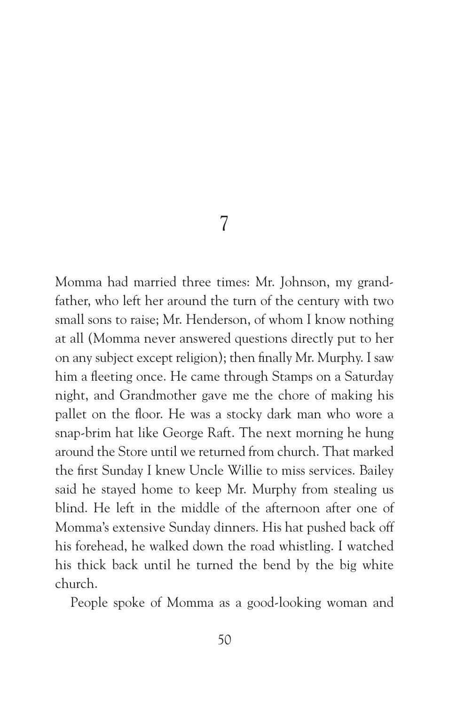7

Momma had married three times: Mr. Johnson, my grandfather, who left her around the turn of the century with two small sons to raise; Mr. Henderson, of whom I know nothing at all (Momma never answered questions directly put to her on any subject except religion); then finally Mr. Murphy. I saw him a fleeting once. He came through Stamps on a Saturday night, and Grandmother gave me the chore of making his pallet on the floor. He was a stocky dark man who wore a snap-brim hat like George Raft. The next morning he hung around the Store until we returned from church. That marked the first Sunday I knew Uncle Willie to miss services. Bailey said he stayed home to keep Mr. Murphy from stealing us blind. He left in the middle of the afternoon after one of Momma's extensive Sunday dinners. His hat pushed back off his forehead, he walked down the road whistling. I watched his thick back until he turned the bend by the big white church.

People spoke of Momma as a good-looking woman and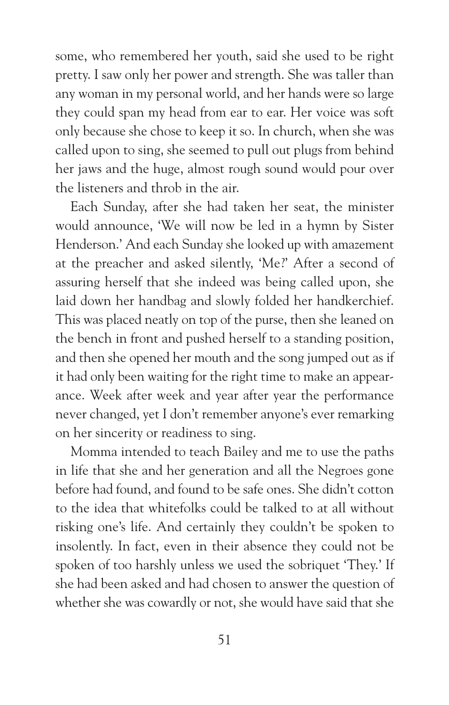some, who remembered her youth, said she used to be right pretty. I saw only her power and strength. She was taller than any woman in my personal world, and her hands were so large they could span my head from ear to ear. Her voice was soft only because she chose to keep it so. In church, when she was called upon to sing, she seemed to pull out plugs from behind her jaws and the huge, almost rough sound would pour over the listeners and throb in the air.

Each Sunday, after she had taken her seat, the minister would announce, 'We will now be led in a hymn by Sister Henderson.' And each Sunday she looked up with amazement at the preacher and asked silently, 'Me?' After a second of assuring herself that she indeed was being called upon, she laid down her handbag and slowly folded her handkerchief. This was placed neatly on top of the purse, then she leaned on the bench in front and pushed herself to a standing position, and then she opened her mouth and the song jumped out as if it had only been waiting for the right time to make an appearance. Week after week and year after year the performance never changed, yet I don't remember anyone's ever remarking on her sincerity or readiness to sing.

Momma intended to teach Bailey and me to use the paths in life that she and her generation and all the Negroes gone before had found, and found to be safe ones. She didn't cotton to the idea that whitefolks could be talked to at all without risking one's life. And certainly they couldn't be spoken to insolently. In fact, even in their absence they could not be spoken of too harshly unless we used the sobriquet 'They.' If she had been asked and had chosen to answer the question of whether she was cowardly or not, she would have said that she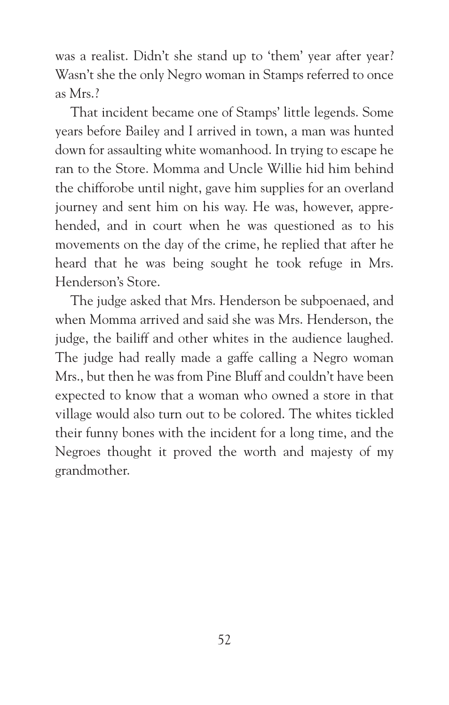was a realist. Didn't she stand up to 'them' year after year? Wasn't she the only Negro woman in Stamps referred to once as Mrs.?

That incident became one of Stamps' little legends. Some years before Bailey and I arrived in town, a man was hunted down for assaulting white womanhood. In trying to escape he ran to the Store. Momma and Uncle Willie hid him behind the chifforobe until night, gave him supplies for an overland journey and sent him on his way. He was, however, apprehended, and in court when he was questioned as to his movements on the day of the crime, he replied that after he heard that he was being sought he took refuge in Mrs. Henderson's Store.

The judge asked that Mrs. Henderson be subpoenaed, and when Momma arrived and said she was Mrs. Henderson, the judge, the bailiff and other whites in the audience laughed. The judge had really made a gaffe calling a Negro woman Mrs., but then he was from Pine Bluff and couldn't have been expected to know that a woman who owned a store in that village would also turn out to be colored. The whites tickled their funny bones with the incident for a long time, and the Negroes thought it proved the worth and majesty of my grandmother.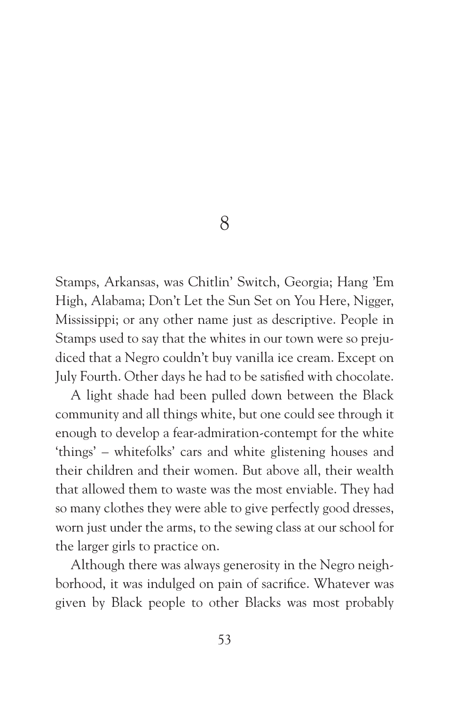8

Stamps, Arkansas, was Chitlin' Switch, Georgia; Hang 'Em High, Alabama; Don't Let the Sun Set on You Here, Nigger, Mississippi; or any other name just as descriptive. People in Stamps used to say that the whites in our town were so prejudiced that a Negro couldn't buy vanilla ice cream. Except on July Fourth. Other days he had to be satisfied with chocolate.

A light shade had been pulled down between the Black community and all things white, but one could see through it enough to develop a fear-admiration-contempt for the white 'things' – whitefolks' cars and white glistening houses and their children and their women. But above all, their wealth that allowed them to waste was the most enviable. They had so many clothes they were able to give perfectly good dresses, worn just under the arms, to the sewing class at our school for the larger girls to practice on.

Although there was always generosity in the Negro neighborhood, it was indulged on pain of sacrifice. Whatever was given by Black people to other Blacks was most probably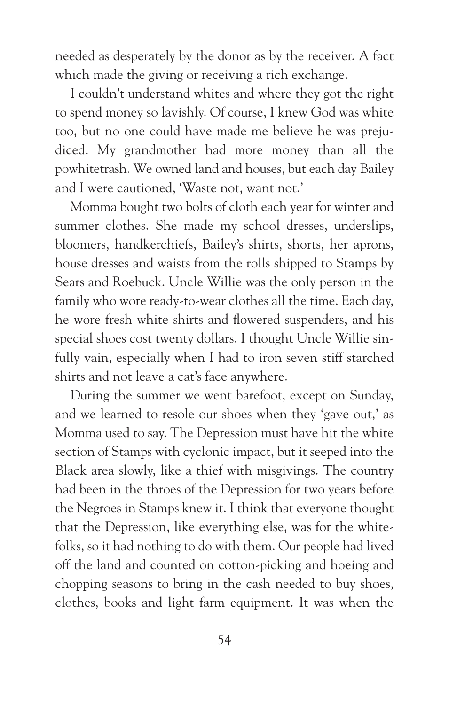needed as desperately by the donor as by the receiver. A fact which made the giving or receiving a rich exchange.

I couldn't understand whites and where they got the right to spend money so lavishly. Of course, I knew God was white too, but no one could have made me believe he was prejudiced. My grandmother had more money than all the powhitetrash. We owned land and houses, but each day Bailey and I were cautioned, 'Waste not, want not.'

Momma bought two bolts of cloth each year for winter and summer clothes. She made my school dresses, underslips, bloomers, handkerchiefs, Bailey's shirts, shorts, her aprons, house dresses and waists from the rolls shipped to Stamps by Sears and Roebuck. Uncle Willie was the only person in the family who wore ready-to-wear clothes all the time. Each day, he wore fresh white shirts and flowered suspenders, and his special shoes cost twenty dollars. I thought Uncle Willie sinfully vain, especially when I had to iron seven stiff starched shirts and not leave a cat's face anywhere.

During the summer we went barefoot, except on Sunday, and we learned to resole our shoes when they 'gave out,' as Momma used to say. The Depression must have hit the white section of Stamps with cyclonic impact, but it seeped into the Black area slowly, like a thief with misgivings. The country had been in the throes of the Depression for two years before the Negroes in Stamps knew it. I think that everyone thought that the Depression, like everything else, was for the whitefolks, so it had nothing to do with them. Our people had lived off the land and counted on cotton-picking and hoeing and chopping seasons to bring in the cash needed to buy shoes, clothes, books and light farm equipment. It was when the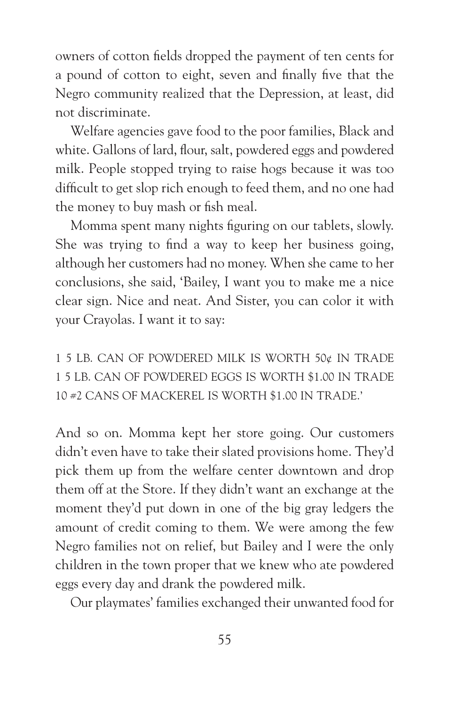owners of cotton fields dropped the payment of ten cents for a pound of cotton to eight, seven and finally five that the Negro community realized that the Depression, at least, did not discriminate.

Welfare agencies gave food to the poor families, Black and white. Gallons of lard, flour, salt, powdered eggs and powdered milk. People stopped trying to raise hogs because it was too difficult to get slop rich enough to feed them, and no one had the money to buy mash or fish meal.

Momma spent many nights figuring on our tablets, slowly. She was trying to find a way to keep her business going, although her customers had no money. When she came to her conclusions, she said, 'Bailey, I want you to make me a nice clear sign. Nice and neat. And Sister, you can color it with your Crayolas. I want it to say:

1 5 LB. CAN OF POWDERED MILK IS WORTH 50¢ IN TRADE 1 5 LB. CAN OF POWDERED EGGS IS WORTH \$1.00 IN TRADE 10 #2 CANS OF MACKEREL IS WORTH \$1.00 IN TRADE.'

And so on. Momma kept her store going. Our customers didn't even have to take their slated provisions home. They'd pick them up from the welfare center downtown and drop them off at the Store. If they didn't want an exchange at the moment they'd put down in one of the big gray ledgers the amount of credit coming to them. We were among the few Negro families not on relief, but Bailey and I were the only children in the town proper that we knew who ate powdered eggs every day and drank the powdered milk.

Our playmates' families exchanged their unwanted food for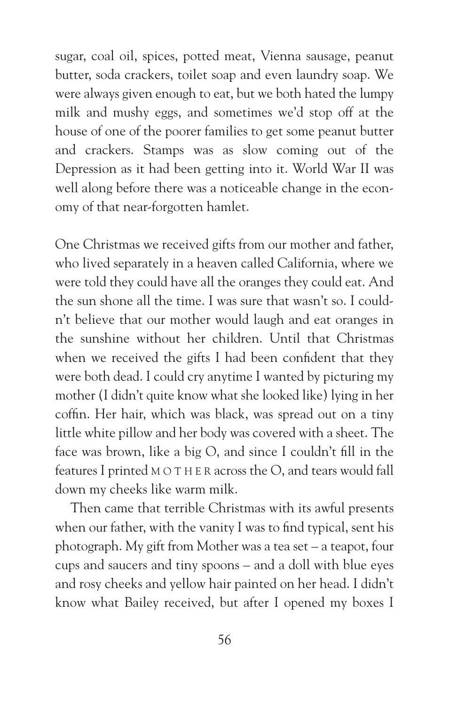sugar, coal oil, spices, potted meat, Vienna sausage, peanut butter, soda crackers, toilet soap and even laundry soap. We were always given enough to eat, but we both hated the lumpy milk and mushy eggs, and sometimes we'd stop off at the house of one of the poorer families to get some peanut butter and crackers. Stamps was as slow coming out of the Depression as it had been getting into it. World War II was well along before there was a noticeable change in the economy of that near-forgotten hamlet.

One Christmas we received gifts from our mother and father, who lived separately in a heaven called California, where we were told they could have all the oranges they could eat. And the sun shone all the time. I was sure that wasn't so. I couldn't believe that our mother would laugh and eat oranges in the sunshine without her children. Until that Christmas when we received the gifts I had been confident that they were both dead. I could cry anytime I wanted by picturing my mother (I didn't quite know what she looked like) lying in her coffin. Her hair, which was black, was spread out on a tiny little white pillow and her body was covered with a sheet. The face was brown, like a big O, and since I couldn't fill in the features I printed MOTHER across the O, and tears would fall down my cheeks like warm milk.

Then came that terrible Christmas with its awful presents when our father, with the vanity I was to find typical, sent his photograph. My gift from Mother was a tea set – a teapot, four cups and saucers and tiny spoons – and a doll with blue eyes and rosy cheeks and yellow hair painted on her head. I didn't know what Bailey received, but after I opened my boxes I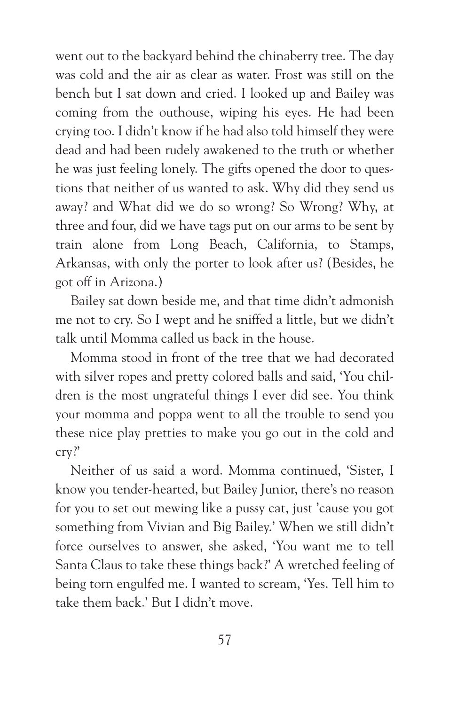went out to the backyard behind the chinaberry tree. The day was cold and the air as clear as water. Frost was still on the bench but I sat down and cried. I looked up and Bailey was coming from the outhouse, wiping his eyes. He had been crying too. I didn't know if he had also told himself they were dead and had been rudely awakened to the truth or whether he was just feeling lonely. The gifts opened the door to questions that neither of us wanted to ask. Why did they send us away? and What did we do so wrong? So Wrong? Why, at three and four, did we have tags put on our arms to be sent by train alone from Long Beach, California, to Stamps, Arkansas, with only the porter to look after us? (Besides, he got off in Arizona.)

Bailey sat down beside me, and that time didn't admonish me not to cry. So I wept and he sniffed a little, but we didn't talk until Momma called us back in the house.

Momma stood in front of the tree that we had decorated with silver ropes and pretty colored balls and said, 'You children is the most ungrateful things I ever did see. You think your momma and poppa went to all the trouble to send you these nice play pretties to make you go out in the cold and cry?'

Neither of us said a word. Momma continued, 'Sister, I know you tender-hearted, but Bailey Junior, there's no reason for you to set out mewing like a pussy cat, just 'cause you got something from Vivian and Big Bailey.' When we still didn't force ourselves to answer, she asked, 'You want me to tell Santa Claus to take these things back?' A wretched feeling of being torn engulfed me. I wanted to scream, 'Yes. Tell him to take them back.' But I didn't move.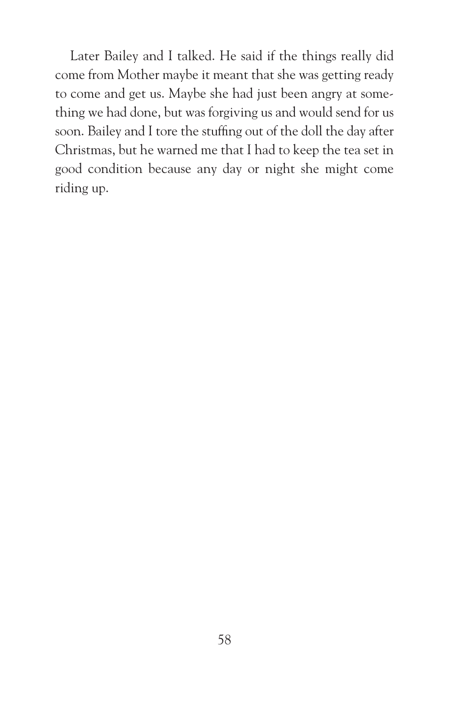Later Bailey and I talked. He said if the things really did come from Mother maybe it meant that she was getting ready to come and get us. Maybe she had just been angry at something we had done, but was forgiving us and would send for us soon. Bailey and I tore the stuffing out of the doll the day after Christmas, but he warned me that I had to keep the tea set in good condition because any day or night she might come riding up.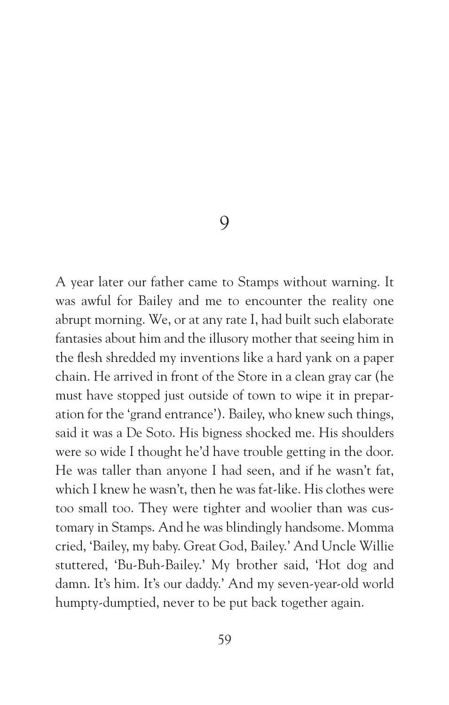9

A year later our father came to Stamps without warning. It was awful for Bailey and me to encounter the reality one abrupt morning. We, or at any rate I, had built such elaborate fantasies about him and the illusory mother that seeing him in the flesh shredded my inventions like a hard yank on a paper chain. He arrived in front of the Store in a clean gray car (he must have stopped just outside of town to wipe it in preparation for the 'grand entrance'). Bailey, who knew such things, said it was a De Soto. His bigness shocked me. His shoulders were so wide I thought he'd have trouble getting in the door. He was taller than anyone I had seen, and if he wasn't fat, which I knew he wasn't, then he was fat-like. His clothes were too small too. They were tighter and woolier than was customary in Stamps. And he was blindingly handsome. Momma cried, 'Bailey, my baby. Great God, Bailey.' And Uncle Willie stuttered, 'Bu-Buh-Bailey.' My brother said, 'Hot dog and damn. It's him. It's our daddy.' And my seven-year-old world humpty-dumptied, never to be put back together again.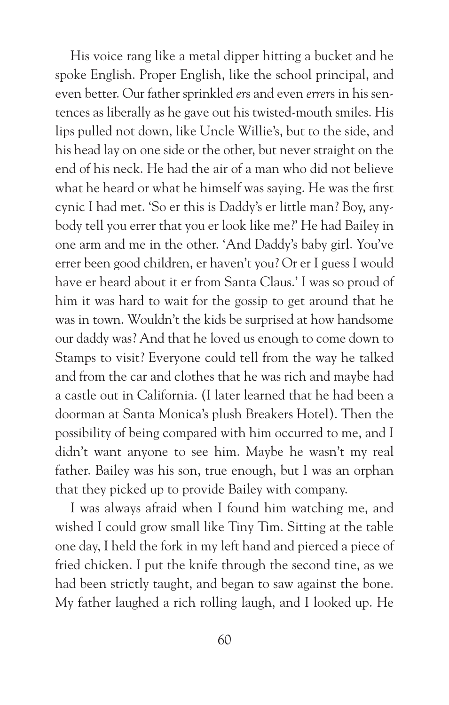His voice rang like a metal dipper hitting a bucket and he spoke English. Proper English, like the school principal, and even better. Our father sprinkled *er*s and even *errer*s in his sentences as liberally as he gave out his twisted-mouth smiles. His lips pulled not down, like Uncle Willie's, but to the side, and his head lay on one side or the other, but never straight on the end of his neck. He had the air of a man who did not believe what he heard or what he himself was saying. He was the first cynic I had met. 'So er this is Daddy's er little man? Boy, anybody tell you errer that you er look like me?' He had Bailey in one arm and me in the other. 'And Daddy's baby girl. You've errer been good children, er haven't you? Or er I guess I would have er heard about it er from Santa Claus.' I was so proud of him it was hard to wait for the gossip to get around that he was in town. Wouldn't the kids be surprised at how handsome our daddy was? And that he loved us enough to come down to Stamps to visit? Everyone could tell from the way he talked and from the car and clothes that he was rich and maybe had a castle out in California. (I later learned that he had been a doorman at Santa Monica's plush Breakers Hotel). Then the possibility of being compared with him occurred to me, and I didn't want anyone to see him. Maybe he wasn't my real father. Bailey was his son, true enough, but I was an orphan that they picked up to provide Bailey with company.

I was always afraid when I found him watching me, and wished I could grow small like Tiny Tim. Sitting at the table one day, I held the fork in my left hand and pierced a piece of fried chicken. I put the knife through the second tine, as we had been strictly taught, and began to saw against the bone. My father laughed a rich rolling laugh, and I looked up. He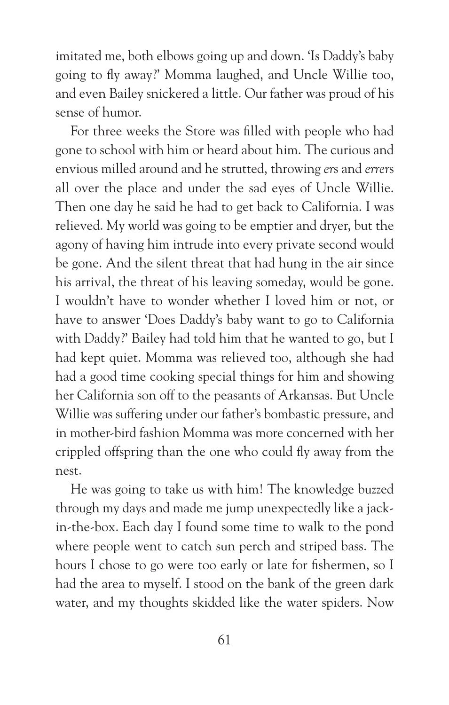imitated me, both elbows going up and down. 'Is Daddy's baby going to fly away?' Momma laughed, and Uncle Willie too, and even Bailey snickered a little. Our father was proud of his sense of humor.

For three weeks the Store was filled with people who had gone to school with him or heard about him. The curious and envious milled around and he strutted, throwing *er*s and *errer*s all over the place and under the sad eyes of Uncle Willie. Then one day he said he had to get back to California. I was relieved. My world was going to be emptier and dryer, but the agony of having him intrude into every private second would be gone. And the silent threat that had hung in the air since his arrival, the threat of his leaving someday, would be gone. I wouldn't have to wonder whether I loved him or not, or have to answer 'Does Daddy's baby want to go to California with Daddy?' Bailey had told him that he wanted to go, but I had kept quiet. Momma was relieved too, although she had had a good time cooking special things for him and showing her California son off to the peasants of Arkansas. But Uncle Willie was suffering under our father's bombastic pressure, and in mother-bird fashion Momma was more concerned with her crippled offspring than the one who could fly away from the nest.

He was going to take us with him! The knowledge buzzed through my days and made me jump unexpectedly like a jackin-the-box. Each day I found some time to walk to the pond where people went to catch sun perch and striped bass. The hours I chose to go were too early or late for fishermen, so I had the area to myself. I stood on the bank of the green dark water, and my thoughts skidded like the water spiders. Now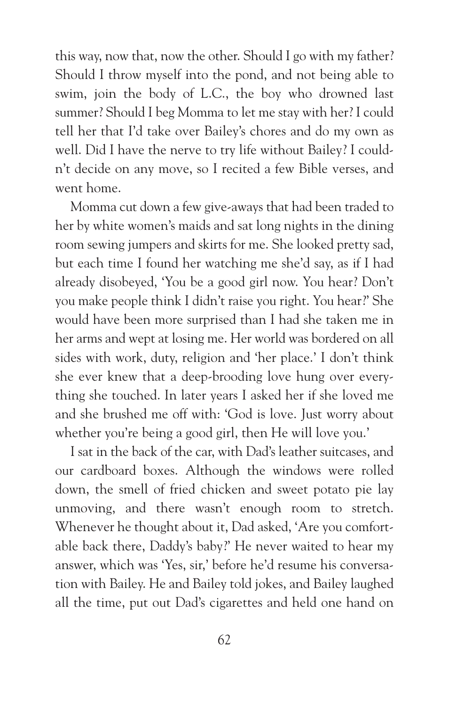this way, now that, now the other. Should I go with my father? Should I throw myself into the pond, and not being able to swim, join the body of L.C., the boy who drowned last summer? Should I beg Momma to let me stay with her? I could tell her that I'd take over Bailey's chores and do my own as well. Did I have the nerve to try life without Bailey? I couldn't decide on any move, so I recited a few Bible verses, and went home.

Momma cut down a few give-aways that had been traded to her by white women's maids and sat long nights in the dining room sewing jumpers and skirts for me. She looked pretty sad, but each time I found her watching me she'd say, as if I had already disobeyed, 'You be a good girl now. You hear? Don't you make people think I didn't raise you right. You hear?' She would have been more surprised than I had she taken me in her arms and wept at losing me. Her world was bordered on all sides with work, duty, religion and 'her place.' I don't think she ever knew that a deep-brooding love hung over everything she touched. In later years I asked her if she loved me and she brushed me off with: 'God is love. Just worry about whether you're being a good girl, then He will love you.'

I sat in the back of the car, with Dad's leather suitcases, and our cardboard boxes. Although the windows were rolled down, the smell of fried chicken and sweet potato pie lay unmoving, and there wasn't enough room to stretch. Whenever he thought about it, Dad asked, 'Are you comfortable back there, Daddy's baby?' He never waited to hear my answer, which was 'Yes, sir,' before he'd resume his conversation with Bailey. He and Bailey told jokes, and Bailey laughed all the time, put out Dad's cigarettes and held one hand on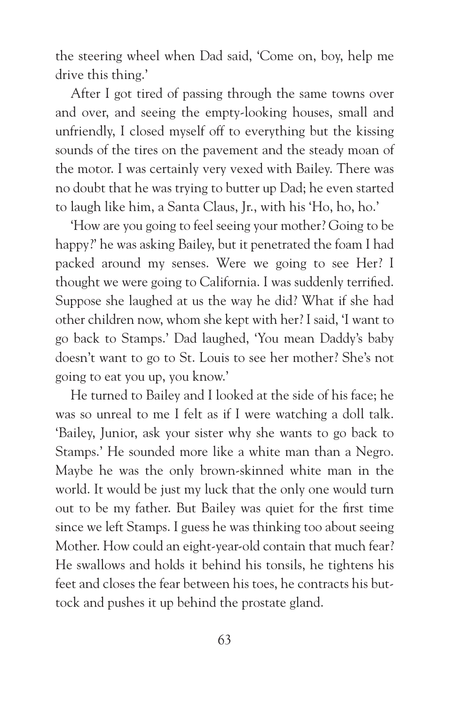the steering wheel when Dad said, 'Come on, boy, help me drive this thing.'

After I got tired of passing through the same towns over and over, and seeing the empty-looking houses, small and unfriendly, I closed myself off to everything but the kissing sounds of the tires on the pavement and the steady moan of the motor. I was certainly very vexed with Bailey. There was no doubt that he was trying to butter up Dad; he even started to laugh like him, a Santa Claus, Jr., with his 'Ho, ho, ho.'

'How are you going to feel seeing your mother? Going to be happy?' he was asking Bailey, but it penetrated the foam I had packed around my senses. Were we going to see Her? I thought we were going to California. I was suddenly terrified. Suppose she laughed at us the way he did? What if she had other children now, whom she kept with her? I said, 'I want to go back to Stamps.' Dad laughed, 'You mean Daddy's baby doesn't want to go to St. Louis to see her mother? She's not going to eat you up, you know.'

He turned to Bailey and I looked at the side of his face; he was so unreal to me I felt as if I were watching a doll talk. 'Bailey, Junior, ask your sister why she wants to go back to Stamps.' He sounded more like a white man than a Negro. Maybe he was the only brown-skinned white man in the world. It would be just my luck that the only one would turn out to be my father. But Bailey was quiet for the first time since we left Stamps. I guess he was thinking too about seeing Mother. How could an eight-year-old contain that much fear? He swallows and holds it behind his tonsils, he tightens his feet and closes the fear between his toes, he contracts his buttock and pushes it up behind the prostate gland.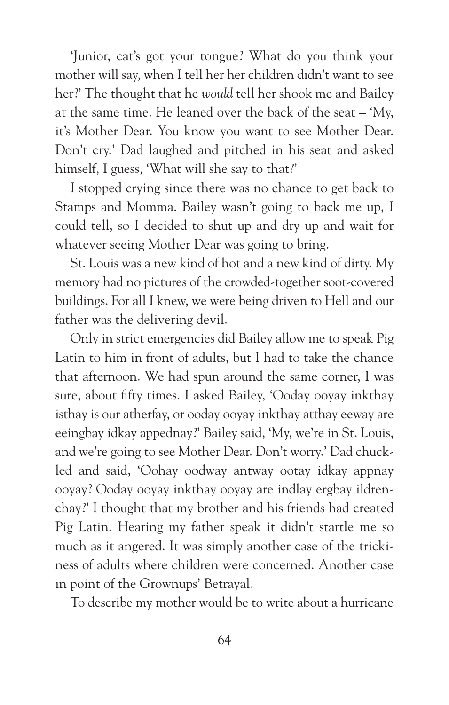'Junior, cat's got your tongue? What do you think your mother will say, when I tell her her children didn't want to see her?' The thought that he *would* tell her shook me and Bailey at the same time. He leaned over the back of the seat – 'My, it's Mother Dear. You know you want to see Mother Dear. Don't cry.' Dad laughed and pitched in his seat and asked himself, I guess, 'What will she say to that?'

I stopped crying since there was no chance to get back to Stamps and Momma. Bailey wasn't going to back me up, I could tell, so I decided to shut up and dry up and wait for whatever seeing Mother Dear was going to bring.

St. Louis was a new kind of hot and a new kind of dirty. My memory had no pictures of the crowded-together soot-covered buildings. For all I knew, we were being driven to Hell and our father was the delivering devil.

Only in strict emergencies did Bailey allow me to speak Pig Latin to him in front of adults, but I had to take the chance that afternoon. We had spun around the same corner, I was sure, about fifty times. I asked Bailey, 'Ooday ooyay inkthay isthay is our atherfay, or ooday ooyay inkthay atthay eeway are eeingbay idkay appednay?' Bailey said, 'My, we're in St. Louis, and we're going to see Mother Dear. Don't worry.' Dad chuckled and said, 'Oohay oodway antway ootay idkay appnay ooyay? Ooday ooyay inkthay ooyay are indlay ergbay ildrenchay?' I thought that my brother and his friends had created Pig Latin. Hearing my father speak it didn't startle me so much as it angered. It was simply another case of the trickiness of adults where children were concerned. Another case in point of the Grownups' Betrayal.

To describe my mother would be to write about a hurricane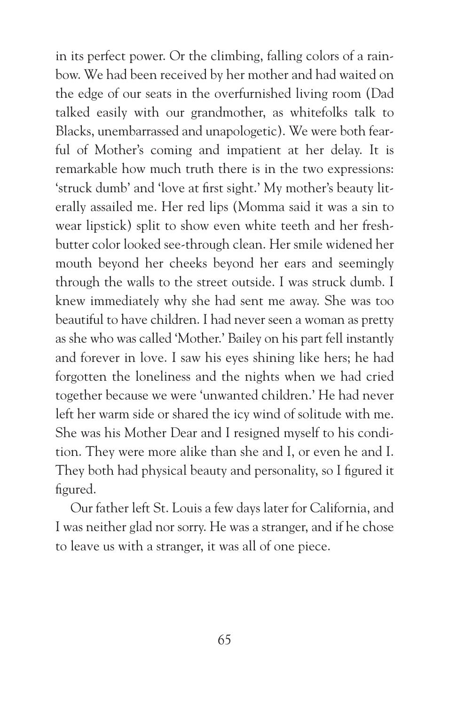in its perfect power. Or the climbing, falling colors of a rainbow. We had been received by her mother and had waited on the edge of our seats in the overfurnished living room (Dad talked easily with our grandmother, as whitefolks talk to Blacks, unembarrassed and unapologetic). We were both fearful of Mother's coming and impatient at her delay. It is remarkable how much truth there is in the two expressions: 'struck dumb' and 'love at first sight.' My mother's beauty literally assailed me. Her red lips (Momma said it was a sin to wear lipstick) split to show even white teeth and her freshbutter color looked see-through clean. Her smile widened her mouth beyond her cheeks beyond her ears and seemingly through the walls to the street outside. I was struck dumb. I knew immediately why she had sent me away. She was too beautiful to have children. I had never seen a woman as pretty as she who was called 'Mother.' Bailey on his part fell instantly and forever in love. I saw his eyes shining like hers; he had forgotten the loneliness and the nights when we had cried together because we were 'unwanted children.' He had never left her warm side or shared the icy wind of solitude with me. She was his Mother Dear and I resigned myself to his condition. They were more alike than she and I, or even he and I. They both had physical beauty and personality, so I figured it figured.

Our father left St. Louis a few days later for California, and I was neither glad nor sorry. He was a stranger, and if he chose to leave us with a stranger, it was all of one piece.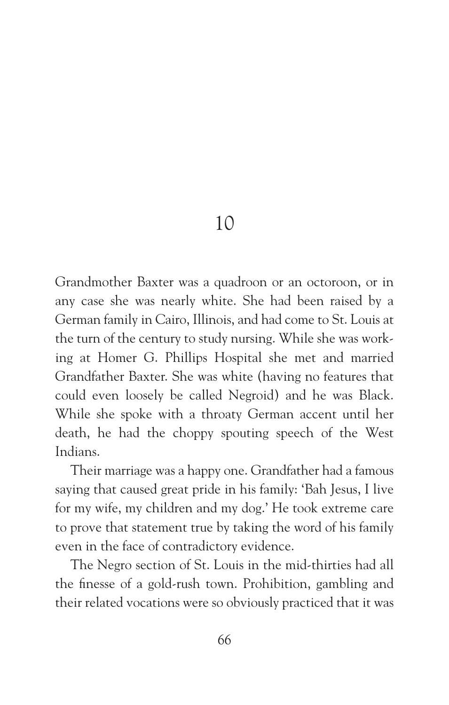10

Grandmother Baxter was a quadroon or an octoroon, or in any case she was nearly white. She had been raised by a German family in Cairo, Illinois, and had come to St. Louis at the turn of the century to study nursing. While she was working at Homer G. Phillips Hospital she met and married Grandfather Baxter. She was white (having no features that could even loosely be called Negroid) and he was Black. While she spoke with a throaty German accent until her death, he had the choppy spouting speech of the West Indians.

Their marriage was a happy one. Grandfather had a famous saying that caused great pride in his family: 'Bah Jesus, I live for my wife, my children and my dog.' He took extreme care to prove that statement true by taking the word of his family even in the face of contradictory evidence.

The Negro section of St. Louis in the mid-thirties had all the finesse of a gold-rush town. Prohibition, gambling and their related vocations were so obviously practiced that it was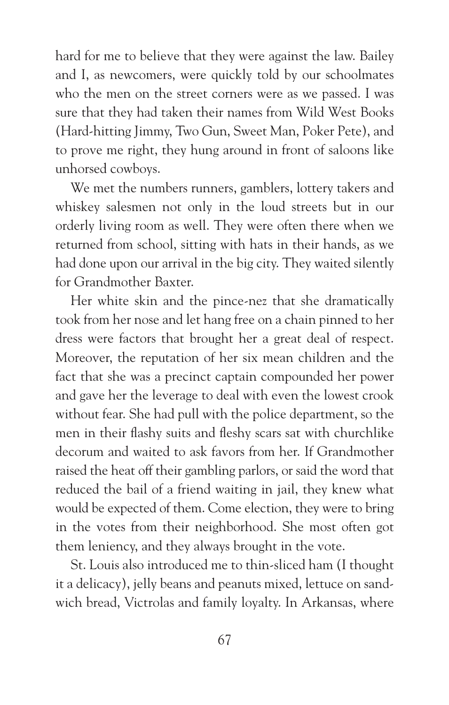hard for me to believe that they were against the law. Bailey and I, as newcomers, were quickly told by our schoolmates who the men on the street corners were as we passed. I was sure that they had taken their names from Wild West Books (Hard-hitting Jimmy, Two Gun, Sweet Man, Poker Pete), and to prove me right, they hung around in front of saloons like unhorsed cowboys.

We met the numbers runners, gamblers, lottery takers and whiskey salesmen not only in the loud streets but in our orderly living room as well. They were often there when we returned from school, sitting with hats in their hands, as we had done upon our arrival in the big city. They waited silently for Grandmother Baxter.

Her white skin and the pince-nez that she dramatically took from her nose and let hang free on a chain pinned to her dress were factors that brought her a great deal of respect. Moreover, the reputation of her six mean children and the fact that she was a precinct captain compounded her power and gave her the leverage to deal with even the lowest crook without fear. She had pull with the police department, so the men in their flashy suits and fleshy scars sat with churchlike decorum and waited to ask favors from her. If Grandmother raised the heat off their gambling parlors, or said the word that reduced the bail of a friend waiting in jail, they knew what would be expected of them. Come election, they were to bring in the votes from their neighborhood. She most often got them leniency, and they always brought in the vote.

St. Louis also introduced me to thin-sliced ham (I thought it a delicacy), jelly beans and peanuts mixed, lettuce on sandwich bread, Victrolas and family loyalty. In Arkansas, where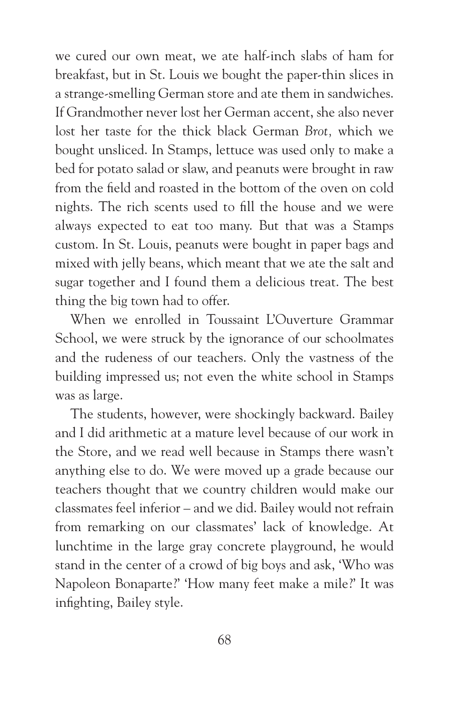we cured our own meat, we ate half-inch slabs of ham for breakfast, but in St. Louis we bought the paper-thin slices in a strange-smelling German store and ate them in sandwiches. If Grandmother never lost her German accent, she also never lost her taste for the thick black German *Brot,* which we bought unsliced. In Stamps, lettuce was used only to make a bed for potato salad or slaw, and peanuts were brought in raw from the field and roasted in the bottom of the oven on cold nights. The rich scents used to fill the house and we were always expected to eat too many. But that was a Stamps custom. In St. Louis, peanuts were bought in paper bags and mixed with jelly beans, which meant that we ate the salt and sugar together and I found them a delicious treat. The best thing the big town had to offer.

When we enrolled in Toussaint L'Ouverture Grammar School, we were struck by the ignorance of our schoolmates and the rudeness of our teachers. Only the vastness of the building impressed us; not even the white school in Stamps was as large.

The students, however, were shockingly backward. Bailey and I did arithmetic at a mature level because of our work in the Store, and we read well because in Stamps there wasn't anything else to do. We were moved up a grade because our teachers thought that we country children would make our classmates feel inferior – and we did. Bailey would not refrain from remarking on our classmates' lack of knowledge. At lunchtime in the large gray concrete playground, he would stand in the center of a crowd of big boys and ask, 'Who was Napoleon Bonaparte?' 'How many feet make a mile?' It was infighting, Bailey style.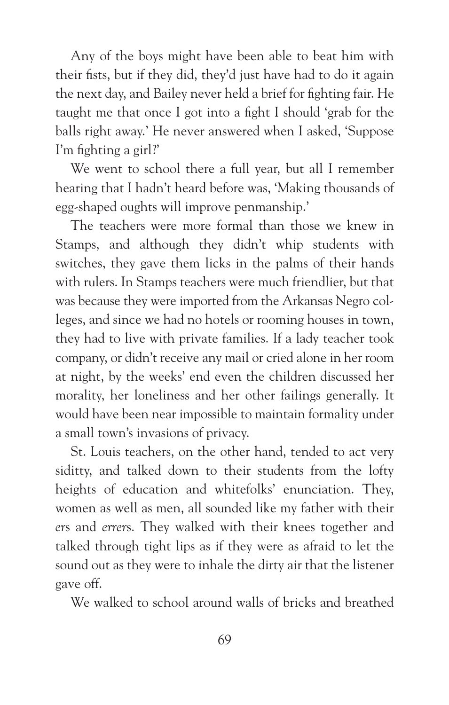Any of the boys might have been able to beat him with their fists, but if they did, they'd just have had to do it again the next day, and Bailey never held a brief for fighting fair. He taught me that once I got into a fight I should 'grab for the balls right away.' He never answered when I asked, 'Suppose I'm fighting a girl?'

We went to school there a full year, but all I remember hearing that I hadn't heard before was, 'Making thousands of egg-shaped oughts will improve penmanship.'

The teachers were more formal than those we knew in Stamps, and although they didn't whip students with switches, they gave them licks in the palms of their hands with rulers. In Stamps teachers were much friendlier, but that was because they were imported from the Arkansas Negro colleges, and since we had no hotels or rooming houses in town, they had to live with private families. If a lady teacher took company, or didn't receive any mail or cried alone in her room at night, by the weeks' end even the children discussed her morality, her loneliness and her other failings generally. It would have been near impossible to maintain formality under a small town's invasions of privacy.

St. Louis teachers, on the other hand, tended to act very siditty, and talked down to their students from the lofty heights of education and whitefolks' enunciation. They, women as well as men, all sounded like my father with their *er*s and *errer*s. They walked with their knees together and talked through tight lips as if they were as afraid to let the sound out as they were to inhale the dirty air that the listener gave off.

We walked to school around walls of bricks and breathed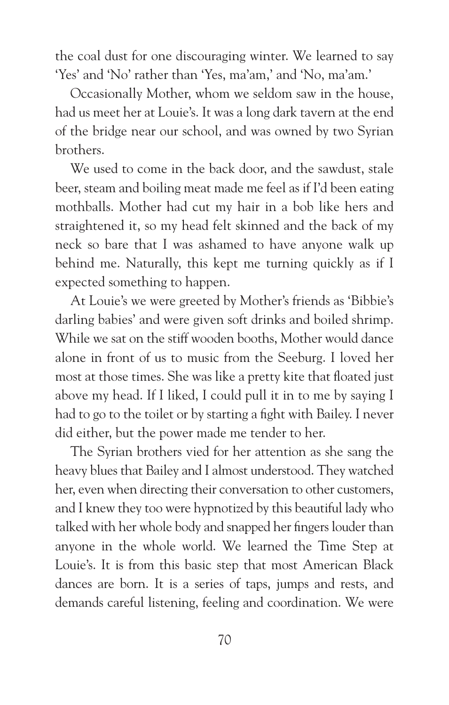the coal dust for one discouraging winter. We learned to say 'Yes' and 'No' rather than 'Yes, ma'am,' and 'No, ma'am.'

Occasionally Mother, whom we seldom saw in the house, had us meet her at Louie's. It was a long dark tavern at the end of the bridge near our school, and was owned by two Syrian brothers.

We used to come in the back door, and the sawdust, stale beer, steam and boiling meat made me feel as if I'd been eating mothballs. Mother had cut my hair in a bob like hers and straightened it, so my head felt skinned and the back of my neck so bare that I was ashamed to have anyone walk up behind me. Naturally, this kept me turning quickly as if I expected something to happen.

At Louie's we were greeted by Mother's friends as 'Bibbie's darling babies' and were given soft drinks and boiled shrimp. While we sat on the stiff wooden booths, Mother would dance alone in front of us to music from the Seeburg. I loved her most at those times. She was like a pretty kite that floated just above my head. If I liked, I could pull it in to me by saying I had to go to the toilet or by starting a fight with Bailey. I never did either, but the power made me tender to her.

The Syrian brothers vied for her attention as she sang the heavy blues that Bailey and I almost understood. They watched her, even when directing their conversation to other customers, and I knew they too were hypnotized by this beautiful lady who talked with her whole body and snapped her fingers louder than anyone in the whole world. We learned the Time Step at Louie's. It is from this basic step that most American Black dances are born. It is a series of taps, jumps and rests, and demands careful listening, feeling and coordination. We were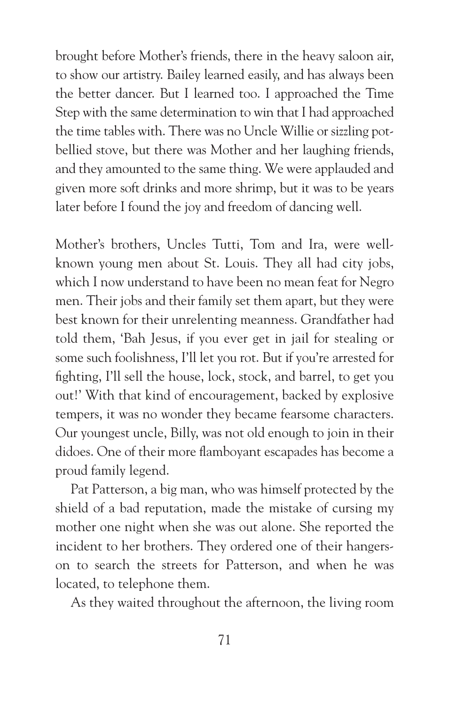brought before Mother's friends, there in the heavy saloon air, to show our artistry. Bailey learned easily, and has always been the better dancer. But I learned too. I approached the Time Step with the same determination to win that I had approached the time tables with. There was no Uncle Willie or sizzling potbellied stove, but there was Mother and her laughing friends, and they amounted to the same thing. We were applauded and given more soft drinks and more shrimp, but it was to be years later before I found the joy and freedom of dancing well.

Mother's brothers, Uncles Tutti, Tom and Ira, were wellknown young men about St. Louis. They all had city jobs, which I now understand to have been no mean feat for Negro men. Their jobs and their family set them apart, but they were best known for their unrelenting meanness. Grandfather had told them, 'Bah Jesus, if you ever get in jail for stealing or some such foolishness, I'll let you rot. But if you're arrested for fighting, I'll sell the house, lock, stock, and barrel, to get you out!' With that kind of encouragement, backed by explosive tempers, it was no wonder they became fearsome characters. Our youngest uncle, Billy, was not old enough to join in their didoes. One of their more flamboyant escapades has become a proud family legend.

Pat Patterson, a big man, who was himself protected by the shield of a bad reputation, made the mistake of cursing my mother one night when she was out alone. She reported the incident to her brothers. They ordered one of their hangerson to search the streets for Patterson, and when he was located, to telephone them.

As they waited throughout the afternoon, the living room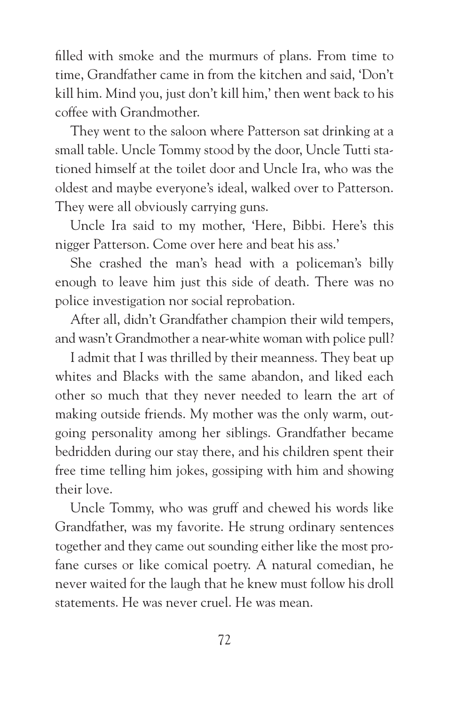filled with smoke and the murmurs of plans. From time to time, Grandfather came in from the kitchen and said, 'Don't kill him. Mind you, just don't kill him,' then went back to his coffee with Grandmother.

They went to the saloon where Patterson sat drinking at a small table. Uncle Tommy stood by the door, Uncle Tutti stationed himself at the toilet door and Uncle Ira, who was the oldest and maybe everyone's ideal, walked over to Patterson. They were all obviously carrying guns.

Uncle Ira said to my mother, 'Here, Bibbi. Here's this nigger Patterson. Come over here and beat his ass.'

She crashed the man's head with a policeman's billy enough to leave him just this side of death. There was no police investigation nor social reprobation.

After all, didn't Grandfather champion their wild tempers, and wasn't Grandmother a near-white woman with police pull?

I admit that I was thrilled by their meanness. They beat up whites and Blacks with the same abandon, and liked each other so much that they never needed to learn the art of making outside friends. My mother was the only warm, outgoing personality among her siblings. Grandfather became bedridden during our stay there, and his children spent their free time telling him jokes, gossiping with him and showing their love.

Uncle Tommy, who was gruff and chewed his words like Grandfather, was my favorite. He strung ordinary sentences together and they came out sounding either like the most profane curses or like comical poetry. A natural comedian, he never waited for the laugh that he knew must follow his droll statements. He was never cruel. He was mean.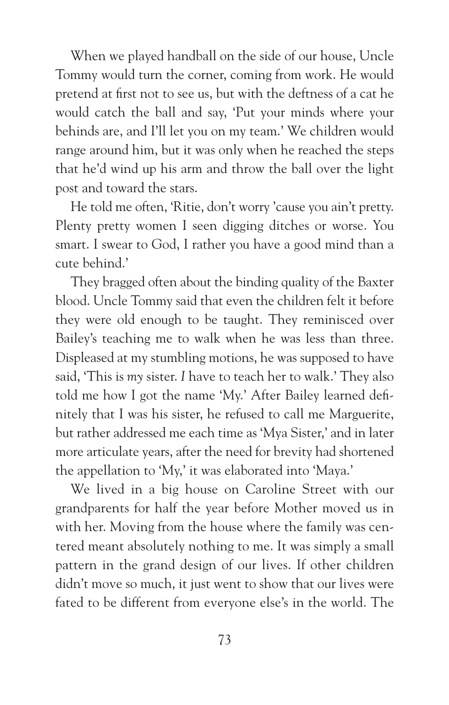When we played handball on the side of our house, Uncle Tommy would turn the corner, coming from work. He would pretend at first not to see us, but with the deftness of a cat he would catch the ball and say, 'Put your minds where your behinds are, and I'll let you on my team.' We children would range around him, but it was only when he reached the steps that he'd wind up his arm and throw the ball over the light post and toward the stars.

He told me often, 'Ritie, don't worry 'cause you ain't pretty. Plenty pretty women I seen digging ditches or worse. You smart. I swear to God, I rather you have a good mind than a cute behind.'

They bragged often about the binding quality of the Baxter blood. Uncle Tommy said that even the children felt it before they were old enough to be taught. They reminisced over Bailey's teaching me to walk when he was less than three. Displeased at my stumbling motions, he was supposed to have said, 'This is *my* sister. *I* have to teach her to walk.' They also told me how I got the name 'My.' After Bailey learned definitely that I was his sister, he refused to call me Marguerite, but rather addressed me each time as 'Mya Sister,' and in later more articulate years, after the need for brevity had shortened the appellation to 'My,' it was elaborated into 'Maya.'

We lived in a big house on Caroline Street with our grandparents for half the year before Mother moved us in with her. Moving from the house where the family was centered meant absolutely nothing to me. It was simply a small pattern in the grand design of our lives. If other children didn't move so much, it just went to show that our lives were fated to be different from everyone else's in the world. The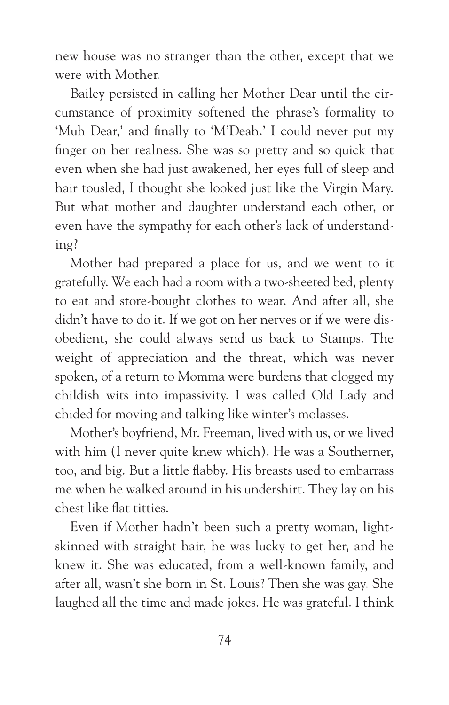new house was no stranger than the other, except that we were with Mother.

Bailey persisted in calling her Mother Dear until the circumstance of proximity softened the phrase's formality to 'Muh Dear,' and finally to 'M'Deah.' I could never put my finger on her realness. She was so pretty and so quick that even when she had just awakened, her eyes full of sleep and hair tousled, I thought she looked just like the Virgin Mary. But what mother and daughter understand each other, or even have the sympathy for each other's lack of understanding?

Mother had prepared a place for us, and we went to it gratefully. We each had a room with a two-sheeted bed, plenty to eat and store-bought clothes to wear. And after all, she didn't have to do it. If we got on her nerves or if we were disobedient, she could always send us back to Stamps. The weight of appreciation and the threat, which was never spoken, of a return to Momma were burdens that clogged my childish wits into impassivity. I was called Old Lady and chided for moving and talking like winter's molasses.

Mother's boyfriend, Mr. Freeman, lived with us, or we lived with him (I never quite knew which). He was a Southerner, too, and big. But a little flabby. His breasts used to embarrass me when he walked around in his undershirt. They lay on his chest like flat titties.

Even if Mother hadn't been such a pretty woman, lightskinned with straight hair, he was lucky to get her, and he knew it. She was educated, from a well-known family, and after all, wasn't she born in St. Louis? Then she was gay. She laughed all the time and made jokes. He was grateful. I think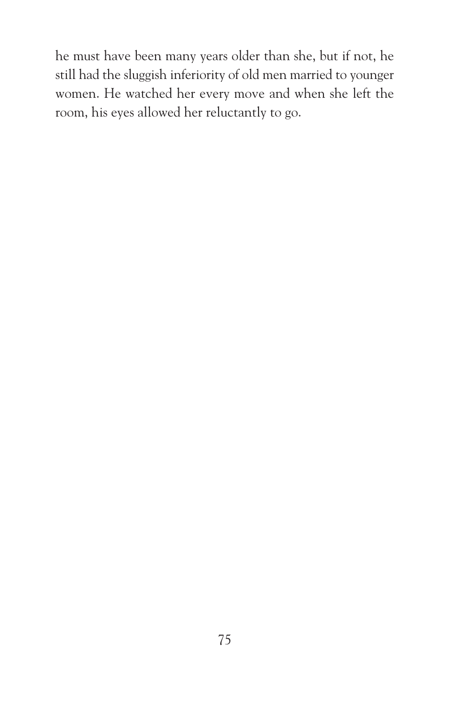he must have been many years older than she, but if not, he still had the sluggish inferiority of old men married to younger women. He watched her every move and when she left the room, his eyes allowed her reluctantly to go.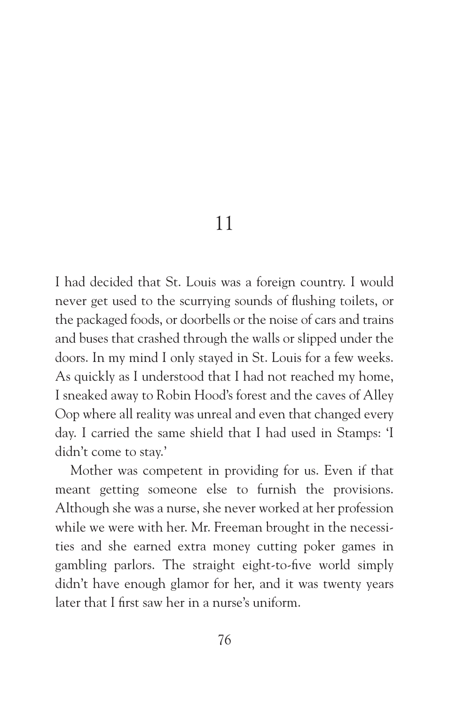11

I had decided that St. Louis was a foreign country. I would never get used to the scurrying sounds of flushing toilets, or the packaged foods, or doorbells or the noise of cars and trains and buses that crashed through the walls or slipped under the doors. In my mind I only stayed in St. Louis for a few weeks. As quickly as I understood that I had not reached my home, I sneaked away to Robin Hood's forest and the caves of Alley Oop where all reality was unreal and even that changed every day. I carried the same shield that I had used in Stamps: 'I didn't come to stay.'

Mother was competent in providing for us. Even if that meant getting someone else to furnish the provisions. Although she was a nurse, she never worked at her profession while we were with her. Mr. Freeman brought in the necessities and she earned extra money cutting poker games in gambling parlors. The straight eight-to-five world simply didn't have enough glamor for her, and it was twenty years later that I first saw her in a nurse's uniform.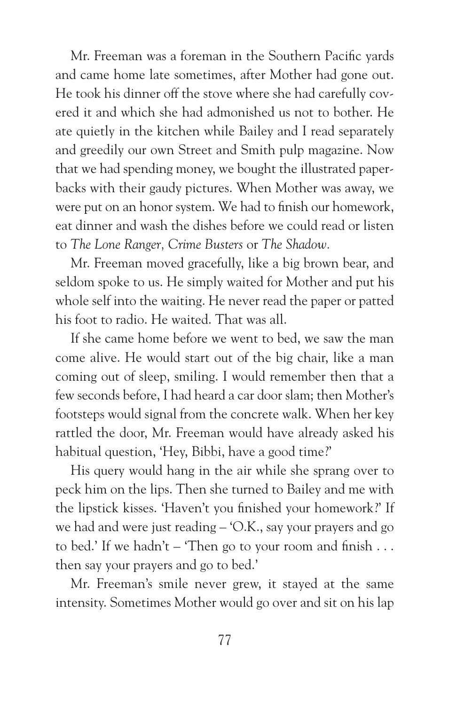Mr. Freeman was a foreman in the Southern Pacific yards and came home late sometimes, after Mother had gone out. He took his dinner off the stove where she had carefully covered it and which she had admonished us not to bother. He ate quietly in the kitchen while Bailey and I read separately and greedily our own Street and Smith pulp magazine. Now that we had spending money, we bought the illustrated paperbacks with their gaudy pictures. When Mother was away, we were put on an honor system. We had to finish our homework, eat dinner and wash the dishes before we could read or listen to *The Lone Ranger, Crime Busters* or *The Shadow.*

Mr. Freeman moved gracefully, like a big brown bear, and seldom spoke to us. He simply waited for Mother and put his whole self into the waiting. He never read the paper or patted his foot to radio. He waited. That was all.

If she came home before we went to bed, we saw the man come alive. He would start out of the big chair, like a man coming out of sleep, smiling. I would remember then that a few seconds before, I had heard a car door slam; then Mother's footsteps would signal from the concrete walk. When her key rattled the door, Mr. Freeman would have already asked his habitual question, 'Hey, Bibbi, have a good time?'

His query would hang in the air while she sprang over to peck him on the lips. Then she turned to Bailey and me with the lipstick kisses. 'Haven't you finished your homework?' If we had and were just reading – 'O.K., say your prayers and go to bed.' If we hadn't – 'Then go to your room and finish  $\dots$ then say your prayers and go to bed.'

Mr. Freeman's smile never grew, it stayed at the same intensity. Sometimes Mother would go over and sit on his lap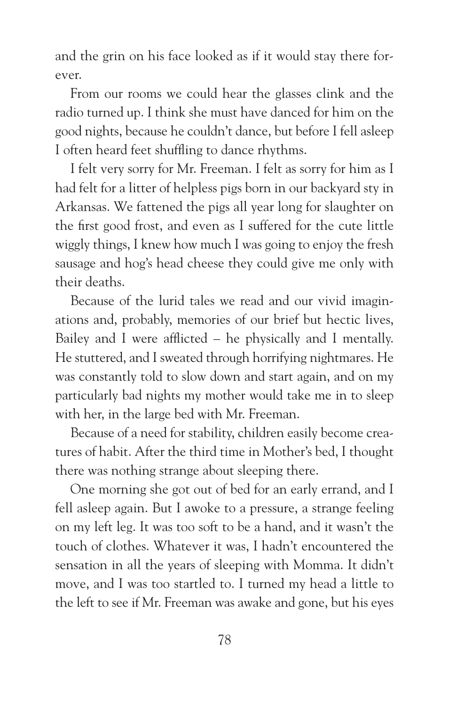and the grin on his face looked as if it would stay there forever.

From our rooms we could hear the glasses clink and the radio turned up. I think she must have danced for him on the good nights, because he couldn't dance, but before I fell asleep I often heard feet shuffling to dance rhythms.

I felt very sorry for Mr. Freeman. I felt as sorry for him as I had felt for a litter of helpless pigs born in our backyard sty in Arkansas. We fattened the pigs all year long for slaughter on the first good frost, and even as I suffered for the cute little wiggly things, I knew how much I was going to enjoy the fresh sausage and hog's head cheese they could give me only with their deaths.

Because of the lurid tales we read and our vivid imaginations and, probably, memories of our brief but hectic lives, Bailey and I were afflicted – he physically and I mentally. He stuttered, and I sweated through horrifying nightmares. He was constantly told to slow down and start again, and on my particularly bad nights my mother would take me in to sleep with her, in the large bed with Mr. Freeman.

Because of a need for stability, children easily become creatures of habit. After the third time in Mother's bed, I thought there was nothing strange about sleeping there.

One morning she got out of bed for an early errand, and I fell asleep again. But I awoke to a pressure, a strange feeling on my left leg. It was too soft to be a hand, and it wasn't the touch of clothes. Whatever it was, I hadn't encountered the sensation in all the years of sleeping with Momma. It didn't move, and I was too startled to. I turned my head a little to the left to see if Mr. Freeman was awake and gone, but his eyes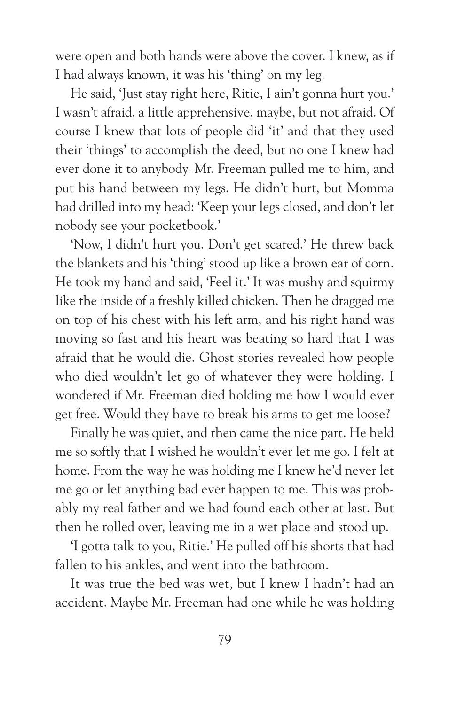were open and both hands were above the cover. I knew, as if I had always known, it was his 'thing' on my leg.

He said, 'Just stay right here, Ritie, I ain't gonna hurt you.' I wasn't afraid, a little apprehensive, maybe, but not afraid. Of course I knew that lots of people did 'it' and that they used their 'things' to accomplish the deed, but no one I knew had ever done it to anybody. Mr. Freeman pulled me to him, and put his hand between my legs. He didn't hurt, but Momma had drilled into my head: 'Keep your legs closed, and don't let nobody see your pocketbook.'

'Now, I didn't hurt you. Don't get scared.' He threw back the blankets and his 'thing' stood up like a brown ear of corn. He took my hand and said, 'Feel it.' It was mushy and squirmy like the inside of a freshly killed chicken. Then he dragged me on top of his chest with his left arm, and his right hand was moving so fast and his heart was beating so hard that I was afraid that he would die. Ghost stories revealed how people who died wouldn't let go of whatever they were holding. I wondered if Mr. Freeman died holding me how I would ever get free. Would they have to break his arms to get me loose?

Finally he was quiet, and then came the nice part. He held me so softly that I wished he wouldn't ever let me go. I felt at home. From the way he was holding me I knew he'd never let me go or let anything bad ever happen to me. This was probably my real father and we had found each other at last. But then he rolled over, leaving me in a wet place and stood up.

'I gotta talk to you, Ritie.' He pulled off his shorts that had fallen to his ankles, and went into the bathroom.

It was true the bed was wet, but I knew I hadn't had an accident. Maybe Mr. Freeman had one while he was holding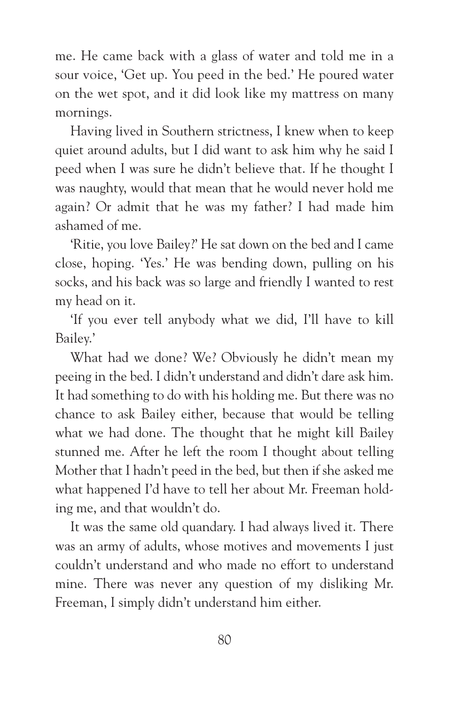me. He came back with a glass of water and told me in a sour voice, 'Get up. You peed in the bed.' He poured water on the wet spot, and it did look like my mattress on many mornings.

Having lived in Southern strictness, I knew when to keep quiet around adults, but I did want to ask him why he said I peed when I was sure he didn't believe that. If he thought I was naughty, would that mean that he would never hold me again? Or admit that he was my father? I had made him ashamed of me.

'Ritie, you love Bailey?' He sat down on the bed and I came close, hoping. 'Yes.' He was bending down, pulling on his socks, and his back was so large and friendly I wanted to rest my head on it.

'If you ever tell anybody what we did, I'll have to kill Bailey.'

What had we done? We? Obviously he didn't mean my peeing in the bed. I didn't understand and didn't dare ask him. It had something to do with his holding me. But there was no chance to ask Bailey either, because that would be telling what we had done. The thought that he might kill Bailey stunned me. After he left the room I thought about telling Mother that I hadn't peed in the bed, but then if she asked me what happened I'd have to tell her about Mr. Freeman holding me, and that wouldn't do.

It was the same old quandary. I had always lived it. There was an army of adults, whose motives and movements I just couldn't understand and who made no effort to understand mine. There was never any question of my disliking Mr. Freeman, I simply didn't understand him either.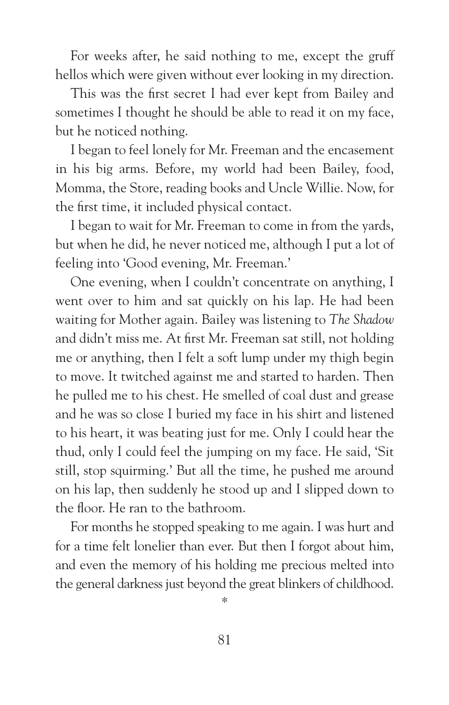For weeks after, he said nothing to me, except the gruff hellos which were given without ever looking in my direction.

This was the first secret I had ever kept from Bailey and sometimes I thought he should be able to read it on my face, but he noticed nothing.

I began to feel lonely for Mr. Freeman and the encasement in his big arms. Before, my world had been Bailey, food, Momma, the Store, reading books and Uncle Willie. Now, for the first time, it included physical contact.

I began to wait for Mr. Freeman to come in from the yards, but when he did, he never noticed me, although I put a lot of feeling into 'Good evening, Mr. Freeman.'

One evening, when I couldn't concentrate on anything, I went over to him and sat quickly on his lap. He had been waiting for Mother again. Bailey was listening to *The Shadow* and didn't miss me. At first Mr. Freeman sat still, not holding me or anything, then I felt a soft lump under my thigh begin to move. It twitched against me and started to harden. Then he pulled me to his chest. He smelled of coal dust and grease and he was so close I buried my face in his shirt and listened to his heart, it was beating just for me. Only I could hear the thud, only I could feel the jumping on my face. He said, 'Sit still, stop squirming.' But all the time, he pushed me around on his lap, then suddenly he stood up and I slipped down to the floor. He ran to the bathroom.

For months he stopped speaking to me again. I was hurt and for a time felt lonelier than ever. But then I forgot about him, and even the memory of his holding me precious melted into the general darkness just beyond the great blinkers of childhood.

\*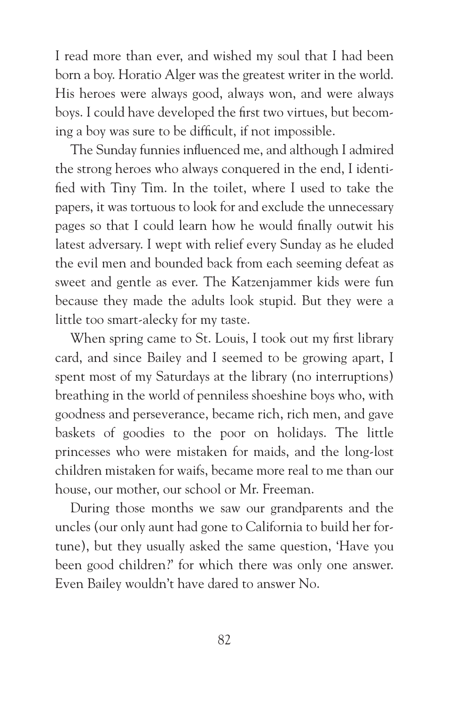I read more than ever, and wished my soul that I had been born a boy. Horatio Alger was the greatest writer in the world. His heroes were always good, always won, and were always boys. I could have developed the first two virtues, but becoming a boy was sure to be difficult, if not impossible.

The Sunday funnies influenced me, and although I admired the strong heroes who always conquered in the end, I identified with Tiny Tim. In the toilet, where I used to take the papers, it was tortuous to look for and exclude the unnecessary pages so that I could learn how he would finally outwit his latest adversary. I wept with relief every Sunday as he eluded the evil men and bounded back from each seeming defeat as sweet and gentle as ever. The Katzenjammer kids were fun because they made the adults look stupid. But they were a little too smart-alecky for my taste.

When spring came to St. Louis, I took out my first library card, and since Bailey and I seemed to be growing apart, I spent most of my Saturdays at the library (no interruptions) breathing in the world of penniless shoeshine boys who, with goodness and perseverance, became rich, rich men, and gave baskets of goodies to the poor on holidays. The little princesses who were mistaken for maids, and the long-lost children mistaken for waifs, became more real to me than our house, our mother, our school or Mr. Freeman.

During those months we saw our grandparents and the uncles (our only aunt had gone to California to build her fortune), but they usually asked the same question, 'Have you been good children?' for which there was only one answer. Even Bailey wouldn't have dared to answer No.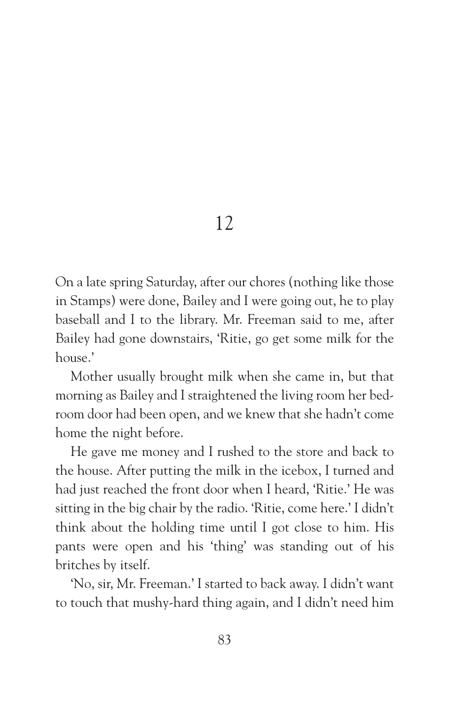12

On a late spring Saturday, after our chores (nothing like those in Stamps) were done, Bailey and I were going out, he to play baseball and I to the library. Mr. Freeman said to me, after Bailey had gone downstairs, 'Ritie, go get some milk for the house.'

Mother usually brought milk when she came in, but that morning as Bailey and I straightened the living room her bedroom door had been open, and we knew that she hadn't come home the night before.

He gave me money and I rushed to the store and back to the house. After putting the milk in the icebox, I turned and had just reached the front door when I heard, 'Ritie.' He was sitting in the big chair by the radio. 'Ritie, come here.' I didn't think about the holding time until I got close to him. His pants were open and his 'thing' was standing out of his britches by itself.

'No, sir, Mr. Freeman.' I started to back away. I didn't want to touch that mushy-hard thing again, and I didn't need him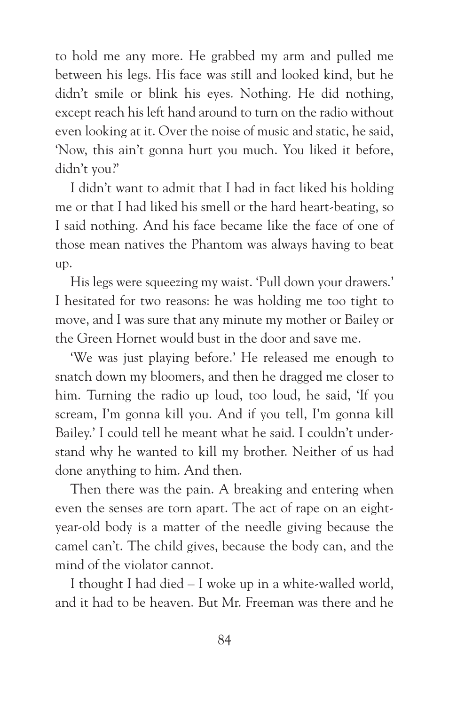to hold me any more. He grabbed my arm and pulled me between his legs. His face was still and looked kind, but he didn't smile or blink his eyes. Nothing. He did nothing, except reach his left hand around to turn on the radio without even looking at it. Over the noise of music and static, he said, 'Now, this ain't gonna hurt you much. You liked it before, didn't you?'

I didn't want to admit that I had in fact liked his holding me or that I had liked his smell or the hard heart-beating, so I said nothing. And his face became like the face of one of those mean natives the Phantom was always having to beat up.

His legs were squeezing my waist. 'Pull down your drawers.' I hesitated for two reasons: he was holding me too tight to move, and I was sure that any minute my mother or Bailey or the Green Hornet would bust in the door and save me.

'We was just playing before.' He released me enough to snatch down my bloomers, and then he dragged me closer to him. Turning the radio up loud, too loud, he said, 'If you scream, I'm gonna kill you. And if you tell, I'm gonna kill Bailey.' I could tell he meant what he said. I couldn't understand why he wanted to kill my brother. Neither of us had done anything to him. And then.

Then there was the pain. A breaking and entering when even the senses are torn apart. The act of rape on an eightyear-old body is a matter of the needle giving because the camel can't. The child gives, because the body can, and the mind of the violator cannot.

I thought I had died – I woke up in a white-walled world, and it had to be heaven. But Mr. Freeman was there and he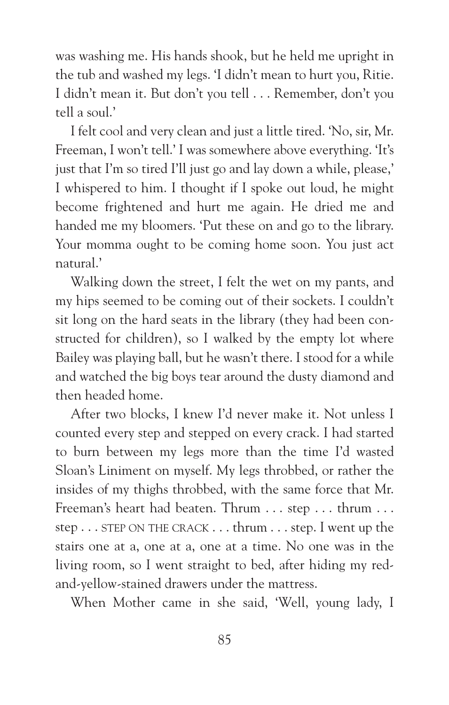was washing me. His hands shook, but he held me upright in the tub and washed my legs. 'I didn't mean to hurt you, Ritie. I didn't mean it. But don't you tell . . . Remember, don't you tell a soul.'

I felt cool and very clean and just a little tired. 'No, sir, Mr. Freeman, I won't tell.' I was somewhere above everything. 'It's just that I'm so tired I'll just go and lay down a while, please,' I whispered to him. I thought if I spoke out loud, he might become frightened and hurt me again. He dried me and handed me my bloomers. 'Put these on and go to the library. Your momma ought to be coming home soon. You just act natural.'

Walking down the street, I felt the wet on my pants, and my hips seemed to be coming out of their sockets. I couldn't sit long on the hard seats in the library (they had been constructed for children), so I walked by the empty lot where Bailey was playing ball, but he wasn't there. I stood for a while and watched the big boys tear around the dusty diamond and then headed home.

After two blocks, I knew I'd never make it. Not unless I counted every step and stepped on every crack. I had started to burn between my legs more than the time I'd wasted Sloan's Liniment on myself. My legs throbbed, or rather the insides of my thighs throbbed, with the same force that Mr. Freeman's heart had beaten. Thrum . . . step . . . thrum . . . step . . . STEP ON THE CRACK . . . thrum . . . step. I went up the stairs one at a, one at a, one at a time. No one was in the living room, so I went straight to bed, after hiding my redand-yellow-stained drawers under the mattress.

When Mother came in she said, 'Well, young lady, I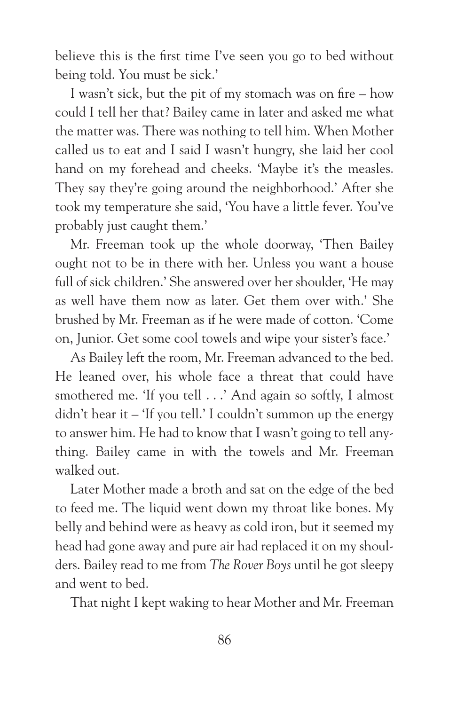believe this is the first time I've seen you go to bed without being told. You must be sick.'

I wasn't sick, but the pit of my stomach was on fire – how could I tell her that? Bailey came in later and asked me what the matter was. There was nothing to tell him. When Mother called us to eat and I said I wasn't hungry, she laid her cool hand on my forehead and cheeks. 'Maybe it's the measles. They say they're going around the neighborhood.' After she took my temperature she said, 'You have a little fever. You've probably just caught them.'

Mr. Freeman took up the whole doorway, 'Then Bailey ought not to be in there with her. Unless you want a house full of sick children.' She answered over her shoulder, 'He may as well have them now as later. Get them over with.' She brushed by Mr. Freeman as if he were made of cotton. 'Come on, Junior. Get some cool towels and wipe your sister's face.'

As Bailey left the room, Mr. Freeman advanced to the bed. He leaned over, his whole face a threat that could have smothered me. 'If you tell . . .' And again so softly, I almost didn't hear it – 'If you tell.' I couldn't summon up the energy to answer him. He had to know that I wasn't going to tell anything. Bailey came in with the towels and Mr. Freeman walked out.

Later Mother made a broth and sat on the edge of the bed to feed me. The liquid went down my throat like bones. My belly and behind were as heavy as cold iron, but it seemed my head had gone away and pure air had replaced it on my shoulders. Bailey read to me from *The Rover Boys* until he got sleepy and went to bed.

That night I kept waking to hear Mother and Mr. Freeman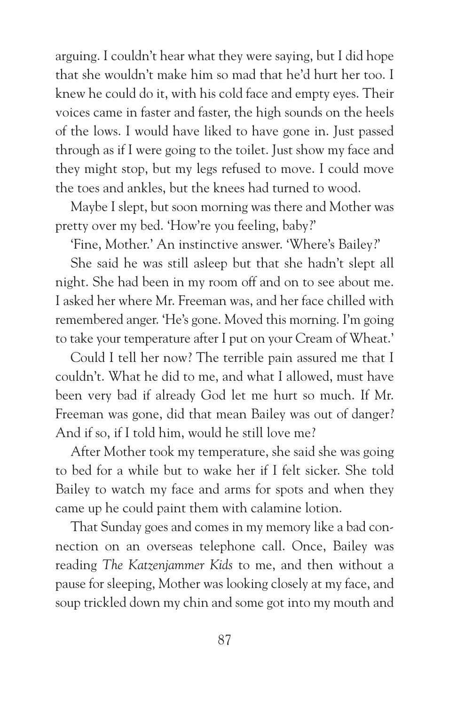arguing. I couldn't hear what they were saying, but I did hope that she wouldn't make him so mad that he'd hurt her too. I knew he could do it, with his cold face and empty eyes. Their voices came in faster and faster, the high sounds on the heels of the lows. I would have liked to have gone in. Just passed through as if I were going to the toilet. Just show my face and they might stop, but my legs refused to move. I could move the toes and ankles, but the knees had turned to wood.

Maybe I slept, but soon morning was there and Mother was pretty over my bed. 'How're you feeling, baby?'

'Fine, Mother.' An instinctive answer. 'Where's Bailey?'

She said he was still asleep but that she hadn't slept all night. She had been in my room off and on to see about me. I asked her where Mr. Freeman was, and her face chilled with remembered anger. 'He's gone. Moved this morning. I'm going to take your temperature after I put on your Cream of Wheat.'

Could I tell her now? The terrible pain assured me that I couldn't. What he did to me, and what I allowed, must have been very bad if already God let me hurt so much. If Mr. Freeman was gone, did that mean Bailey was out of danger? And if so, if I told him, would he still love me?

After Mother took my temperature, she said she was going to bed for a while but to wake her if I felt sicker. She told Bailey to watch my face and arms for spots and when they came up he could paint them with calamine lotion.

That Sunday goes and comes in my memory like a bad connection on an overseas telephone call. Once, Bailey was reading *The Katzenjammer Kids* to me, and then without a pause for sleeping, Mother was looking closely at my face, and soup trickled down my chin and some got into my mouth and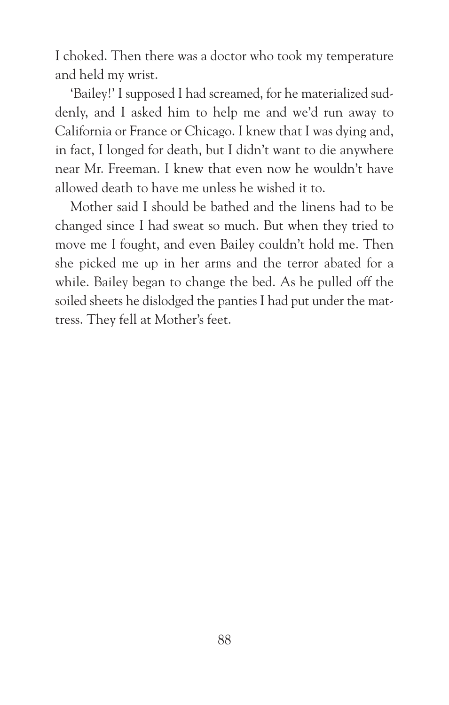I choked. Then there was a doctor who took my temperature and held my wrist.

'Bailey!' I supposed I had screamed, for he materialized suddenly, and I asked him to help me and we'd run away to California or France or Chicago. I knew that I was dying and, in fact, I longed for death, but I didn't want to die anywhere near Mr. Freeman. I knew that even now he wouldn't have allowed death to have me unless he wished it to.

Mother said I should be bathed and the linens had to be changed since I had sweat so much. But when they tried to move me I fought, and even Bailey couldn't hold me. Then she picked me up in her arms and the terror abated for a while. Bailey began to change the bed. As he pulled off the soiled sheets he dislodged the panties I had put under the mattress. They fell at Mother's feet.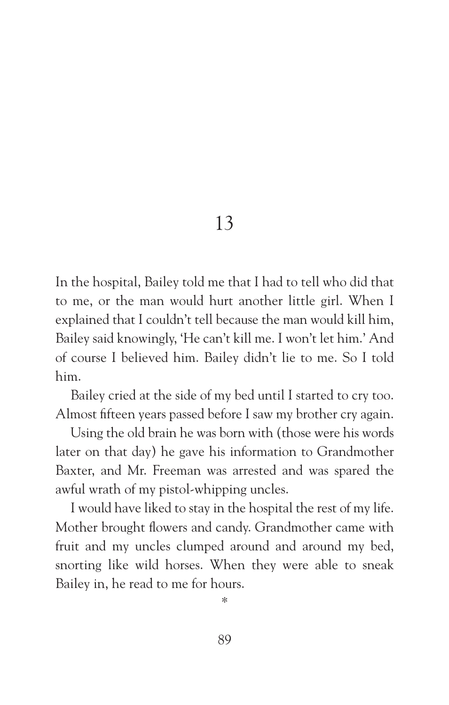13

In the hospital, Bailey told me that I had to tell who did that to me, or the man would hurt another little girl. When I explained that I couldn't tell because the man would kill him, Bailey said knowingly, 'He can't kill me. I won't let him.' And of course I believed him. Bailey didn't lie to me. So I told him.

Bailey cried at the side of my bed until I started to cry too. Almost fifteen years passed before I saw my brother cry again.

Using the old brain he was born with (those were his words later on that day) he gave his information to Grandmother Baxter, and Mr. Freeman was arrested and was spared the awful wrath of my pistol-whipping uncles.

I would have liked to stay in the hospital the rest of my life. Mother brought flowers and candy. Grandmother came with fruit and my uncles clumped around and around my bed, snorting like wild horses. When they were able to sneak Bailey in, he read to me for hours.

\*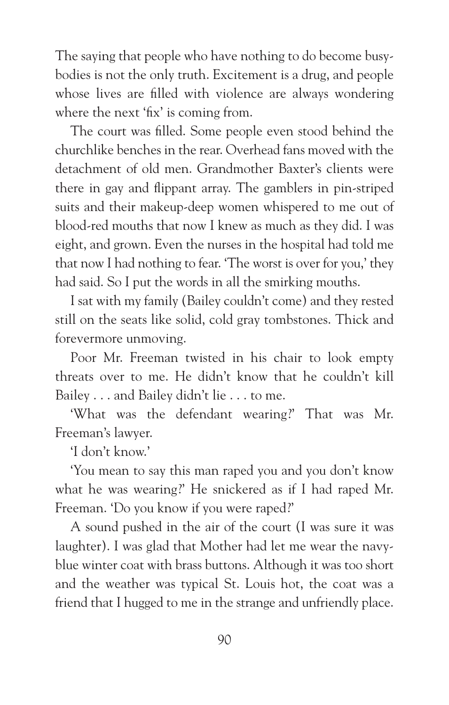The saying that people who have nothing to do become busybodies is not the only truth. Excitement is a drug, and people whose lives are filled with violence are always wondering where the next 'fix' is coming from.

The court was filled. Some people even stood behind the churchlike benches in the rear. Overhead fans moved with the detachment of old men. Grandmother Baxter's clients were there in gay and flippant array. The gamblers in pin-striped suits and their makeup-deep women whispered to me out of blood-red mouths that now I knew as much as they did. I was eight, and grown. Even the nurses in the hospital had told me that now I had nothing to fear. 'The worst is over for you,' they had said. So I put the words in all the smirking mouths.

I sat with my family (Bailey couldn't come) and they rested still on the seats like solid, cold gray tombstones. Thick and forevermore unmoving.

Poor Mr. Freeman twisted in his chair to look empty threats over to me. He didn't know that he couldn't kill Bailey . . . and Bailey didn't lie . . . to me.

'What was the defendant wearing?' That was Mr. Freeman's lawyer.

'I don't know.'

'You mean to say this man raped you and you don't know what he was wearing?' He snickered as if I had raped Mr. Freeman. 'Do you know if you were raped?'

A sound pushed in the air of the court (I was sure it was laughter). I was glad that Mother had let me wear the navyblue winter coat with brass buttons. Although it was too short and the weather was typical St. Louis hot, the coat was a friend that I hugged to me in the strange and unfriendly place.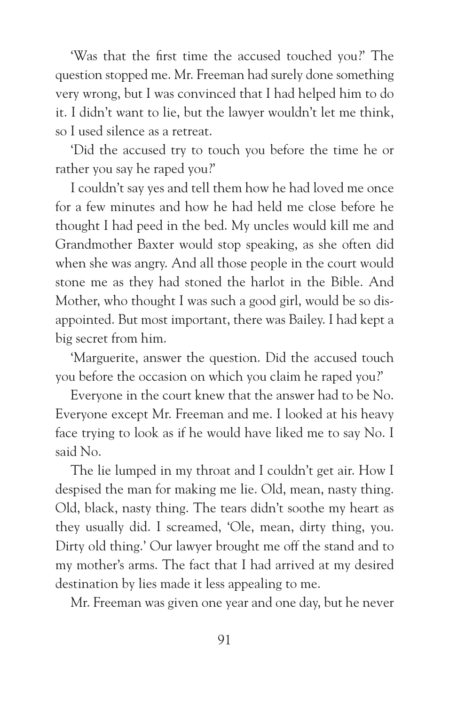'Was that the first time the accused touched you?' The question stopped me. Mr. Freeman had surely done something very wrong, but I was convinced that I had helped him to do it. I didn't want to lie, but the lawyer wouldn't let me think, so I used silence as a retreat.

'Did the accused try to touch you before the time he or rather you say he raped you?'

I couldn't say yes and tell them how he had loved me once for a few minutes and how he had held me close before he thought I had peed in the bed. My uncles would kill me and Grandmother Baxter would stop speaking, as she often did when she was angry. And all those people in the court would stone me as they had stoned the harlot in the Bible. And Mother, who thought I was such a good girl, would be so disappointed. But most important, there was Bailey. I had kept a big secret from him.

'Marguerite, answer the question. Did the accused touch you before the occasion on which you claim he raped you?'

Everyone in the court knew that the answer had to be No. Everyone except Mr. Freeman and me. I looked at his heavy face trying to look as if he would have liked me to say No. I said No.

The lie lumped in my throat and I couldn't get air. How I despised the man for making me lie. Old, mean, nasty thing. Old, black, nasty thing. The tears didn't soothe my heart as they usually did. I screamed, 'Ole, mean, dirty thing, you. Dirty old thing.' Our lawyer brought me off the stand and to my mother's arms. The fact that I had arrived at my desired destination by lies made it less appealing to me.

Mr. Freeman was given one year and one day, but he never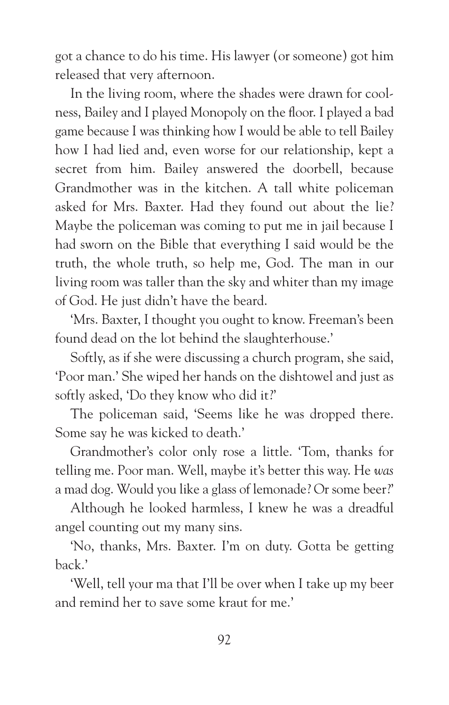got a chance to do his time. His lawyer (or someone) got him released that very afternoon.

In the living room, where the shades were drawn for coolness, Bailey and I played Monopoly on the floor. I played a bad game because I was thinking how I would be able to tell Bailey how I had lied and, even worse for our relationship, kept a secret from him. Bailey answered the doorbell, because Grandmother was in the kitchen. A tall white policeman asked for Mrs. Baxter. Had they found out about the lie? Maybe the policeman was coming to put me in jail because I had sworn on the Bible that everything I said would be the truth, the whole truth, so help me, God. The man in our living room was taller than the sky and whiter than my image of God. He just didn't have the beard.

'Mrs. Baxter, I thought you ought to know. Freeman's been found dead on the lot behind the slaughterhouse.'

Softly, as if she were discussing a church program, she said, 'Poor man.' She wiped her hands on the dishtowel and just as softly asked, 'Do they know who did it?'

The policeman said, 'Seems like he was dropped there. Some say he was kicked to death.'

Grandmother's color only rose a little. 'Tom, thanks for telling me. Poor man. Well, maybe it's better this way. He *was* a mad dog. Would you like a glass of lemonade? Or some beer?'

Although he looked harmless, I knew he was a dreadful angel counting out my many sins.

'No, thanks, Mrs. Baxter. I'm on duty. Gotta be getting back.'

'Well, tell your ma that I'll be over when I take up my beer and remind her to save some kraut for me.'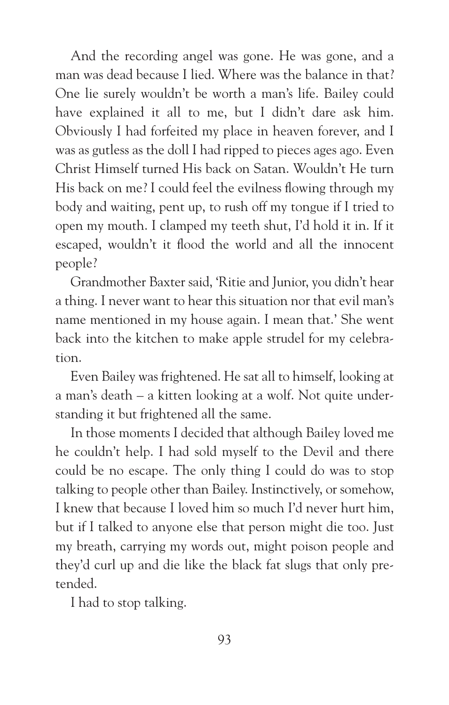And the recording angel was gone. He was gone, and a man was dead because I lied. Where was the balance in that? One lie surely wouldn't be worth a man's life. Bailey could have explained it all to me, but I didn't dare ask him. Obviously I had forfeited my place in heaven forever, and I was as gutless as the doll I had ripped to pieces ages ago. Even Christ Himself turned His back on Satan. Wouldn't He turn His back on me? I could feel the evilness flowing through my body and waiting, pent up, to rush off my tongue if I tried to open my mouth. I clamped my teeth shut, I'd hold it in. If it escaped, wouldn't it flood the world and all the innocent people?

Grandmother Baxter said, 'Ritie and Junior, you didn't hear a thing. I never want to hear this situation nor that evil man's name mentioned in my house again. I mean that.' She went back into the kitchen to make apple strudel for my celebration.

Even Bailey was frightened. He sat all to himself, looking at a man's death – a kitten looking at a wolf. Not quite understanding it but frightened all the same.

In those moments I decided that although Bailey loved me he couldn't help. I had sold myself to the Devil and there could be no escape. The only thing I could do was to stop talking to people other than Bailey. Instinctively, or somehow, I knew that because I loved him so much I'd never hurt him, but if I talked to anyone else that person might die too. Just my breath, carrying my words out, might poison people and they'd curl up and die like the black fat slugs that only pretended.

I had to stop talking.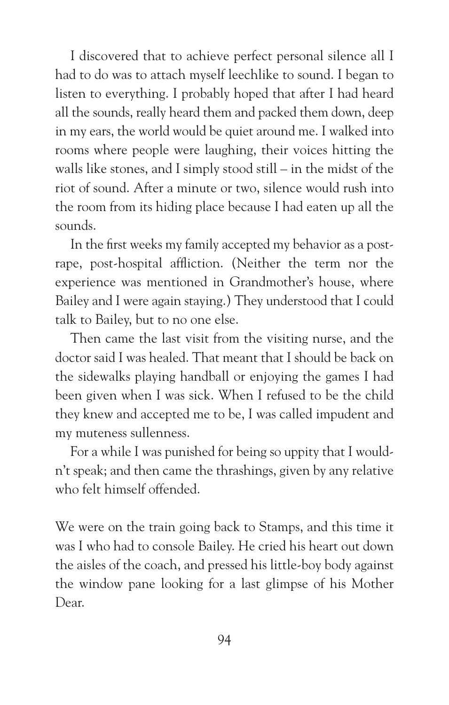I discovered that to achieve perfect personal silence all I had to do was to attach myself leechlike to sound. I began to listen to everything. I probably hoped that after I had heard all the sounds, really heard them and packed them down, deep in my ears, the world would be quiet around me. I walked into rooms where people were laughing, their voices hitting the walls like stones, and I simply stood still – in the midst of the riot of sound. After a minute or two, silence would rush into the room from its hiding place because I had eaten up all the sounds.

In the first weeks my family accepted my behavior as a postrape, post-hospital affliction. (Neither the term nor the experience was mentioned in Grandmother's house, where Bailey and I were again staying.) They understood that I could talk to Bailey, but to no one else.

Then came the last visit from the visiting nurse, and the doctor said I was healed. That meant that I should be back on the sidewalks playing handball or enjoying the games I had been given when I was sick. When I refused to be the child they knew and accepted me to be, I was called impudent and my muteness sullenness.

For a while I was punished for being so uppity that I wouldn't speak; and then came the thrashings, given by any relative who felt himself offended.

We were on the train going back to Stamps, and this time it was I who had to console Bailey. He cried his heart out down the aisles of the coach, and pressed his little-boy body against the window pane looking for a last glimpse of his Mother Dear.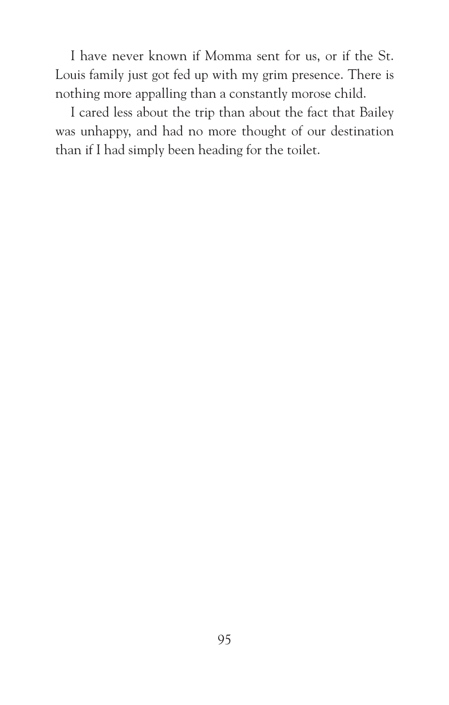I have never known if Momma sent for us, or if the St. Louis family just got fed up with my grim presence. There is nothing more appalling than a constantly morose child.

I cared less about the trip than about the fact that Bailey was unhappy, and had no more thought of our destination than if I had simply been heading for the toilet.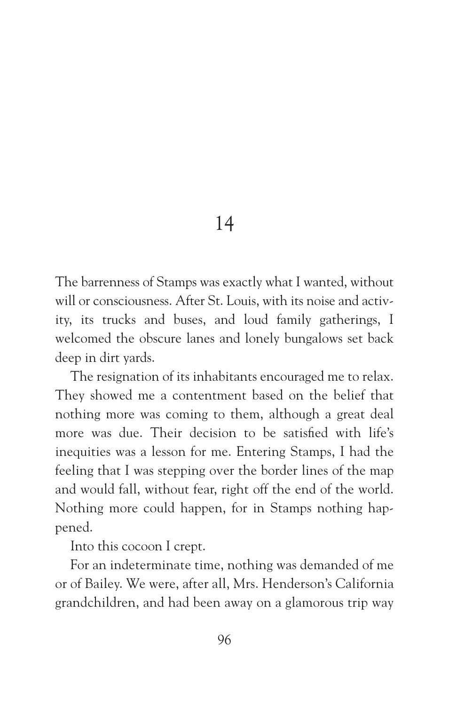14

The barrenness of Stamps was exactly what I wanted, without will or consciousness. After St. Louis, with its noise and activity, its trucks and buses, and loud family gatherings, I welcomed the obscure lanes and lonely bungalows set back deep in dirt yards.

The resignation of its inhabitants encouraged me to relax. They showed me a contentment based on the belief that nothing more was coming to them, although a great deal more was due. Their decision to be satisfied with life's inequities was a lesson for me. Entering Stamps, I had the feeling that I was stepping over the border lines of the map and would fall, without fear, right off the end of the world. Nothing more could happen, for in Stamps nothing happened.

Into this cocoon I crept.

For an indeterminate time, nothing was demanded of me or of Bailey. We were, after all, Mrs. Henderson's California grandchildren, and had been away on a glamorous trip way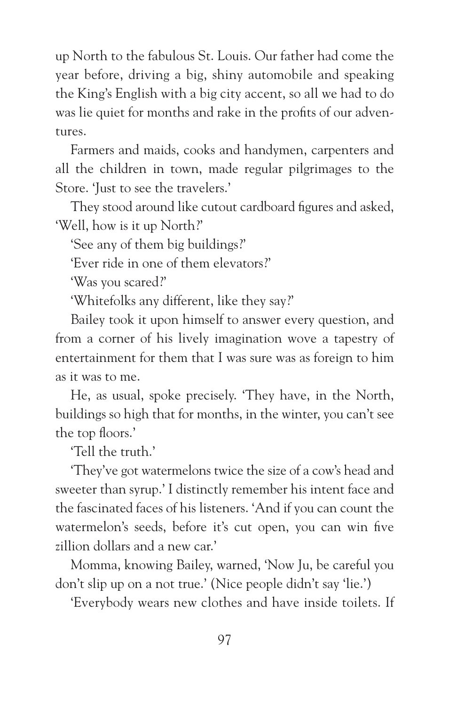up North to the fabulous St. Louis. Our father had come the year before, driving a big, shiny automobile and speaking the King's English with a big city accent, so all we had to do was lie quiet for months and rake in the profits of our adventures.

Farmers and maids, cooks and handymen, carpenters and all the children in town, made regular pilgrimages to the Store. 'Just to see the travelers.'

They stood around like cutout cardboard figures and asked, 'Well, how is it up North?'

'See any of them big buildings?'

'Ever ride in one of them elevators?'

'Was you scared?'

'Whitefolks any different, like they say?'

Bailey took it upon himself to answer every question, and from a corner of his lively imagination wove a tapestry of entertainment for them that I was sure was as foreign to him as it was to me.

He, as usual, spoke precisely. 'They have, in the North, buildings so high that for months, in the winter, you can't see the top floors.'

'Tell the truth.'

'They've got watermelons twice the size of a cow's head and sweeter than syrup.' I distinctly remember his intent face and the fascinated faces of his listeners. 'And if you can count the watermelon's seeds, before it's cut open, you can win five zillion dollars and a new car.'

Momma, knowing Bailey, warned, 'Now Ju, be careful you don't slip up on a not true.' (Nice people didn't say 'lie.')

'Everybody wears new clothes and have inside toilets. If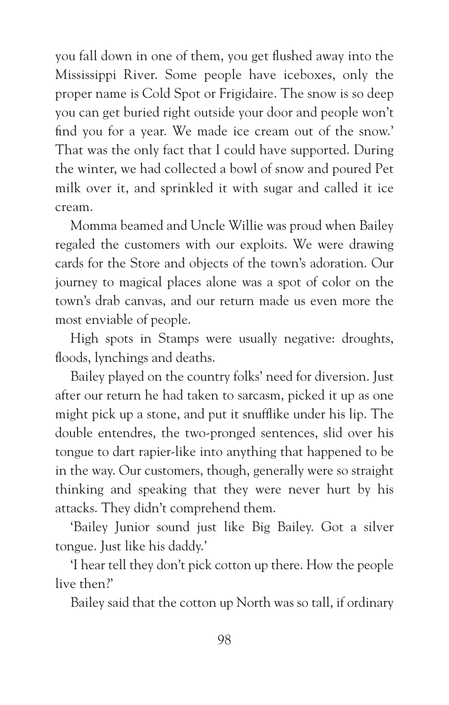you fall down in one of them, you get flushed away into the Mississippi River. Some people have iceboxes, only the proper name is Cold Spot or Frigidaire. The snow is so deep you can get buried right outside your door and people won't find you for a year. We made ice cream out of the snow.' That was the only fact that I could have supported. During the winter, we had collected a bowl of snow and poured Pet milk over it, and sprinkled it with sugar and called it ice cream.

Momma beamed and Uncle Willie was proud when Bailey regaled the customers with our exploits. We were drawing cards for the Store and objects of the town's adoration. Our journey to magical places alone was a spot of color on the town's drab canvas, and our return made us even more the most enviable of people.

High spots in Stamps were usually negative: droughts, floods, lynchings and deaths.

Bailey played on the country folks' need for diversion. Just after our return he had taken to sarcasm, picked it up as one might pick up a stone, and put it snufflike under his lip. The double entendres, the two-pronged sentences, slid over his tongue to dart rapier-like into anything that happened to be in the way. Our customers, though, generally were so straight thinking and speaking that they were never hurt by his attacks. They didn't comprehend them.

'Bailey Junior sound just like Big Bailey. Got a silver tongue. Just like his daddy.'

'I hear tell they don't pick cotton up there. How the people live then?'

Bailey said that the cotton up North was so tall, if ordinary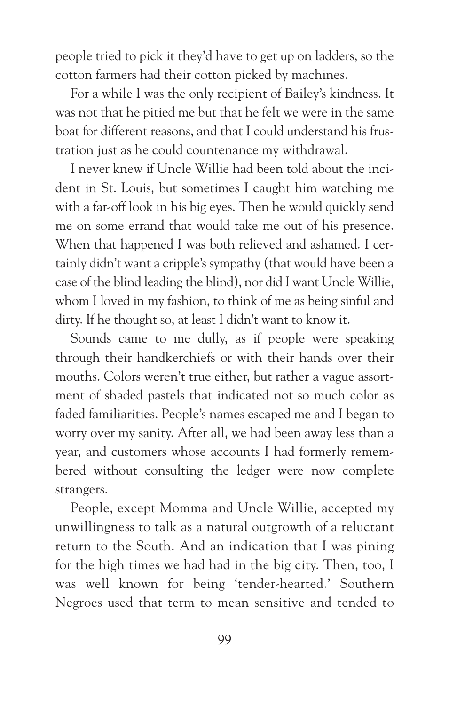people tried to pick it they'd have to get up on ladders, so the cotton farmers had their cotton picked by machines.

For a while I was the only recipient of Bailey's kindness. It was not that he pitied me but that he felt we were in the same boat for different reasons, and that I could understand his frustration just as he could countenance my withdrawal.

I never knew if Uncle Willie had been told about the incident in St. Louis, but sometimes I caught him watching me with a far-off look in his big eyes. Then he would quickly send me on some errand that would take me out of his presence. When that happened I was both relieved and ashamed. I certainly didn't want a cripple's sympathy (that would have been a case of the blind leading the blind), nor did I want Uncle Willie, whom I loved in my fashion, to think of me as being sinful and dirty. If he thought so, at least I didn't want to know it.

Sounds came to me dully, as if people were speaking through their handkerchiefs or with their hands over their mouths. Colors weren't true either, but rather a vague assortment of shaded pastels that indicated not so much color as faded familiarities. People's names escaped me and I began to worry over my sanity. After all, we had been away less than a year, and customers whose accounts I had formerly remembered without consulting the ledger were now complete strangers.

People, except Momma and Uncle Willie, accepted my unwillingness to talk as a natural outgrowth of a reluctant return to the South. And an indication that I was pining for the high times we had had in the big city. Then, too, I was well known for being 'tender-hearted.' Southern Negroes used that term to mean sensitive and tended to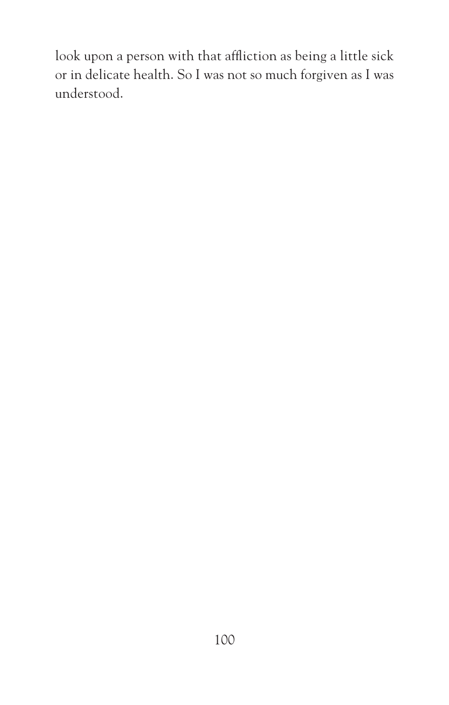look upon a person with that affliction as being a little sick or in delicate health. So I was not so much forgiven as I was understood.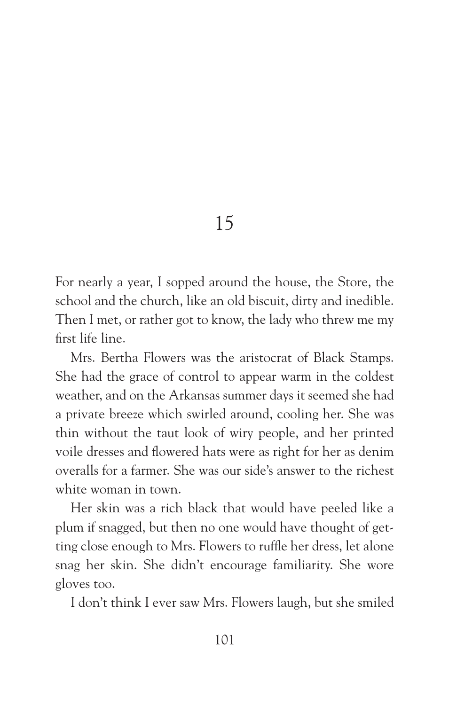15

For nearly a year, I sopped around the house, the Store, the school and the church, like an old biscuit, dirty and inedible. Then I met, or rather got to know, the lady who threw me my first life line.

Mrs. Bertha Flowers was the aristocrat of Black Stamps. She had the grace of control to appear warm in the coldest weather, and on the Arkansas summer days it seemed she had a private breeze which swirled around, cooling her. She was thin without the taut look of wiry people, and her printed voile dresses and flowered hats were as right for her as denim overalls for a farmer. She was our side's answer to the richest white woman in town.

Her skin was a rich black that would have peeled like a plum if snagged, but then no one would have thought of getting close enough to Mrs. Flowers to ruffle her dress, let alone snag her skin. She didn't encourage familiarity. She wore gloves too.

I don't think I ever saw Mrs. Flowers laugh, but she smiled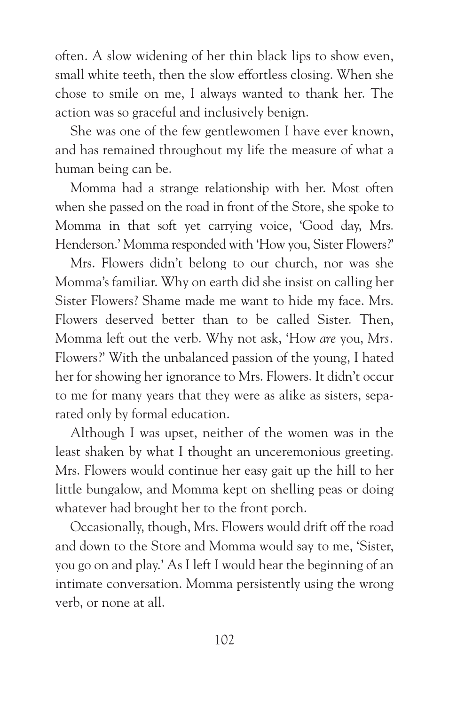often. A slow widening of her thin black lips to show even, small white teeth, then the slow effortless closing. When she chose to smile on me, I always wanted to thank her. The action was so graceful and inclusively benign.

She was one of the few gentlewomen I have ever known, and has remained throughout my life the measure of what a human being can be.

Momma had a strange relationship with her. Most often when she passed on the road in front of the Store, she spoke to Momma in that soft yet carrying voice, 'Good day, Mrs. Henderson.' Momma responded with 'How you, Sister Flowers?'

Mrs. Flowers didn't belong to our church, nor was she Momma's familiar. Why on earth did she insist on calling her Sister Flowers? Shame made me want to hide my face. Mrs. Flowers deserved better than to be called Sister. Then, Momma left out the verb. Why not ask, 'How *are* you, *Mrs.* Flowers?' With the unbalanced passion of the young, I hated her for showing her ignorance to Mrs. Flowers. It didn't occur to me for many years that they were as alike as sisters, separated only by formal education.

Although I was upset, neither of the women was in the least shaken by what I thought an unceremonious greeting. Mrs. Flowers would continue her easy gait up the hill to her little bungalow, and Momma kept on shelling peas or doing whatever had brought her to the front porch.

Occasionally, though, Mrs. Flowers would drift off the road and down to the Store and Momma would say to me, 'Sister, you go on and play.' As I left I would hear the beginning of an intimate conversation. Momma persistently using the wrong verb, or none at all.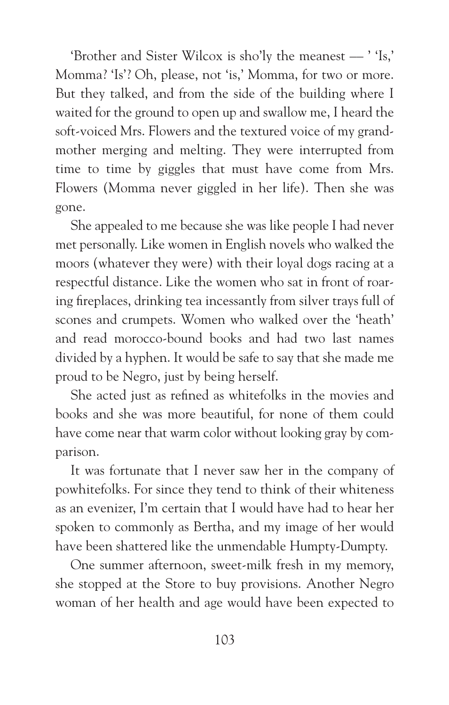'Brother and Sister Wilcox is sho'ly the meanest — ' 'Is,' Momma? 'Is'? Oh, please, not 'is,' Momma, for two or more. But they talked, and from the side of the building where I waited for the ground to open up and swallow me, I heard the soft-voiced Mrs. Flowers and the textured voice of my grandmother merging and melting. They were interrupted from time to time by giggles that must have come from Mrs. Flowers (Momma never giggled in her life). Then she was gone.

She appealed to me because she was like people I had never met personally. Like women in English novels who walked the moors (whatever they were) with their loyal dogs racing at a respectful distance. Like the women who sat in front of roaring fireplaces, drinking tea incessantly from silver trays full of scones and crumpets. Women who walked over the 'heath' and read morocco-bound books and had two last names divided by a hyphen. It would be safe to say that she made me proud to be Negro, just by being herself.

She acted just as refined as whitefolks in the movies and books and she was more beautiful, for none of them could have come near that warm color without looking gray by comparison.

It was fortunate that I never saw her in the company of powhitefolks. For since they tend to think of their whiteness as an evenizer, I'm certain that I would have had to hear her spoken to commonly as Bertha, and my image of her would have been shattered like the unmendable Humpty-Dumpty.

One summer afternoon, sweet-milk fresh in my memory, she stopped at the Store to buy provisions. Another Negro woman of her health and age would have been expected to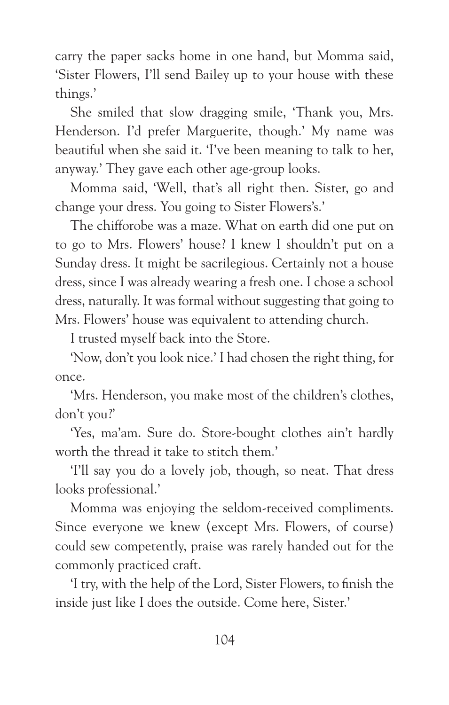carry the paper sacks home in one hand, but Momma said, 'Sister Flowers, I'll send Bailey up to your house with these things.'

She smiled that slow dragging smile, 'Thank you, Mrs. Henderson. I'd prefer Marguerite, though.' My name was beautiful when she said it. 'I've been meaning to talk to her, anyway.' They gave each other age-group looks.

Momma said, 'Well, that's all right then. Sister, go and change your dress. You going to Sister Flowers's.'

The chifforobe was a maze. What on earth did one put on to go to Mrs. Flowers' house? I knew I shouldn't put on a Sunday dress. It might be sacrilegious. Certainly not a house dress, since I was already wearing a fresh one. I chose a school dress, naturally. It was formal without suggesting that going to Mrs. Flowers' house was equivalent to attending church.

I trusted myself back into the Store.

'Now, don't you look nice.' I had chosen the right thing, for once.

'Mrs. Henderson, you make most of the children's clothes, don't you?'

'Yes, ma'am. Sure do. Store-bought clothes ain't hardly worth the thread it take to stitch them.'

'I'll say you do a lovely job, though, so neat. That dress looks professional.'

Momma was enjoying the seldom-received compliments. Since everyone we knew (except Mrs. Flowers, of course) could sew competently, praise was rarely handed out for the commonly practiced craft.

'I try, with the help of the Lord, Sister Flowers, to finish the inside just like I does the outside. Come here, Sister.'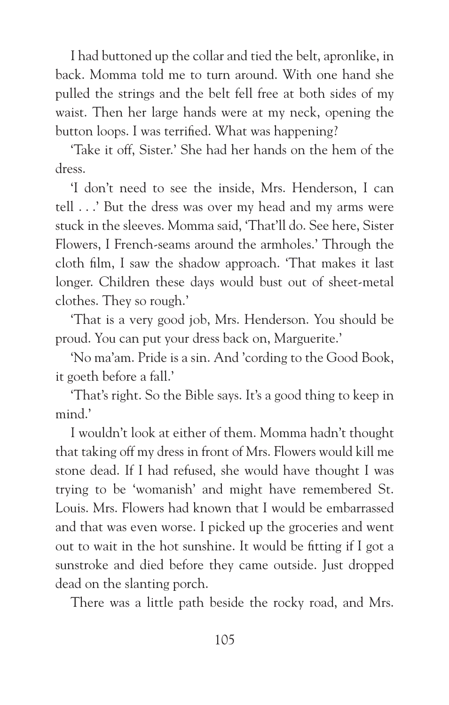I had buttoned up the collar and tied the belt, apronlike, in back. Momma told me to turn around. With one hand she pulled the strings and the belt fell free at both sides of my waist. Then her large hands were at my neck, opening the button loops. I was terrified. What was happening?

'Take it off, Sister.' She had her hands on the hem of the dress.

'I don't need to see the inside, Mrs. Henderson, I can tell . . .' But the dress was over my head and my arms were stuck in the sleeves. Momma said, 'That'll do. See here, Sister Flowers, I French-seams around the armholes.' Through the cloth film, I saw the shadow approach. 'That makes it last longer. Children these days would bust out of sheet-metal clothes. They so rough.'

'That is a very good job, Mrs. Henderson. You should be proud. You can put your dress back on, Marguerite.'

'No ma'am. Pride is a sin. And 'cording to the Good Book, it goeth before a fall.'

'That's right. So the Bible says. It's a good thing to keep in mind.'

I wouldn't look at either of them. Momma hadn't thought that taking off my dress in front of Mrs. Flowers would kill me stone dead. If I had refused, she would have thought I was trying to be 'womanish' and might have remembered St. Louis. Mrs. Flowers had known that I would be embarrassed and that was even worse. I picked up the groceries and went out to wait in the hot sunshine. It would be fitting if I got a sunstroke and died before they came outside. Just dropped dead on the slanting porch.

There was a little path beside the rocky road, and Mrs.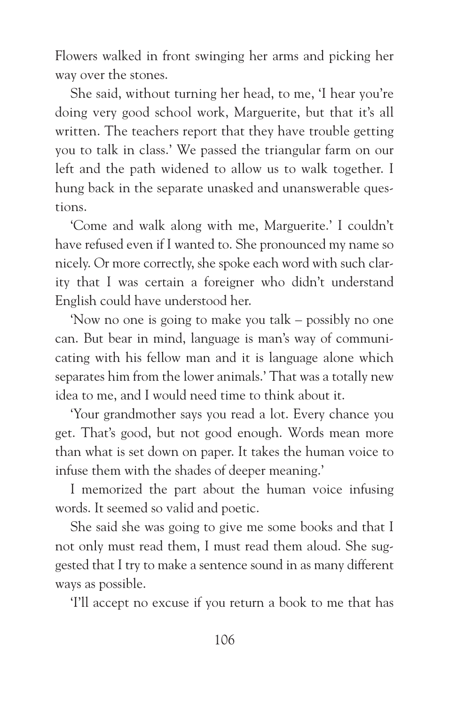Flowers walked in front swinging her arms and picking her way over the stones.

She said, without turning her head, to me, 'I hear you're doing very good school work, Marguerite, but that it's all written. The teachers report that they have trouble getting you to talk in class.' We passed the triangular farm on our left and the path widened to allow us to walk together. I hung back in the separate unasked and unanswerable questions.

'Come and walk along with me, Marguerite.' I couldn't have refused even if I wanted to. She pronounced my name so nicely. Or more correctly, she spoke each word with such clarity that I was certain a foreigner who didn't understand English could have understood her.

'Now no one is going to make you talk – possibly no one can. But bear in mind, language is man's way of communicating with his fellow man and it is language alone which separates him from the lower animals.' That was a totally new idea to me, and I would need time to think about it.

'Your grandmother says you read a lot. Every chance you get. That's good, but not good enough. Words mean more than what is set down on paper. It takes the human voice to infuse them with the shades of deeper meaning.'

I memorized the part about the human voice infusing words. It seemed so valid and poetic.

She said she was going to give me some books and that I not only must read them, I must read them aloud. She suggested that I try to make a sentence sound in as many different ways as possible.

'I'll accept no excuse if you return a book to me that has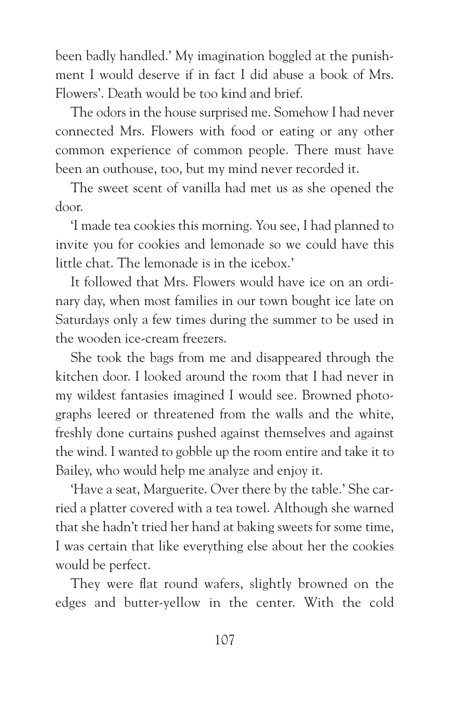been badly handled.' My imagination boggled at the punishment I would deserve if in fact I did abuse a book of Mrs. Flowers'. Death would be too kind and brief.

The odors in the house surprised me. Somehow I had never connected Mrs. Flowers with food or eating or any other common experience of common people. There must have been an outhouse, too, but my mind never recorded it.

The sweet scent of vanilla had met us as she opened the door.

'I made tea cookies this morning. You see, I had planned to invite you for cookies and lemonade so we could have this little chat. The lemonade is in the icebox.'

It followed that Mrs. Flowers would have ice on an ordinary day, when most families in our town bought ice late on Saturdays only a few times during the summer to be used in the wooden ice-cream freezers.

She took the bags from me and disappeared through the kitchen door. I looked around the room that I had never in my wildest fantasies imagined I would see. Browned photographs leered or threatened from the walls and the white, freshly done curtains pushed against themselves and against the wind. I wanted to gobble up the room entire and take it to Bailey, who would help me analyze and enjoy it.

'Have a seat, Marguerite. Over there by the table.' She carried a platter covered with a tea towel. Although she warned that she hadn't tried her hand at baking sweets for some time, I was certain that like everything else about her the cookies would be perfect.

They were flat round wafers, slightly browned on the edges and butter-yellow in the center. With the cold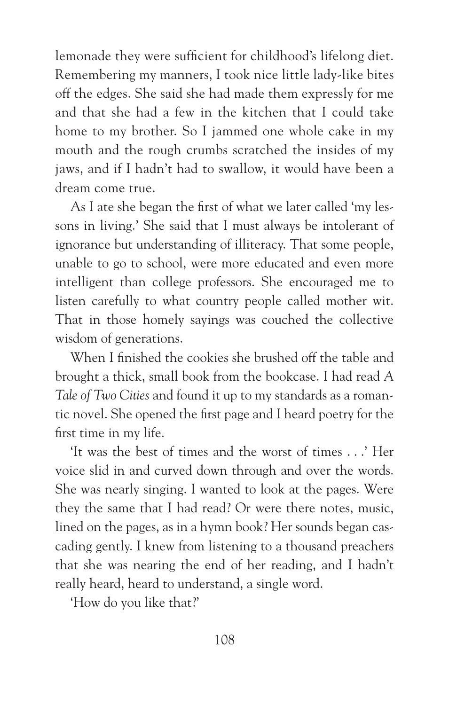lemonade they were sufficient for childhood's lifelong diet. Remembering my manners, I took nice little lady-like bites off the edges. She said she had made them expressly for me and that she had a few in the kitchen that I could take home to my brother. So I jammed one whole cake in my mouth and the rough crumbs scratched the insides of my jaws, and if I hadn't had to swallow, it would have been a dream come true.

As I ate she began the first of what we later called 'my lessons in living.' She said that I must always be intolerant of ignorance but understanding of illiteracy. That some people, unable to go to school, were more educated and even more intelligent than college professors. She encouraged me to listen carefully to what country people called mother wit. That in those homely sayings was couched the collective wisdom of generations.

When I finished the cookies she brushed off the table and brought a thick, small book from the bookcase. I had read *A Tale of Two Cities* and found it up to my standards as a romantic novel. She opened the first page and I heard poetry for the first time in my life.

'It was the best of times and the worst of times . . .' Her voice slid in and curved down through and over the words. She was nearly singing. I wanted to look at the pages. Were they the same that I had read? Or were there notes, music, lined on the pages, as in a hymn book? Her sounds began cascading gently. I knew from listening to a thousand preachers that she was nearing the end of her reading, and I hadn't really heard, heard to understand, a single word.

'How do you like that?'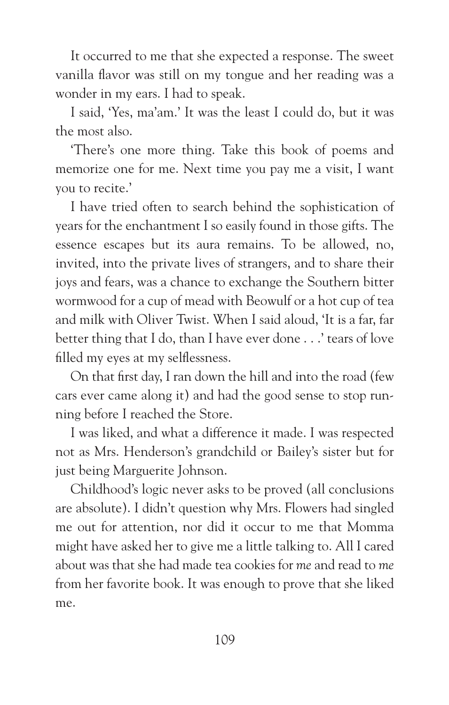It occurred to me that she expected a response. The sweet vanilla flavor was still on my tongue and her reading was a wonder in my ears. I had to speak.

I said, 'Yes, ma'am.' It was the least I could do, but it was the most also.

'There's one more thing. Take this book of poems and memorize one for me. Next time you pay me a visit, I want you to recite.'

I have tried often to search behind the sophistication of years for the enchantment I so easily found in those gifts. The essence escapes but its aura remains. To be allowed, no, invited, into the private lives of strangers, and to share their joys and fears, was a chance to exchange the Southern bitter wormwood for a cup of mead with Beowulf or a hot cup of tea and milk with Oliver Twist. When I said aloud, 'It is a far, far better thing that I do, than I have ever done . . .' tears of love filled my eyes at my selflessness.

On that first day, I ran down the hill and into the road (few cars ever came along it) and had the good sense to stop running before I reached the Store.

I was liked, and what a difference it made. I was respected not as Mrs. Henderson's grandchild or Bailey's sister but for just being Marguerite Johnson.

Childhood's logic never asks to be proved (all conclusions are absolute). I didn't question why Mrs. Flowers had singled me out for attention, nor did it occur to me that Momma might have asked her to give me a little talking to. All I cared about was that she had made tea cookies for *me* and read to *me* from her favorite book. It was enough to prove that she liked me.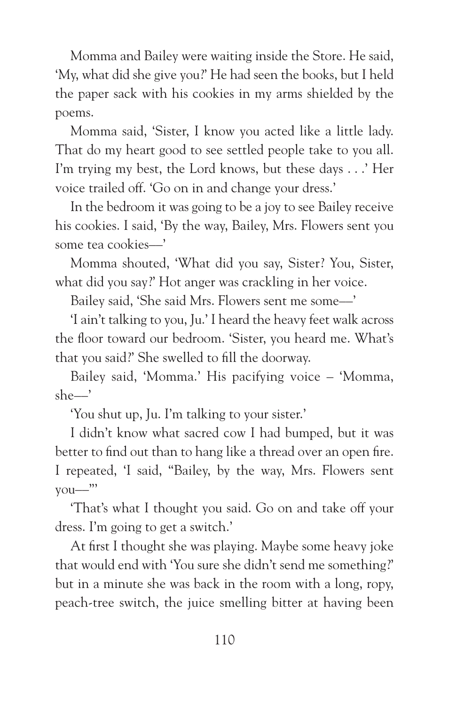Momma and Bailey were waiting inside the Store. He said, 'My, what did she give you?' He had seen the books, but I held the paper sack with his cookies in my arms shielded by the poems.

Momma said, 'Sister, I know you acted like a little lady. That do my heart good to see settled people take to you all. I'm trying my best, the Lord knows, but these days . . .' Her voice trailed off. 'Go on in and change your dress.'

In the bedroom it was going to be a joy to see Bailey receive his cookies. I said, 'By the way, Bailey, Mrs. Flowers sent you some tea cookies––'

Momma shouted, 'What did you say, Sister? You, Sister, what did you say?' Hot anger was crackling in her voice.

Bailey said, 'She said Mrs. Flowers sent me some--'

'I ain't talking to you, Ju.' I heard the heavy feet walk across the floor toward our bedroom. 'Sister, you heard me. What's that you said?' She swelled to fill the doorway.

Bailey said, 'Momma.' His pacifying voice – 'Momma, she––'

'You shut up, Ju. I'm talking to your sister.'

I didn't know what sacred cow I had bumped, but it was better to find out than to hang like a thread over an open fire. I repeated, 'I said, "Bailey, by the way, Mrs. Flowers sent  $vou$ —"

'That's what I thought you said. Go on and take off your dress. I'm going to get a switch.'

At first I thought she was playing. Maybe some heavy joke that would end with 'You sure she didn't send me something?' but in a minute she was back in the room with a long, ropy, peach-tree switch, the juice smelling bitter at having been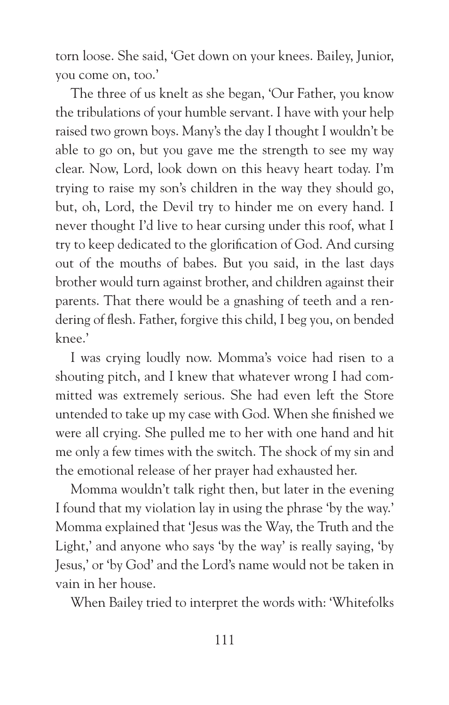torn loose. She said, 'Get down on your knees. Bailey, Junior, you come on, too.'

The three of us knelt as she began, 'Our Father, you know the tribulations of your humble servant. I have with your help raised two grown boys. Many's the day I thought I wouldn't be able to go on, but you gave me the strength to see my way clear. Now, Lord, look down on this heavy heart today. I'm trying to raise my son's children in the way they should go, but, oh, Lord, the Devil try to hinder me on every hand. I never thought I'd live to hear cursing under this roof, what I try to keep dedicated to the glorification of God. And cursing out of the mouths of babes. But you said, in the last days brother would turn against brother, and children against their parents. That there would be a gnashing of teeth and a rendering of flesh. Father, forgive this child, I beg you, on bended knee.'

I was crying loudly now. Momma's voice had risen to a shouting pitch, and I knew that whatever wrong I had committed was extremely serious. She had even left the Store untended to take up my case with God. When she finished we were all crying. She pulled me to her with one hand and hit me only a few times with the switch. The shock of my sin and the emotional release of her prayer had exhausted her.

Momma wouldn't talk right then, but later in the evening I found that my violation lay in using the phrase 'by the way.' Momma explained that 'Jesus was the Way, the Truth and the Light,' and anyone who says 'by the way' is really saying, 'by Jesus,' or 'by God' and the Lord's name would not be taken in vain in her house.

When Bailey tried to interpret the words with: 'Whitefolks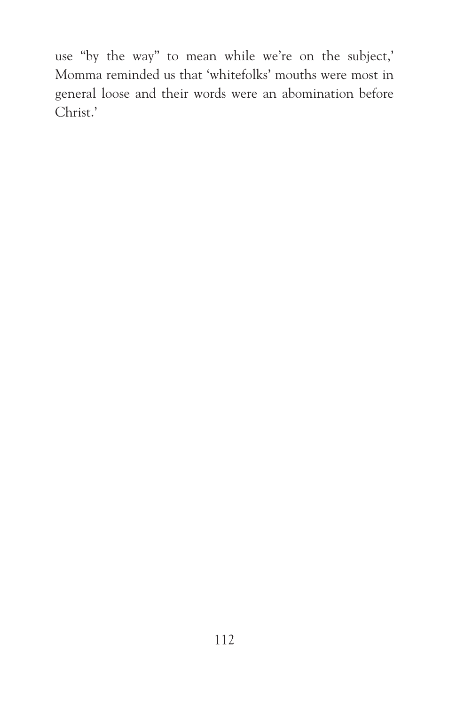use "by the way" to mean while we're on the subject,' Momma reminded us that 'whitefolks' mouths were most in general loose and their words were an abomination before Christ.'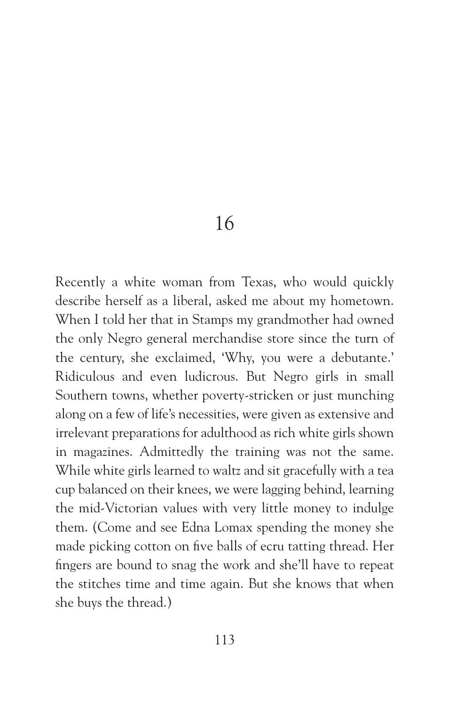16

Recently a white woman from Texas, who would quickly describe herself as a liberal, asked me about my hometown. When I told her that in Stamps my grandmother had owned the only Negro general merchandise store since the turn of the century, she exclaimed, 'Why, you were a debutante.' Ridiculous and even ludicrous. But Negro girls in small Southern towns, whether poverty-stricken or just munching along on a few of life's necessities, were given as extensive and irrelevant preparations for adulthood as rich white girls shown in magazines. Admittedly the training was not the same. While white girls learned to waltz and sit gracefully with a tea cup balanced on their knees, we were lagging behind, learning the mid-Victorian values with very little money to indulge them. (Come and see Edna Lomax spending the money she made picking cotton on five balls of ecru tatting thread. Her fingers are bound to snag the work and she'll have to repeat the stitches time and time again. But she knows that when she buys the thread.)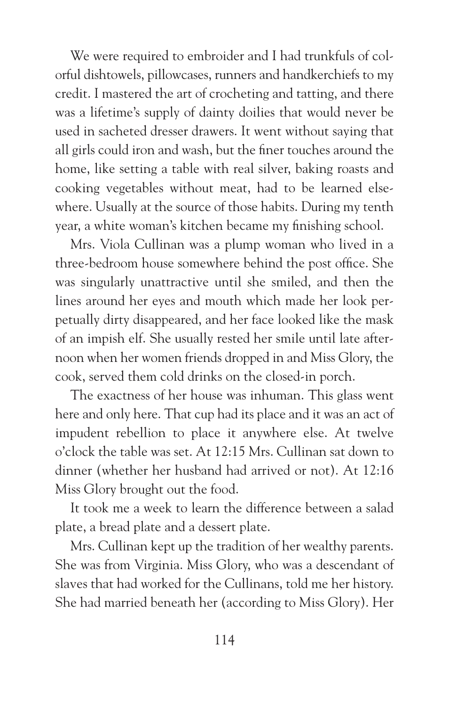We were required to embroider and I had trunkfuls of colorful dishtowels, pillowcases, runners and handkerchiefs to my credit. I mastered the art of crocheting and tatting, and there was a lifetime's supply of dainty doilies that would never be used in sacheted dresser drawers. It went without saying that all girls could iron and wash, but the finer touches around the home, like setting a table with real silver, baking roasts and cooking vegetables without meat, had to be learned elsewhere. Usually at the source of those habits. During my tenth year, a white woman's kitchen became my finishing school.

Mrs. Viola Cullinan was a plump woman who lived in a three-bedroom house somewhere behind the post office. She was singularly unattractive until she smiled, and then the lines around her eyes and mouth which made her look perpetually dirty disappeared, and her face looked like the mask of an impish elf. She usually rested her smile until late afternoon when her women friends dropped in and Miss Glory, the cook, served them cold drinks on the closed-in porch.

The exactness of her house was inhuman. This glass went here and only here. That cup had its place and it was an act of impudent rebellion to place it anywhere else. At twelve o'clock the table was set. At 12:15 Mrs. Cullinan sat down to dinner (whether her husband had arrived or not). At 12:16 Miss Glory brought out the food.

It took me a week to learn the difference between a salad plate, a bread plate and a dessert plate.

Mrs. Cullinan kept up the tradition of her wealthy parents. She was from Virginia. Miss Glory, who was a descendant of slaves that had worked for the Cullinans, told me her history. She had married beneath her (according to Miss Glory). Her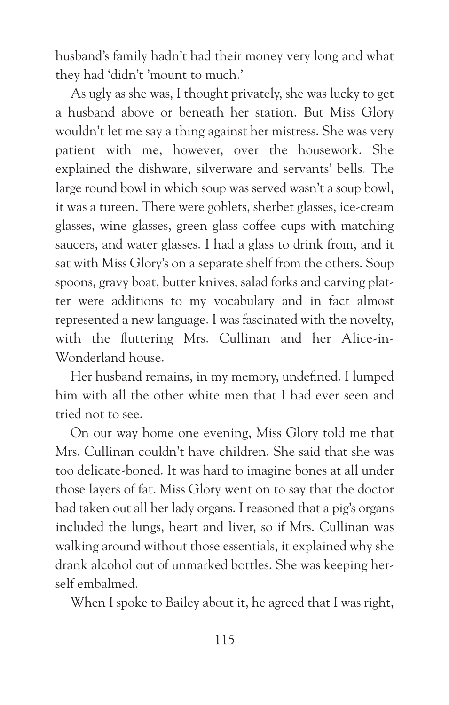husband's family hadn't had their money very long and what they had 'didn't 'mount to much.'

As ugly as she was, I thought privately, she was lucky to get a husband above or beneath her station. But Miss Glory wouldn't let me say a thing against her mistress. She was very patient with me, however, over the housework. She explained the dishware, silverware and servants' bells. The large round bowl in which soup was served wasn't a soup bowl, it was a tureen. There were goblets, sherbet glasses, ice-cream glasses, wine glasses, green glass coffee cups with matching saucers, and water glasses. I had a glass to drink from, and it sat with Miss Glory's on a separate shelf from the others. Soup spoons, gravy boat, butter knives, salad forks and carving platter were additions to my vocabulary and in fact almost represented a new language. I was fascinated with the novelty, with the fluttering Mrs. Cullinan and her Alice-in-Wonderland house.

Her husband remains, in my memory, undefined. I lumped him with all the other white men that I had ever seen and tried not to see.

On our way home one evening, Miss Glory told me that Mrs. Cullinan couldn't have children. She said that she was too delicate-boned. It was hard to imagine bones at all under those layers of fat. Miss Glory went on to say that the doctor had taken out all her lady organs. I reasoned that a pig's organs included the lungs, heart and liver, so if Mrs. Cullinan was walking around without those essentials, it explained why she drank alcohol out of unmarked bottles. She was keeping herself embalmed.

When I spoke to Bailey about it, he agreed that I was right,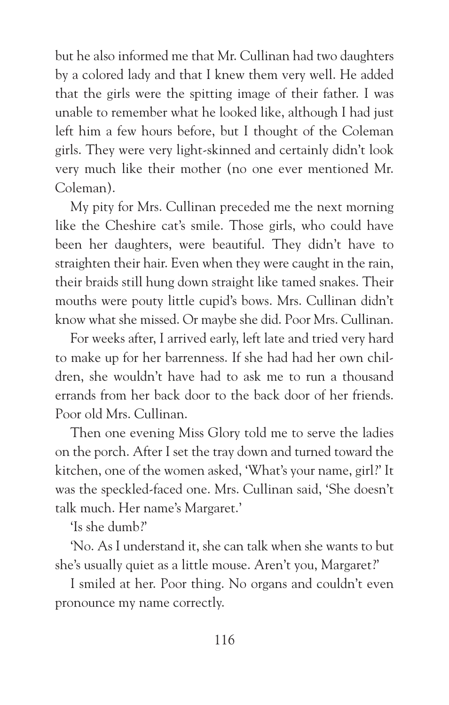but he also informed me that Mr. Cullinan had two daughters by a colored lady and that I knew them very well. He added that the girls were the spitting image of their father. I was unable to remember what he looked like, although I had just left him a few hours before, but I thought of the Coleman girls. They were very light-skinned and certainly didn't look very much like their mother (no one ever mentioned Mr. Coleman).

My pity for Mrs. Cullinan preceded me the next morning like the Cheshire cat's smile. Those girls, who could have been her daughters, were beautiful. They didn't have to straighten their hair. Even when they were caught in the rain, their braids still hung down straight like tamed snakes. Their mouths were pouty little cupid's bows. Mrs. Cullinan didn't know what she missed. Or maybe she did. Poor Mrs. Cullinan.

For weeks after, I arrived early, left late and tried very hard to make up for her barrenness. If she had had her own children, she wouldn't have had to ask me to run a thousand errands from her back door to the back door of her friends. Poor old Mrs. Cullinan.

Then one evening Miss Glory told me to serve the ladies on the porch. After I set the tray down and turned toward the kitchen, one of the women asked, 'What's your name, girl?' It was the speckled-faced one. Mrs. Cullinan said, 'She doesn't talk much. Her name's Margaret.'

'Is she dumb?'

'No. As I understand it, she can talk when she wants to but she's usually quiet as a little mouse. Aren't you, Margaret?'

I smiled at her. Poor thing. No organs and couldn't even pronounce my name correctly.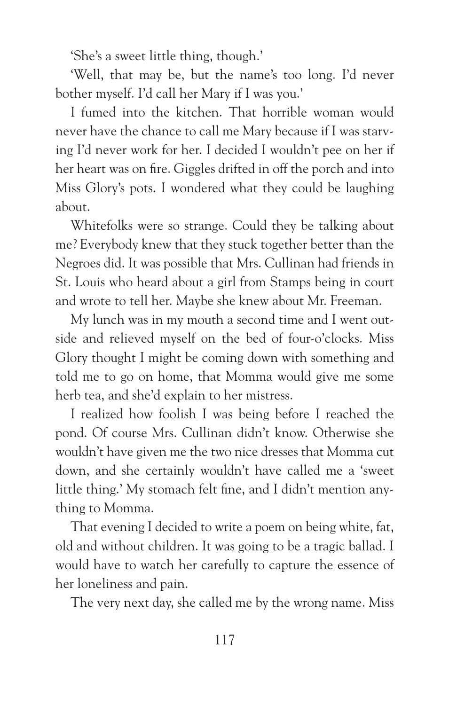'She's a sweet little thing, though.'

'Well, that may be, but the name's too long. I'd never bother myself. I'd call her Mary if I was you.'

I fumed into the kitchen. That horrible woman would never have the chance to call me Mary because if I was starving I'd never work for her. I decided I wouldn't pee on her if her heart was on fire. Giggles drifted in off the porch and into Miss Glory's pots. I wondered what they could be laughing about.

Whitefolks were so strange. Could they be talking about me? Everybody knew that they stuck together better than the Negroes did. It was possible that Mrs. Cullinan had friends in St. Louis who heard about a girl from Stamps being in court and wrote to tell her. Maybe she knew about Mr. Freeman.

My lunch was in my mouth a second time and I went outside and relieved myself on the bed of four-o'clocks. Miss Glory thought I might be coming down with something and told me to go on home, that Momma would give me some herb tea, and she'd explain to her mistress.

I realized how foolish I was being before I reached the pond. Of course Mrs. Cullinan didn't know. Otherwise she wouldn't have given me the two nice dresses that Momma cut down, and she certainly wouldn't have called me a 'sweet little thing.' My stomach felt fine, and I didn't mention anything to Momma.

That evening I decided to write a poem on being white, fat, old and without children. It was going to be a tragic ballad. I would have to watch her carefully to capture the essence of her loneliness and pain.

The very next day, she called me by the wrong name. Miss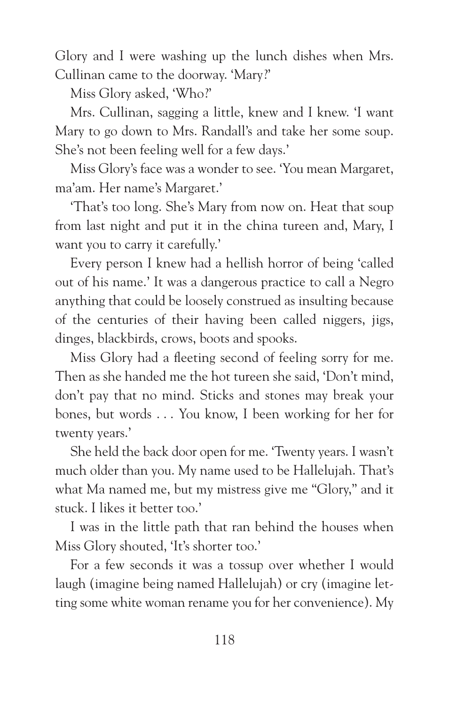Glory and I were washing up the lunch dishes when Mrs. Cullinan came to the doorway. 'Mary?'

Miss Glory asked, 'Who?'

Mrs. Cullinan, sagging a little, knew and I knew. 'I want Mary to go down to Mrs. Randall's and take her some soup. She's not been feeling well for a few days.'

Miss Glory's face was a wonder to see. 'You mean Margaret, ma'am. Her name's Margaret.'

'That's too long. She's Mary from now on. Heat that soup from last night and put it in the china tureen and, Mary, I want you to carry it carefully.'

Every person I knew had a hellish horror of being 'called out of his name.' It was a dangerous practice to call a Negro anything that could be loosely construed as insulting because of the centuries of their having been called niggers, jigs, dinges, blackbirds, crows, boots and spooks.

Miss Glory had a fleeting second of feeling sorry for me. Then as she handed me the hot tureen she said, 'Don't mind, don't pay that no mind. Sticks and stones may break your bones, but words . . . You know, I been working for her for twenty years.'

She held the back door open for me. 'Twenty years. I wasn't much older than you. My name used to be Hallelujah. That's what Ma named me, but my mistress give me "Glory," and it stuck. I likes it better too.'

I was in the little path that ran behind the houses when Miss Glory shouted, 'It's shorter too.'

For a few seconds it was a tossup over whether I would laugh (imagine being named Hallelujah) or cry (imagine letting some white woman rename you for her convenience). My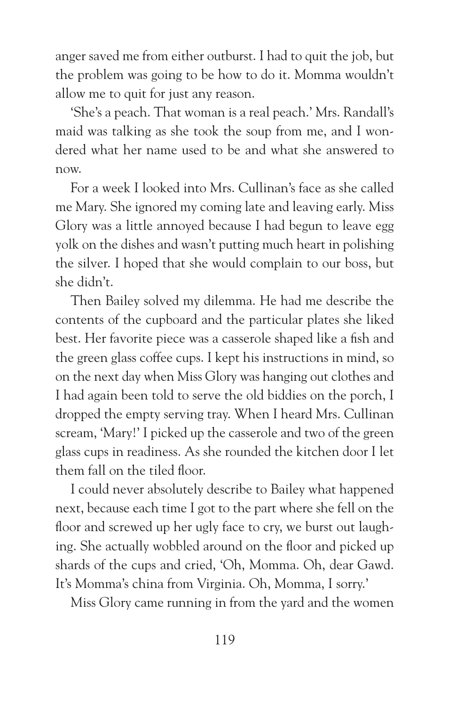anger saved me from either outburst. I had to quit the job, but the problem was going to be how to do it. Momma wouldn't allow me to quit for just any reason.

'She's a peach. That woman is a real peach.' Mrs. Randall's maid was talking as she took the soup from me, and I wondered what her name used to be and what she answered to now.

For a week I looked into Mrs. Cullinan's face as she called me Mary. She ignored my coming late and leaving early. Miss Glory was a little annoyed because I had begun to leave egg yolk on the dishes and wasn't putting much heart in polishing the silver. I hoped that she would complain to our boss, but she didn't.

Then Bailey solved my dilemma. He had me describe the contents of the cupboard and the particular plates she liked best. Her favorite piece was a casserole shaped like a fish and the green glass coffee cups. I kept his instructions in mind, so on the next day when Miss Glory was hanging out clothes and I had again been told to serve the old biddies on the porch, I dropped the empty serving tray. When I heard Mrs. Cullinan scream, 'Mary!' I picked up the casserole and two of the green glass cups in readiness. As she rounded the kitchen door I let them fall on the tiled floor.

I could never absolutely describe to Bailey what happened next, because each time I got to the part where she fell on the floor and screwed up her ugly face to cry, we burst out laughing. She actually wobbled around on the floor and picked up shards of the cups and cried, 'Oh, Momma. Oh, dear Gawd. It's Momma's china from Virginia. Oh, Momma, I sorry.'

Miss Glory came running in from the yard and the women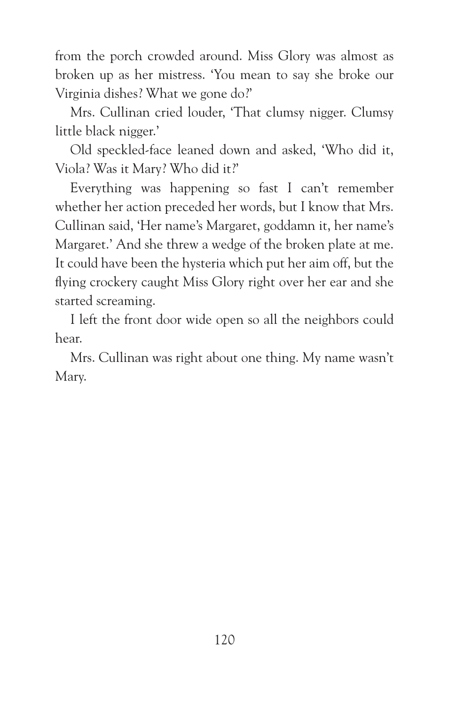from the porch crowded around. Miss Glory was almost as broken up as her mistress. 'You mean to say she broke our Virginia dishes? What we gone do?'

Mrs. Cullinan cried louder, 'That clumsy nigger. Clumsy little black nigger.'

Old speckled-face leaned down and asked, 'Who did it, Viola? Was it Mary? Who did it?'

Everything was happening so fast I can't remember whether her action preceded her words, but I know that Mrs. Cullinan said, 'Her name's Margaret, goddamn it, her name's Margaret.' And she threw a wedge of the broken plate at me. It could have been the hysteria which put her aim off, but the flying crockery caught Miss Glory right over her ear and she started screaming.

I left the front door wide open so all the neighbors could hear.

Mrs. Cullinan was right about one thing. My name wasn't Mary.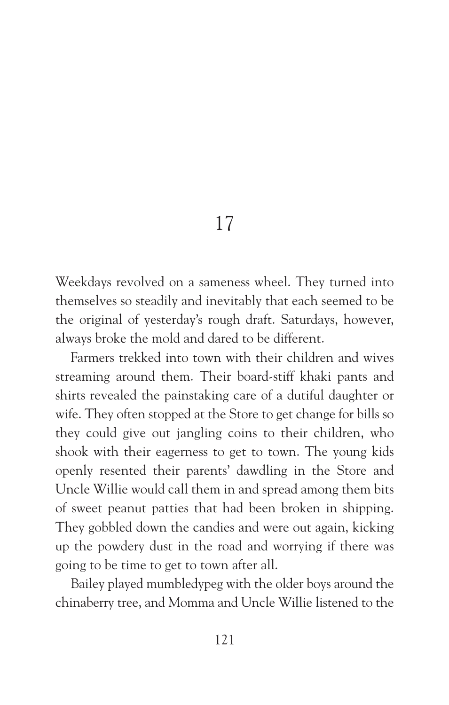17

Weekdays revolved on a sameness wheel. They turned into themselves so steadily and inevitably that each seemed to be the original of yesterday's rough draft. Saturdays, however, always broke the mold and dared to be different.

Farmers trekked into town with their children and wives streaming around them. Their board-stiff khaki pants and shirts revealed the painstaking care of a dutiful daughter or wife. They often stopped at the Store to get change for bills so they could give out jangling coins to their children, who shook with their eagerness to get to town. The young kids openly resented their parents' dawdling in the Store and Uncle Willie would call them in and spread among them bits of sweet peanut patties that had been broken in shipping. They gobbled down the candies and were out again, kicking up the powdery dust in the road and worrying if there was going to be time to get to town after all.

Bailey played mumbledypeg with the older boys around the chinaberry tree, and Momma and Uncle Willie listened to the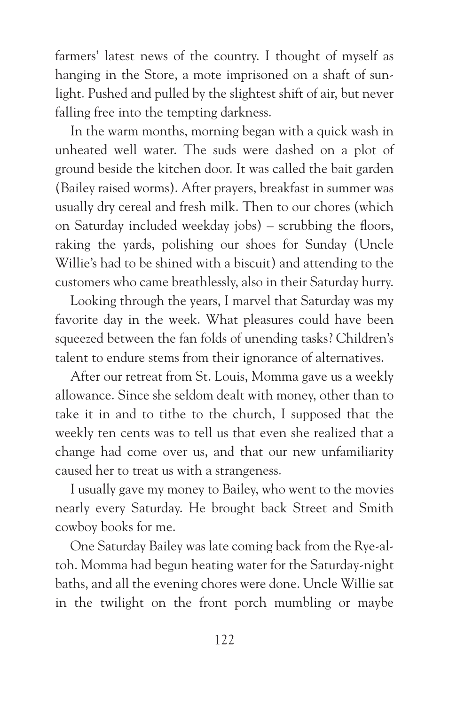farmers' latest news of the country. I thought of myself as hanging in the Store, a mote imprisoned on a shaft of sunlight. Pushed and pulled by the slightest shift of air, but never falling free into the tempting darkness.

In the warm months, morning began with a quick wash in unheated well water. The suds were dashed on a plot of ground beside the kitchen door. It was called the bait garden (Bailey raised worms). After prayers, breakfast in summer was usually dry cereal and fresh milk. Then to our chores (which on Saturday included weekday jobs) – scrubbing the floors, raking the yards, polishing our shoes for Sunday (Uncle Willie's had to be shined with a biscuit) and attending to the customers who came breathlessly, also in their Saturday hurry.

Looking through the years, I marvel that Saturday was my favorite day in the week. What pleasures could have been squeezed between the fan folds of unending tasks? Children's talent to endure stems from their ignorance of alternatives.

After our retreat from St. Louis, Momma gave us a weekly allowance. Since she seldom dealt with money, other than to take it in and to tithe to the church, I supposed that the weekly ten cents was to tell us that even she realized that a change had come over us, and that our new unfamiliarity caused her to treat us with a strangeness.

I usually gave my money to Bailey, who went to the movies nearly every Saturday. He brought back Street and Smith cowboy books for me.

One Saturday Bailey was late coming back from the Rye-altoh. Momma had begun heating water for the Saturday-night baths, and all the evening chores were done. Uncle Willie sat in the twilight on the front porch mumbling or maybe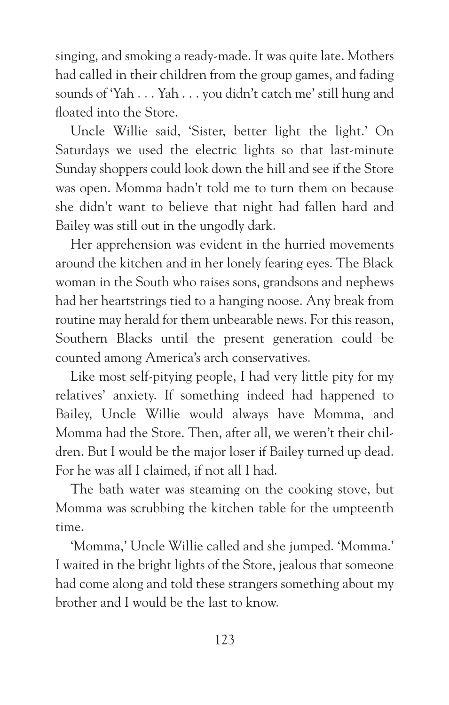singing, and smoking a ready-made. It was quite late. Mothers had called in their children from the group games, and fading sounds of 'Yah . . . Yah . . . you didn't catch me' still hung and floated into the Store.

Uncle Willie said, 'Sister, better light the light.' On Saturdays we used the electric lights so that last-minute Sunday shoppers could look down the hill and see if the Store was open. Momma hadn't told me to turn them on because she didn't want to believe that night had fallen hard and Bailey was still out in the ungodly dark.

Her apprehension was evident in the hurried movements around the kitchen and in her lonely fearing eyes. The Black woman in the South who raises sons, grandsons and nephews had her heartstrings tied to a hanging noose. Any break from routine may herald for them unbearable news. For this reason, Southern Blacks until the present generation could be counted among America's arch conservatives.

Like most self-pitying people, I had very little pity for my relatives' anxiety. If something indeed had happened to Bailey, Uncle Willie would always have Momma, and Momma had the Store. Then, after all, we weren't their children. But I would be the major loser if Bailey turned up dead. For he was all I claimed, if not all I had.

The bath water was steaming on the cooking stove, but Momma was scrubbing the kitchen table for the umpteenth time.

'Momma,' Uncle Willie called and she jumped. 'Momma.' I waited in the bright lights of the Store, jealous that someone had come along and told these strangers something about my brother and I would be the last to know.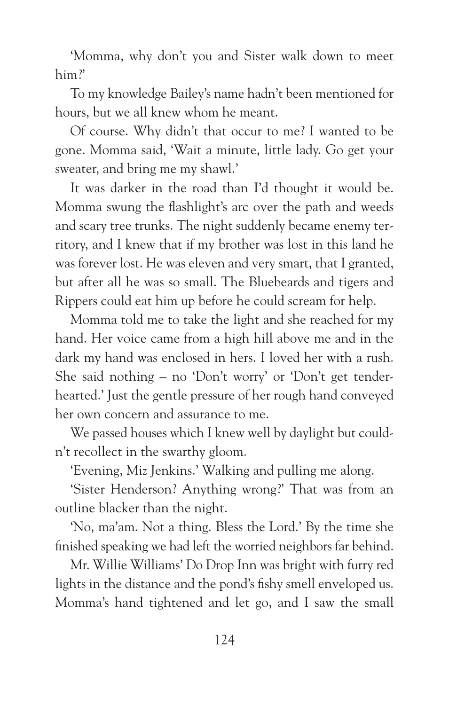'Momma, why don't you and Sister walk down to meet him?'

To my knowledge Bailey's name hadn't been mentioned for hours, but we all knew whom he meant.

Of course. Why didn't that occur to me? I wanted to be gone. Momma said, 'Wait a minute, little lady. Go get your sweater, and bring me my shawl.'

It was darker in the road than I'd thought it would be. Momma swung the flashlight's arc over the path and weeds and scary tree trunks. The night suddenly became enemy territory, and I knew that if my brother was lost in this land he was forever lost. He was eleven and very smart, that I granted, but after all he was so small. The Bluebeards and tigers and Rippers could eat him up before he could scream for help.

Momma told me to take the light and she reached for my hand. Her voice came from a high hill above me and in the dark my hand was enclosed in hers. I loved her with a rush. She said nothing – no 'Don't worry' or 'Don't get tenderhearted.' Just the gentle pressure of her rough hand conveyed her own concern and assurance to me.

We passed houses which I knew well by daylight but couldn't recollect in the swarthy gloom.

'Evening, Miz Jenkins.' Walking and pulling me along.

'Sister Henderson? Anything wrong?' That was from an outline blacker than the night.

'No, ma'am. Not a thing. Bless the Lord.' By the time she finished speaking we had left the worried neighbors far behind.

Mr. Willie Williams' Do Drop Inn was bright with furry red lights in the distance and the pond's fishy smell enveloped us. Momma's hand tightened and let go, and I saw the small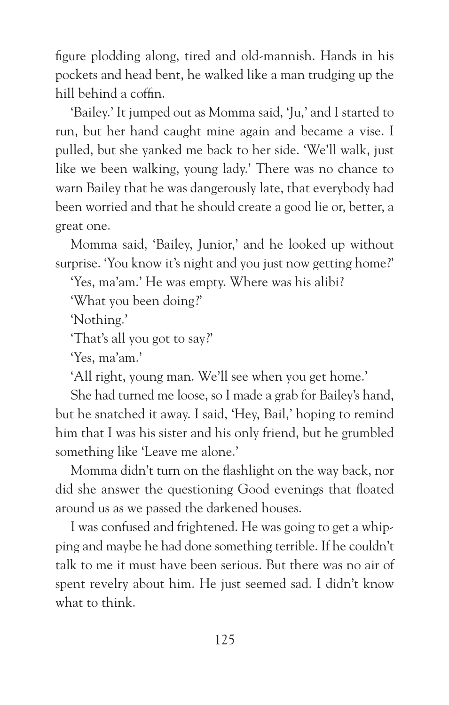figure plodding along, tired and old-mannish. Hands in his pockets and head bent, he walked like a man trudging up the hill behind a coffin.

'Bailey.' It jumped out as Momma said, 'Ju,' and I started to run, but her hand caught mine again and became a vise. I pulled, but she yanked me back to her side. 'We'll walk, just like we been walking, young lady.' There was no chance to warn Bailey that he was dangerously late, that everybody had been worried and that he should create a good lie or, better, a great one.

Momma said, 'Bailey, Junior,' and he looked up without surprise. 'You know it's night and you just now getting home?'

'Yes, ma'am.' He was empty. Where was his alibi?

'What you been doing?'

'Nothing.'

'That's all you got to say?'

'Yes, ma'am.'

'All right, young man. We'll see when you get home.'

She had turned me loose, so I made a grab for Bailey's hand, but he snatched it away. I said, 'Hey, Bail,' hoping to remind him that I was his sister and his only friend, but he grumbled something like 'Leave me alone.'

Momma didn't turn on the flashlight on the way back, nor did she answer the questioning Good evenings that floated around us as we passed the darkened houses.

I was confused and frightened. He was going to get a whipping and maybe he had done something terrible. If he couldn't talk to me it must have been serious. But there was no air of spent revelry about him. He just seemed sad. I didn't know what to think.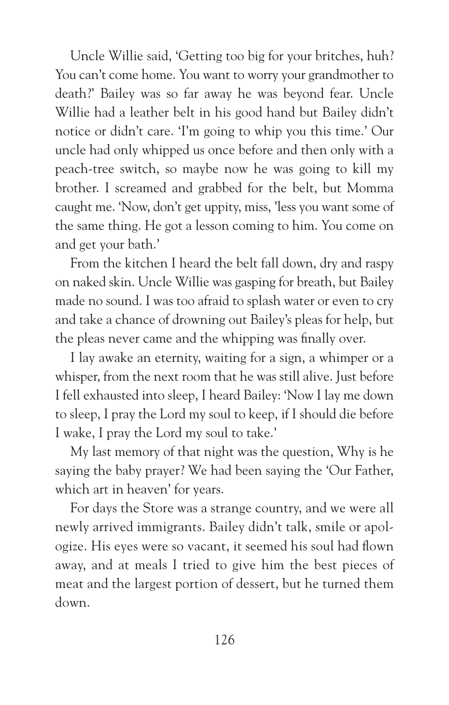Uncle Willie said, 'Getting too big for your britches, huh? You can't come home. You want to worry your grandmother to death?' Bailey was so far away he was beyond fear. Uncle Willie had a leather belt in his good hand but Bailey didn't notice or didn't care. 'I'm going to whip you this time.' Our uncle had only whipped us once before and then only with a peach-tree switch, so maybe now he was going to kill my brother. I screamed and grabbed for the belt, but Momma caught me. 'Now, don't get uppity, miss, 'less you want some of the same thing. He got a lesson coming to him. You come on and get your bath.'

From the kitchen I heard the belt fall down, dry and raspy on naked skin. Uncle Willie was gasping for breath, but Bailey made no sound. I was too afraid to splash water or even to cry and take a chance of drowning out Bailey's pleas for help, but the pleas never came and the whipping was finally over.

I lay awake an eternity, waiting for a sign, a whimper or a whisper, from the next room that he was still alive. Just before I fell exhausted into sleep, I heard Bailey: 'Now I lay me down to sleep, I pray the Lord my soul to keep, if I should die before I wake, I pray the Lord my soul to take.'

My last memory of that night was the question, Why is he saying the baby prayer? We had been saying the 'Our Father, which art in heaven' for years.

For days the Store was a strange country, and we were all newly arrived immigrants. Bailey didn't talk, smile or apologize. His eyes were so vacant, it seemed his soul had flown away, and at meals I tried to give him the best pieces of meat and the largest portion of dessert, but he turned them down.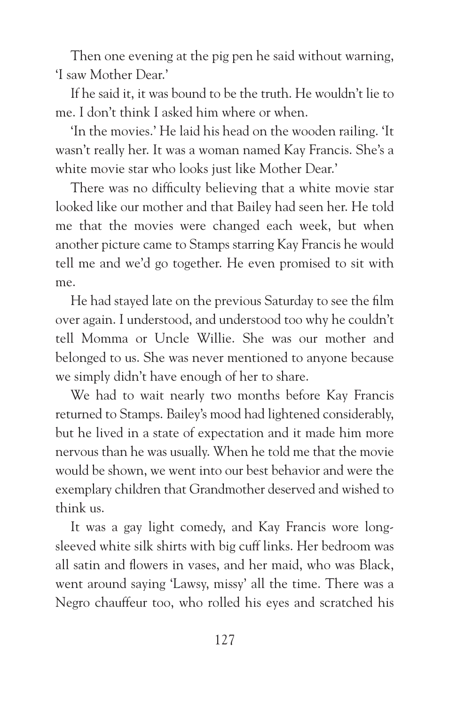Then one evening at the pig pen he said without warning, 'I saw Mother Dear.'

If he said it, it was bound to be the truth. He wouldn't lie to me. I don't think I asked him where or when.

'In the movies.' He laid his head on the wooden railing. 'It wasn't really her. It was a woman named Kay Francis. She's a white movie star who looks just like Mother Dear.'

There was no difficulty believing that a white movie star looked like our mother and that Bailey had seen her. He told me that the movies were changed each week, but when another picture came to Stamps starring Kay Francis he would tell me and we'd go together. He even promised to sit with me.

He had stayed late on the previous Saturday to see the film over again. I understood, and understood too why he couldn't tell Momma or Uncle Willie. She was our mother and belonged to us. She was never mentioned to anyone because we simply didn't have enough of her to share.

We had to wait nearly two months before Kay Francis returned to Stamps. Bailey's mood had lightened considerably, but he lived in a state of expectation and it made him more nervous than he was usually. When he told me that the movie would be shown, we went into our best behavior and were the exemplary children that Grandmother deserved and wished to think us.

It was a gay light comedy, and Kay Francis wore longsleeved white silk shirts with big cuff links. Her bedroom was all satin and flowers in vases, and her maid, who was Black, went around saying 'Lawsy, missy' all the time. There was a Negro chauffeur too, who rolled his eyes and scratched his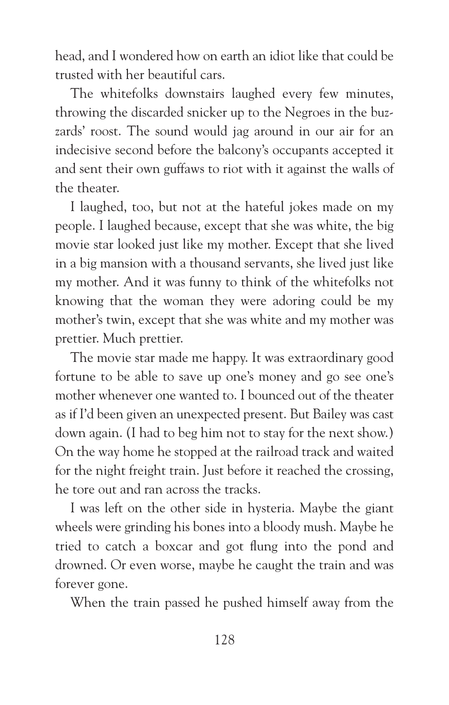head, and I wondered how on earth an idiot like that could be trusted with her beautiful cars.

The whitefolks downstairs laughed every few minutes, throwing the discarded snicker up to the Negroes in the buzzards' roost. The sound would jag around in our air for an indecisive second before the balcony's occupants accepted it and sent their own guffaws to riot with it against the walls of the theater.

I laughed, too, but not at the hateful jokes made on my people. I laughed because, except that she was white, the big movie star looked just like my mother. Except that she lived in a big mansion with a thousand servants, she lived just like my mother. And it was funny to think of the whitefolks not knowing that the woman they were adoring could be my mother's twin, except that she was white and my mother was prettier. Much prettier.

The movie star made me happy. It was extraordinary good fortune to be able to save up one's money and go see one's mother whenever one wanted to. I bounced out of the theater as if I'd been given an unexpected present. But Bailey was cast down again. (I had to beg him not to stay for the next show.) On the way home he stopped at the railroad track and waited for the night freight train. Just before it reached the crossing, he tore out and ran across the tracks.

I was left on the other side in hysteria. Maybe the giant wheels were grinding his bones into a bloody mush. Maybe he tried to catch a boxcar and got flung into the pond and drowned. Or even worse, maybe he caught the train and was forever gone.

When the train passed he pushed himself away from the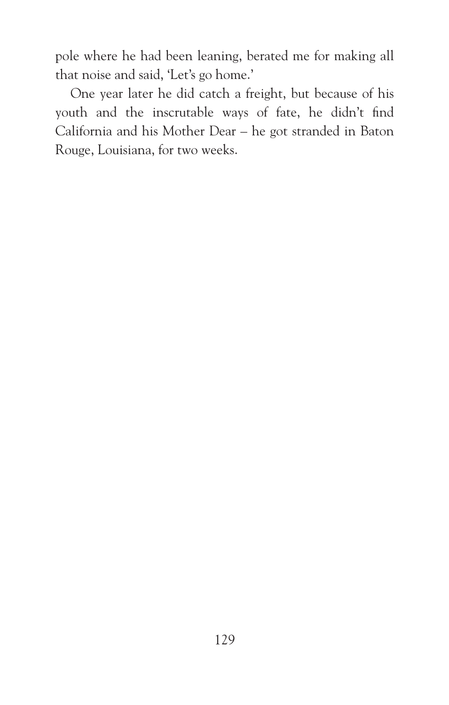pole where he had been leaning, berated me for making all that noise and said, 'Let's go home.'

One year later he did catch a freight, but because of his youth and the inscrutable ways of fate, he didn't find California and his Mother Dear – he got stranded in Baton Rouge, Louisiana, for two weeks.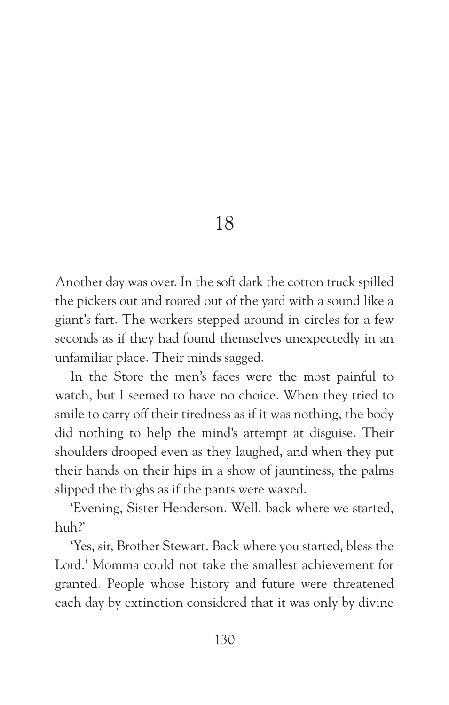18

Another day was over. In the soft dark the cotton truck spilled the pickers out and roared out of the yard with a sound like a giant's fart. The workers stepped around in circles for a few seconds as if they had found themselves unexpectedly in an unfamiliar place. Their minds sagged.

In the Store the men's faces were the most painful to watch, but I seemed to have no choice. When they tried to smile to carry off their tiredness as if it was nothing, the body did nothing to help the mind's attempt at disguise. Their shoulders drooped even as they laughed, and when they put their hands on their hips in a show of jauntiness, the palms slipped the thighs as if the pants were waxed.

'Evening, Sister Henderson. Well, back where we started, huh?'

'Yes, sir, Brother Stewart. Back where you started, bless the Lord.' Momma could not take the smallest achievement for granted. People whose history and future were threatened each day by extinction considered that it was only by divine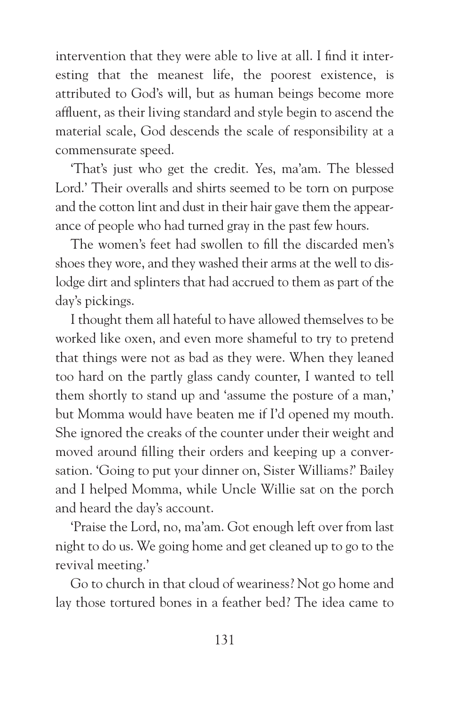intervention that they were able to live at all. I find it interesting that the meanest life, the poorest existence, is attributed to God's will, but as human beings become more affluent, as their living standard and style begin to ascend the material scale, God descends the scale of responsibility at a commensurate speed.

'That's just who get the credit. Yes, ma'am. The blessed Lord.' Their overalls and shirts seemed to be torn on purpose and the cotton lint and dust in their hair gave them the appearance of people who had turned gray in the past few hours.

The women's feet had swollen to fill the discarded men's shoes they wore, and they washed their arms at the well to dislodge dirt and splinters that had accrued to them as part of the day's pickings.

I thought them all hateful to have allowed themselves to be worked like oxen, and even more shameful to try to pretend that things were not as bad as they were. When they leaned too hard on the partly glass candy counter, I wanted to tell them shortly to stand up and 'assume the posture of a man,' but Momma would have beaten me if I'd opened my mouth. She ignored the creaks of the counter under their weight and moved around filling their orders and keeping up a conversation. 'Going to put your dinner on, Sister Williams?' Bailey and I helped Momma, while Uncle Willie sat on the porch and heard the day's account.

'Praise the Lord, no, ma'am. Got enough left over from last night to do us. We going home and get cleaned up to go to the revival meeting.'

Go to church in that cloud of weariness? Not go home and lay those tortured bones in a feather bed? The idea came to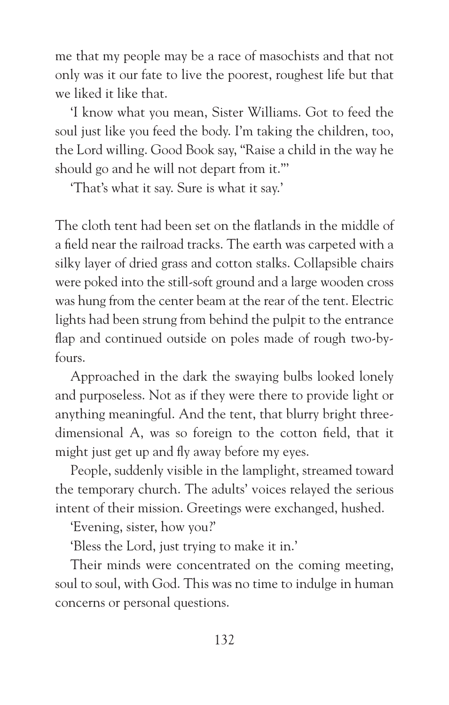me that my people may be a race of masochists and that not only was it our fate to live the poorest, roughest life but that we liked it like that.

'I know what you mean, Sister Williams. Got to feed the soul just like you feed the body. I'm taking the children, too, the Lord willing. Good Book say, "Raise a child in the way he should go and he will not depart from it."'

'That's what it say. Sure is what it say.'

The cloth tent had been set on the flatlands in the middle of a field near the railroad tracks. The earth was carpeted with a silky layer of dried grass and cotton stalks. Collapsible chairs were poked into the still-soft ground and a large wooden cross was hung from the center beam at the rear of the tent. Electric lights had been strung from behind the pulpit to the entrance flap and continued outside on poles made of rough two-byfours.

Approached in the dark the swaying bulbs looked lonely and purposeless. Not as if they were there to provide light or anything meaningful. And the tent, that blurry bright threedimensional A, was so foreign to the cotton field, that it might just get up and fly away before my eyes.

People, suddenly visible in the lamplight, streamed toward the temporary church. The adults' voices relayed the serious intent of their mission. Greetings were exchanged, hushed.

'Evening, sister, how you?'

'Bless the Lord, just trying to make it in.'

Their minds were concentrated on the coming meeting, soul to soul, with God. This was no time to indulge in human concerns or personal questions.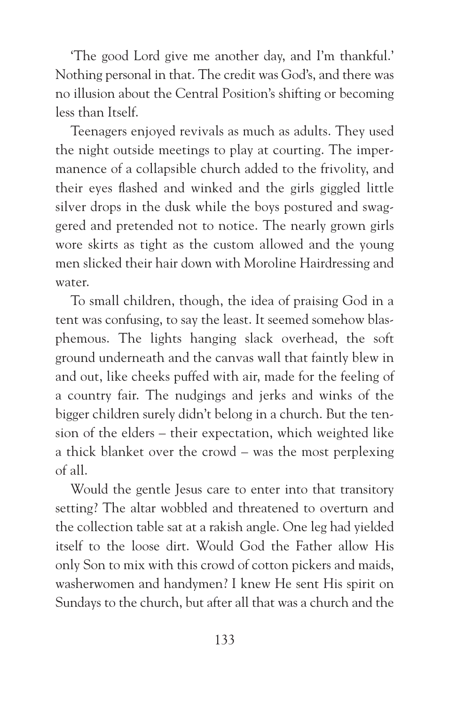'The good Lord give me another day, and I'm thankful.' Nothing personal in that. The credit was God's, and there was no illusion about the Central Position's shifting or becoming less than Itself.

Teenagers enjoyed revivals as much as adults. They used the night outside meetings to play at courting. The impermanence of a collapsible church added to the frivolity, and their eyes flashed and winked and the girls giggled little silver drops in the dusk while the boys postured and swaggered and pretended not to notice. The nearly grown girls wore skirts as tight as the custom allowed and the young men slicked their hair down with Moroline Hairdressing and water.

To small children, though, the idea of praising God in a tent was confusing, to say the least. It seemed somehow blasphemous. The lights hanging slack overhead, the soft ground underneath and the canvas wall that faintly blew in and out, like cheeks puffed with air, made for the feeling of a country fair. The nudgings and jerks and winks of the bigger children surely didn't belong in a church. But the tension of the elders – their expectation, which weighted like a thick blanket over the crowd – was the most perplexing of all.

Would the gentle Jesus care to enter into that transitory setting? The altar wobbled and threatened to overturn and the collection table sat at a rakish angle. One leg had yielded itself to the loose dirt. Would God the Father allow His only Son to mix with this crowd of cotton pickers and maids, washerwomen and handymen? I knew He sent His spirit on Sundays to the church, but after all that was a church and the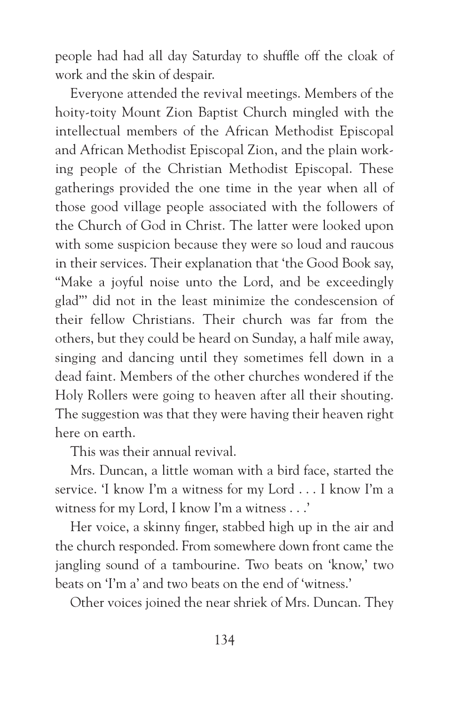people had had all day Saturday to shuffle off the cloak of work and the skin of despair.

Everyone attended the revival meetings. Members of the hoity-toity Mount Zion Baptist Church mingled with the intellectual members of the African Methodist Episcopal and African Methodist Episcopal Zion, and the plain working people of the Christian Methodist Episcopal. These gatherings provided the one time in the year when all of those good village people associated with the followers of the Church of God in Christ. The latter were looked upon with some suspicion because they were so loud and raucous in their services. Their explanation that 'the Good Book say, "Make a joyful noise unto the Lord, and be exceedingly glad"' did not in the least minimize the condescension of their fellow Christians. Their church was far from the others, but they could be heard on Sunday, a half mile away, singing and dancing until they sometimes fell down in a dead faint. Members of the other churches wondered if the Holy Rollers were going to heaven after all their shouting. The suggestion was that they were having their heaven right here on earth.

This was their annual revival.

Mrs. Duncan, a little woman with a bird face, started the service. 'I know I'm a witness for my Lord . . . I know I'm a witness for my Lord, I know I'm a witness . . .'

Her voice, a skinny finger, stabbed high up in the air and the church responded. From somewhere down front came the jangling sound of a tambourine. Two beats on 'know,' two beats on 'I'm a' and two beats on the end of 'witness.'

Other voices joined the near shriek of Mrs. Duncan. They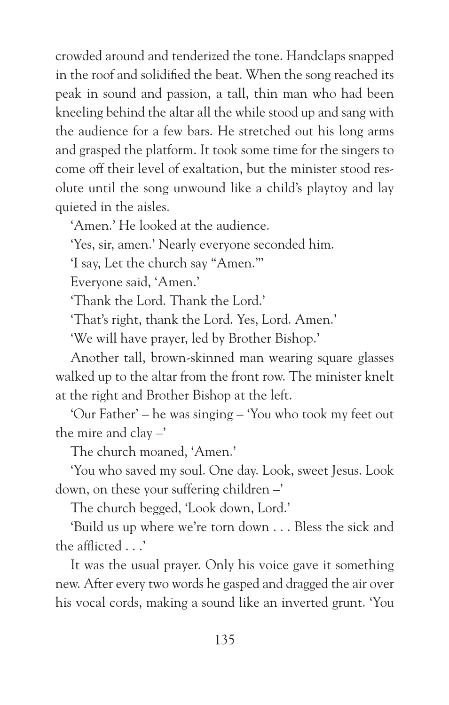crowded around and tenderized the tone. Handclaps snapped in the roof and solidified the beat. When the song reached its peak in sound and passion, a tall, thin man who had been kneeling behind the altar all the while stood up and sang with the audience for a few bars. He stretched out his long arms and grasped the platform. It took some time for the singers to come off their level of exaltation, but the minister stood resolute until the song unwound like a child's playtoy and lay quieted in the aisles.

'Amen.' He looked at the audience.

'Yes, sir, amen.' Nearly everyone seconded him.

'I say, Let the church say "Amen."'

Everyone said, 'Amen.'

'Thank the Lord. Thank the Lord.'

'That's right, thank the Lord. Yes, Lord. Amen.'

'We will have prayer, led by Brother Bishop.'

Another tall, brown-skinned man wearing square glasses walked up to the altar from the front row. The minister knelt at the right and Brother Bishop at the left.

'Our Father' – he was singing – 'You who took my feet out the mire and clay –'

The church moaned, 'Amen.'

'You who saved my soul. One day. Look, sweet Jesus. Look down, on these your suffering children –'

The church begged, 'Look down, Lord.'

'Build us up where we're torn down . . . Bless the sick and the afflicted . . .'

It was the usual prayer. Only his voice gave it something new. After every two words he gasped and dragged the air over his vocal cords, making a sound like an inverted grunt. 'You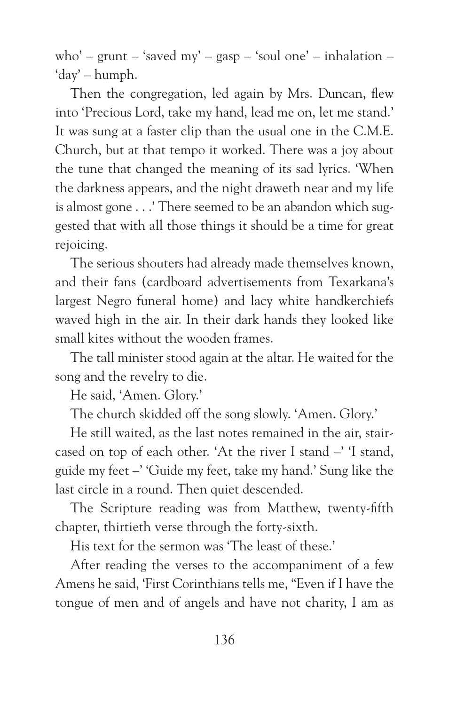who' – grunt – 'saved my' – gasp – 'soul one' – inhalation – 'day' – humph.

Then the congregation, led again by Mrs. Duncan, flew into 'Precious Lord, take my hand, lead me on, let me stand.' It was sung at a faster clip than the usual one in the C.M.E. Church, but at that tempo it worked. There was a joy about the tune that changed the meaning of its sad lyrics. 'When the darkness appears, and the night draweth near and my life is almost gone . . .' There seemed to be an abandon which suggested that with all those things it should be a time for great rejoicing.

The serious shouters had already made themselves known, and their fans (cardboard advertisements from Texarkana's largest Negro funeral home) and lacy white handkerchiefs waved high in the air. In their dark hands they looked like small kites without the wooden frames.

The tall minister stood again at the altar. He waited for the song and the revelry to die.

He said, 'Amen. Glory.'

The church skidded off the song slowly. 'Amen. Glory.'

He still waited, as the last notes remained in the air, staircased on top of each other. 'At the river I stand –' 'I stand, guide my feet –' 'Guide my feet, take my hand.' Sung like the last circle in a round. Then quiet descended.

The Scripture reading was from Matthew, twenty-fifth chapter, thirtieth verse through the forty-sixth.

His text for the sermon was 'The least of these.'

After reading the verses to the accompaniment of a few Amens he said, 'First Corinthians tells me, "Even if I have the tongue of men and of angels and have not charity, I am as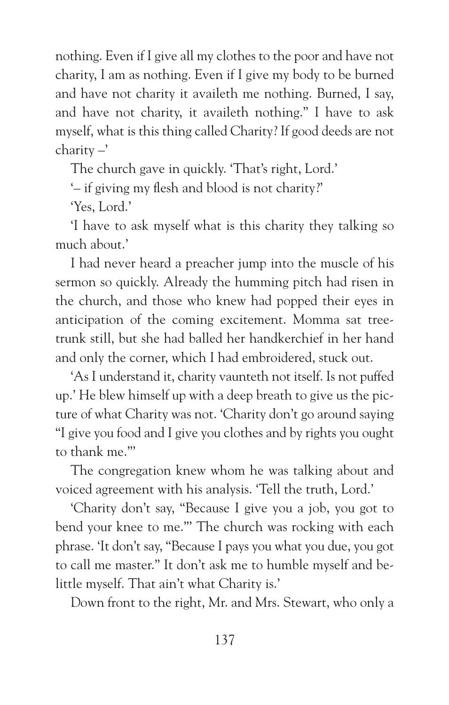nothing. Even if I give all my clothes to the poor and have not charity, I am as nothing. Even if I give my body to be burned and have not charity it availeth me nothing. Burned, I say, and have not charity, it availeth nothing." I have to ask myself, what is this thing called Charity? If good deeds are not charity –'

The church gave in quickly. 'That's right, Lord.'

'– if giving my flesh and blood is not charity?'

'Yes, Lord.'

'I have to ask myself what is this charity they talking so much about.'

I had never heard a preacher jump into the muscle of his sermon so quickly. Already the humming pitch had risen in the church, and those who knew had popped their eyes in anticipation of the coming excitement. Momma sat treetrunk still, but she had balled her handkerchief in her hand and only the corner, which I had embroidered, stuck out.

'As I understand it, charity vaunteth not itself. Is not puffed up.' He blew himself up with a deep breath to give us the picture of what Charity was not. 'Charity don't go around saying "I give you food and I give you clothes and by rights you ought to thank me."'

The congregation knew whom he was talking about and voiced agreement with his analysis. 'Tell the truth, Lord.'

'Charity don't say, "Because I give you a job, you got to bend your knee to me."' The church was rocking with each phrase. 'It don't say, "Because I pays you what you due, you got to call me master." It don't ask me to humble myself and belittle myself. That ain't what Charity is.'

Down front to the right, Mr. and Mrs. Stewart, who only a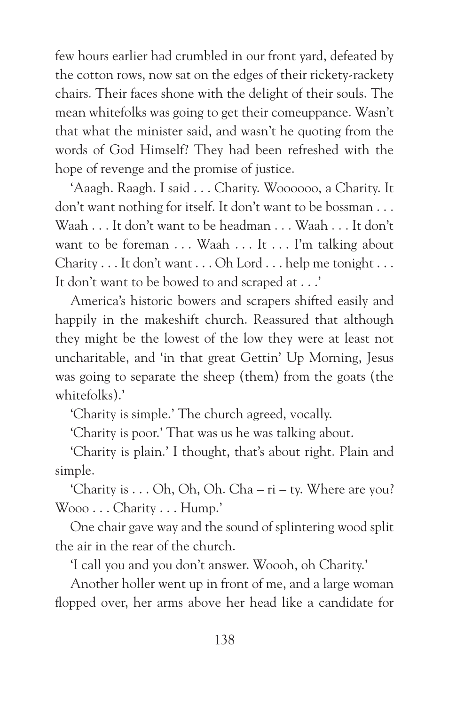few hours earlier had crumbled in our front yard, defeated by the cotton rows, now sat on the edges of their rickety-rackety chairs. Their faces shone with the delight of their souls. The mean whitefolks was going to get their comeuppance. Wasn't that what the minister said, and wasn't he quoting from the words of God Himself? They had been refreshed with the hope of revenge and the promise of justice.

'Aaagh. Raagh. I said . . . Charity. Woooooo, a Charity. It don't want nothing for itself. It don't want to be bossman . . . Waah . . . It don't want to be headman . . . Waah . . . It don't want to be foreman . . . Waah . . . It . . . I'm talking about Charity . . . It don't want . . . Oh Lord . . . help me tonight . . . It don't want to be bowed to and scraped at . . .'

America's historic bowers and scrapers shifted easily and happily in the makeshift church. Reassured that although they might be the lowest of the low they were at least not uncharitable, and 'in that great Gettin' Up Morning, Jesus was going to separate the sheep (them) from the goats (the whitefolks).'

'Charity is simple.' The church agreed, vocally.

'Charity is poor.' That was us he was talking about.

'Charity is plain.' I thought, that's about right. Plain and simple.

'Charity is  $\dots$  Oh, Oh, Oh. Cha – ri – ty. Where are you? Wooo . . . Charity . . . Hump.'

One chair gave way and the sound of splintering wood split the air in the rear of the church.

'I call you and you don't answer. Woooh, oh Charity.'

Another holler went up in front of me, and a large woman flopped over, her arms above her head like a candidate for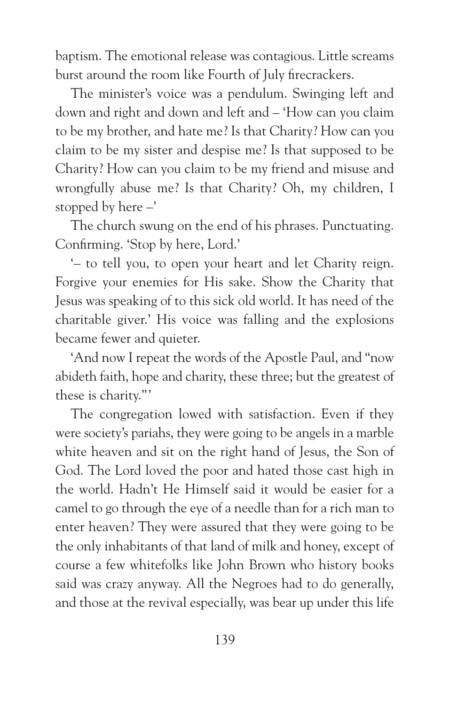baptism. The emotional release was contagious. Little screams burst around the room like Fourth of July firecrackers.

The minister's voice was a pendulum. Swinging left and down and right and down and left and – 'How can you claim to be my brother, and hate me? Is that Charity? How can you claim to be my sister and despise me? Is that supposed to be Charity? How can you claim to be my friend and misuse and wrongfully abuse me? Is that Charity? Oh, my children, I stopped by here –'

The church swung on the end of his phrases. Punctuating. Confirming. 'Stop by here, Lord.'

'– to tell you, to open your heart and let Charity reign. Forgive your enemies for His sake. Show the Charity that Jesus was speaking of to this sick old world. It has need of the charitable giver.' His voice was falling and the explosions became fewer and quieter.

'And now I repeat the words of the Apostle Paul, and "now abideth faith, hope and charity, these three; but the greatest of these is charity."'

The congregation lowed with satisfaction. Even if they were society's pariahs, they were going to be angels in a marble white heaven and sit on the right hand of Jesus, the Son of God. The Lord loved the poor and hated those cast high in the world. Hadn't He Himself said it would be easier for a camel to go through the eye of a needle than for a rich man to enter heaven? They were assured that they were going to be the only inhabitants of that land of milk and honey, except of course a few whitefolks like John Brown who history books said was crazy anyway. All the Negroes had to do generally, and those at the revival especially, was bear up under this life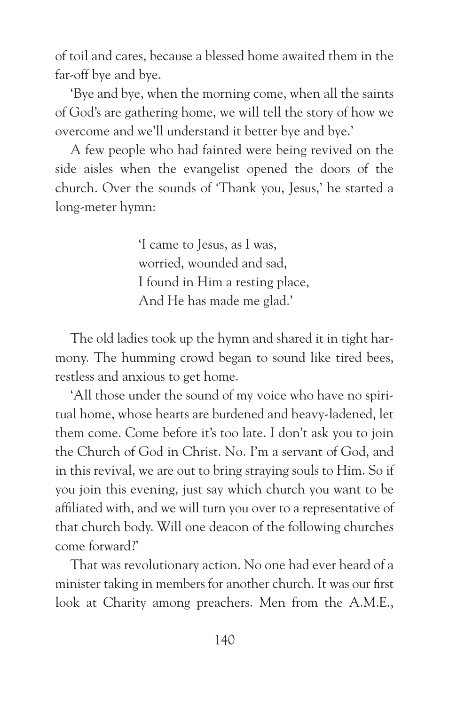of toil and cares, because a blessed home awaited them in the far-off bye and bye.

'Bye and bye, when the morning come, when all the saints of God's are gathering home, we will tell the story of how we overcome and we'll understand it better bye and bye.'

A few people who had fainted were being revived on the side aisles when the evangelist opened the doors of the church. Over the sounds of 'Thank you, Jesus,' he started a long-meter hymn:

> 'I came to Jesus, as I was, worried, wounded and sad, I found in Him a resting place, And He has made me glad.'

The old ladies took up the hymn and shared it in tight harmony. The humming crowd began to sound like tired bees, restless and anxious to get home.

'All those under the sound of my voice who have no spiritual home, whose hearts are burdened and heavy-ladened, let them come. Come before it's too late. I don't ask you to join the Church of God in Christ. No. I'm a servant of God, and in this revival, we are out to bring straying souls to Him. So if you join this evening, just say which church you want to be affiliated with, and we will turn you over to a representative of that church body. Will one deacon of the following churches come forward?'

That was revolutionary action. No one had ever heard of a minister taking in members for another church. It was our first look at Charity among preachers. Men from the A.M.E.,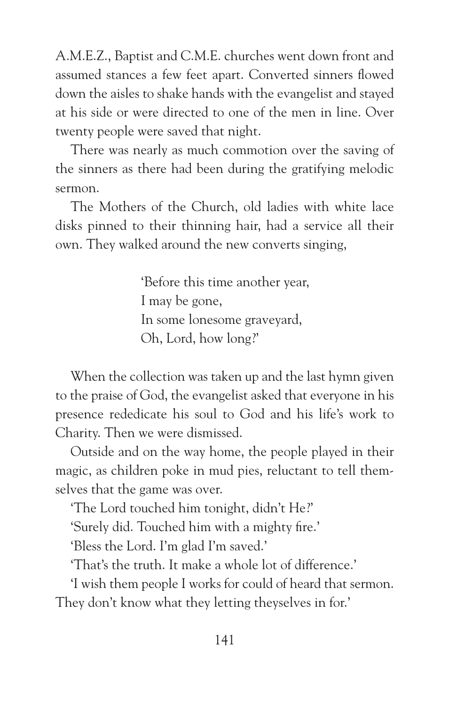A.M.E.Z., Baptist and C.M.E. churches went down front and assumed stances a few feet apart. Converted sinners flowed down the aisles to shake hands with the evangelist and stayed at his side or were directed to one of the men in line. Over twenty people were saved that night.

There was nearly as much commotion over the saving of the sinners as there had been during the gratifying melodic sermon.

The Mothers of the Church, old ladies with white lace disks pinned to their thinning hair, had a service all their own. They walked around the new converts singing,

> 'Before this time another year, I may be gone, In some lonesome graveyard, Oh, Lord, how long?'

When the collection was taken up and the last hymn given to the praise of God, the evangelist asked that everyone in his presence rededicate his soul to God and his life's work to Charity. Then we were dismissed.

Outside and on the way home, the people played in their magic, as children poke in mud pies, reluctant to tell themselves that the game was over.

'The Lord touched him tonight, didn't He?'

'Surely did. Touched him with a mighty fire.'

'Bless the Lord. I'm glad I'm saved.'

'That's the truth. It make a whole lot of difference.'

'I wish them people I works for could of heard that sermon. They don't know what they letting theyselves in for.'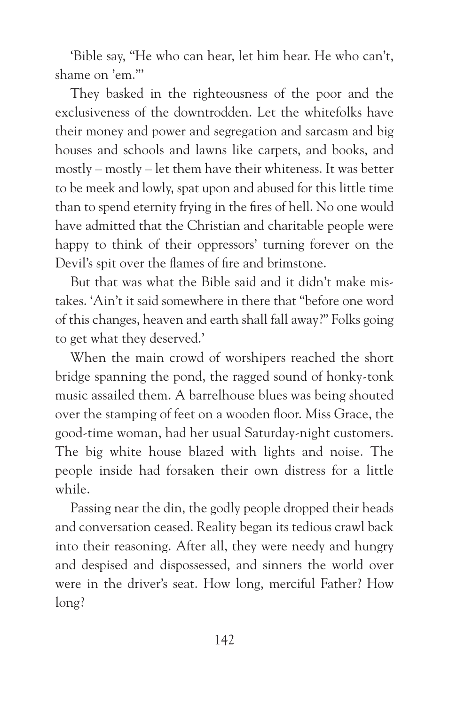'Bible say, "He who can hear, let him hear. He who can't, shame on 'em."'

They basked in the righteousness of the poor and the exclusiveness of the downtrodden. Let the whitefolks have their money and power and segregation and sarcasm and big houses and schools and lawns like carpets, and books, and mostly – mostly – let them have their whiteness. It was better to be meek and lowly, spat upon and abused for this little time than to spend eternity frying in the fires of hell. No one would have admitted that the Christian and charitable people were happy to think of their oppressors' turning forever on the Devil's spit over the flames of fire and brimstone.

But that was what the Bible said and it didn't make mistakes. 'Ain't it said somewhere in there that "before one word of this changes, heaven and earth shall fall away?" Folks going to get what they deserved.'

When the main crowd of worshipers reached the short bridge spanning the pond, the ragged sound of honky-tonk music assailed them. A barrelhouse blues was being shouted over the stamping of feet on a wooden floor. Miss Grace, the good-time woman, had her usual Saturday-night customers. The big white house blazed with lights and noise. The people inside had forsaken their own distress for a little while.

Passing near the din, the godly people dropped their heads and conversation ceased. Reality began its tedious crawl back into their reasoning. After all, they were needy and hungry and despised and dispossessed, and sinners the world over were in the driver's seat. How long, merciful Father? How long?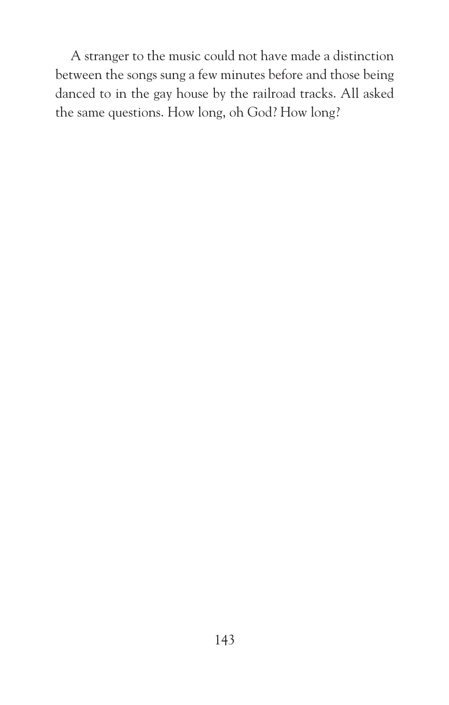A stranger to the music could not have made a distinction between the songs sung a few minutes before and those being danced to in the gay house by the railroad tracks. All asked the same questions. How long, oh God? How long?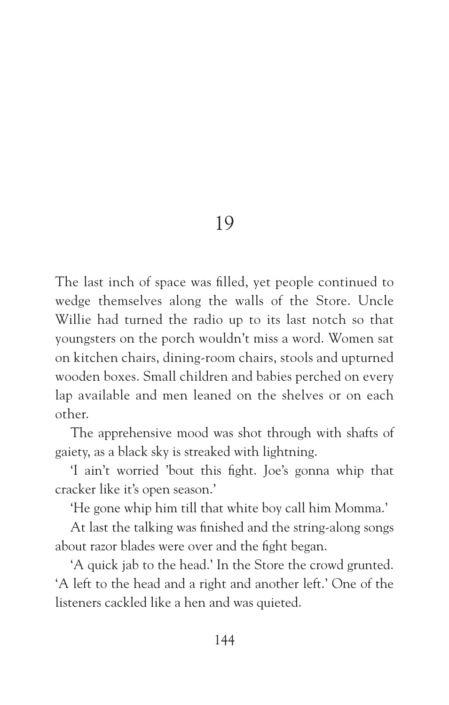19

The last inch of space was filled, yet people continued to wedge themselves along the walls of the Store. Uncle Willie had turned the radio up to its last notch so that youngsters on the porch wouldn't miss a word. Women sat on kitchen chairs, dining-room chairs, stools and upturned wooden boxes. Small children and babies perched on every lap available and men leaned on the shelves or on each other.

The apprehensive mood was shot through with shafts of gaiety, as a black sky is streaked with lightning.

'I ain't worried 'bout this fight. Joe's gonna whip that cracker like it's open season.'

'He gone whip him till that white boy call him Momma.'

At last the talking was finished and the string-along songs about razor blades were over and the fight began.

'A quick jab to the head.' In the Store the crowd grunted. 'A left to the head and a right and another left.' One of the listeners cackled like a hen and was quieted.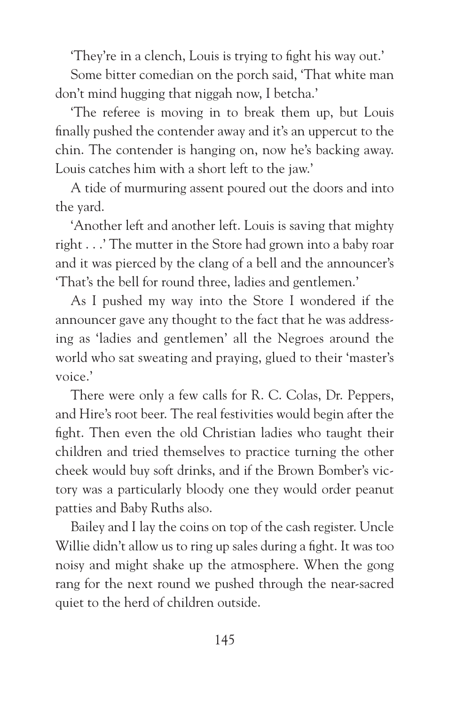'They're in a clench, Louis is trying to fight his way out.'

Some bitter comedian on the porch said, 'That white man don't mind hugging that niggah now, I betcha.'

'The referee is moving in to break them up, but Louis finally pushed the contender away and it's an uppercut to the chin. The contender is hanging on, now he's backing away. Louis catches him with a short left to the jaw.'

A tide of murmuring assent poured out the doors and into the yard.

'Another left and another left. Louis is saving that mighty right . . .' The mutter in the Store had grown into a baby roar and it was pierced by the clang of a bell and the announcer's 'That's the bell for round three, ladies and gentlemen.'

As I pushed my way into the Store I wondered if the announcer gave any thought to the fact that he was addressing as 'ladies and gentlemen' all the Negroes around the world who sat sweating and praying, glued to their 'master's voice.'

There were only a few calls for R. C. Colas, Dr. Peppers, and Hire's root beer. The real festivities would begin after the fight. Then even the old Christian ladies who taught their children and tried themselves to practice turning the other cheek would buy soft drinks, and if the Brown Bomber's victory was a particularly bloody one they would order peanut patties and Baby Ruths also.

Bailey and I lay the coins on top of the cash register. Uncle Willie didn't allow us to ring up sales during a fight. It was too noisy and might shake up the atmosphere. When the gong rang for the next round we pushed through the near-sacred quiet to the herd of children outside.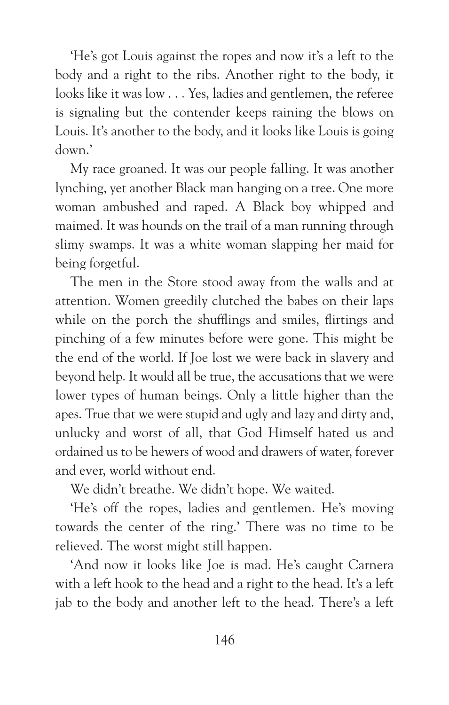'He's got Louis against the ropes and now it's a left to the body and a right to the ribs. Another right to the body, it looks like it was low . . . Yes, ladies and gentlemen, the referee is signaling but the contender keeps raining the blows on Louis. It's another to the body, and it looks like Louis is going down.'

My race groaned. It was our people falling. It was another lynching, yet another Black man hanging on a tree. One more woman ambushed and raped. A Black boy whipped and maimed. It was hounds on the trail of a man running through slimy swamps. It was a white woman slapping her maid for being forgetful.

The men in the Store stood away from the walls and at attention. Women greedily clutched the babes on their laps while on the porch the shufflings and smiles, flirtings and pinching of a few minutes before were gone. This might be the end of the world. If Joe lost we were back in slavery and beyond help. It would all be true, the accusations that we were lower types of human beings. Only a little higher than the apes. True that we were stupid and ugly and lazy and dirty and, unlucky and worst of all, that God Himself hated us and ordained us to be hewers of wood and drawers of water, forever and ever, world without end.

We didn't breathe. We didn't hope. We waited.

'He's off the ropes, ladies and gentlemen. He's moving towards the center of the ring.' There was no time to be relieved. The worst might still happen.

'And now it looks like Joe is mad. He's caught Carnera with a left hook to the head and a right to the head. It's a left jab to the body and another left to the head. There's a left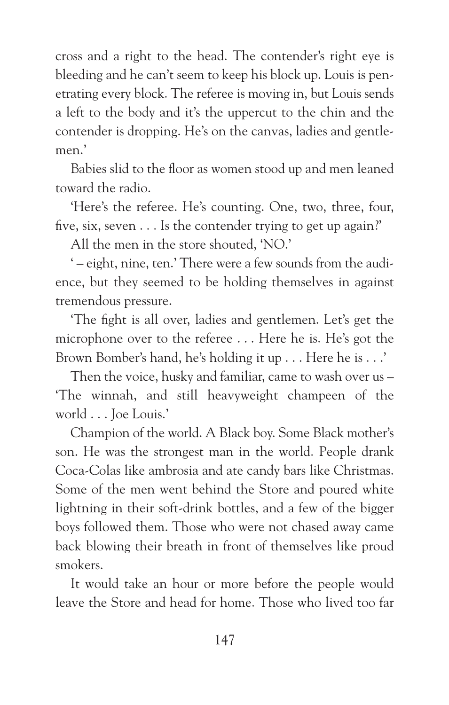cross and a right to the head. The contender's right eye is bleeding and he can't seem to keep his block up. Louis is penetrating every block. The referee is moving in, but Louis sends a left to the body and it's the uppercut to the chin and the contender is dropping. He's on the canvas, ladies and gentlemen.'

Babies slid to the floor as women stood up and men leaned toward the radio.

'Here's the referee. He's counting. One, two, three, four, five, six, seven  $\dots$  Is the contender trying to get up again?'

All the men in the store shouted, 'NO.'

' – eight, nine, ten.' There were a few sounds from the audience, but they seemed to be holding themselves in against tremendous pressure.

'The fight is all over, ladies and gentlemen. Let's get the microphone over to the referee . . . Here he is. He's got the Brown Bomber's hand, he's holding it up . . . Here he is . . .'

Then the voice, husky and familiar, came to wash over us – 'The winnah, and still heavyweight champeen of the world . . . Joe Louis.'

Champion of the world. A Black boy. Some Black mother's son. He was the strongest man in the world. People drank Coca-Colas like ambrosia and ate candy bars like Christmas. Some of the men went behind the Store and poured white lightning in their soft-drink bottles, and a few of the bigger boys followed them. Those who were not chased away came back blowing their breath in front of themselves like proud smokers.

It would take an hour or more before the people would leave the Store and head for home. Those who lived too far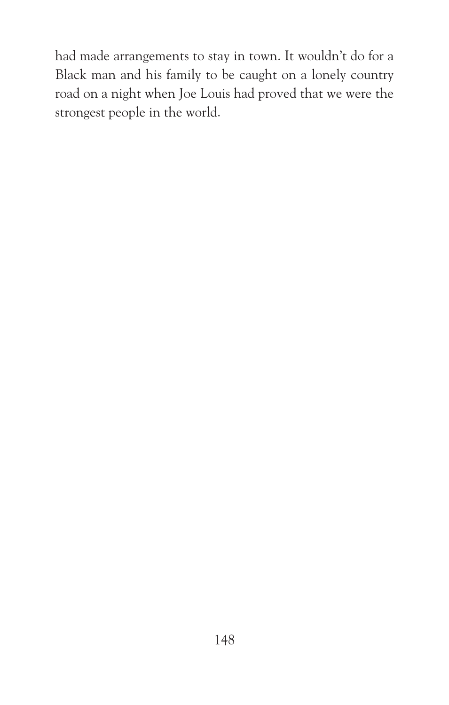had made arrangements to stay in town. It wouldn't do for a Black man and his family to be caught on a lonely country road on a night when Joe Louis had proved that we were the strongest people in the world.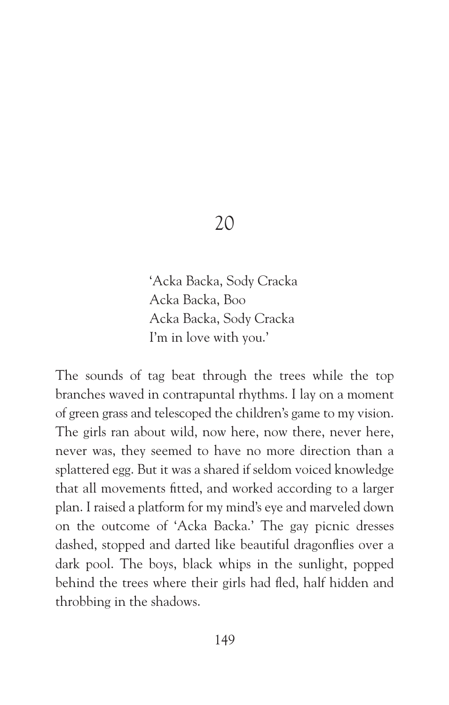## $20$

'Acka Backa, Sody Cracka Acka Backa, Boo Acka Backa, Sody Cracka I'm in love with you.'

The sounds of tag beat through the trees while the top branches waved in contrapuntal rhythms. I lay on a moment of green grass and telescoped the children's game to my vision. The girls ran about wild, now here, now there, never here, never was, they seemed to have no more direction than a splattered egg. But it was a shared if seldom voiced knowledge that all movements fitted, and worked according to a larger plan. I raised a platform for my mind's eye and marveled down on the outcome of 'Acka Backa.' The gay picnic dresses dashed, stopped and darted like beautiful dragonflies over a dark pool. The boys, black whips in the sunlight, popped behind the trees where their girls had fled, half hidden and throbbing in the shadows.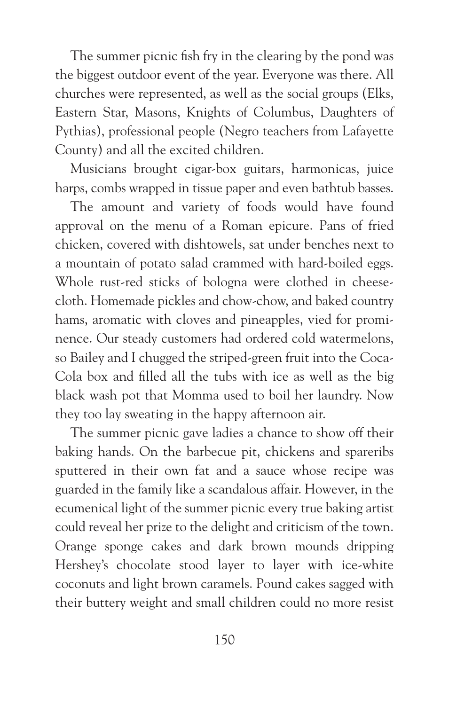The summer picnic fish fry in the clearing by the pond was the biggest outdoor event of the year. Everyone was there. All churches were represented, as well as the social groups (Elks, Eastern Star, Masons, Knights of Columbus, Daughters of Pythias), professional people (Negro teachers from Lafayette County) and all the excited children.

Musicians brought cigar-box guitars, harmonicas, juice harps, combs wrapped in tissue paper and even bathtub basses.

The amount and variety of foods would have found approval on the menu of a Roman epicure. Pans of fried chicken, covered with dishtowels, sat under benches next to a mountain of potato salad crammed with hard-boiled eggs. Whole rust-red sticks of bologna were clothed in cheesecloth. Homemade pickles and chow-chow, and baked country hams, aromatic with cloves and pineapples, vied for prominence. Our steady customers had ordered cold watermelons, so Bailey and I chugged the striped-green fruit into the Coca-Cola box and filled all the tubs with ice as well as the big black wash pot that Momma used to boil her laundry. Now they too lay sweating in the happy afternoon air.

The summer picnic gave ladies a chance to show off their baking hands. On the barbecue pit, chickens and spareribs sputtered in their own fat and a sauce whose recipe was guarded in the family like a scandalous affair. However, in the ecumenical light of the summer picnic every true baking artist could reveal her prize to the delight and criticism of the town. Orange sponge cakes and dark brown mounds dripping Hershey's chocolate stood layer to layer with ice-white coconuts and light brown caramels. Pound cakes sagged with their buttery weight and small children could no more resist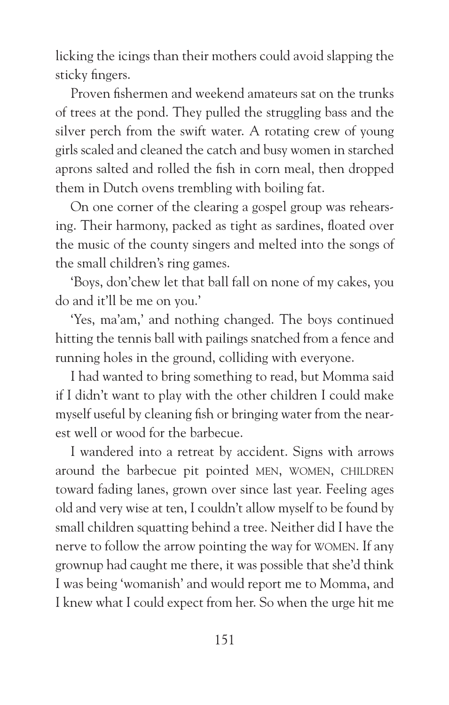licking the icings than their mothers could avoid slapping the sticky fingers.

Proven fishermen and weekend amateurs sat on the trunks of trees at the pond. They pulled the struggling bass and the silver perch from the swift water. A rotating crew of young girls scaled and cleaned the catch and busy women in starched aprons salted and rolled the fish in corn meal, then dropped them in Dutch ovens trembling with boiling fat.

On one corner of the clearing a gospel group was rehearsing. Their harmony, packed as tight as sardines, floated over the music of the county singers and melted into the songs of the small children's ring games.

'Boys, don'chew let that ball fall on none of my cakes, you do and it'll be me on you.'

'Yes, ma'am,' and nothing changed. The boys continued hitting the tennis ball with pailings snatched from a fence and running holes in the ground, colliding with everyone.

I had wanted to bring something to read, but Momma said if I didn't want to play with the other children I could make myself useful by cleaning fish or bringing water from the nearest well or wood for the barbecue.

I wandered into a retreat by accident. Signs with arrows around the barbecue pit pointed MEN, WOMEN, CHILDREN toward fading lanes, grown over since last year. Feeling ages old and very wise at ten, I couldn't allow myself to be found by small children squatting behind a tree. Neither did I have the nerve to follow the arrow pointing the way for WOMEN. If any grownup had caught me there, it was possible that she'd think I was being 'womanish' and would report me to Momma, and I knew what I could expect from her. So when the urge hit me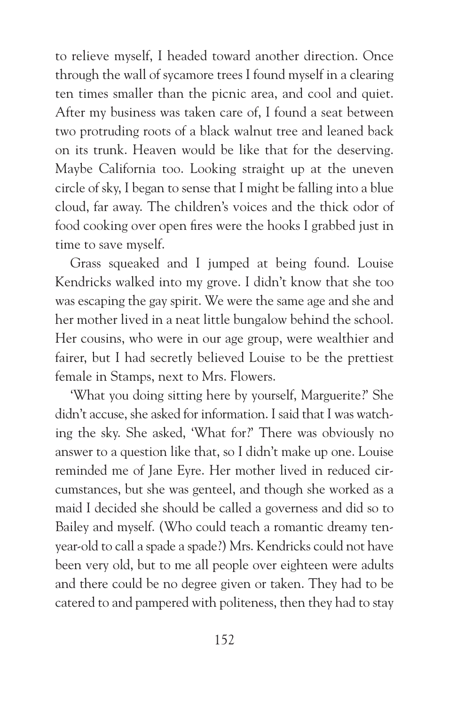to relieve myself, I headed toward another direction. Once through the wall of sycamore trees I found myself in a clearing ten times smaller than the picnic area, and cool and quiet. After my business was taken care of, I found a seat between two protruding roots of a black walnut tree and leaned back on its trunk. Heaven would be like that for the deserving. Maybe California too. Looking straight up at the uneven circle of sky, I began to sense that I might be falling into a blue cloud, far away. The children's voices and the thick odor of food cooking over open fires were the hooks I grabbed just in time to save myself.

Grass squeaked and I jumped at being found. Louise Kendricks walked into my grove. I didn't know that she too was escaping the gay spirit. We were the same age and she and her mother lived in a neat little bungalow behind the school. Her cousins, who were in our age group, were wealthier and fairer, but I had secretly believed Louise to be the prettiest female in Stamps, next to Mrs. Flowers.

'What you doing sitting here by yourself, Marguerite?' She didn't accuse, she asked for information. I said that I was watching the sky. She asked, 'What for?' There was obviously no answer to a question like that, so I didn't make up one. Louise reminded me of Jane Eyre. Her mother lived in reduced circumstances, but she was genteel, and though she worked as a maid I decided she should be called a governess and did so to Bailey and myself. (Who could teach a romantic dreamy tenyear-old to call a spade a spade?) Mrs. Kendricks could not have been very old, but to me all people over eighteen were adults and there could be no degree given or taken. They had to be catered to and pampered with politeness, then they had to stay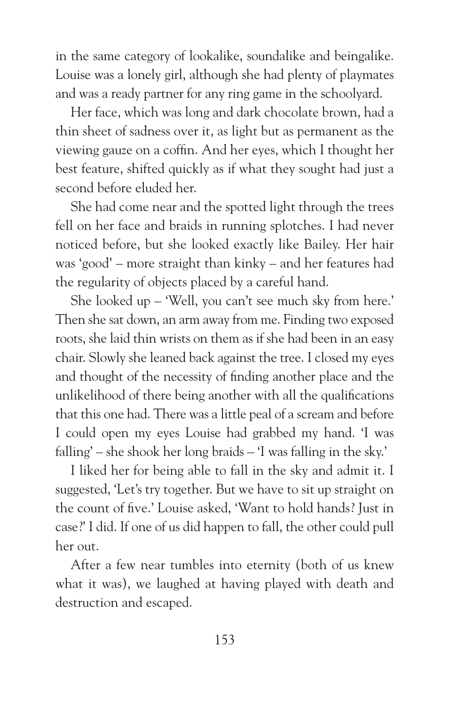in the same category of lookalike, soundalike and beingalike. Louise was a lonely girl, although she had plenty of playmates and was a ready partner for any ring game in the schoolyard.

Her face, which was long and dark chocolate brown, had a thin sheet of sadness over it, as light but as permanent as the viewing gauze on a coffin. And her eyes, which I thought her best feature, shifted quickly as if what they sought had just a second before eluded her.

She had come near and the spotted light through the trees fell on her face and braids in running splotches. I had never noticed before, but she looked exactly like Bailey. Her hair was 'good' – more straight than kinky – and her features had the regularity of objects placed by a careful hand.

She looked up – 'Well, you can't see much sky from here.' Then she sat down, an arm away from me. Finding two exposed roots, she laid thin wrists on them as if she had been in an easy chair. Slowly she leaned back against the tree. I closed my eyes and thought of the necessity of finding another place and the unlikelihood of there being another with all the qualifications that this one had. There was a little peal of a scream and before I could open my eyes Louise had grabbed my hand. 'I was falling' – she shook her long braids – 'I was falling in the sky.'

I liked her for being able to fall in the sky and admit it. I suggested, 'Let's try together. But we have to sit up straight on the count of five.' Louise asked, 'Want to hold hands? Just in case?' I did. If one of us did happen to fall, the other could pull her out.

After a few near tumbles into eternity (both of us knew what it was), we laughed at having played with death and destruction and escaped.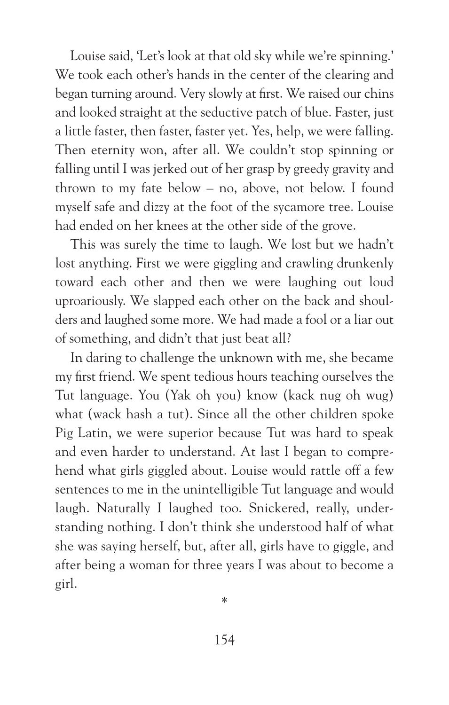Louise said, 'Let's look at that old sky while we're spinning.' We took each other's hands in the center of the clearing and began turning around. Very slowly at first. We raised our chins and looked straight at the seductive patch of blue. Faster, just a little faster, then faster, faster yet. Yes, help, we were falling. Then eternity won, after all. We couldn't stop spinning or falling until I was jerked out of her grasp by greedy gravity and thrown to my fate below – no, above, not below. I found myself safe and dizzy at the foot of the sycamore tree. Louise had ended on her knees at the other side of the grove.

This was surely the time to laugh. We lost but we hadn't lost anything. First we were giggling and crawling drunkenly toward each other and then we were laughing out loud uproariously. We slapped each other on the back and shoulders and laughed some more. We had made a fool or a liar out of something, and didn't that just beat all?

In daring to challenge the unknown with me, she became my first friend. We spent tedious hours teaching ourselves the Tut language. You (Yak oh you) know (kack nug oh wug) what (wack hash a tut). Since all the other children spoke Pig Latin, we were superior because Tut was hard to speak and even harder to understand. At last I began to comprehend what girls giggled about. Louise would rattle off a few sentences to me in the unintelligible Tut language and would laugh. Naturally I laughed too. Snickered, really, understanding nothing. I don't think she understood half of what she was saying herself, but, after all, girls have to giggle, and after being a woman for three years I was about to become a girl.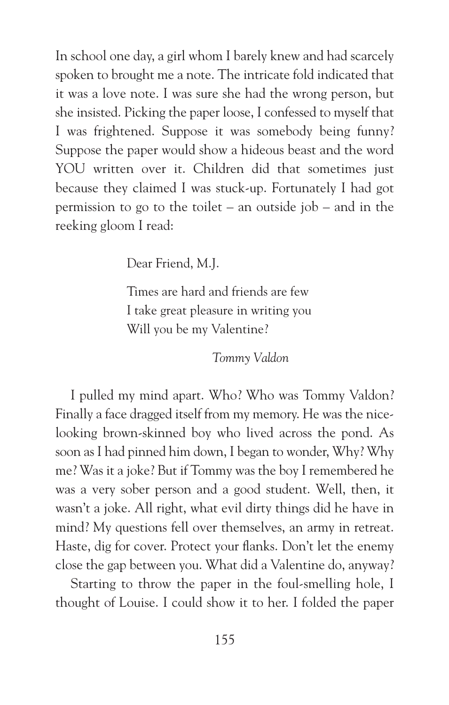In school one day, a girl whom I barely knew and had scarcely spoken to brought me a note. The intricate fold indicated that it was a love note. I was sure she had the wrong person, but she insisted. Picking the paper loose, I confessed to myself that I was frightened. Suppose it was somebody being funny? Suppose the paper would show a hideous beast and the word YOU written over it. Children did that sometimes just because they claimed I was stuck-up. Fortunately I had got permission to go to the toilet – an outside job – and in the reeking gloom I read:

Dear Friend, M.J.

Times are hard and friends are few I take great pleasure in writing you Will you be my Valentine?

*Tommy Valdon*

I pulled my mind apart. Who? Who was Tommy Valdon? Finally a face dragged itself from my memory. He was the nicelooking brown-skinned boy who lived across the pond. As soon as I had pinned him down, I began to wonder, Why? Why me? Was it a joke? But if Tommy was the boy I remembered he was a very sober person and a good student. Well, then, it wasn't a joke. All right, what evil dirty things did he have in mind? My questions fell over themselves, an army in retreat. Haste, dig for cover. Protect your flanks. Don't let the enemy close the gap between you. What did a Valentine do, anyway?

Starting to throw the paper in the foul-smelling hole, I thought of Louise. I could show it to her. I folded the paper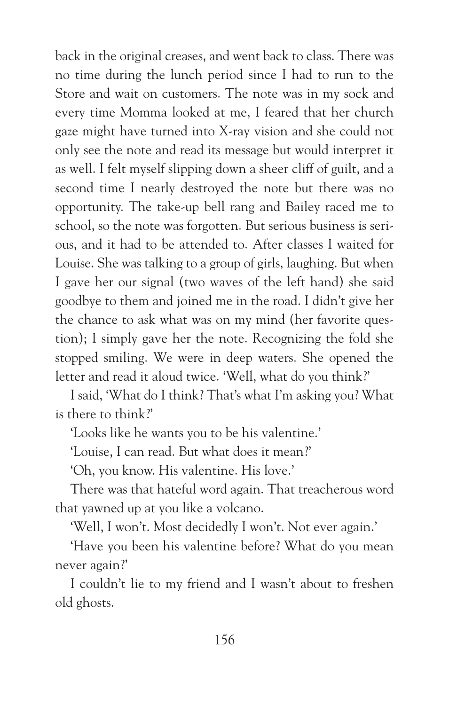back in the original creases, and went back to class. There was no time during the lunch period since I had to run to the Store and wait on customers. The note was in my sock and every time Momma looked at me, I feared that her church gaze might have turned into X-ray vision and she could not only see the note and read its message but would interpret it as well. I felt myself slipping down a sheer cliff of guilt, and a second time I nearly destroyed the note but there was no opportunity. The take-up bell rang and Bailey raced me to school, so the note was forgotten. But serious business is serious, and it had to be attended to. After classes I waited for Louise. She was talking to a group of girls, laughing. But when I gave her our signal (two waves of the left hand) she said goodbye to them and joined me in the road. I didn't give her the chance to ask what was on my mind (her favorite question); I simply gave her the note. Recognizing the fold she stopped smiling. We were in deep waters. She opened the letter and read it aloud twice. 'Well, what do you think?'

I said, 'What do I think? That's what I'm asking you? What is there to think?'

'Looks like he wants you to be his valentine.'

'Louise, I can read. But what does it mean?'

'Oh, you know. His valentine. His love.'

There was that hateful word again. That treacherous word that yawned up at you like a volcano.

'Well, I won't. Most decidedly I won't. Not ever again.'

'Have you been his valentine before? What do you mean never again?'

I couldn't lie to my friend and I wasn't about to freshen old ghosts.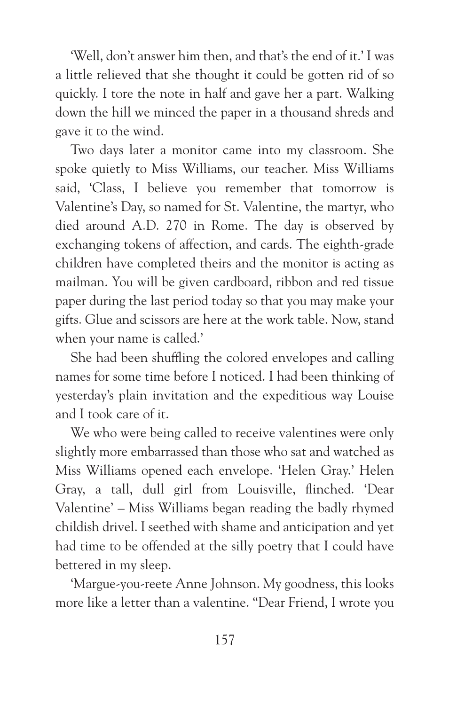'Well, don't answer him then, and that's the end of it.' I was a little relieved that she thought it could be gotten rid of so quickly. I tore the note in half and gave her a part. Walking down the hill we minced the paper in a thousand shreds and gave it to the wind.

Two days later a monitor came into my classroom. She spoke quietly to Miss Williams, our teacher. Miss Williams said, 'Class, I believe you remember that tomorrow is Valentine's Day, so named for St. Valentine, the martyr, who died around A.D. 270 in Rome. The day is observed by exchanging tokens of affection, and cards. The eighth-grade children have completed theirs and the monitor is acting as mailman. You will be given cardboard, ribbon and red tissue paper during the last period today so that you may make your gifts. Glue and scissors are here at the work table. Now, stand when your name is called.'

She had been shuffling the colored envelopes and calling names for some time before I noticed. I had been thinking of yesterday's plain invitation and the expeditious way Louise and I took care of it.

We who were being called to receive valentines were only slightly more embarrassed than those who sat and watched as Miss Williams opened each envelope. 'Helen Gray.' Helen Gray, a tall, dull girl from Louisville, flinched. 'Dear Valentine' – Miss Williams began reading the badly rhymed childish drivel. I seethed with shame and anticipation and yet had time to be offended at the silly poetry that I could have bettered in my sleep.

'Margue-you-reete Anne Johnson. My goodness, this looks more like a letter than a valentine. "Dear Friend, I wrote you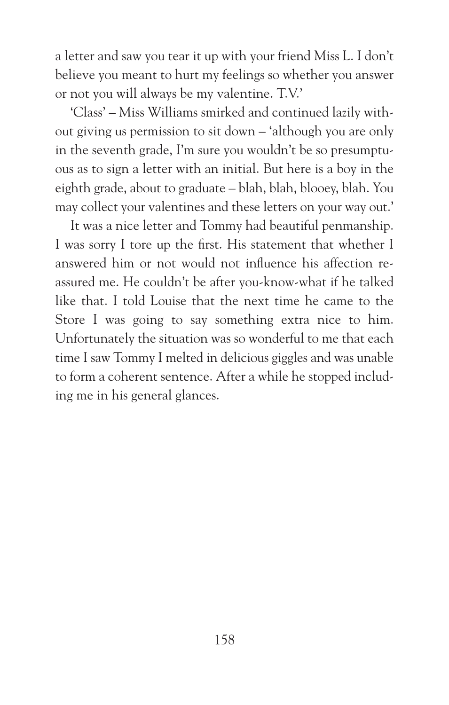a letter and saw you tear it up with your friend Miss L. I don't believe you meant to hurt my feelings so whether you answer or not you will always be my valentine. T.V.'

'Class' – Miss Williams smirked and continued lazily without giving us permission to sit down – 'although you are only in the seventh grade, I'm sure you wouldn't be so presumptuous as to sign a letter with an initial. But here is a boy in the eighth grade, about to graduate – blah, blah, blooey, blah. You may collect your valentines and these letters on your way out.'

It was a nice letter and Tommy had beautiful penmanship. I was sorry I tore up the first. His statement that whether I answered him or not would not influence his affection reassured me. He couldn't be after you-know-what if he talked like that. I told Louise that the next time he came to the Store I was going to say something extra nice to him. Unfortunately the situation was so wonderful to me that each time I saw Tommy I melted in delicious giggles and was unable to form a coherent sentence. After a while he stopped including me in his general glances.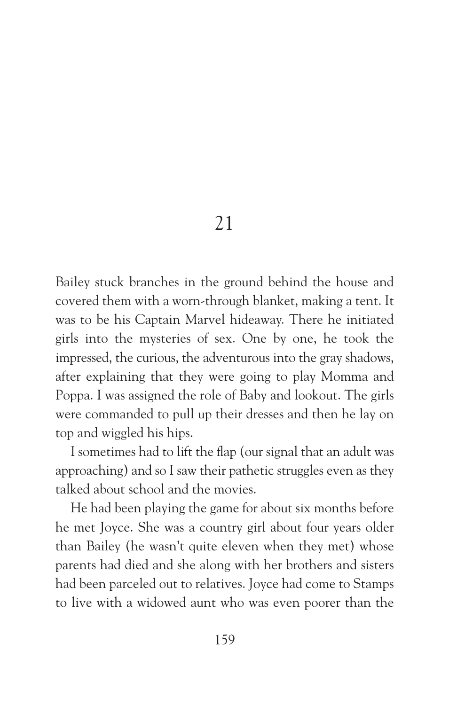21

Bailey stuck branches in the ground behind the house and covered them with a worn-through blanket, making a tent. It was to be his Captain Marvel hideaway. There he initiated girls into the mysteries of sex. One by one, he took the impressed, the curious, the adventurous into the gray shadows, after explaining that they were going to play Momma and Poppa. I was assigned the role of Baby and lookout. The girls were commanded to pull up their dresses and then he lay on top and wiggled his hips.

I sometimes had to lift the flap (our signal that an adult was approaching) and so I saw their pathetic struggles even as they talked about school and the movies.

He had been playing the game for about six months before he met Joyce. She was a country girl about four years older than Bailey (he wasn't quite eleven when they met) whose parents had died and she along with her brothers and sisters had been parceled out to relatives. Joyce had come to Stamps to live with a widowed aunt who was even poorer than the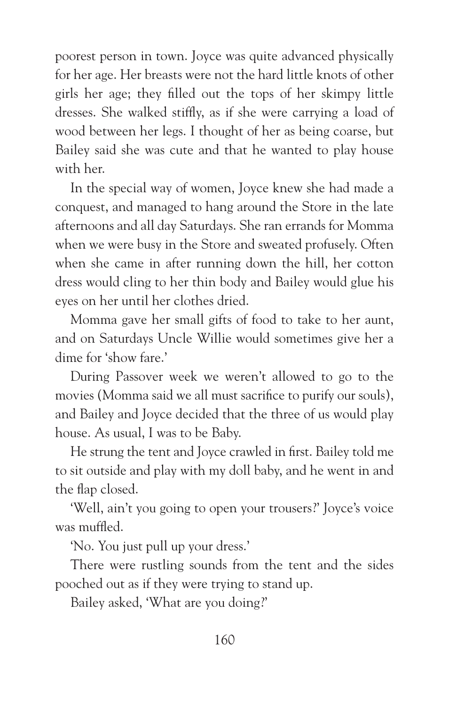poorest person in town. Joyce was quite advanced physically for her age. Her breasts were not the hard little knots of other girls her age; they filled out the tops of her skimpy little dresses. She walked stiffly, as if she were carrying a load of wood between her legs. I thought of her as being coarse, but Bailey said she was cute and that he wanted to play house with her.

In the special way of women, Joyce knew she had made a conquest, and managed to hang around the Store in the late afternoons and all day Saturdays. She ran errands for Momma when we were busy in the Store and sweated profusely. Often when she came in after running down the hill, her cotton dress would cling to her thin body and Bailey would glue his eyes on her until her clothes dried.

Momma gave her small gifts of food to take to her aunt, and on Saturdays Uncle Willie would sometimes give her a dime for 'show fare.'

During Passover week we weren't allowed to go to the movies (Momma said we all must sacrifice to purify our souls), and Bailey and Joyce decided that the three of us would play house. As usual, I was to be Baby.

He strung the tent and Joyce crawled in first. Bailey told me to sit outside and play with my doll baby, and he went in and the flap closed.

'Well, ain't you going to open your trousers?' Joyce's voice was muffled.

'No. You just pull up your dress.'

There were rustling sounds from the tent and the sides pooched out as if they were trying to stand up.

Bailey asked, 'What are you doing?'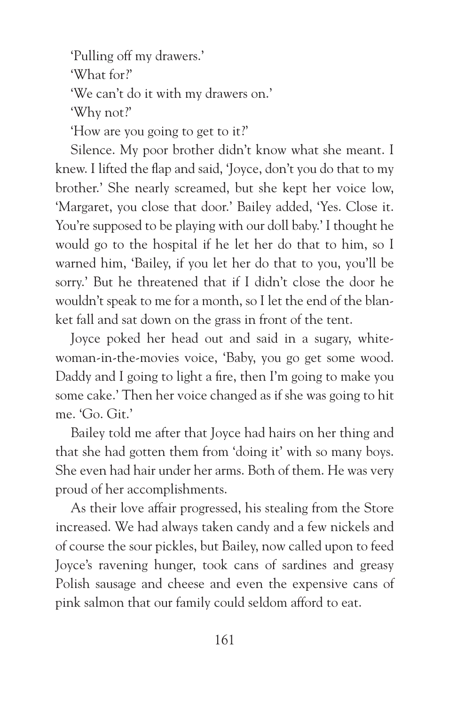'Pulling off my drawers.' 'What for?' 'We can't do it with my drawers on.' 'Why not?' 'How are you going to get to it?'

Silence. My poor brother didn't know what she meant. I knew. I lifted the flap and said, 'Joyce, don't you do that to my brother.' She nearly screamed, but she kept her voice low, 'Margaret, you close that door.' Bailey added, 'Yes. Close it. You're supposed to be playing with our doll baby.' I thought he would go to the hospital if he let her do that to him, so I warned him, 'Bailey, if you let her do that to you, you'll be sorry.' But he threatened that if I didn't close the door he wouldn't speak to me for a month, so I let the end of the blanket fall and sat down on the grass in front of the tent.

Joyce poked her head out and said in a sugary, whitewoman-in-the-movies voice, 'Baby, you go get some wood. Daddy and I going to light a fire, then I'm going to make you some cake.' Then her voice changed as if she was going to hit me. 'Go. Git.'

Bailey told me after that Joyce had hairs on her thing and that she had gotten them from 'doing it' with so many boys. She even had hair under her arms. Both of them. He was very proud of her accomplishments.

As their love affair progressed, his stealing from the Store increased. We had always taken candy and a few nickels and of course the sour pickles, but Bailey, now called upon to feed Joyce's ravening hunger, took cans of sardines and greasy Polish sausage and cheese and even the expensive cans of pink salmon that our family could seldom afford to eat.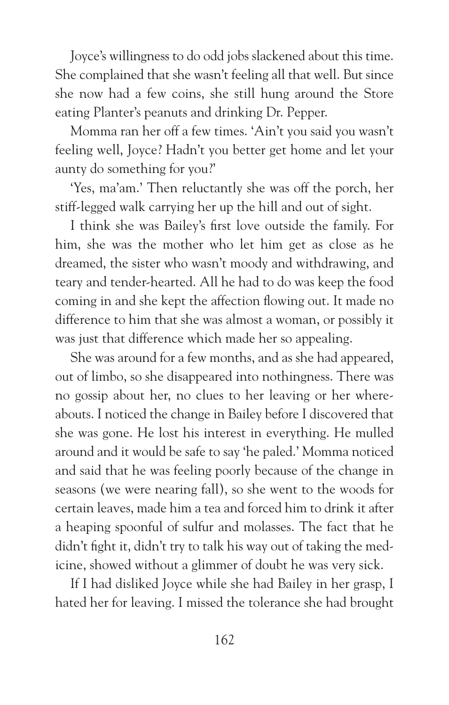Joyce's willingness to do odd jobs slackened about this time. She complained that she wasn't feeling all that well. But since she now had a few coins, she still hung around the Store eating Planter's peanuts and drinking Dr. Pepper.

Momma ran her off a few times. 'Ain't you said you wasn't feeling well, Joyce? Hadn't you better get home and let your aunty do something for you?'

'Yes, ma'am.' Then reluctantly she was off the porch, her stiff-legged walk carrying her up the hill and out of sight.

I think she was Bailey's first love outside the family. For him, she was the mother who let him get as close as he dreamed, the sister who wasn't moody and withdrawing, and teary and tender-hearted. All he had to do was keep the food coming in and she kept the affection flowing out. It made no difference to him that she was almost a woman, or possibly it was just that difference which made her so appealing.

She was around for a few months, and as she had appeared, out of limbo, so she disappeared into nothingness. There was no gossip about her, no clues to her leaving or her whereabouts. I noticed the change in Bailey before I discovered that she was gone. He lost his interest in everything. He mulled around and it would be safe to say 'he paled.' Momma noticed and said that he was feeling poorly because of the change in seasons (we were nearing fall), so she went to the woods for certain leaves, made him a tea and forced him to drink it after a heaping spoonful of sulfur and molasses. The fact that he didn't fight it, didn't try to talk his way out of taking the medicine, showed without a glimmer of doubt he was very sick.

If I had disliked Joyce while she had Bailey in her grasp, I hated her for leaving. I missed the tolerance she had brought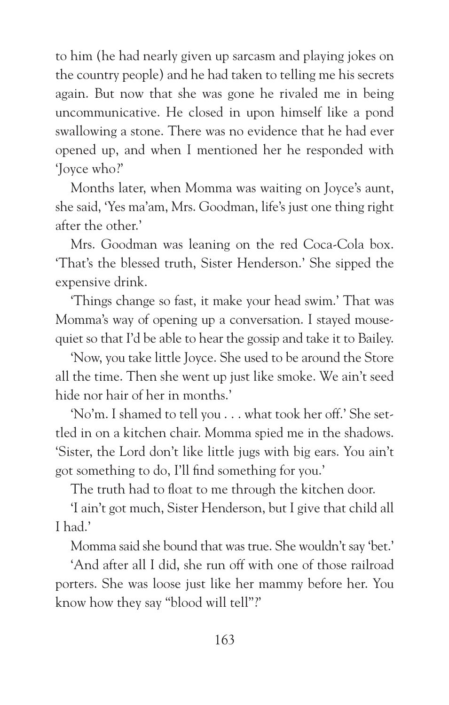to him (he had nearly given up sarcasm and playing jokes on the country people) and he had taken to telling me his secrets again. But now that she was gone he rivaled me in being uncommunicative. He closed in upon himself like a pond swallowing a stone. There was no evidence that he had ever opened up, and when I mentioned her he responded with 'Joyce who?'

Months later, when Momma was waiting on Joyce's aunt, she said, 'Yes ma'am, Mrs. Goodman, life's just one thing right after the other.'

Mrs. Goodman was leaning on the red Coca-Cola box. 'That's the blessed truth, Sister Henderson.' She sipped the expensive drink.

'Things change so fast, it make your head swim.' That was Momma's way of opening up a conversation. I stayed mousequiet so that I'd be able to hear the gossip and take it to Bailey.

'Now, you take little Joyce. She used to be around the Store all the time. Then she went up just like smoke. We ain't seed hide nor hair of her in months.'

'No'm. I shamed to tell you . . . what took her off.' She settled in on a kitchen chair. Momma spied me in the shadows. 'Sister, the Lord don't like little jugs with big ears. You ain't got something to do, I'll find something for you.'

The truth had to float to me through the kitchen door.

'I ain't got much, Sister Henderson, but I give that child all I had.'

Momma said she bound that was true. She wouldn't say 'bet.'

'And after all I did, she run off with one of those railroad porters. She was loose just like her mammy before her. You know how they say "blood will tell"?'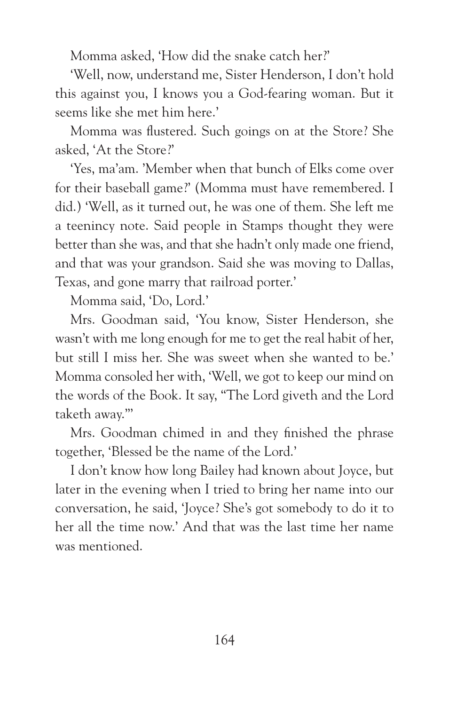Momma asked, 'How did the snake catch her?'

'Well, now, understand me, Sister Henderson, I don't hold this against you, I knows you a God-fearing woman. But it seems like she met him here.'

Momma was flustered. Such goings on at the Store? She asked, 'At the Store?'

'Yes, ma'am. 'Member when that bunch of Elks come over for their baseball game?' (Momma must have remembered. I did.) 'Well, as it turned out, he was one of them. She left me a teenincy note. Said people in Stamps thought they were better than she was, and that she hadn't only made one friend, and that was your grandson. Said she was moving to Dallas, Texas, and gone marry that railroad porter.'

Momma said, 'Do, Lord.'

Mrs. Goodman said, 'You know, Sister Henderson, she wasn't with me long enough for me to get the real habit of her, but still I miss her. She was sweet when she wanted to be.' Momma consoled her with, 'Well, we got to keep our mind on the words of the Book. It say, "The Lord giveth and the Lord taketh away."'

Mrs. Goodman chimed in and they finished the phrase together, 'Blessed be the name of the Lord.'

I don't know how long Bailey had known about Joyce, but later in the evening when I tried to bring her name into our conversation, he said, 'Joyce? She's got somebody to do it to her all the time now.' And that was the last time her name was mentioned.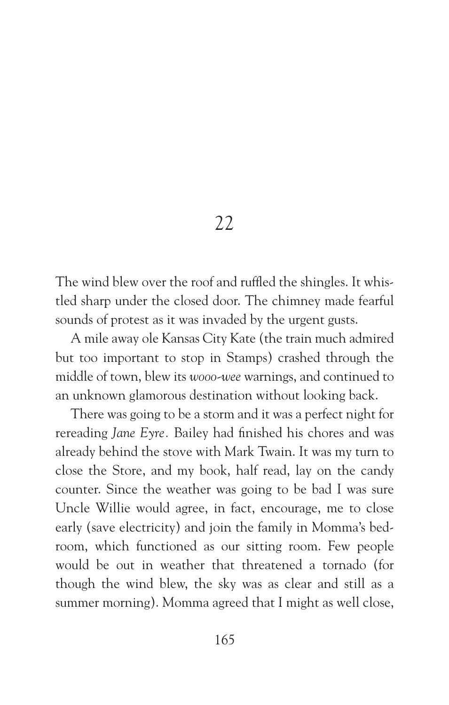## 22

The wind blew over the roof and ruffled the shingles. It whistled sharp under the closed door. The chimney made fearful sounds of protest as it was invaded by the urgent gusts.

A mile away ole Kansas City Kate (the train much admired but too important to stop in Stamps) crashed through the middle of town, blew its *wooo-wee* warnings, and continued to an unknown glamorous destination without looking back.

There was going to be a storm and it was a perfect night for rereading *Jane Eyre.* Bailey had finished his chores and was already behind the stove with Mark Twain. It was my turn to close the Store, and my book, half read, lay on the candy counter. Since the weather was going to be bad I was sure Uncle Willie would agree, in fact, encourage, me to close early (save electricity) and join the family in Momma's bedroom, which functioned as our sitting room. Few people would be out in weather that threatened a tornado (for though the wind blew, the sky was as clear and still as a summer morning). Momma agreed that I might as well close,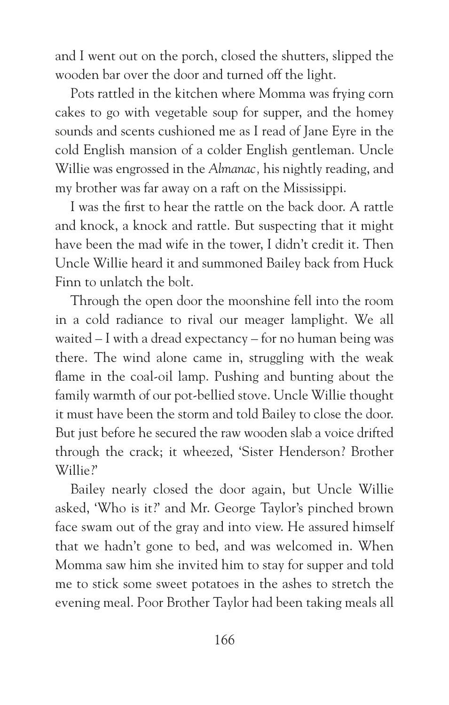and I went out on the porch, closed the shutters, slipped the wooden bar over the door and turned off the light.

Pots rattled in the kitchen where Momma was frying corn cakes to go with vegetable soup for supper, and the homey sounds and scents cushioned me as I read of Jane Eyre in the cold English mansion of a colder English gentleman. Uncle Willie was engrossed in the *Almanac,* his nightly reading, and my brother was far away on a raft on the Mississippi.

I was the first to hear the rattle on the back door. A rattle and knock, a knock and rattle. But suspecting that it might have been the mad wife in the tower, I didn't credit it. Then Uncle Willie heard it and summoned Bailey back from Huck Finn to unlatch the bolt.

Through the open door the moonshine fell into the room in a cold radiance to rival our meager lamplight. We all waited – I with a dread expectancy – for no human being was there. The wind alone came in, struggling with the weak flame in the coal-oil lamp. Pushing and bunting about the family warmth of our pot-bellied stove. Uncle Willie thought it must have been the storm and told Bailey to close the door. But just before he secured the raw wooden slab a voice drifted through the crack; it wheezed, 'Sister Henderson? Brother Willie?'

Bailey nearly closed the door again, but Uncle Willie asked, 'Who is it?' and Mr. George Taylor's pinched brown face swam out of the gray and into view. He assured himself that we hadn't gone to bed, and was welcomed in. When Momma saw him she invited him to stay for supper and told me to stick some sweet potatoes in the ashes to stretch the evening meal. Poor Brother Taylor had been taking meals all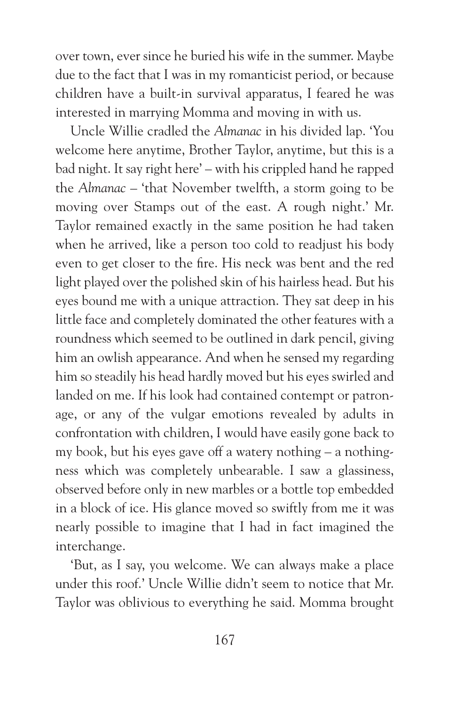over town, ever since he buried his wife in the summer. Maybe due to the fact that I was in my romanticist period, or because children have a built-in survival apparatus, I feared he was interested in marrying Momma and moving in with us.

Uncle Willie cradled the *Almanac* in his divided lap. 'You welcome here anytime, Brother Taylor, anytime, but this is a bad night. It say right here' – with his crippled hand he rapped the *Almanac –* 'that November twelfth, a storm going to be moving over Stamps out of the east. A rough night.' Mr. Taylor remained exactly in the same position he had taken when he arrived, like a person too cold to readjust his body even to get closer to the fire. His neck was bent and the red light played over the polished skin of his hairless head. But his eyes bound me with a unique attraction. They sat deep in his little face and completely dominated the other features with a roundness which seemed to be outlined in dark pencil, giving him an owlish appearance. And when he sensed my regarding him so steadily his head hardly moved but his eyes swirled and landed on me. If his look had contained contempt or patronage, or any of the vulgar emotions revealed by adults in confrontation with children, I would have easily gone back to my book, but his eyes gave off a watery nothing – a nothingness which was completely unbearable. I saw a glassiness, observed before only in new marbles or a bottle top embedded in a block of ice. His glance moved so swiftly from me it was nearly possible to imagine that I had in fact imagined the interchange.

'But, as I say, you welcome. We can always make a place under this roof.' Uncle Willie didn't seem to notice that Mr. Taylor was oblivious to everything he said. Momma brought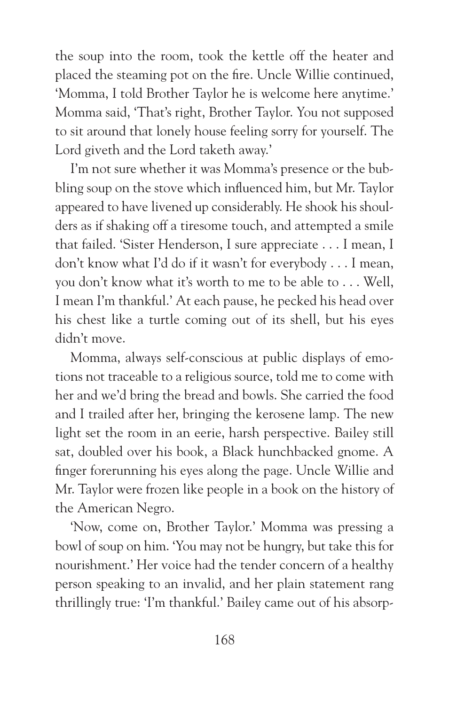the soup into the room, took the kettle off the heater and placed the steaming pot on the fire. Uncle Willie continued, 'Momma, I told Brother Taylor he is welcome here anytime.' Momma said, 'That's right, Brother Taylor. You not supposed to sit around that lonely house feeling sorry for yourself. The Lord giveth and the Lord taketh away.'

I'm not sure whether it was Momma's presence or the bubbling soup on the stove which influenced him, but Mr. Taylor appeared to have livened up considerably. He shook his shoulders as if shaking off a tiresome touch, and attempted a smile that failed. 'Sister Henderson, I sure appreciate . . . I mean, I don't know what I'd do if it wasn't for everybody . . . I mean, you don't know what it's worth to me to be able to . . . Well, I mean I'm thankful.' At each pause, he pecked his head over his chest like a turtle coming out of its shell, but his eyes didn't move.

Momma, always self-conscious at public displays of emotions not traceable to a religious source, told me to come with her and we'd bring the bread and bowls. She carried the food and I trailed after her, bringing the kerosene lamp. The new light set the room in an eerie, harsh perspective. Bailey still sat, doubled over his book, a Black hunchbacked gnome. A finger forerunning his eyes along the page. Uncle Willie and Mr. Taylor were frozen like people in a book on the history of the American Negro.

'Now, come on, Brother Taylor.' Momma was pressing a bowl of soup on him. 'You may not be hungry, but take this for nourishment.' Her voice had the tender concern of a healthy person speaking to an invalid, and her plain statement rang thrillingly true: 'I'm thankful.' Bailey came out of his absorp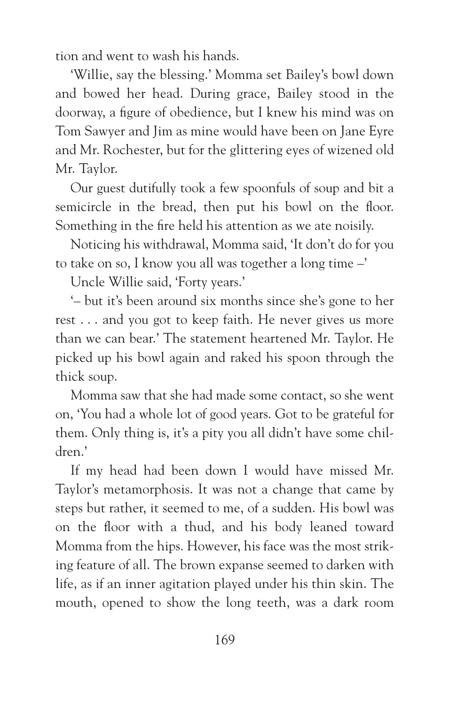tion and went to wash his hands.

'Willie, say the blessing.' Momma set Bailey's bowl down and bowed her head. During grace, Bailey stood in the doorway, a figure of obedience, but I knew his mind was on Tom Sawyer and Jim as mine would have been on Jane Eyre and Mr. Rochester, but for the glittering eyes of wizened old Mr. Taylor.

Our guest dutifully took a few spoonfuls of soup and bit a semicircle in the bread, then put his bowl on the floor. Something in the fire held his attention as we ate noisily.

Noticing his withdrawal, Momma said, 'It don't do for you to take on so, I know you all was together a long time –'

Uncle Willie said, 'Forty years.'

'– but it's been around six months since she's gone to her rest . . . and you got to keep faith. He never gives us more than we can bear.' The statement heartened Mr. Taylor. He picked up his bowl again and raked his spoon through the thick soup.

Momma saw that she had made some contact, so she went on, 'You had a whole lot of good years. Got to be grateful for them. Only thing is, it's a pity you all didn't have some children.'

If my head had been down I would have missed Mr. Taylor's metamorphosis. It was not a change that came by steps but rather, it seemed to me, of a sudden. His bowl was on the floor with a thud, and his body leaned toward Momma from the hips. However, his face was the most striking feature of all. The brown expanse seemed to darken with life, as if an inner agitation played under his thin skin. The mouth, opened to show the long teeth, was a dark room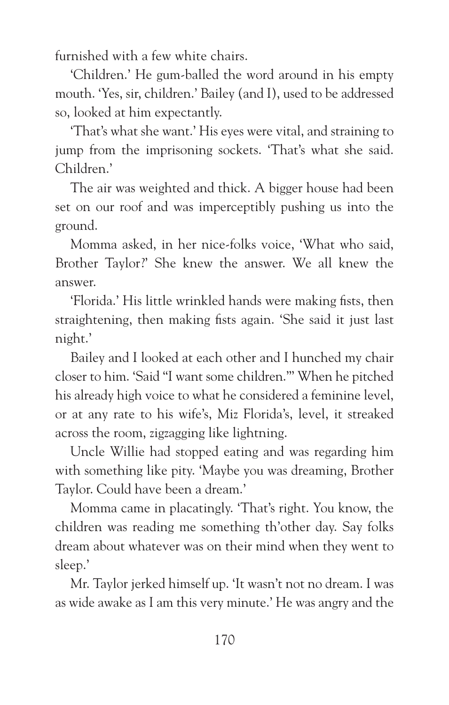furnished with a few white chairs.

'Children.' He gum-balled the word around in his empty mouth. 'Yes, sir, children.' Bailey (and I), used to be addressed so, looked at him expectantly.

'That's what she want.' His eyes were vital, and straining to jump from the imprisoning sockets. 'That's what she said. Children.'

The air was weighted and thick. A bigger house had been set on our roof and was imperceptibly pushing us into the ground.

Momma asked, in her nice-folks voice, 'What who said, Brother Taylor?' She knew the answer. We all knew the answer.

'Florida.' His little wrinkled hands were making fists, then straightening, then making fists again. 'She said it just last night.'

Bailey and I looked at each other and I hunched my chair closer to him. 'Said "I want some children."' When he pitched his already high voice to what he considered a feminine level, or at any rate to his wife's, Miz Florida's, level, it streaked across the room, zigzagging like lightning.

Uncle Willie had stopped eating and was regarding him with something like pity. 'Maybe you was dreaming, Brother Taylor. Could have been a dream.'

Momma came in placatingly. 'That's right. You know, the children was reading me something th'other day. Say folks dream about whatever was on their mind when they went to sleep.'

Mr. Taylor jerked himself up. 'It wasn't not no dream. I was as wide awake as I am this very minute.' He was angry and the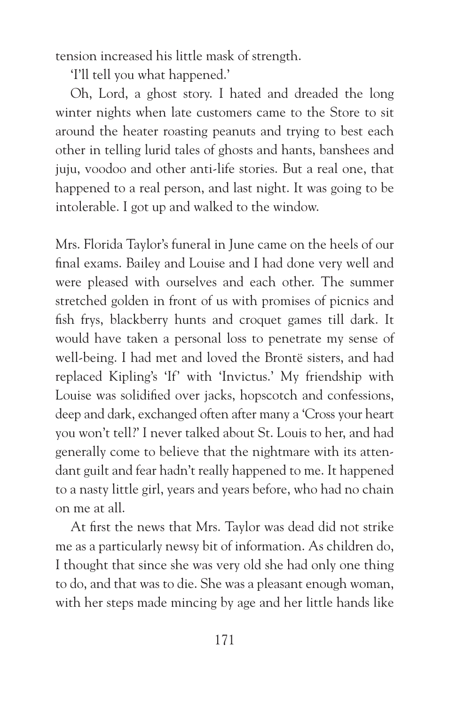tension increased his little mask of strength.

'I'll tell you what happened.'

Oh, Lord, a ghost story. I hated and dreaded the long winter nights when late customers came to the Store to sit around the heater roasting peanuts and trying to best each other in telling lurid tales of ghosts and hants, banshees and juju, voodoo and other anti-life stories. But a real one, that happened to a real person, and last night. It was going to be intolerable. I got up and walked to the window.

Mrs. Florida Taylor's funeral in June came on the heels of our final exams. Bailey and Louise and I had done very well and were pleased with ourselves and each other. The summer stretched golden in front of us with promises of picnics and fish frys, blackberry hunts and croquet games till dark. It would have taken a personal loss to penetrate my sense of well-being. I had met and loved the Brontë sisters, and had replaced Kipling's 'If' with 'Invictus.' My friendship with Louise was solidified over jacks, hopscotch and confessions, deep and dark, exchanged often after many a 'Cross your heart you won't tell?' I never talked about St. Louis to her, and had generally come to believe that the nightmare with its attendant guilt and fear hadn't really happened to me. It happened to a nasty little girl, years and years before, who had no chain on me at all.

At first the news that Mrs. Taylor was dead did not strike me as a particularly newsy bit of information. As children do, I thought that since she was very old she had only one thing to do, and that was to die. She was a pleasant enough woman, with her steps made mincing by age and her little hands like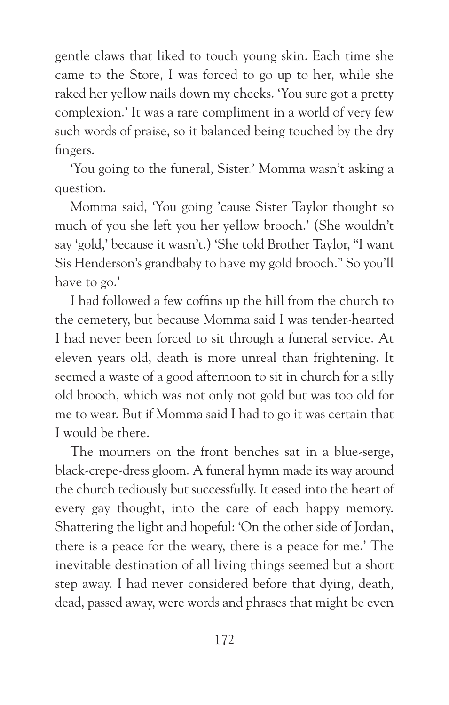gentle claws that liked to touch young skin. Each time she came to the Store, I was forced to go up to her, while she raked her yellow nails down my cheeks. 'You sure got a pretty complexion.' It was a rare compliment in a world of very few such words of praise, so it balanced being touched by the dry fingers.

'You going to the funeral, Sister.' Momma wasn't asking a question.

Momma said, 'You going 'cause Sister Taylor thought so much of you she left you her yellow brooch.' (She wouldn't say 'gold,' because it wasn't.) 'She told Brother Taylor, "I want Sis Henderson's grandbaby to have my gold brooch." So you'll have to go.'

I had followed a few coffins up the hill from the church to the cemetery, but because Momma said I was tender-hearted I had never been forced to sit through a funeral service. At eleven years old, death is more unreal than frightening. It seemed a waste of a good afternoon to sit in church for a silly old brooch, which was not only not gold but was too old for me to wear. But if Momma said I had to go it was certain that I would be there.

The mourners on the front benches sat in a blue-serge, black-crepe-dress gloom. A funeral hymn made its way around the church tediously but successfully. It eased into the heart of every gay thought, into the care of each happy memory. Shattering the light and hopeful: 'On the other side of Jordan, there is a peace for the weary, there is a peace for me.' The inevitable destination of all living things seemed but a short step away. I had never considered before that dying, death, dead, passed away, were words and phrases that might be even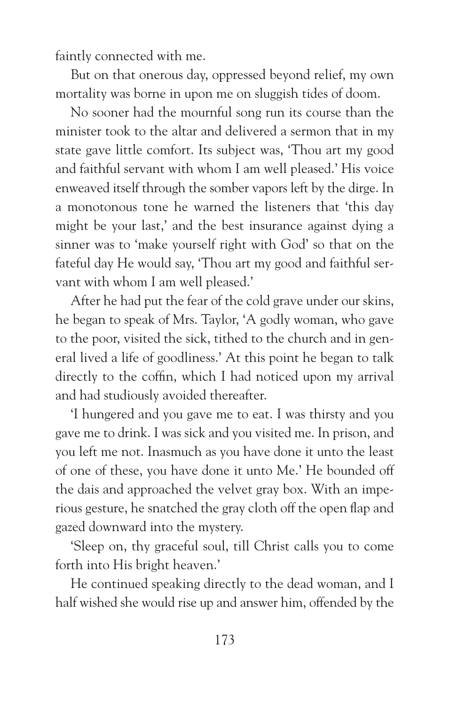faintly connected with me.

But on that onerous day, oppressed beyond relief, my own mortality was borne in upon me on sluggish tides of doom.

No sooner had the mournful song run its course than the minister took to the altar and delivered a sermon that in my state gave little comfort. Its subject was, 'Thou art my good and faithful servant with whom I am well pleased.' His voice enweaved itself through the somber vapors left by the dirge. In a monotonous tone he warned the listeners that 'this day might be your last,' and the best insurance against dying a sinner was to 'make yourself right with God' so that on the fateful day He would say, 'Thou art my good and faithful servant with whom I am well pleased.'

After he had put the fear of the cold grave under our skins, he began to speak of Mrs. Taylor, 'A godly woman, who gave to the poor, visited the sick, tithed to the church and in general lived a life of goodliness.' At this point he began to talk directly to the coffin, which I had noticed upon my arrival and had studiously avoided thereafter.

'I hungered and you gave me to eat. I was thirsty and you gave me to drink. I was sick and you visited me. In prison, and you left me not. Inasmuch as you have done it unto the least of one of these, you have done it unto Me.' He bounded off the dais and approached the velvet gray box. With an imperious gesture, he snatched the gray cloth off the open flap and gazed downward into the mystery.

'Sleep on, thy graceful soul, till Christ calls you to come forth into His bright heaven.'

He continued speaking directly to the dead woman, and I half wished she would rise up and answer him, offended by the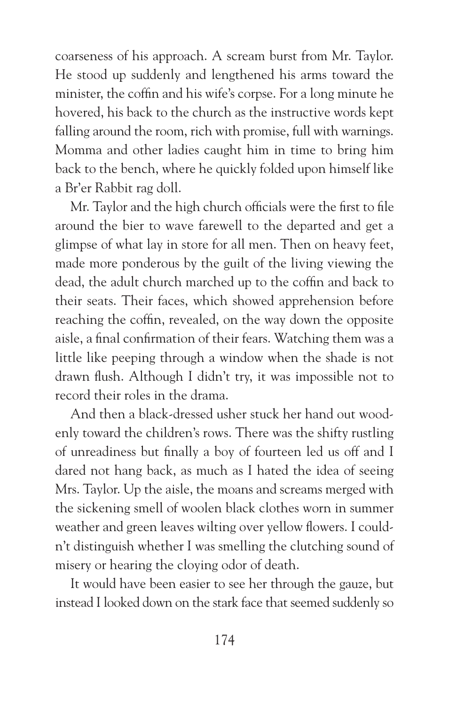coarseness of his approach. A scream burst from Mr. Taylor. He stood up suddenly and lengthened his arms toward the minister, the coffin and his wife's corpse. For a long minute he hovered, his back to the church as the instructive words kept falling around the room, rich with promise, full with warnings. Momma and other ladies caught him in time to bring him back to the bench, where he quickly folded upon himself like a Br'er Rabbit rag doll.

Mr. Taylor and the high church officials were the first to file around the bier to wave farewell to the departed and get a glimpse of what lay in store for all men. Then on heavy feet, made more ponderous by the guilt of the living viewing the dead, the adult church marched up to the coffin and back to their seats. Their faces, which showed apprehension before reaching the coffin, revealed, on the way down the opposite aisle, a final confirmation of their fears. Watching them was a little like peeping through a window when the shade is not drawn flush. Although I didn't try, it was impossible not to record their roles in the drama.

And then a black-dressed usher stuck her hand out woodenly toward the children's rows. There was the shifty rustling of unreadiness but finally a boy of fourteen led us off and I dared not hang back, as much as I hated the idea of seeing Mrs. Taylor. Up the aisle, the moans and screams merged with the sickening smell of woolen black clothes worn in summer weather and green leaves wilting over yellow flowers. I couldn't distinguish whether I was smelling the clutching sound of misery or hearing the cloying odor of death.

It would have been easier to see her through the gauze, but instead I looked down on the stark face that seemed suddenly so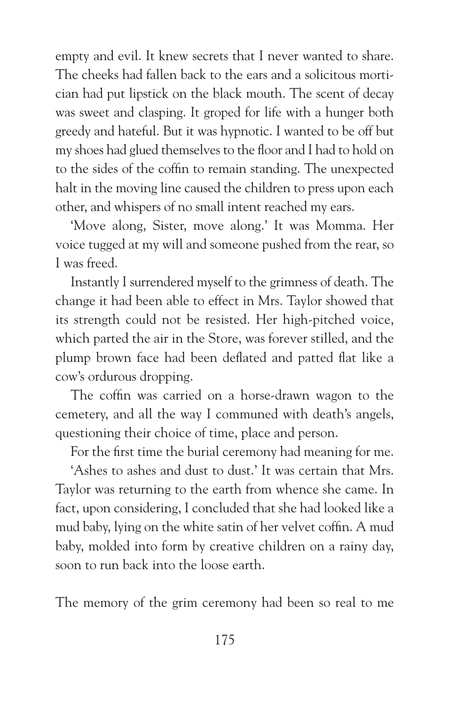empty and evil. It knew secrets that I never wanted to share. The cheeks had fallen back to the ears and a solicitous mortician had put lipstick on the black mouth. The scent of decay was sweet and clasping. It groped for life with a hunger both greedy and hateful. But it was hypnotic. I wanted to be off but my shoes had glued themselves to the floor and I had to hold on to the sides of the coffin to remain standing. The unexpected halt in the moving line caused the children to press upon each other, and whispers of no small intent reached my ears.

'Move along, Sister, move along.' It was Momma. Her voice tugged at my will and someone pushed from the rear, so I was freed.

Instantly I surrendered myself to the grimness of death. The change it had been able to effect in Mrs. Taylor showed that its strength could not be resisted. Her high-pitched voice, which parted the air in the Store, was forever stilled, and the plump brown face had been deflated and patted flat like a cow's ordurous dropping.

The coffin was carried on a horse-drawn wagon to the cemetery, and all the way I communed with death's angels, questioning their choice of time, place and person.

For the first time the burial ceremony had meaning for me.

'Ashes to ashes and dust to dust.' It was certain that Mrs. Taylor was returning to the earth from whence she came. In fact, upon considering, I concluded that she had looked like a mud baby, lying on the white satin of her velvet coffin. A mud baby, molded into form by creative children on a rainy day, soon to run back into the loose earth.

The memory of the grim ceremony had been so real to me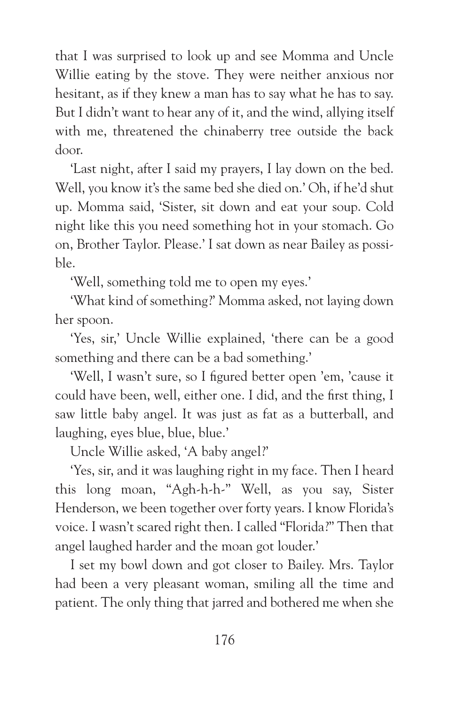that I was surprised to look up and see Momma and Uncle Willie eating by the stove. They were neither anxious nor hesitant, as if they knew a man has to say what he has to say. But I didn't want to hear any of it, and the wind, allying itself with me, threatened the chinaberry tree outside the back door.

'Last night, after I said my prayers, I lay down on the bed. Well, you know it's the same bed she died on.' Oh, if he'd shut up. Momma said, 'Sister, sit down and eat your soup. Cold night like this you need something hot in your stomach. Go on, Brother Taylor. Please.' I sat down as near Bailey as possible.

'Well, something told me to open my eyes.'

'What kind of something?' Momma asked, not laying down her spoon.

'Yes, sir,' Uncle Willie explained, 'there can be a good something and there can be a bad something.'

'Well, I wasn't sure, so I figured better open 'em, 'cause it could have been, well, either one. I did, and the first thing, I saw little baby angel. It was just as fat as a butterball, and laughing, eyes blue, blue, blue.'

Uncle Willie asked, 'A baby angel?'

'Yes, sir, and it was laughing right in my face. Then I heard this long moan, "Agh-h-h-" Well, as you say, Sister Henderson, we been together over forty years. I know Florida's voice. I wasn't scared right then. I called "Florida?" Then that angel laughed harder and the moan got louder.'

I set my bowl down and got closer to Bailey. Mrs. Taylor had been a very pleasant woman, smiling all the time and patient. The only thing that jarred and bothered me when she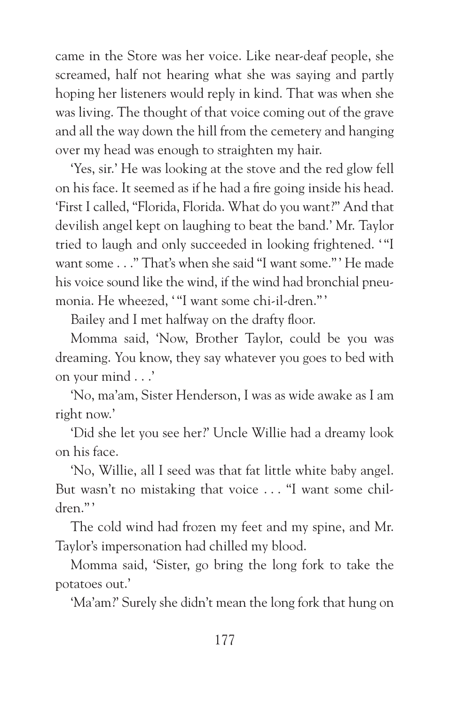came in the Store was her voice. Like near-deaf people, she screamed, half not hearing what she was saying and partly hoping her listeners would reply in kind. That was when she was living. The thought of that voice coming out of the grave and all the way down the hill from the cemetery and hanging over my head was enough to straighten my hair.

'Yes, sir.' He was looking at the stove and the red glow fell on his face. It seemed as if he had a fire going inside his head. 'First I called, "Florida, Florida. What do you want?" And that devilish angel kept on laughing to beat the band.' Mr. Taylor tried to laugh and only succeeded in looking frightened. ' "I want some . . ." That's when she said "I want some." ' He made his voice sound like the wind, if the wind had bronchial pneumonia. He wheezed, "I want some chi-il-dren."'

Bailey and I met halfway on the drafty floor.

Momma said, 'Now, Brother Taylor, could be you was dreaming. You know, they say whatever you goes to bed with on your mind . . .'

'No, ma'am, Sister Henderson, I was as wide awake as I am right now.'

'Did she let you see her?' Uncle Willie had a dreamy look on his face.

'No, Willie, all I seed was that fat little white baby angel. But wasn't no mistaking that voice . . . "I want some children." '

The cold wind had frozen my feet and my spine, and Mr. Taylor's impersonation had chilled my blood.

Momma said, 'Sister, go bring the long fork to take the potatoes out.'

'Ma'am?' Surely she didn't mean the long fork that hung on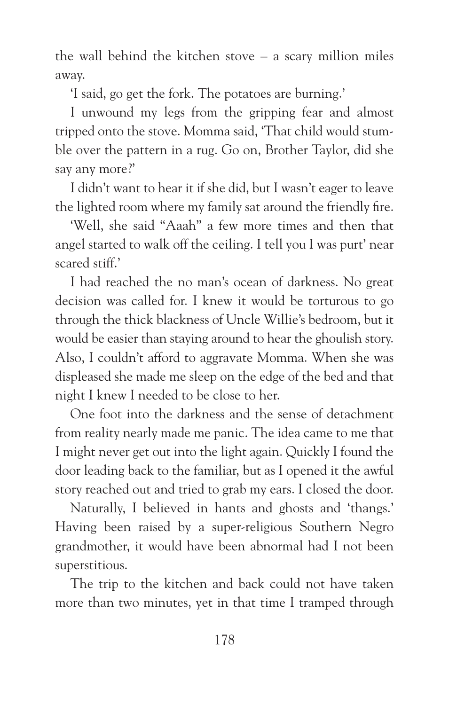the wall behind the kitchen stove – a scary million miles away.

'I said, go get the fork. The potatoes are burning.'

I unwound my legs from the gripping fear and almost tripped onto the stove. Momma said, 'That child would stumble over the pattern in a rug. Go on, Brother Taylor, did she say any more?'

I didn't want to hear it if she did, but I wasn't eager to leave the lighted room where my family sat around the friendly fire.

'Well, she said "Aaah" a few more times and then that angel started to walk off the ceiling. I tell you I was purt' near scared stiff.'

I had reached the no man's ocean of darkness. No great decision was called for. I knew it would be torturous to go through the thick blackness of Uncle Willie's bedroom, but it would be easier than staying around to hear the ghoulish story. Also, I couldn't afford to aggravate Momma. When she was displeased she made me sleep on the edge of the bed and that night I knew I needed to be close to her.

One foot into the darkness and the sense of detachment from reality nearly made me panic. The idea came to me that I might never get out into the light again. Quickly I found the door leading back to the familiar, but as I opened it the awful story reached out and tried to grab my ears. I closed the door.

Naturally, I believed in hants and ghosts and 'thangs.' Having been raised by a super-religious Southern Negro grandmother, it would have been abnormal had I not been superstitious.

The trip to the kitchen and back could not have taken more than two minutes, yet in that time I tramped through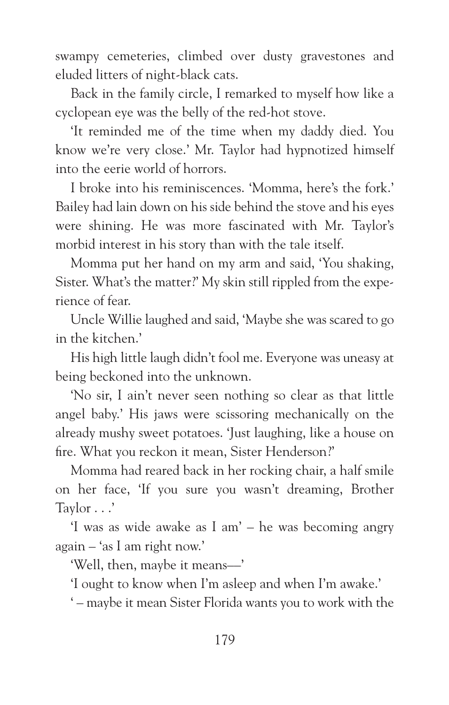swampy cemeteries, climbed over dusty gravestones and eluded litters of night-black cats.

Back in the family circle, I remarked to myself how like a cyclopean eye was the belly of the red-hot stove.

'It reminded me of the time when my daddy died. You know we're very close.' Mr. Taylor had hypnotized himself into the eerie world of horrors.

I broke into his reminiscences. 'Momma, here's the fork.' Bailey had lain down on his side behind the stove and his eyes were shining. He was more fascinated with Mr. Taylor's morbid interest in his story than with the tale itself.

Momma put her hand on my arm and said, 'You shaking, Sister. What's the matter?' My skin still rippled from the experience of fear.

Uncle Willie laughed and said, 'Maybe she was scared to go in the kitchen.'

His high little laugh didn't fool me. Everyone was uneasy at being beckoned into the unknown.

'No sir, I ain't never seen nothing so clear as that little angel baby.' His jaws were scissoring mechanically on the already mushy sweet potatoes. 'Just laughing, like a house on fire. What you reckon it mean, Sister Henderson?'

Momma had reared back in her rocking chair, a half smile on her face, 'If you sure you wasn't dreaming, Brother Taylor . . .'

'I was as wide awake as I am' – he was becoming angry again – 'as I am right now.'

'Well, then, maybe it means-'

'I ought to know when I'm asleep and when I'm awake.'

' – maybe it mean Sister Florida wants you to work with the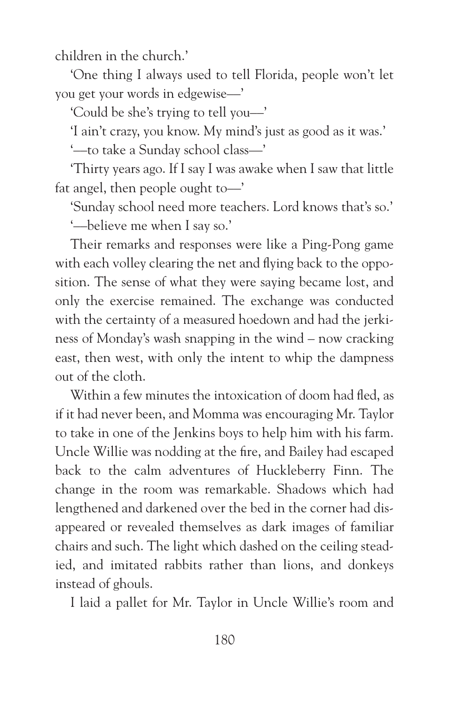children in the church.'

'One thing I always used to tell Florida, people won't let you get your words in edgewise––'

'Could be she's trying to tell you––'

'I ain't crazy, you know. My mind's just as good as it was.'

'––to take a Sunday school class––'

'Thirty years ago. If I say I was awake when I saw that little fat angel, then people ought to $-$ '

'Sunday school need more teachers. Lord knows that's so.'

'––believe me when I say so.'

Their remarks and responses were like a Ping-Pong game with each volley clearing the net and flying back to the opposition. The sense of what they were saying became lost, and only the exercise remained. The exchange was conducted with the certainty of a measured hoedown and had the jerkiness of Monday's wash snapping in the wind – now cracking east, then west, with only the intent to whip the dampness out of the cloth.

Within a few minutes the intoxication of doom had fled, as if it had never been, and Momma was encouraging Mr. Taylor to take in one of the Jenkins boys to help him with his farm. Uncle Willie was nodding at the fire, and Bailey had escaped back to the calm adventures of Huckleberry Finn. The change in the room was remarkable. Shadows which had lengthened and darkened over the bed in the corner had disappeared or revealed themselves as dark images of familiar chairs and such. The light which dashed on the ceiling steadied, and imitated rabbits rather than lions, and donkeys instead of ghouls.

I laid a pallet for Mr. Taylor in Uncle Willie's room and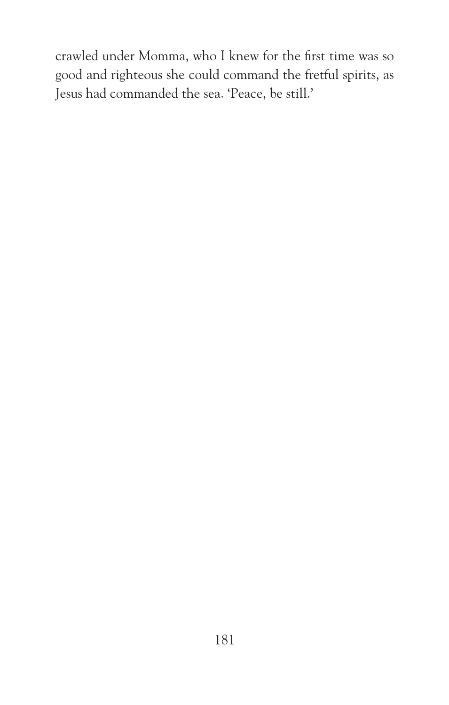crawled under Momma, who I knew for the first time was so good and righteous she could command the fretful spirits, as Jesus had commanded the sea. 'Peace, be still.'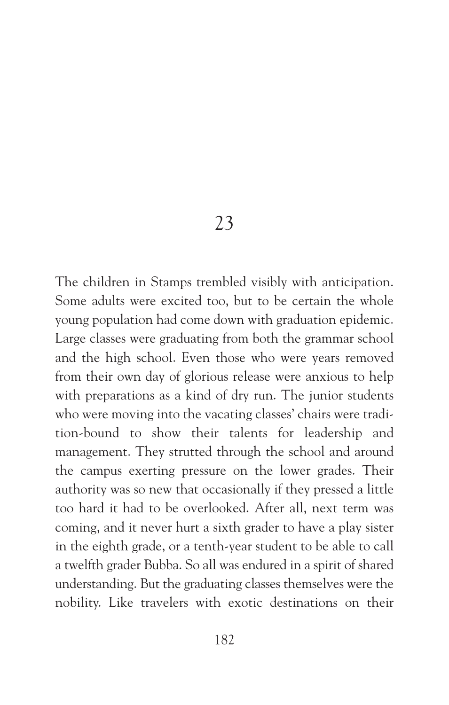## 23

The children in Stamps trembled visibly with anticipation. Some adults were excited too, but to be certain the whole young population had come down with graduation epidemic. Large classes were graduating from both the grammar school and the high school. Even those who were years removed from their own day of glorious release were anxious to help with preparations as a kind of dry run. The junior students who were moving into the vacating classes' chairs were tradition-bound to show their talents for leadership and management. They strutted through the school and around the campus exerting pressure on the lower grades. Their authority was so new that occasionally if they pressed a little too hard it had to be overlooked. After all, next term was coming, and it never hurt a sixth grader to have a play sister in the eighth grade, or a tenth-year student to be able to call a twelfth grader Bubba. So all was endured in a spirit of shared understanding. But the graduating classes themselves were the nobility. Like travelers with exotic destinations on their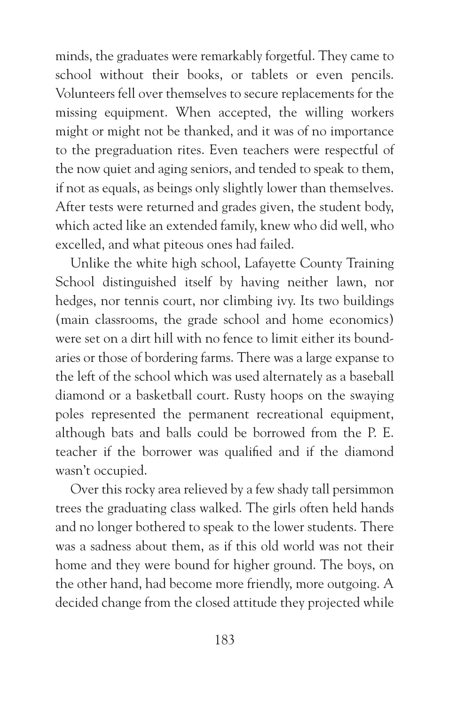minds, the graduates were remarkably forgetful. They came to school without their books, or tablets or even pencils. Volunteers fell over themselves to secure replacements for the missing equipment. When accepted, the willing workers might or might not be thanked, and it was of no importance to the pregraduation rites. Even teachers were respectful of the now quiet and aging seniors, and tended to speak to them, if not as equals, as beings only slightly lower than themselves. After tests were returned and grades given, the student body, which acted like an extended family, knew who did well, who excelled, and what piteous ones had failed.

Unlike the white high school, Lafayette County Training School distinguished itself by having neither lawn, nor hedges, nor tennis court, nor climbing ivy. Its two buildings (main classrooms, the grade school and home economics) were set on a dirt hill with no fence to limit either its boundaries or those of bordering farms. There was a large expanse to the left of the school which was used alternately as a baseball diamond or a basketball court. Rusty hoops on the swaying poles represented the permanent recreational equipment, although bats and balls could be borrowed from the P. E. teacher if the borrower was qualified and if the diamond wasn't occupied.

Over this rocky area relieved by a few shady tall persimmon trees the graduating class walked. The girls often held hands and no longer bothered to speak to the lower students. There was a sadness about them, as if this old world was not their home and they were bound for higher ground. The boys, on the other hand, had become more friendly, more outgoing. A decided change from the closed attitude they projected while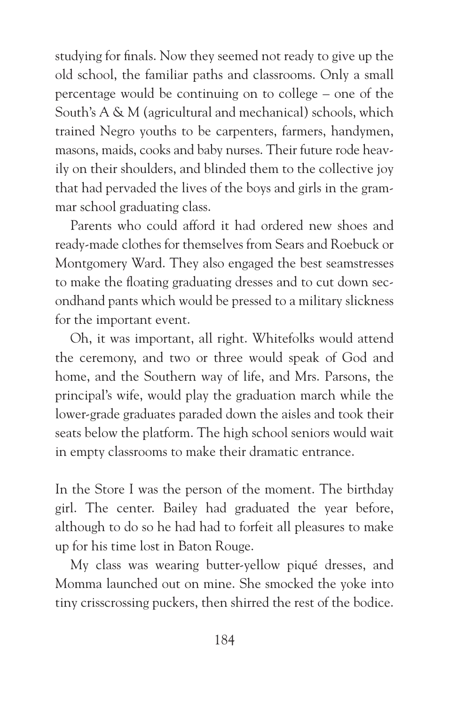studying for finals. Now they seemed not ready to give up the old school, the familiar paths and classrooms. Only a small percentage would be continuing on to college – one of the South's A & M (agricultural and mechanical) schools, which trained Negro youths to be carpenters, farmers, handymen, masons, maids, cooks and baby nurses. Their future rode heavily on their shoulders, and blinded them to the collective joy that had pervaded the lives of the boys and girls in the grammar school graduating class.

Parents who could afford it had ordered new shoes and ready-made clothes for themselves from Sears and Roebuck or Montgomery Ward. They also engaged the best seamstresses to make the floating graduating dresses and to cut down secondhand pants which would be pressed to a military slickness for the important event.

Oh, it was important, all right. Whitefolks would attend the ceremony, and two or three would speak of God and home, and the Southern way of life, and Mrs. Parsons, the principal's wife, would play the graduation march while the lower-grade graduates paraded down the aisles and took their seats below the platform. The high school seniors would wait in empty classrooms to make their dramatic entrance.

In the Store I was the person of the moment. The birthday girl. The center. Bailey had graduated the year before, although to do so he had had to forfeit all pleasures to make up for his time lost in Baton Rouge.

My class was wearing butter-yellow piqué dresses, and Momma launched out on mine. She smocked the yoke into tiny crisscrossing puckers, then shirred the rest of the bodice.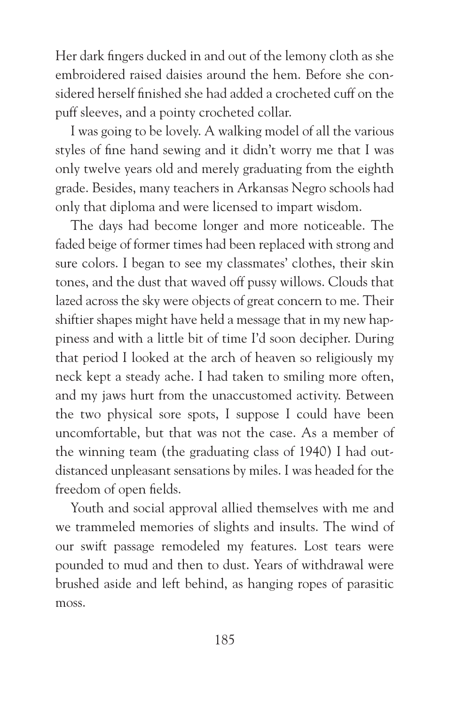Her dark fingers ducked in and out of the lemony cloth as she embroidered raised daisies around the hem. Before she considered herself finished she had added a crocheted cuff on the puff sleeves, and a pointy crocheted collar.

I was going to be lovely. A walking model of all the various styles of fine hand sewing and it didn't worry me that I was only twelve years old and merely graduating from the eighth grade. Besides, many teachers in Arkansas Negro schools had only that diploma and were licensed to impart wisdom.

The days had become longer and more noticeable. The faded beige of former times had been replaced with strong and sure colors. I began to see my classmates' clothes, their skin tones, and the dust that waved off pussy willows. Clouds that lazed across the sky were objects of great concern to me. Their shiftier shapes might have held a message that in my new happiness and with a little bit of time I'd soon decipher. During that period I looked at the arch of heaven so religiously my neck kept a steady ache. I had taken to smiling more often, and my jaws hurt from the unaccustomed activity. Between the two physical sore spots, I suppose I could have been uncomfortable, but that was not the case. As a member of the winning team (the graduating class of 1940) I had outdistanced unpleasant sensations by miles. I was headed for the freedom of open fields.

Youth and social approval allied themselves with me and we trammeled memories of slights and insults. The wind of our swift passage remodeled my features. Lost tears were pounded to mud and then to dust. Years of withdrawal were brushed aside and left behind, as hanging ropes of parasitic moss.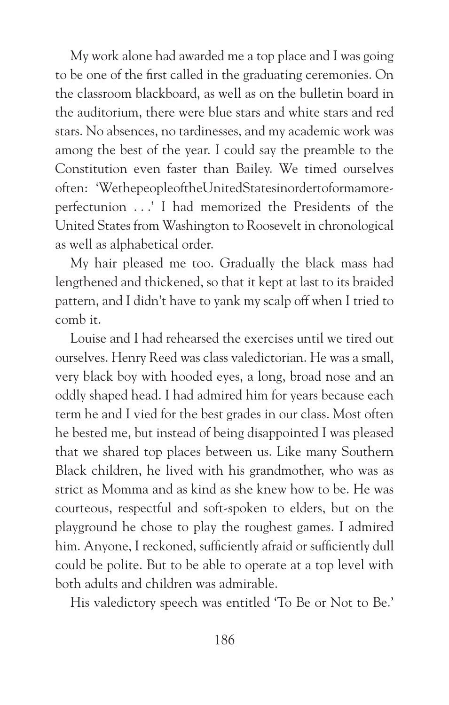My work alone had awarded me a top place and I was going to be one of the first called in the graduating ceremonies. On the classroom blackboard, as well as on the bulletin board in the auditorium, there were blue stars and white stars and red stars. No absences, no tardinesses, and my academic work was among the best of the year. I could say the preamble to the Constitution even faster than Bailey. We timed ourselves often: 'WethepeopleoftheUnitedStatesinordertoformamoreperfectunion . . .' I had memorized the Presidents of the United States from Washington to Roosevelt in chronological as well as alphabetical order.

My hair pleased me too. Gradually the black mass had lengthened and thickened, so that it kept at last to its braided pattern, and I didn't have to yank my scalp off when I tried to comb it.

Louise and I had rehearsed the exercises until we tired out ourselves. Henry Reed was class valedictorian. He was a small, very black boy with hooded eyes, a long, broad nose and an oddly shaped head. I had admired him for years because each term he and I vied for the best grades in our class. Most often he bested me, but instead of being disappointed I was pleased that we shared top places between us. Like many Southern Black children, he lived with his grandmother, who was as strict as Momma and as kind as she knew how to be. He was courteous, respectful and soft-spoken to elders, but on the playground he chose to play the roughest games. I admired him. Anyone, I reckoned, sufficiently afraid or sufficiently dull could be polite. But to be able to operate at a top level with both adults and children was admirable.

His valedictory speech was entitled 'To Be or Not to Be.'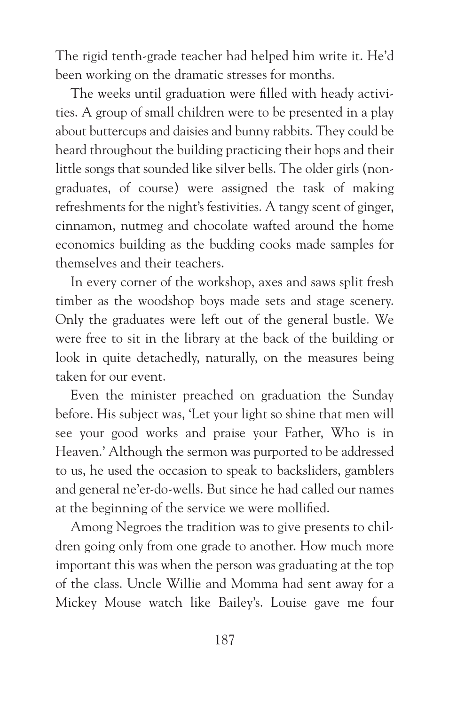The rigid tenth-grade teacher had helped him write it. He'd been working on the dramatic stresses for months.

The weeks until graduation were filled with heady activities. A group of small children were to be presented in a play about buttercups and daisies and bunny rabbits. They could be heard throughout the building practicing their hops and their little songs that sounded like silver bells. The older girls (nongraduates, of course) were assigned the task of making refreshments for the night's festivities. A tangy scent of ginger, cinnamon, nutmeg and chocolate wafted around the home economics building as the budding cooks made samples for themselves and their teachers.

In every corner of the workshop, axes and saws split fresh timber as the woodshop boys made sets and stage scenery. Only the graduates were left out of the general bustle. We were free to sit in the library at the back of the building or look in quite detachedly, naturally, on the measures being taken for our event.

Even the minister preached on graduation the Sunday before. His subject was, 'Let your light so shine that men will see your good works and praise your Father, Who is in Heaven.' Although the sermon was purported to be addressed to us, he used the occasion to speak to backsliders, gamblers and general ne'er-do-wells. But since he had called our names at the beginning of the service we were mollified.

Among Negroes the tradition was to give presents to children going only from one grade to another. How much more important this was when the person was graduating at the top of the class. Uncle Willie and Momma had sent away for a Mickey Mouse watch like Bailey's. Louise gave me four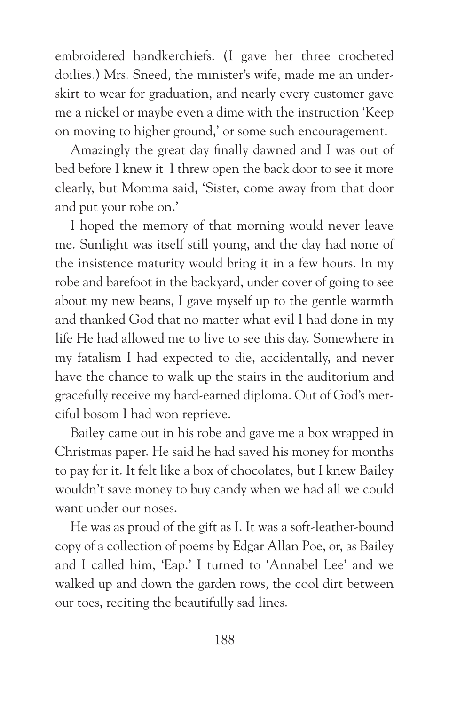embroidered handkerchiefs. (I gave her three crocheted doilies.) Mrs. Sneed, the minister's wife, made me an underskirt to wear for graduation, and nearly every customer gave me a nickel or maybe even a dime with the instruction 'Keep on moving to higher ground,' or some such encouragement.

Amazingly the great day finally dawned and I was out of bed before I knew it. I threw open the back door to see it more clearly, but Momma said, 'Sister, come away from that door and put your robe on.'

I hoped the memory of that morning would never leave me. Sunlight was itself still young, and the day had none of the insistence maturity would bring it in a few hours. In my robe and barefoot in the backyard, under cover of going to see about my new beans, I gave myself up to the gentle warmth and thanked God that no matter what evil I had done in my life He had allowed me to live to see this day. Somewhere in my fatalism I had expected to die, accidentally, and never have the chance to walk up the stairs in the auditorium and gracefully receive my hard-earned diploma. Out of God's merciful bosom I had won reprieve.

Bailey came out in his robe and gave me a box wrapped in Christmas paper. He said he had saved his money for months to pay for it. It felt like a box of chocolates, but I knew Bailey wouldn't save money to buy candy when we had all we could want under our noses.

He was as proud of the gift as I. It was a soft-leather-bound copy of a collection of poems by Edgar Allan Poe, or, as Bailey and I called him, 'Eap.' I turned to 'Annabel Lee' and we walked up and down the garden rows, the cool dirt between our toes, reciting the beautifully sad lines.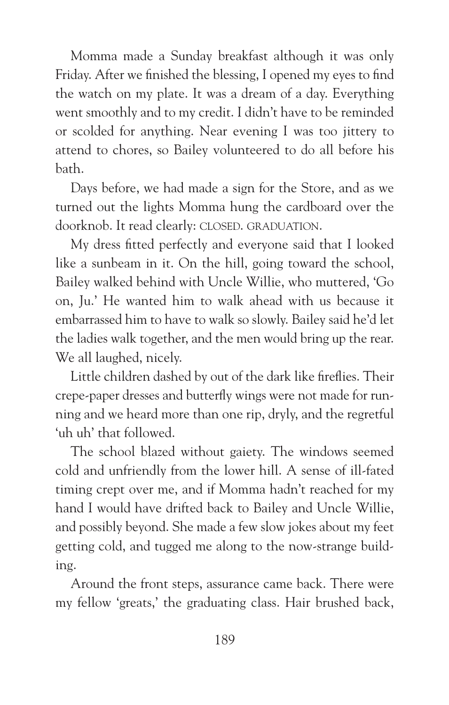Momma made a Sunday breakfast although it was only Friday. After we finished the blessing, I opened my eyes to find the watch on my plate. It was a dream of a day. Everything went smoothly and to my credit. I didn't have to be reminded or scolded for anything. Near evening I was too jittery to attend to chores, so Bailey volunteered to do all before his bath.

Days before, we had made a sign for the Store, and as we turned out the lights Momma hung the cardboard over the doorknob. It read clearly: CLOSED. GRADUATION.

My dress fitted perfectly and everyone said that I looked like a sunbeam in it. On the hill, going toward the school, Bailey walked behind with Uncle Willie, who muttered, 'Go on, Ju.' He wanted him to walk ahead with us because it embarrassed him to have to walk so slowly. Bailey said he'd let the ladies walk together, and the men would bring up the rear. We all laughed, nicely.

Little children dashed by out of the dark like fireflies. Their crepe-paper dresses and butterfly wings were not made for running and we heard more than one rip, dryly, and the regretful 'uh uh' that followed.

The school blazed without gaiety. The windows seemed cold and unfriendly from the lower hill. A sense of ill-fated timing crept over me, and if Momma hadn't reached for my hand I would have drifted back to Bailey and Uncle Willie, and possibly beyond. She made a few slow jokes about my feet getting cold, and tugged me along to the now-strange building.

Around the front steps, assurance came back. There were my fellow 'greats,' the graduating class. Hair brushed back,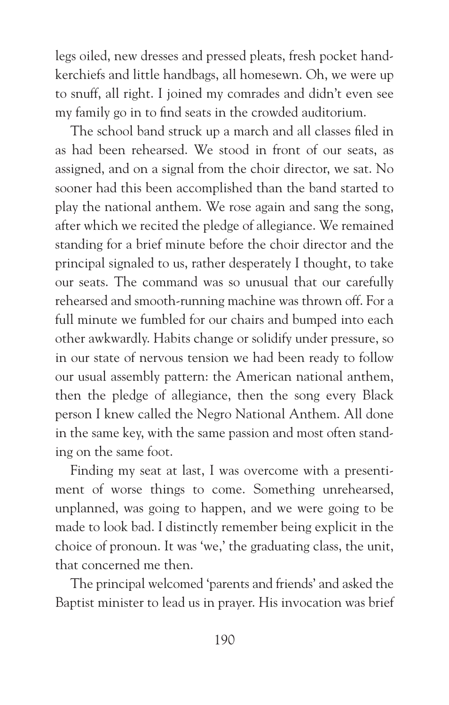legs oiled, new dresses and pressed pleats, fresh pocket handkerchiefs and little handbags, all homesewn. Oh, we were up to snuff, all right. I joined my comrades and didn't even see my family go in to find seats in the crowded auditorium.

The school band struck up a march and all classes filed in as had been rehearsed. We stood in front of our seats, as assigned, and on a signal from the choir director, we sat. No sooner had this been accomplished than the band started to play the national anthem. We rose again and sang the song, after which we recited the pledge of allegiance. We remained standing for a brief minute before the choir director and the principal signaled to us, rather desperately I thought, to take our seats. The command was so unusual that our carefully rehearsed and smooth-running machine was thrown off. For a full minute we fumbled for our chairs and bumped into each other awkwardly. Habits change or solidify under pressure, so in our state of nervous tension we had been ready to follow our usual assembly pattern: the American national anthem, then the pledge of allegiance, then the song every Black person I knew called the Negro National Anthem. All done in the same key, with the same passion and most often standing on the same foot.

Finding my seat at last, I was overcome with a presentiment of worse things to come. Something unrehearsed, unplanned, was going to happen, and we were going to be made to look bad. I distinctly remember being explicit in the choice of pronoun. It was 'we,' the graduating class, the unit, that concerned me then.

The principal welcomed 'parents and friends' and asked the Baptist minister to lead us in prayer. His invocation was brief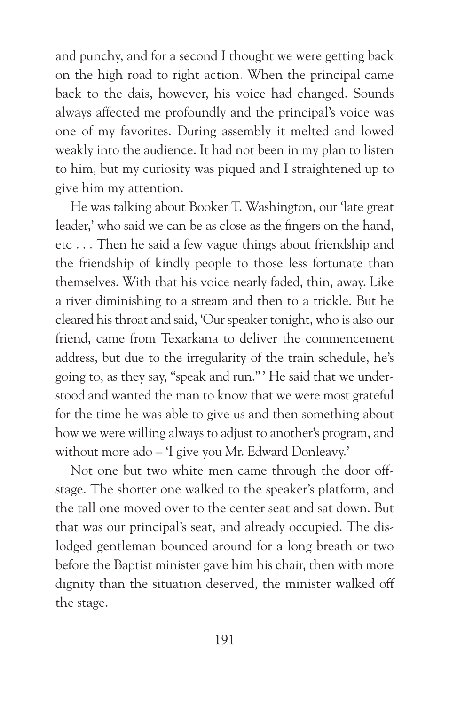and punchy, and for a second I thought we were getting back on the high road to right action. When the principal came back to the dais, however, his voice had changed. Sounds always affected me profoundly and the principal's voice was one of my favorites. During assembly it melted and lowed weakly into the audience. It had not been in my plan to listen to him, but my curiosity was piqued and I straightened up to give him my attention.

He was talking about Booker T. Washington, our 'late great leader,' who said we can be as close as the fingers on the hand, etc . . . Then he said a few vague things about friendship and the friendship of kindly people to those less fortunate than themselves. With that his voice nearly faded, thin, away. Like a river diminishing to a stream and then to a trickle. But he cleared his throat and said, 'Our speaker tonight, who is also our friend, came from Texarkana to deliver the commencement address, but due to the irregularity of the train schedule, he's going to, as they say, "speak and run." ' He said that we understood and wanted the man to know that we were most grateful for the time he was able to give us and then something about how we were willing always to adjust to another's program, and without more ado – 'I give you Mr. Edward Donleavy.'

Not one but two white men came through the door offstage. The shorter one walked to the speaker's platform, and the tall one moved over to the center seat and sat down. But that was our principal's seat, and already occupied. The dislodged gentleman bounced around for a long breath or two before the Baptist minister gave him his chair, then with more dignity than the situation deserved, the minister walked off the stage.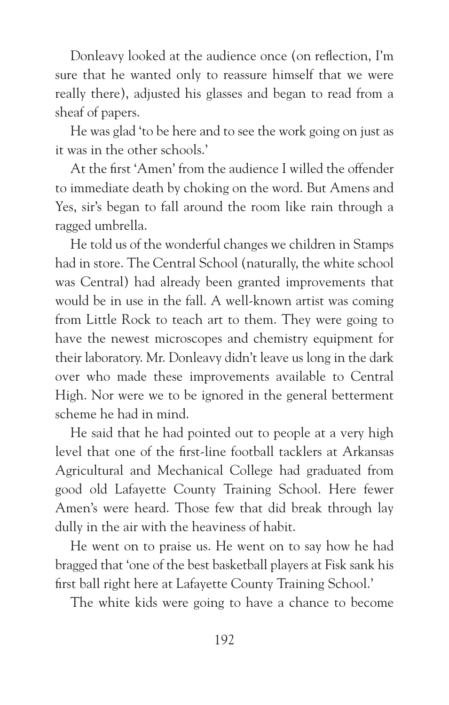Donleavy looked at the audience once (on reflection, I'm sure that he wanted only to reassure himself that we were really there), adjusted his glasses and began to read from a sheaf of papers.

He was glad 'to be here and to see the work going on just as it was in the other schools.'

At the first 'Amen' from the audience I willed the offender to immediate death by choking on the word. But Amens and Yes, sir's began to fall around the room like rain through a ragged umbrella.

He told us of the wonderful changes we children in Stamps had in store. The Central School (naturally, the white school was Central) had already been granted improvements that would be in use in the fall. A well-known artist was coming from Little Rock to teach art to them. They were going to have the newest microscopes and chemistry equipment for their laboratory. Mr. Donleavy didn't leave us long in the dark over who made these improvements available to Central High. Nor were we to be ignored in the general betterment scheme he had in mind.

He said that he had pointed out to people at a very high level that one of the first-line football tacklers at Arkansas Agricultural and Mechanical College had graduated from good old Lafayette County Training School. Here fewer Amen's were heard. Those few that did break through lay dully in the air with the heaviness of habit.

He went on to praise us. He went on to say how he had bragged that 'one of the best basketball players at Fisk sank his first ball right here at Lafayette County Training School.'

The white kids were going to have a chance to become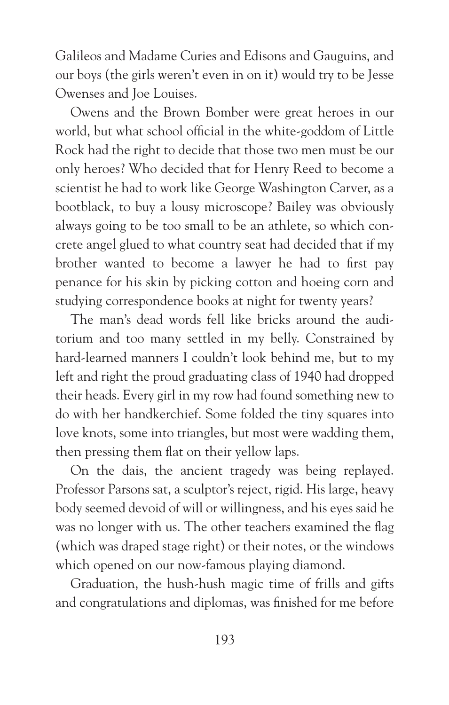Galileos and Madame Curies and Edisons and Gauguins, and our boys (the girls weren't even in on it) would try to be Jesse Owenses and Joe Louises.

Owens and the Brown Bomber were great heroes in our world, but what school official in the white-goddom of Little Rock had the right to decide that those two men must be our only heroes? Who decided that for Henry Reed to become a scientist he had to work like George Washington Carver, as a bootblack, to buy a lousy microscope? Bailey was obviously always going to be too small to be an athlete, so which concrete angel glued to what country seat had decided that if my brother wanted to become a lawyer he had to first pay penance for his skin by picking cotton and hoeing corn and studying correspondence books at night for twenty years?

The man's dead words fell like bricks around the auditorium and too many settled in my belly. Constrained by hard-learned manners I couldn't look behind me, but to my left and right the proud graduating class of 1940 had dropped their heads. Every girl in my row had found something new to do with her handkerchief. Some folded the tiny squares into love knots, some into triangles, but most were wadding them, then pressing them flat on their yellow laps.

On the dais, the ancient tragedy was being replayed. Professor Parsons sat, a sculptor's reject, rigid. His large, heavy body seemed devoid of will or willingness, and his eyes said he was no longer with us. The other teachers examined the flag (which was draped stage right) or their notes, or the windows which opened on our now-famous playing diamond.

Graduation, the hush-hush magic time of frills and gifts and congratulations and diplomas, was finished for me before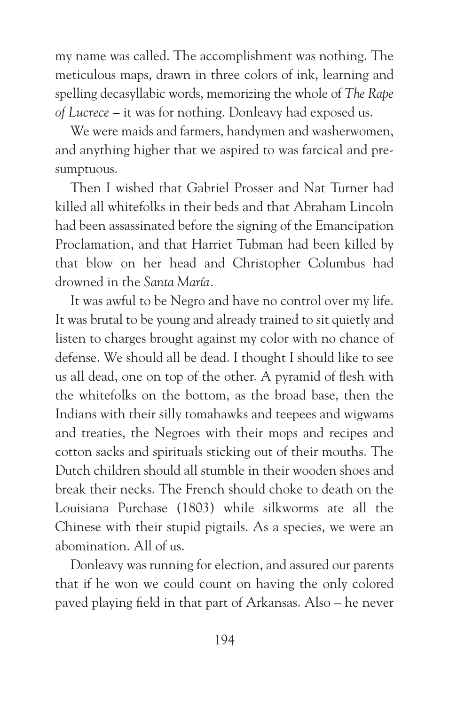my name was called. The accomplishment was nothing. The meticulous maps, drawn in three colors of ink, learning and spelling decasyllabic words, memorizing the whole of *The Rape of Lucrece –* it was for nothing. Donleavy had exposed us.

We were maids and farmers, handymen and washerwomen, and anything higher that we aspired to was farcical and presumptuous.

Then I wished that Gabriel Prosser and Nat Turner had killed all whitefolks in their beds and that Abraham Lincoln had been assassinated before the signing of the Emancipation Proclamation, and that Harriet Tubman had been killed by that blow on her head and Christopher Columbus had drowned in the *Santa María.*

It was awful to be Negro and have no control over my life. It was brutal to be young and already trained to sit quietly and listen to charges brought against my color with no chance of defense. We should all be dead. I thought I should like to see us all dead, one on top of the other. A pyramid of flesh with the whitefolks on the bottom, as the broad base, then the Indians with their silly tomahawks and teepees and wigwams and treaties, the Negroes with their mops and recipes and cotton sacks and spirituals sticking out of their mouths. The Dutch children should all stumble in their wooden shoes and break their necks. The French should choke to death on the Louisiana Purchase (1803) while silkworms ate all the Chinese with their stupid pigtails. As a species, we were an abomination. All of us.

Donleavy was running for election, and assured our parents that if he won we could count on having the only colored paved playing field in that part of Arkansas. Also – he never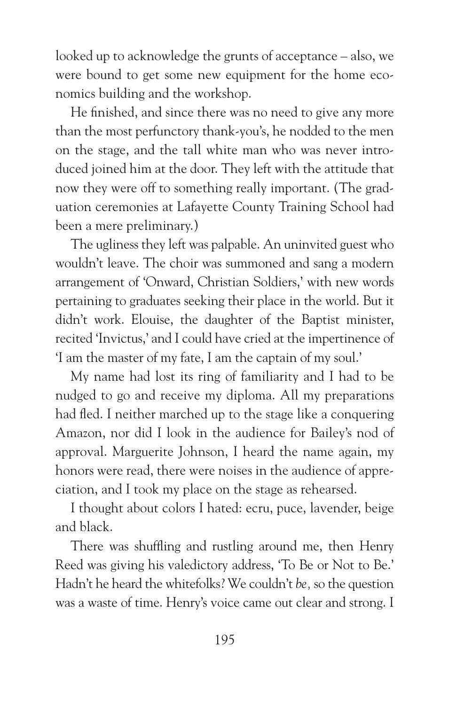looked up to acknowledge the grunts of acceptance – also, we were bound to get some new equipment for the home economics building and the workshop.

He finished, and since there was no need to give any more than the most perfunctory thank-you's, he nodded to the men on the stage, and the tall white man who was never introduced joined him at the door. They left with the attitude that now they were off to something really important. (The graduation ceremonies at Lafayette County Training School had been a mere preliminary.)

The ugliness they left was palpable. An uninvited guest who wouldn't leave. The choir was summoned and sang a modern arrangement of 'Onward, Christian Soldiers,' with new words pertaining to graduates seeking their place in the world. But it didn't work. Elouise, the daughter of the Baptist minister, recited 'Invictus,' and I could have cried at the impertinence of 'I am the master of my fate, I am the captain of my soul.'

My name had lost its ring of familiarity and I had to be nudged to go and receive my diploma. All my preparations had fled. I neither marched up to the stage like a conquering Amazon, nor did I look in the audience for Bailey's nod of approval. Marguerite Johnson, I heard the name again, my honors were read, there were noises in the audience of appreciation, and I took my place on the stage as rehearsed.

I thought about colors I hated: ecru, puce, lavender, beige and black.

There was shuffling and rustling around me, then Henry Reed was giving his valedictory address, 'To Be or Not to Be.' Hadn't he heard the whitefolks? We couldn't *be,* so the question was a waste of time. Henry's voice came out clear and strong. I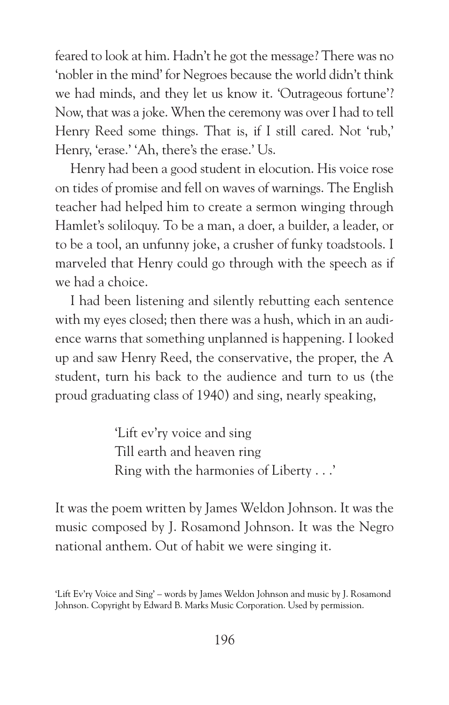feared to look at him. Hadn't he got the message? There was no 'nobler in the mind' for Negroes because the world didn't think we had minds, and they let us know it. 'Outrageous fortune'? Now, that was a joke. When the ceremony was over I had to tell Henry Reed some things. That is, if I still cared. Not 'rub,' Henry, 'erase.' 'Ah, there's the erase.' Us.

Henry had been a good student in elocution. His voice rose on tides of promise and fell on waves of warnings. The English teacher had helped him to create a sermon winging through Hamlet's soliloquy. To be a man, a doer, a builder, a leader, or to be a tool, an unfunny joke, a crusher of funky toadstools. I marveled that Henry could go through with the speech as if we had a choice.

I had been listening and silently rebutting each sentence with my eyes closed; then there was a hush, which in an audience warns that something unplanned is happening. I looked up and saw Henry Reed, the conservative, the proper, the A student, turn his back to the audience and turn to us (the proud graduating class of 1940) and sing, nearly speaking,

> 'Lift ev'ry voice and sing Till earth and heaven ring Ring with the harmonies of Liberty . . .'

It was the poem written by James Weldon Johnson. It was the music composed by J. Rosamond Johnson. It was the Negro national anthem. Out of habit we were singing it.

<sup>&#</sup>x27;Lift Ev'ry Voice and Sing' – words by James Weldon Johnson and music by J. Rosamond Johnson. Copyright by Edward B. Marks Music Corporation. Used by permission.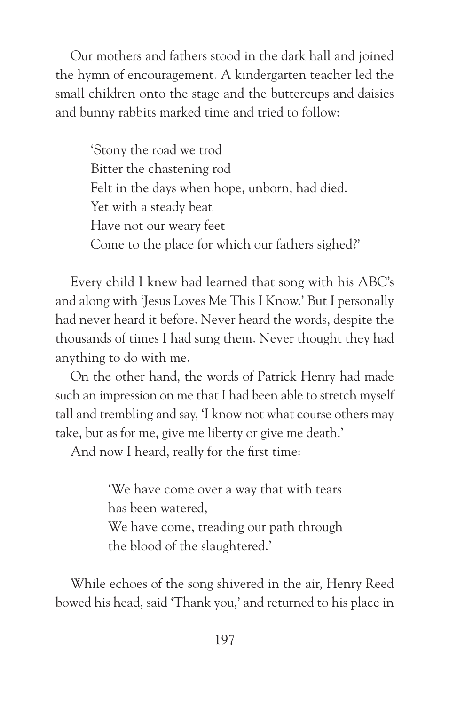Our mothers and fathers stood in the dark hall and joined the hymn of encouragement. A kindergarten teacher led the small children onto the stage and the buttercups and daisies and bunny rabbits marked time and tried to follow:

> 'Stony the road we trod Bitter the chastening rod Felt in the days when hope, unborn, had died. Yet with a steady beat Have not our weary feet Come to the place for which our fathers sighed?'

Every child I knew had learned that song with his ABC's and along with 'Jesus Loves Me This I Know.' But I personally had never heard it before. Never heard the words, despite the thousands of times I had sung them. Never thought they had anything to do with me.

On the other hand, the words of Patrick Henry had made such an impression on me that I had been able to stretch myself tall and trembling and say, 'I know not what course others may take, but as for me, give me liberty or give me death.'

And now I heard, really for the first time:

'We have come over a way that with tears has been watered, We have come, treading our path through the blood of the slaughtered.'

While echoes of the song shivered in the air, Henry Reed bowed his head, said 'Thank you,' and returned to his place in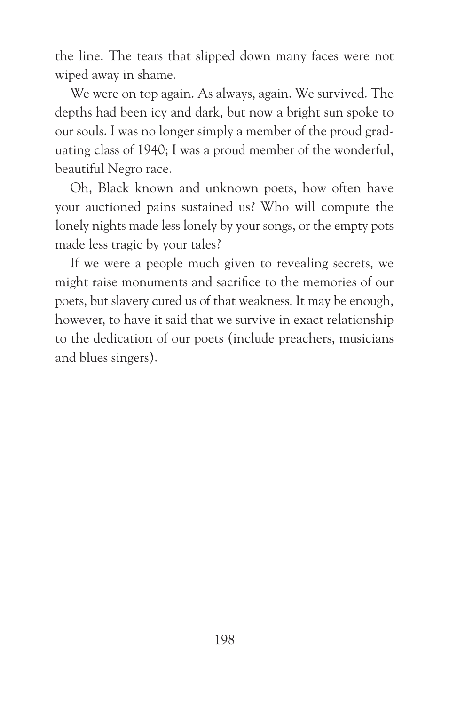the line. The tears that slipped down many faces were not wiped away in shame.

We were on top again. As always, again. We survived. The depths had been icy and dark, but now a bright sun spoke to our souls. I was no longer simply a member of the proud graduating class of 1940; I was a proud member of the wonderful, beautiful Negro race.

Oh, Black known and unknown poets, how often have your auctioned pains sustained us? Who will compute the lonely nights made less lonely by your songs, or the empty pots made less tragic by your tales?

If we were a people much given to revealing secrets, we might raise monuments and sacrifice to the memories of our poets, but slavery cured us of that weakness. It may be enough, however, to have it said that we survive in exact relationship to the dedication of our poets (include preachers, musicians and blues singers).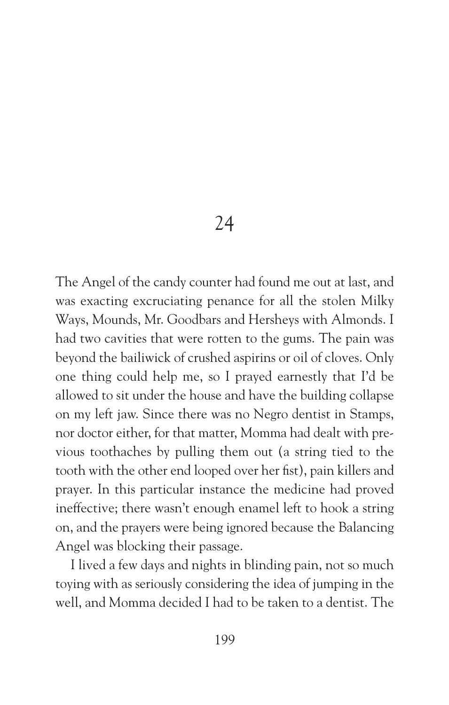## 24

The Angel of the candy counter had found me out at last, and was exacting excruciating penance for all the stolen Milky Ways, Mounds, Mr. Goodbars and Hersheys with Almonds. I had two cavities that were rotten to the gums. The pain was beyond the bailiwick of crushed aspirins or oil of cloves. Only one thing could help me, so I prayed earnestly that I'd be allowed to sit under the house and have the building collapse on my left jaw. Since there was no Negro dentist in Stamps, nor doctor either, for that matter, Momma had dealt with previous toothaches by pulling them out (a string tied to the tooth with the other end looped over her fist), pain killers and prayer. In this particular instance the medicine had proved ineffective; there wasn't enough enamel left to hook a string on, and the prayers were being ignored because the Balancing Angel was blocking their passage.

I lived a few days and nights in blinding pain, not so much toying with as seriously considering the idea of jumping in the well, and Momma decided I had to be taken to a dentist. The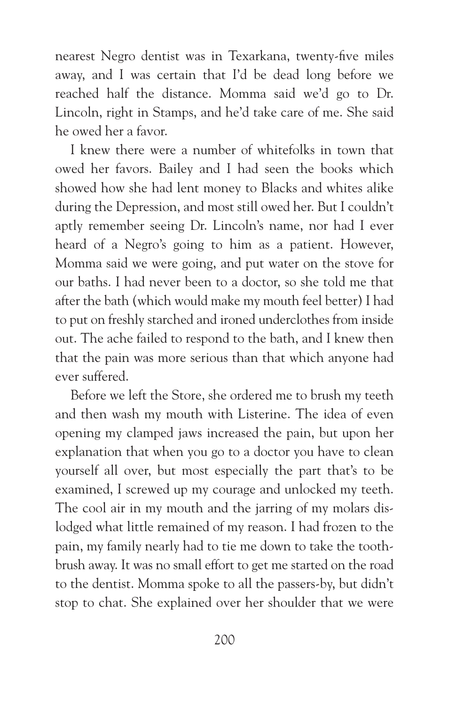nearest Negro dentist was in Texarkana, twenty-five miles away, and I was certain that I'd be dead long before we reached half the distance. Momma said we'd go to Dr. Lincoln, right in Stamps, and he'd take care of me. She said he owed her a favor.

I knew there were a number of whitefolks in town that owed her favors. Bailey and I had seen the books which showed how she had lent money to Blacks and whites alike during the Depression, and most still owed her. But I couldn't aptly remember seeing Dr. Lincoln's name, nor had I ever heard of a Negro's going to him as a patient. However, Momma said we were going, and put water on the stove for our baths. I had never been to a doctor, so she told me that after the bath (which would make my mouth feel better) I had to put on freshly starched and ironed underclothes from inside out. The ache failed to respond to the bath, and I knew then that the pain was more serious than that which anyone had ever suffered.

Before we left the Store, she ordered me to brush my teeth and then wash my mouth with Listerine. The idea of even opening my clamped jaws increased the pain, but upon her explanation that when you go to a doctor you have to clean yourself all over, but most especially the part that's to be examined, I screwed up my courage and unlocked my teeth. The cool air in my mouth and the jarring of my molars dislodged what little remained of my reason. I had frozen to the pain, my family nearly had to tie me down to take the toothbrush away. It was no small effort to get me started on the road to the dentist. Momma spoke to all the passers-by, but didn't stop to chat. She explained over her shoulder that we were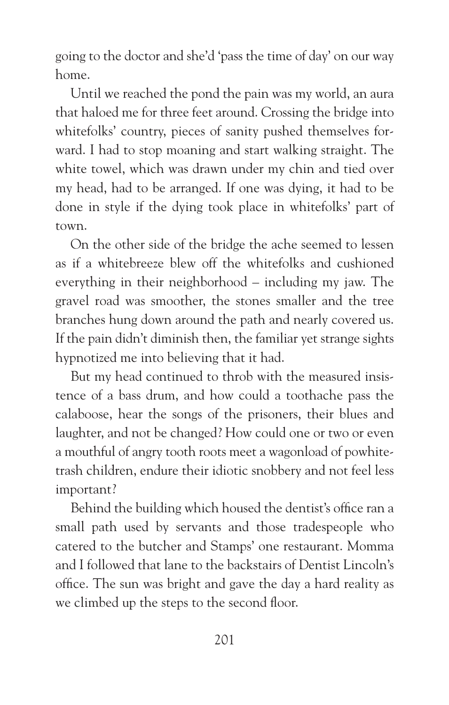going to the doctor and she'd 'pass the time of day' on our way home.

Until we reached the pond the pain was my world, an aura that haloed me for three feet around. Crossing the bridge into whitefolks' country, pieces of sanity pushed themselves forward. I had to stop moaning and start walking straight. The white towel, which was drawn under my chin and tied over my head, had to be arranged. If one was dying, it had to be done in style if the dying took place in whitefolks' part of town.

On the other side of the bridge the ache seemed to lessen as if a whitebreeze blew off the whitefolks and cushioned everything in their neighborhood – including my jaw. The gravel road was smoother, the stones smaller and the tree branches hung down around the path and nearly covered us. If the pain didn't diminish then, the familiar yet strange sights hypnotized me into believing that it had.

But my head continued to throb with the measured insistence of a bass drum, and how could a toothache pass the calaboose, hear the songs of the prisoners, their blues and laughter, and not be changed? How could one or two or even a mouthful of angry tooth roots meet a wagonload of powhitetrash children, endure their idiotic snobbery and not feel less important?

Behind the building which housed the dentist's office ran a small path used by servants and those tradespeople who catered to the butcher and Stamps' one restaurant. Momma and I followed that lane to the backstairs of Dentist Lincoln's office. The sun was bright and gave the day a hard reality as we climbed up the steps to the second floor.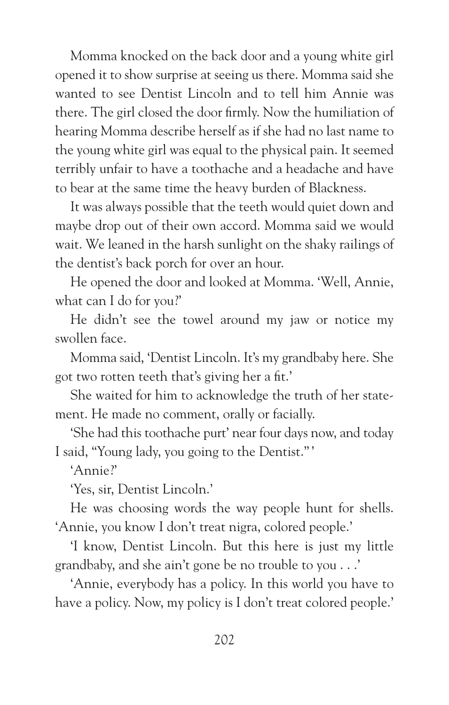Momma knocked on the back door and a young white girl opened it to show surprise at seeing us there. Momma said she wanted to see Dentist Lincoln and to tell him Annie was there. The girl closed the door firmly. Now the humiliation of hearing Momma describe herself as if she had no last name to the young white girl was equal to the physical pain. It seemed terribly unfair to have a toothache and a headache and have to bear at the same time the heavy burden of Blackness.

It was always possible that the teeth would quiet down and maybe drop out of their own accord. Momma said we would wait. We leaned in the harsh sunlight on the shaky railings of the dentist's back porch for over an hour.

He opened the door and looked at Momma. 'Well, Annie, what can I do for you?'

He didn't see the towel around my jaw or notice my swollen face.

Momma said, 'Dentist Lincoln. It's my grandbaby here. She got two rotten teeth that's giving her a fit.'

She waited for him to acknowledge the truth of her statement. He made no comment, orally or facially.

'She had this toothache purt' near four days now, and today I said, "Young lady, you going to the Dentist." '

'Annie?'

'Yes, sir, Dentist Lincoln.'

He was choosing words the way people hunt for shells. 'Annie, you know I don't treat nigra, colored people.'

'I know, Dentist Lincoln. But this here is just my little grandbaby, and she ain't gone be no trouble to you . . .'

'Annie, everybody has a policy. In this world you have to have a policy. Now, my policy is I don't treat colored people.'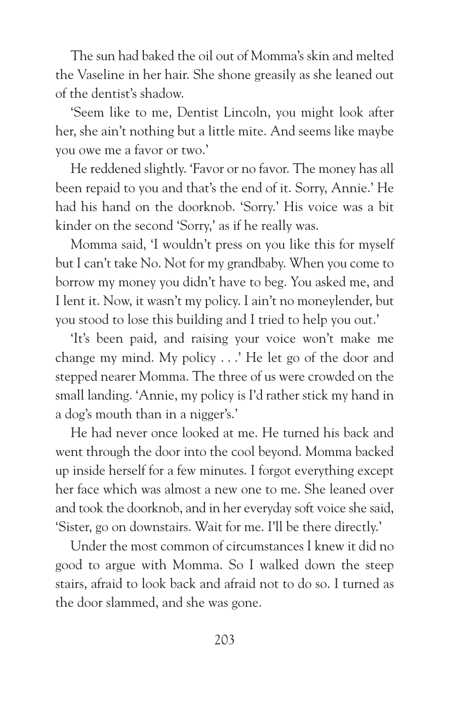The sun had baked the oil out of Momma's skin and melted the Vaseline in her hair. She shone greasily as she leaned out of the dentist's shadow.

'Seem like to me, Dentist Lincoln, you might look after her, she ain't nothing but a little mite. And seems like maybe you owe me a favor or two.'

He reddened slightly. 'Favor or no favor. The money has all been repaid to you and that's the end of it. Sorry, Annie.' He had his hand on the doorknob. 'Sorry.' His voice was a bit kinder on the second 'Sorry,' as if he really was.

Momma said, 'I wouldn't press on you like this for myself but I can't take No. Not for my grandbaby. When you come to borrow my money you didn't have to beg. You asked me, and I lent it. Now, it wasn't my policy. I ain't no moneylender, but you stood to lose this building and I tried to help you out.'

'It's been paid, and raising your voice won't make me change my mind. My policy . . .' He let go of the door and stepped nearer Momma. The three of us were crowded on the small landing. 'Annie, my policy is I'd rather stick my hand in a dog's mouth than in a nigger's.'

He had never once looked at me. He turned his back and went through the door into the cool beyond. Momma backed up inside herself for a few minutes. I forgot everything except her face which was almost a new one to me. She leaned over and took the doorknob, and in her everyday soft voice she said, 'Sister, go on downstairs. Wait for me. I'll be there directly.'

Under the most common of circumstances I knew it did no good to argue with Momma. So I walked down the steep stairs, afraid to look back and afraid not to do so. I turned as the door slammed, and she was gone.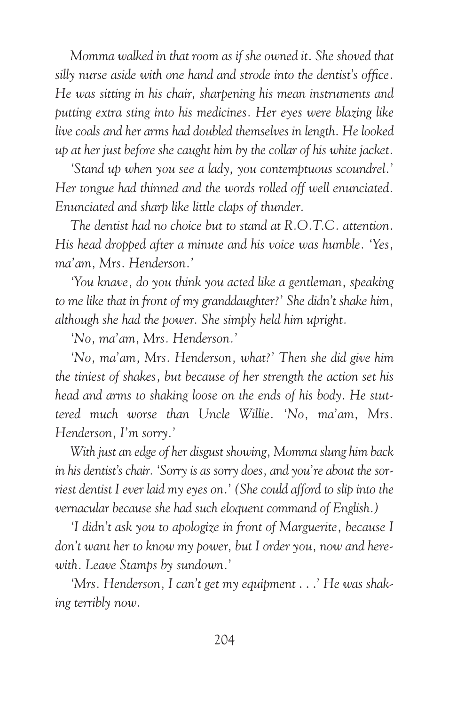*Momma walked in that room as if she owned it. She shoved that silly nurse aside with one hand and strode into the dentist's office. He was sitting in his chair, sharpening his mean instruments and putting extra sting into his medicines. Her eyes were blazing like live coals and her arms had doubled themselves in length. He looked up at her just before she caught him by the collar of his white jacket.*

*'Stand up when you see a lady, you contemptuous scoundrel.' Her tongue had thinned and the words rolled off well enunciated. Enunciated and sharp like little claps of thunder.*

*The dentist had no choice but to stand at R.O.T.C. attention. His head dropped after a minute and his voice was humble. 'Yes, ma'am, Mrs. Henderson.'*

*'You knave, do you think you acted like a gentleman, speaking to me like that in front of my granddaughter?' She didn't shake him, although she had the power. She simply held him upright.*

*'No, ma'am, Mrs. Henderson.'*

*'No, ma'am, Mrs. Henderson, what?' Then she did give him the tiniest of shakes, but because of her strength the action set his head and arms to shaking loose on the ends of his body. He stuttered much worse than Uncle Willie. 'No, ma'am, Mrs. Henderson, I'm sorry.'*

*With just an edge of her disgust showing, Momma slung him back in his dentist's chair. 'Sorry is as sorry does, and you're about the sorriest dentist I ever laid my eyes on.' (She could afford to slip into the vernacular because she had such eloquent command of English.)*

*'I didn't ask you to apologize in front of Marguerite, because I don't want her to know my power, but I order you, now and herewith. Leave Stamps by sundown.'*

*'Mrs. Henderson, I can't get my equipment* ...*' He was shaking terribly now.*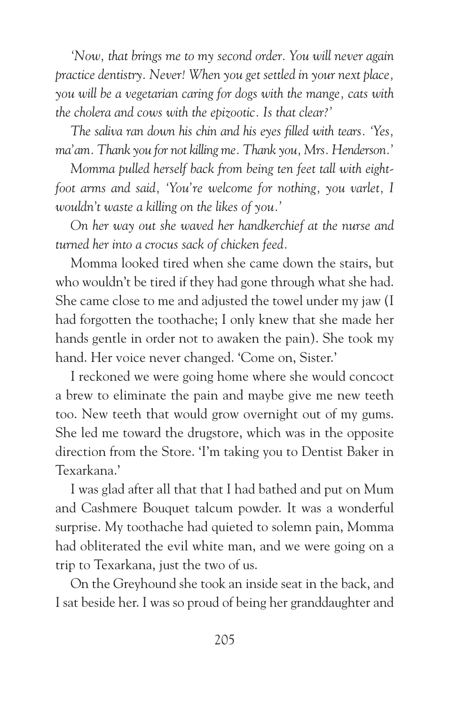*'Now, that brings me to my second order. You will never again practice dentistry. Never! When you get settled in your next place, you will be a vegetarian caring for dogs with the mange, cats with the cholera and cows with the epizootic. Is that clear?'*

*The saliva ran down his chin and his eyes filled with tears. 'Yes, ma'am. Thank you for not killing me. Thank you, Mrs. Henderson.'*

*Momma pulled herself back from being ten feet tall with eightfoot arms and said, 'You're welcome for nothing, you varlet, I wouldn't waste a killing on the likes of you.'*

*On her way out she waved her handkerchief at the nurse and turned her into a crocus sack of chicken feed.*

Momma looked tired when she came down the stairs, but who wouldn't be tired if they had gone through what she had. She came close to me and adjusted the towel under my jaw (I had forgotten the toothache; I only knew that she made her hands gentle in order not to awaken the pain). She took my hand. Her voice never changed. 'Come on, Sister.'

I reckoned we were going home where she would concoct a brew to eliminate the pain and maybe give me new teeth too. New teeth that would grow overnight out of my gums. She led me toward the drugstore, which was in the opposite direction from the Store. 'I'm taking you to Dentist Baker in Texarkana.'

I was glad after all that that I had bathed and put on Mum and Cashmere Bouquet talcum powder. It was a wonderful surprise. My toothache had quieted to solemn pain, Momma had obliterated the evil white man, and we were going on a trip to Texarkana, just the two of us.

On the Greyhound she took an inside seat in the back, and I sat beside her. I was so proud of being her granddaughter and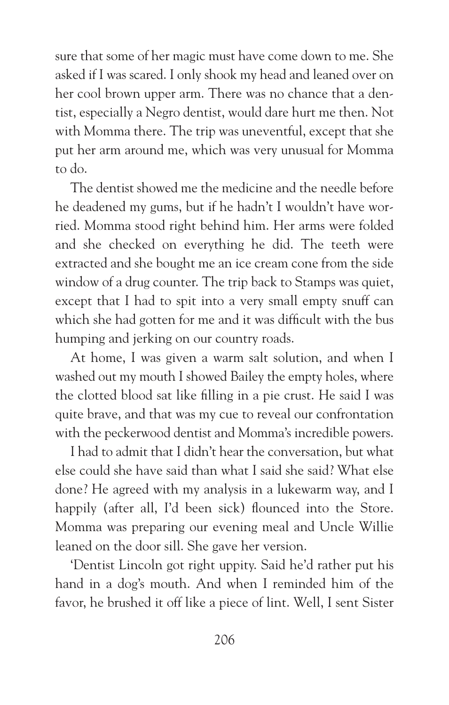sure that some of her magic must have come down to me. She asked if I was scared. I only shook my head and leaned over on her cool brown upper arm. There was no chance that a dentist, especially a Negro dentist, would dare hurt me then. Not with Momma there. The trip was uneventful, except that she put her arm around me, which was very unusual for Momma to do.

The dentist showed me the medicine and the needle before he deadened my gums, but if he hadn't I wouldn't have worried. Momma stood right behind him. Her arms were folded and she checked on everything he did. The teeth were extracted and she bought me an ice cream cone from the side window of a drug counter. The trip back to Stamps was quiet, except that I had to spit into a very small empty snuff can which she had gotten for me and it was difficult with the bus humping and jerking on our country roads.

At home, I was given a warm salt solution, and when I washed out my mouth I showed Bailey the empty holes, where the clotted blood sat like filling in a pie crust. He said I was quite brave, and that was my cue to reveal our confrontation with the peckerwood dentist and Momma's incredible powers.

I had to admit that I didn't hear the conversation, but what else could she have said than what I said she said? What else done? He agreed with my analysis in a lukewarm way, and I happily (after all, I'd been sick) flounced into the Store. Momma was preparing our evening meal and Uncle Willie leaned on the door sill. She gave her version.

'Dentist Lincoln got right uppity. Said he'd rather put his hand in a dog's mouth. And when I reminded him of the favor, he brushed it off like a piece of lint. Well, I sent Sister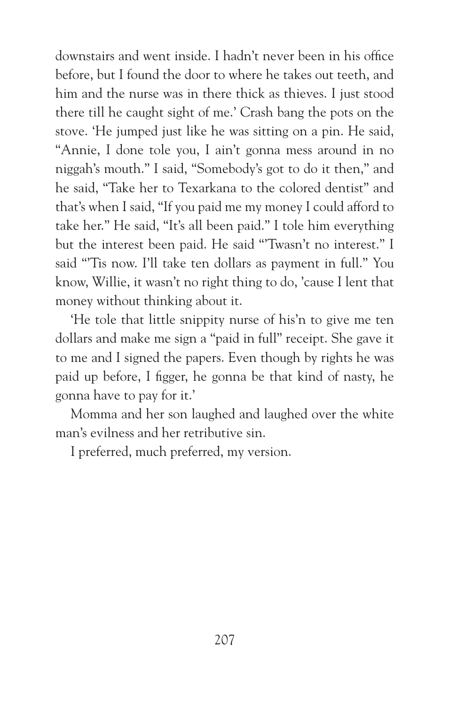downstairs and went inside. I hadn't never been in his office before, but I found the door to where he takes out teeth, and him and the nurse was in there thick as thieves. I just stood there till he caught sight of me.' Crash bang the pots on the stove. 'He jumped just like he was sitting on a pin. He said, "Annie, I done tole you, I ain't gonna mess around in no niggah's mouth." I said, "Somebody's got to do it then," and he said, "Take her to Texarkana to the colored dentist" and that's when I said, "If you paid me my money I could afford to take her." He said, "It's all been paid." I tole him everything but the interest been paid. He said "'Twasn't no interest." I said "'Tis now. I'll take ten dollars as payment in full." You know, Willie, it wasn't no right thing to do, 'cause I lent that money without thinking about it.

'He tole that little snippity nurse of his'n to give me ten dollars and make me sign a "paid in full" receipt. She gave it to me and I signed the papers. Even though by rights he was paid up before, I figger, he gonna be that kind of nasty, he gonna have to pay for it.'

Momma and her son laughed and laughed over the white man's evilness and her retributive sin.

I preferred, much preferred, my version.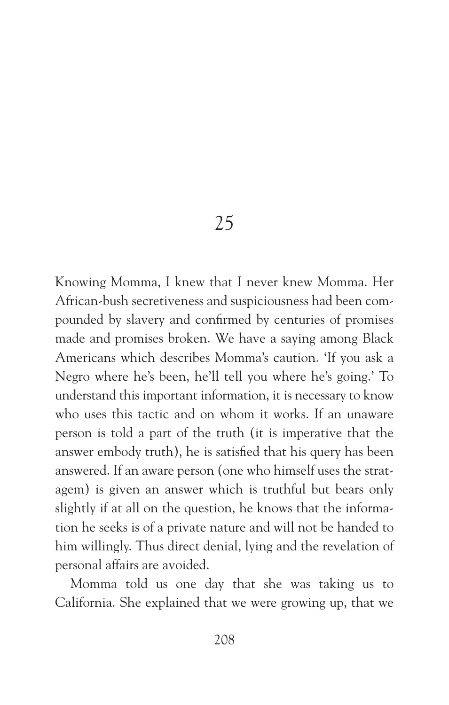## 25

Knowing Momma, I knew that I never knew Momma. Her African-bush secretiveness and suspiciousness had been compounded by slavery and confirmed by centuries of promises made and promises broken. We have a saying among Black Americans which describes Momma's caution. 'If you ask a Negro where he's been, he'll tell you where he's going.' To understand this important information, it is necessary to know who uses this tactic and on whom it works. If an unaware person is told a part of the truth (it is imperative that the answer embody truth), he is satisfied that his query has been answered. If an aware person (one who himself uses the stratagem) is given an answer which is truthful but bears only slightly if at all on the question, he knows that the information he seeks is of a private nature and will not be handed to him willingly. Thus direct denial, lying and the revelation of personal affairs are avoided.

Momma told us one day that she was taking us to California. She explained that we were growing up, that we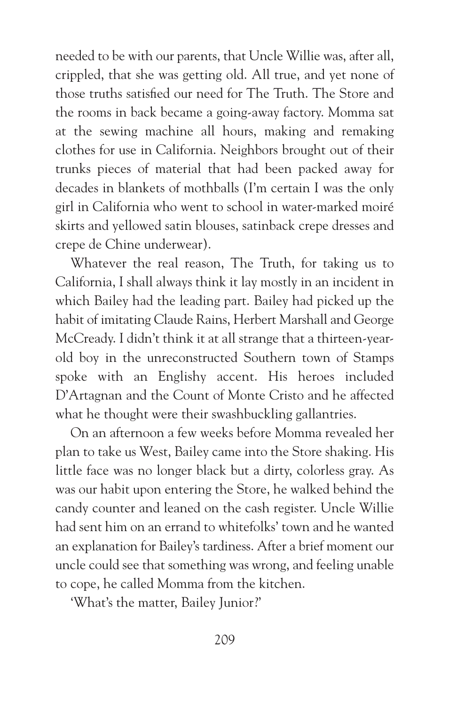needed to be with our parents, that Uncle Willie was, after all, crippled, that she was getting old. All true, and yet none of those truths satisfied our need for The Truth. The Store and the rooms in back became a going-away factory. Momma sat at the sewing machine all hours, making and remaking clothes for use in California. Neighbors brought out of their trunks pieces of material that had been packed away for decades in blankets of mothballs (I'm certain I was the only girl in California who went to school in water-marked moiré skirts and yellowed satin blouses, satinback crepe dresses and crepe de Chine underwear).

Whatever the real reason, The Truth, for taking us to California, I shall always think it lay mostly in an incident in which Bailey had the leading part. Bailey had picked up the habit of imitating Claude Rains, Herbert Marshall and George McCready. I didn't think it at all strange that a thirteen-yearold boy in the unreconstructed Southern town of Stamps spoke with an Englishy accent. His heroes included D'Artagnan and the Count of Monte Cristo and he affected what he thought were their swashbuckling gallantries.

On an afternoon a few weeks before Momma revealed her plan to take us West, Bailey came into the Store shaking. His little face was no longer black but a dirty, colorless gray. As was our habit upon entering the Store, he walked behind the candy counter and leaned on the cash register. Uncle Willie had sent him on an errand to whitefolks' town and he wanted an explanation for Bailey's tardiness. After a brief moment our uncle could see that something was wrong, and feeling unable to cope, he called Momma from the kitchen.

'What's the matter, Bailey Junior?'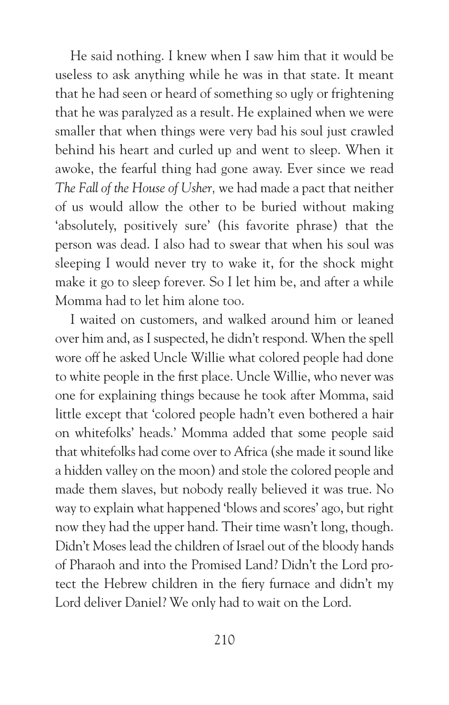He said nothing. I knew when I saw him that it would be useless to ask anything while he was in that state. It meant that he had seen or heard of something so ugly or frightening that he was paralyzed as a result. He explained when we were smaller that when things were very bad his soul just crawled behind his heart and curled up and went to sleep. When it awoke, the fearful thing had gone away. Ever since we read *The Fall of the House of Usher,* we had made a pact that neither of us would allow the other to be buried without making 'absolutely, positively sure' (his favorite phrase) that the person was dead. I also had to swear that when his soul was sleeping I would never try to wake it, for the shock might make it go to sleep forever. So I let him be, and after a while Momma had to let him alone too.

I waited on customers, and walked around him or leaned over him and, as I suspected, he didn't respond. When the spell wore off he asked Uncle Willie what colored people had done to white people in the first place. Uncle Willie, who never was one for explaining things because he took after Momma, said little except that 'colored people hadn't even bothered a hair on whitefolks' heads.' Momma added that some people said that whitefolks had come over to Africa (she made it sound like a hidden valley on the moon) and stole the colored people and made them slaves, but nobody really believed it was true. No way to explain what happened 'blows and scores' ago, but right now they had the upper hand. Their time wasn't long, though. Didn't Moses lead the children of Israel out of the bloody hands of Pharaoh and into the Promised Land? Didn't the Lord protect the Hebrew children in the fiery furnace and didn't my Lord deliver Daniel? We only had to wait on the Lord.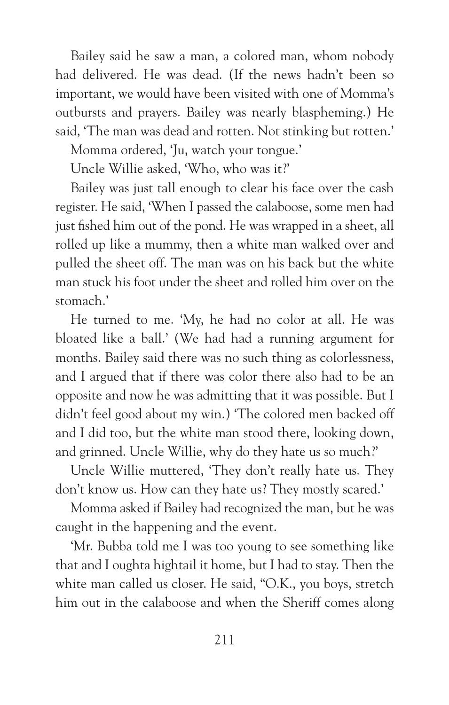Bailey said he saw a man, a colored man, whom nobody had delivered. He was dead. (If the news hadn't been so important, we would have been visited with one of Momma's outbursts and prayers. Bailey was nearly blaspheming.) He said, 'The man was dead and rotten. Not stinking but rotten.'

Momma ordered, 'Ju, watch your tongue.'

Uncle Willie asked, 'Who, who was it?'

Bailey was just tall enough to clear his face over the cash register. He said, 'When I passed the calaboose, some men had just fished him out of the pond. He was wrapped in a sheet, all rolled up like a mummy, then a white man walked over and pulled the sheet off. The man was on his back but the white man stuck his foot under the sheet and rolled him over on the stomach.'

He turned to me. 'My, he had no color at all. He was bloated like a ball.' (We had had a running argument for months. Bailey said there was no such thing as colorlessness, and I argued that if there was color there also had to be an opposite and now he was admitting that it was possible. But I didn't feel good about my win.) 'The colored men backed off and I did too, but the white man stood there, looking down, and grinned. Uncle Willie, why do they hate us so much?'

Uncle Willie muttered, 'They don't really hate us. They don't know us. How can they hate us? They mostly scared.'

Momma asked if Bailey had recognized the man, but he was caught in the happening and the event.

'Mr. Bubba told me I was too young to see something like that and I oughta hightail it home, but I had to stay. Then the white man called us closer. He said, "O.K., you boys, stretch him out in the calaboose and when the Sheriff comes along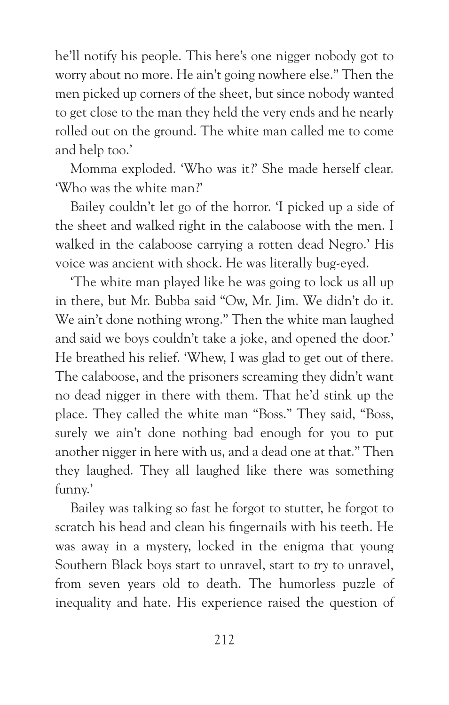he'll notify his people. This here's one nigger nobody got to worry about no more. He ain't going nowhere else." Then the men picked up corners of the sheet, but since nobody wanted to get close to the man they held the very ends and he nearly rolled out on the ground. The white man called me to come and help too.'

Momma exploded. 'Who was it?' She made herself clear. 'Who was the white man?'

Bailey couldn't let go of the horror. 'I picked up a side of the sheet and walked right in the calaboose with the men. I walked in the calaboose carrying a rotten dead Negro.' His voice was ancient with shock. He was literally bug-eyed.

'The white man played like he was going to lock us all up in there, but Mr. Bubba said "Ow, Mr. Jim. We didn't do it. We ain't done nothing wrong." Then the white man laughed and said we boys couldn't take a joke, and opened the door.' He breathed his relief. 'Whew, I was glad to get out of there. The calaboose, and the prisoners screaming they didn't want no dead nigger in there with them. That he'd stink up the place. They called the white man "Boss." They said, "Boss, surely we ain't done nothing bad enough for you to put another nigger in here with us, and a dead one at that." Then they laughed. They all laughed like there was something funny.'

Bailey was talking so fast he forgot to stutter, he forgot to scratch his head and clean his fingernails with his teeth. He was away in a mystery, locked in the enigma that young Southern Black boys start to unravel, start to *try* to unravel, from seven years old to death. The humorless puzzle of inequality and hate. His experience raised the question of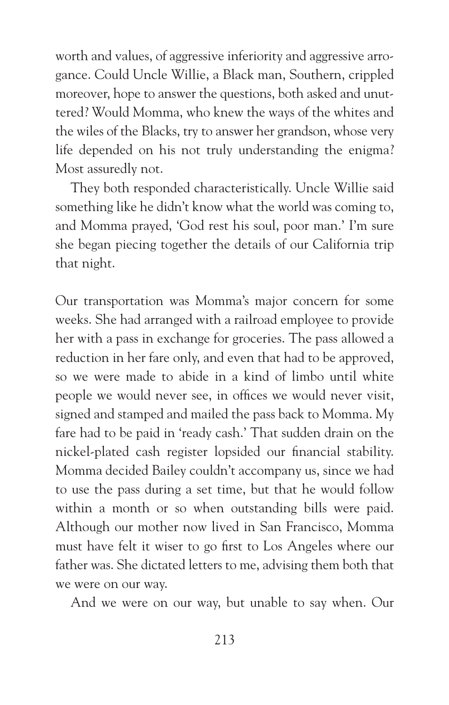worth and values, of aggressive inferiority and aggressive arrogance. Could Uncle Willie, a Black man, Southern, crippled moreover, hope to answer the questions, both asked and unuttered? Would Momma, who knew the ways of the whites and the wiles of the Blacks, try to answer her grandson, whose very life depended on his not truly understanding the enigma? Most assuredly not.

They both responded characteristically. Uncle Willie said something like he didn't know what the world was coming to, and Momma prayed, 'God rest his soul, poor man.' I'm sure she began piecing together the details of our California trip that night.

Our transportation was Momma's major concern for some weeks. She had arranged with a railroad employee to provide her with a pass in exchange for groceries. The pass allowed a reduction in her fare only, and even that had to be approved, so we were made to abide in a kind of limbo until white people we would never see, in offices we would never visit, signed and stamped and mailed the pass back to Momma. My fare had to be paid in 'ready cash.' That sudden drain on the nickel-plated cash register lopsided our financial stability. Momma decided Bailey couldn't accompany us, since we had to use the pass during a set time, but that he would follow within a month or so when outstanding bills were paid. Although our mother now lived in San Francisco, Momma must have felt it wiser to go first to Los Angeles where our father was. She dictated letters to me, advising them both that we were on our way.

And we were on our way, but unable to say when. Our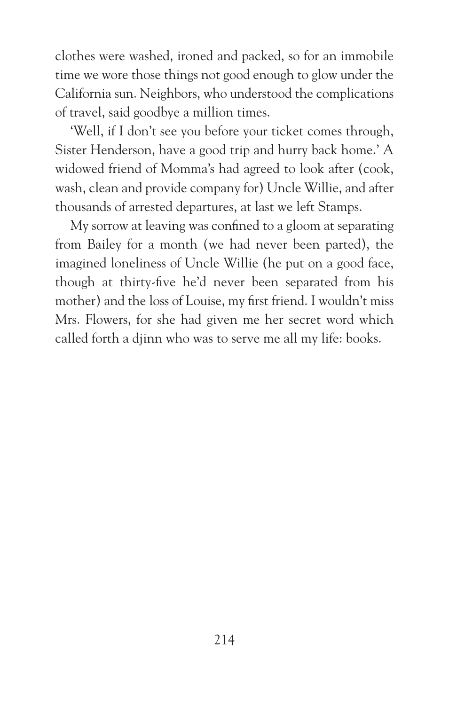clothes were washed, ironed and packed, so for an immobile time we wore those things not good enough to glow under the California sun. Neighbors, who understood the complications of travel, said goodbye a million times.

'Well, if I don't see you before your ticket comes through, Sister Henderson, have a good trip and hurry back home.' A widowed friend of Momma's had agreed to look after (cook, wash, clean and provide company for) Uncle Willie, and after thousands of arrested departures, at last we left Stamps.

My sorrow at leaving was confined to a gloom at separating from Bailey for a month (we had never been parted), the imagined loneliness of Uncle Willie (he put on a good face, though at thirty-five he'd never been separated from his mother) and the loss of Louise, my first friend. I wouldn't miss Mrs. Flowers, for she had given me her secret word which called forth a djinn who was to serve me all my life: books.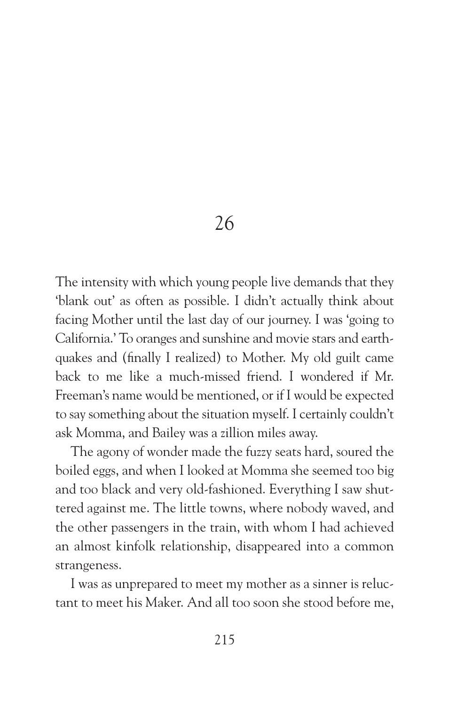26

The intensity with which young people live demands that they 'blank out' as often as possible. I didn't actually think about facing Mother until the last day of our journey. I was 'going to California.' To oranges and sunshine and movie stars and earthquakes and (finally I realized) to Mother. My old guilt came back to me like a much-missed friend. I wondered if Mr. Freeman's name would be mentioned, or if I would be expected to say something about the situation myself. I certainly couldn't ask Momma, and Bailey was a zillion miles away.

The agony of wonder made the fuzzy seats hard, soured the boiled eggs, and when I looked at Momma she seemed too big and too black and very old-fashioned. Everything I saw shuttered against me. The little towns, where nobody waved, and the other passengers in the train, with whom I had achieved an almost kinfolk relationship, disappeared into a common strangeness.

I was as unprepared to meet my mother as a sinner is reluctant to meet his Maker. And all too soon she stood before me,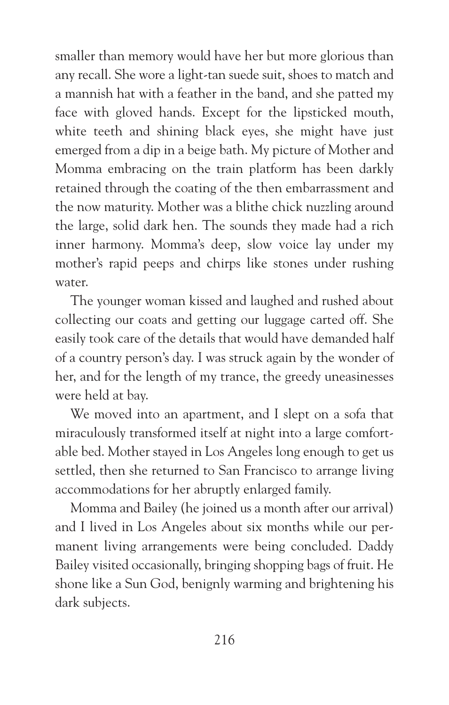smaller than memory would have her but more glorious than any recall. She wore a light-tan suede suit, shoes to match and a mannish hat with a feather in the band, and she patted my face with gloved hands. Except for the lipsticked mouth, white teeth and shining black eyes, she might have just emerged from a dip in a beige bath. My picture of Mother and Momma embracing on the train platform has been darkly retained through the coating of the then embarrassment and the now maturity. Mother was a blithe chick nuzzling around the large, solid dark hen. The sounds they made had a rich inner harmony. Momma's deep, slow voice lay under my mother's rapid peeps and chirps like stones under rushing water.

The younger woman kissed and laughed and rushed about collecting our coats and getting our luggage carted off. She easily took care of the details that would have demanded half of a country person's day. I was struck again by the wonder of her, and for the length of my trance, the greedy uneasinesses were held at bay.

We moved into an apartment, and I slept on a sofa that miraculously transformed itself at night into a large comfortable bed. Mother stayed in Los Angeles long enough to get us settled, then she returned to San Francisco to arrange living accommodations for her abruptly enlarged family.

Momma and Bailey (he joined us a month after our arrival) and I lived in Los Angeles about six months while our permanent living arrangements were being concluded. Daddy Bailey visited occasionally, bringing shopping bags of fruit. He shone like a Sun God, benignly warming and brightening his dark subjects.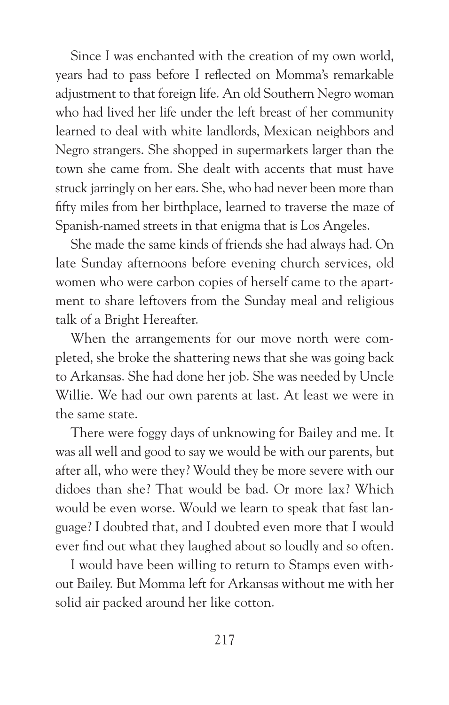Since I was enchanted with the creation of my own world, years had to pass before I reflected on Momma's remarkable adjustment to that foreign life. An old Southern Negro woman who had lived her life under the left breast of her community learned to deal with white landlords, Mexican neighbors and Negro strangers. She shopped in supermarkets larger than the town she came from. She dealt with accents that must have struck jarringly on her ears. She, who had never been more than fifty miles from her birthplace, learned to traverse the maze of Spanish-named streets in that enigma that is Los Angeles.

She made the same kinds of friends she had always had. On late Sunday afternoons before evening church services, old women who were carbon copies of herself came to the apartment to share leftovers from the Sunday meal and religious talk of a Bright Hereafter.

When the arrangements for our move north were completed, she broke the shattering news that she was going back to Arkansas. She had done her job. She was needed by Uncle Willie. We had our own parents at last. At least we were in the same state.

There were foggy days of unknowing for Bailey and me. It was all well and good to say we would be with our parents, but after all, who were they? Would they be more severe with our didoes than she? That would be bad. Or more lax? Which would be even worse. Would we learn to speak that fast language? I doubted that, and I doubted even more that I would ever find out what they laughed about so loudly and so often.

I would have been willing to return to Stamps even without Bailey. But Momma left for Arkansas without me with her solid air packed around her like cotton.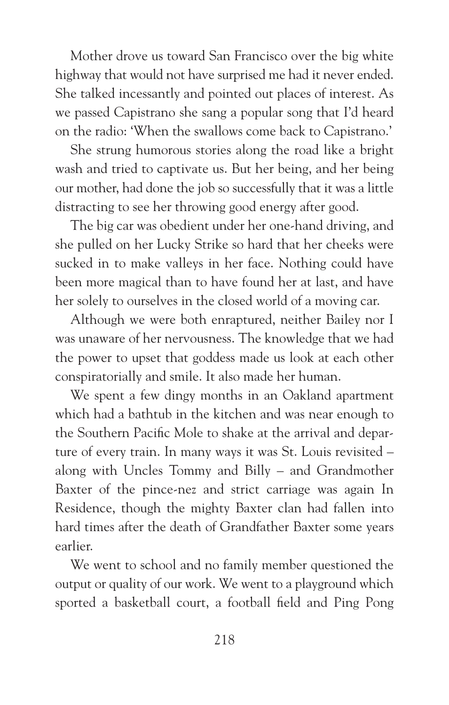Mother drove us toward San Francisco over the big white highway that would not have surprised me had it never ended. She talked incessantly and pointed out places of interest. As we passed Capistrano she sang a popular song that I'd heard on the radio: 'When the swallows come back to Capistrano.'

She strung humorous stories along the road like a bright wash and tried to captivate us. But her being, and her being our mother, had done the job so successfully that it was a little distracting to see her throwing good energy after good.

The big car was obedient under her one-hand driving, and she pulled on her Lucky Strike so hard that her cheeks were sucked in to make valleys in her face. Nothing could have been more magical than to have found her at last, and have her solely to ourselves in the closed world of a moving car.

Although we were both enraptured, neither Bailey nor I was unaware of her nervousness. The knowledge that we had the power to upset that goddess made us look at each other conspiratorially and smile. It also made her human.

We spent a few dingy months in an Oakland apartment which had a bathtub in the kitchen and was near enough to the Southern Pacific Mole to shake at the arrival and departure of every train. In many ways it was St. Louis revisited – along with Uncles Tommy and Billy – and Grandmother Baxter of the pince-nez and strict carriage was again In Residence, though the mighty Baxter clan had fallen into hard times after the death of Grandfather Baxter some years earlier.

We went to school and no family member questioned the output or quality of our work. We went to a playground which sported a basketball court, a football field and Ping Pong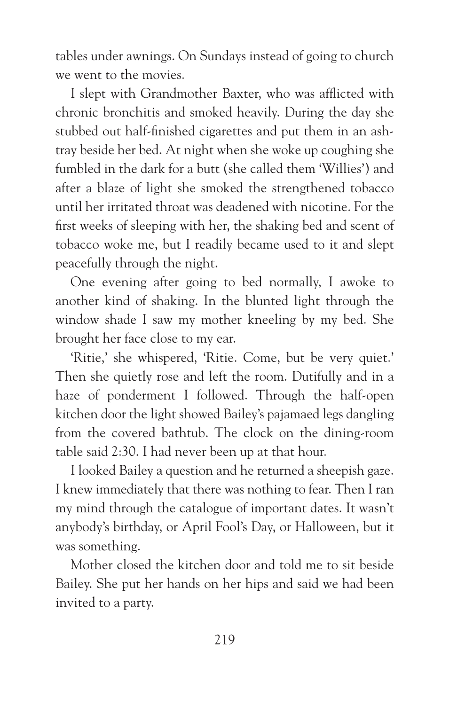tables under awnings. On Sundays instead of going to church we went to the movies.

I slept with Grandmother Baxter, who was afflicted with chronic bronchitis and smoked heavily. During the day she stubbed out half-finished cigarettes and put them in an ashtray beside her bed. At night when she woke up coughing she fumbled in the dark for a butt (she called them 'Willies') and after a blaze of light she smoked the strengthened tobacco until her irritated throat was deadened with nicotine. For the first weeks of sleeping with her, the shaking bed and scent of tobacco woke me, but I readily became used to it and slept peacefully through the night.

One evening after going to bed normally, I awoke to another kind of shaking. In the blunted light through the window shade I saw my mother kneeling by my bed. She brought her face close to my ear.

'Ritie,' she whispered, 'Ritie. Come, but be very quiet.' Then she quietly rose and left the room. Dutifully and in a haze of ponderment I followed. Through the half-open kitchen door the light showed Bailey's pajamaed legs dangling from the covered bathtub. The clock on the dining-room table said 2:30. I had never been up at that hour.

I looked Bailey a question and he returned a sheepish gaze. I knew immediately that there was nothing to fear. Then I ran my mind through the catalogue of important dates. It wasn't anybody's birthday, or April Fool's Day, or Halloween, but it was something.

Mother closed the kitchen door and told me to sit beside Bailey. She put her hands on her hips and said we had been invited to a party.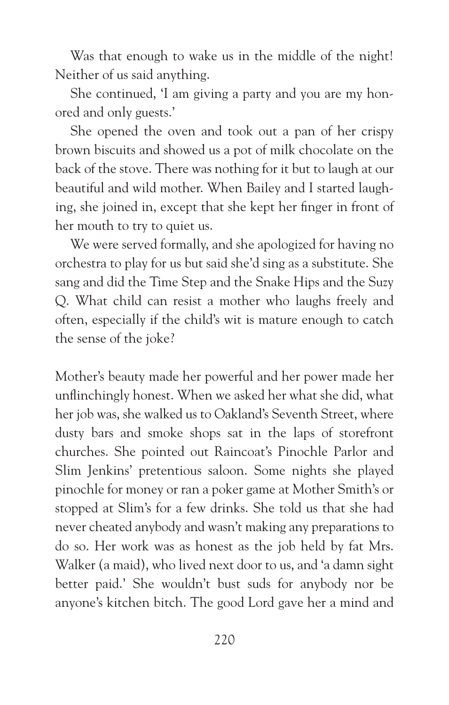Was that enough to wake us in the middle of the night! Neither of us said anything.

She continued, 'I am giving a party and you are my honored and only guests.'

She opened the oven and took out a pan of her crispy brown biscuits and showed us a pot of milk chocolate on the back of the stove. There was nothing for it but to laugh at our beautiful and wild mother. When Bailey and I started laughing, she joined in, except that she kept her finger in front of her mouth to try to quiet us.

We were served formally, and she apologized for having no orchestra to play for us but said she'd sing as a substitute. She sang and did the Time Step and the Snake Hips and the Suzy Q. What child can resist a mother who laughs freely and often, especially if the child's wit is mature enough to catch the sense of the joke?

Mother's beauty made her powerful and her power made her unflinchingly honest. When we asked her what she did, what her job was, she walked us to Oakland's Seventh Street, where dusty bars and smoke shops sat in the laps of storefront churches. She pointed out Raincoat's Pinochle Parlor and Slim Jenkins' pretentious saloon. Some nights she played pinochle for money or ran a poker game at Mother Smith's or stopped at Slim's for a few drinks. She told us that she had never cheated anybody and wasn't making any preparations to do so. Her work was as honest as the job held by fat Mrs. Walker (a maid), who lived next door to us, and 'a damn sight better paid.' She wouldn't bust suds for anybody nor be anyone's kitchen bitch. The good Lord gave her a mind and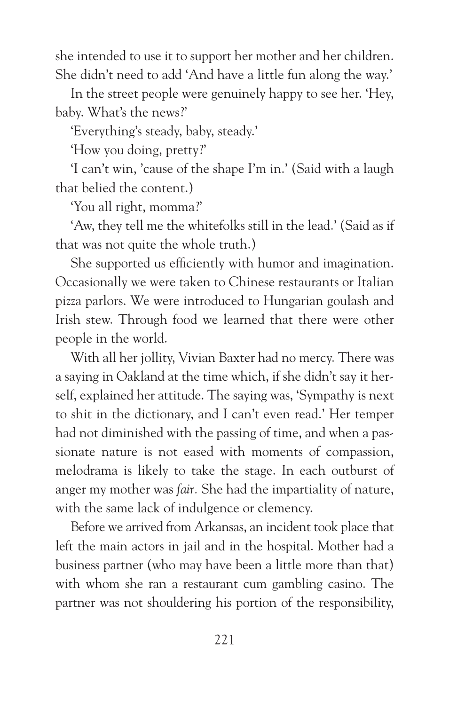she intended to use it to support her mother and her children. She didn't need to add 'And have a little fun along the way.'

In the street people were genuinely happy to see her. 'Hey, baby. What's the news?'

'Everything's steady, baby, steady.'

'How you doing, pretty?'

'I can't win, 'cause of the shape I'm in.' (Said with a laugh that belied the content.)

'You all right, momma?'

'Aw, they tell me the whitefolks still in the lead.' (Said as if that was not quite the whole truth.)

She supported us efficiently with humor and imagination. Occasionally we were taken to Chinese restaurants or Italian pizza parlors. We were introduced to Hungarian goulash and Irish stew. Through food we learned that there were other people in the world.

With all her jollity, Vivian Baxter had no mercy. There was a saying in Oakland at the time which, if she didn't say it herself, explained her attitude. The saying was, 'Sympathy is next to shit in the dictionary, and I can't even read.' Her temper had not diminished with the passing of time, and when a passionate nature is not eased with moments of compassion, melodrama is likely to take the stage. In each outburst of anger my mother was *fair.* She had the impartiality of nature, with the same lack of indulgence or clemency.

Before we arrived from Arkansas, an incident took place that left the main actors in jail and in the hospital. Mother had a business partner (who may have been a little more than that) with whom she ran a restaurant cum gambling casino. The partner was not shouldering his portion of the responsibility,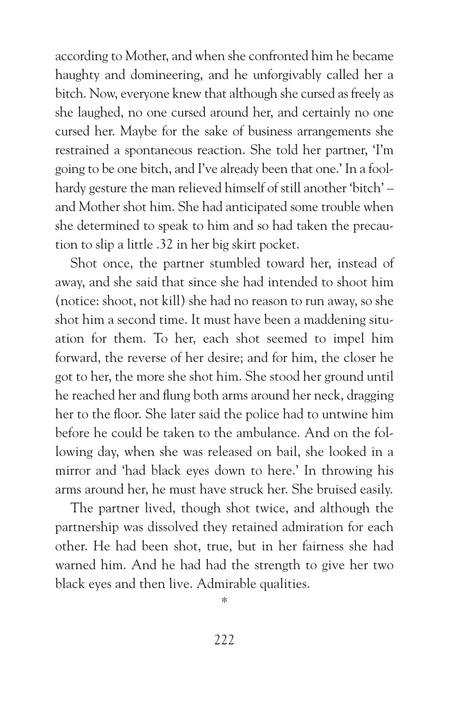according to Mother, and when she confronted him he became haughty and domineering, and he unforgivably called her a bitch. Now, everyone knew that although she cursed as freely as she laughed, no one cursed around her, and certainly no one cursed her. Maybe for the sake of business arrangements she restrained a spontaneous reaction. She told her partner, 'I'm going to be one bitch, and I've already been that one.' In a foolhardy gesture the man relieved himself of still another 'bitch' – and Mother shot him. She had anticipated some trouble when she determined to speak to him and so had taken the precaution to slip a little .32 in her big skirt pocket.

Shot once, the partner stumbled toward her, instead of away, and she said that since she had intended to shoot him (notice: shoot, not kill) she had no reason to run away, so she shot him a second time. It must have been a maddening situation for them. To her, each shot seemed to impel him forward, the reverse of her desire; and for him, the closer he got to her, the more she shot him. She stood her ground until he reached her and flung both arms around her neck, dragging her to the floor. She later said the police had to untwine him before he could be taken to the ambulance. And on the following day, when she was released on bail, she looked in a mirror and 'had black eyes down to here.' In throwing his arms around her, he must have struck her. She bruised easily.

The partner lived, though shot twice, and although the partnership was dissolved they retained admiration for each other. He had been shot, true, but in her fairness she had warned him. And he had had the strength to give her two black eyes and then live. Admirable qualities.

\*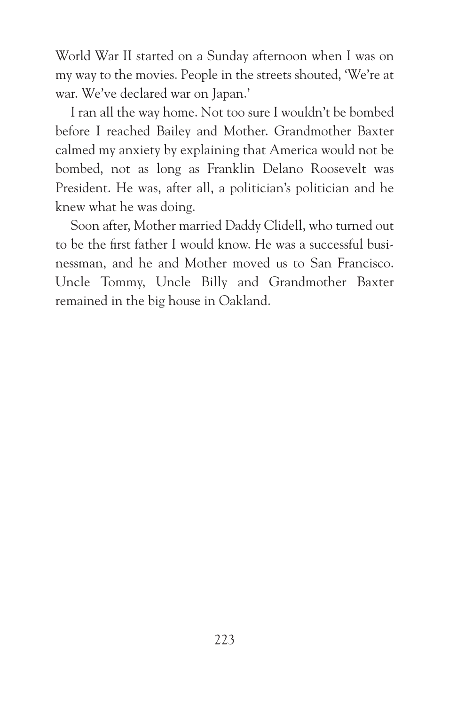World War II started on a Sunday afternoon when I was on my way to the movies. People in the streets shouted, 'We're at war. We've declared war on Japan.'

I ran all the way home. Not too sure I wouldn't be bombed before I reached Bailey and Mother. Grandmother Baxter calmed my anxiety by explaining that America would not be bombed, not as long as Franklin Delano Roosevelt was President. He was, after all, a politician's politician and he knew what he was doing.

Soon after, Mother married Daddy Clidell, who turned out to be the first father I would know. He was a successful businessman, and he and Mother moved us to San Francisco. Uncle Tommy, Uncle Billy and Grandmother Baxter remained in the big house in Oakland.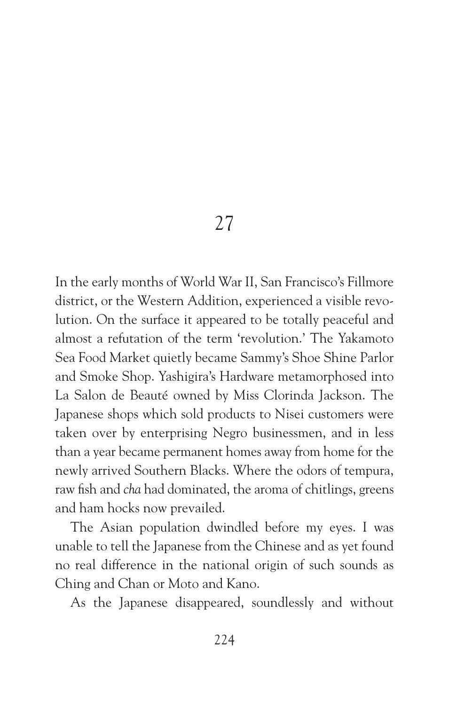27

In the early months of World War II, San Francisco's Fillmore district, or the Western Addition, experienced a visible revolution. On the surface it appeared to be totally peaceful and almost a refutation of the term 'revolution.' The Yakamoto Sea Food Market quietly became Sammy's Shoe Shine Parlor and Smoke Shop. Yashigira's Hardware metamorphosed into La Salon de Beauté owned by Miss Clorinda Jackson. The Japanese shops which sold products to Nisei customers were taken over by enterprising Negro businessmen, and in less than a year became permanent homes away from home for the newly arrived Southern Blacks. Where the odors of tempura, raw fish and *cha* had dominated, the aroma of chitlings, greens and ham hocks now prevailed.

The Asian population dwindled before my eyes. I was unable to tell the Japanese from the Chinese and as yet found no real difference in the national origin of such sounds as Ching and Chan or Moto and Kano.

As the Japanese disappeared, soundlessly and without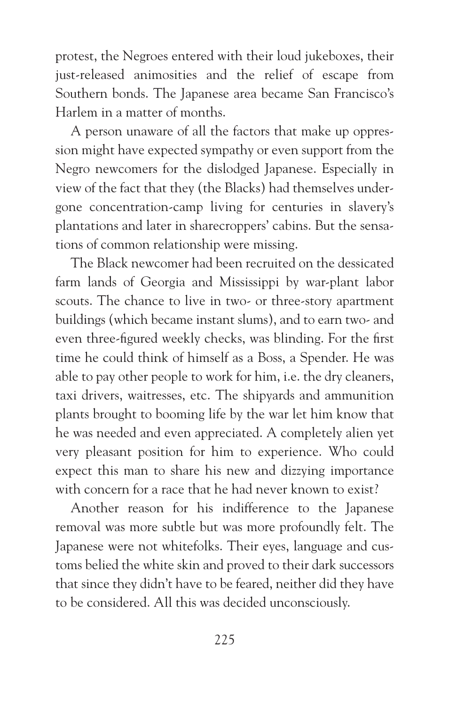protest, the Negroes entered with their loud jukeboxes, their just-released animosities and the relief of escape from Southern bonds. The Japanese area became San Francisco's Harlem in a matter of months.

A person unaware of all the factors that make up oppression might have expected sympathy or even support from the Negro newcomers for the dislodged Japanese. Especially in view of the fact that they (the Blacks) had themselves undergone concentration-camp living for centuries in slavery's plantations and later in sharecroppers' cabins. But the sensations of common relationship were missing.

The Black newcomer had been recruited on the dessicated farm lands of Georgia and Mississippi by war-plant labor scouts. The chance to live in two- or three-story apartment buildings (which became instant slums), and to earn two- and even three-figured weekly checks, was blinding. For the first time he could think of himself as a Boss, a Spender. He was able to pay other people to work for him, i.e. the dry cleaners, taxi drivers, waitresses, etc. The shipyards and ammunition plants brought to booming life by the war let him know that he was needed and even appreciated. A completely alien yet very pleasant position for him to experience. Who could expect this man to share his new and dizzying importance with concern for a race that he had never known to exist?

Another reason for his indifference to the Japanese removal was more subtle but was more profoundly felt. The Japanese were not whitefolks. Their eyes, language and customs belied the white skin and proved to their dark successors that since they didn't have to be feared, neither did they have to be considered. All this was decided unconsciously.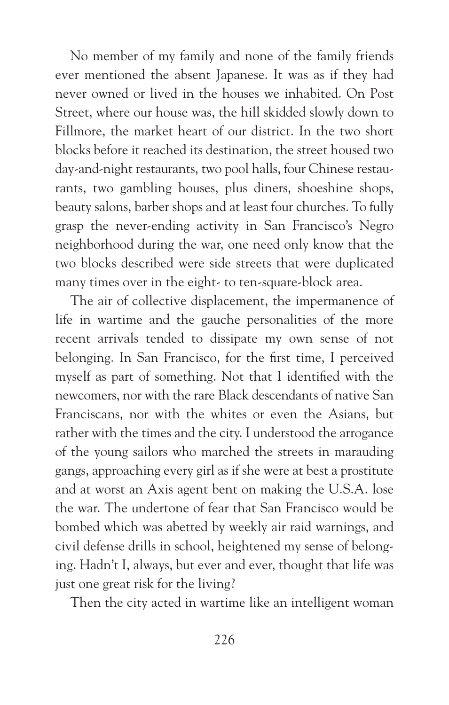No member of my family and none of the family friends ever mentioned the absent Japanese. It was as if they had never owned or lived in the houses we inhabited. On Post Street, where our house was, the hill skidded slowly down to Fillmore, the market heart of our district. In the two short blocks before it reached its destination, the street housed two day-and-night restaurants, two pool halls, four Chinese restaurants, two gambling houses, plus diners, shoeshine shops, beauty salons, barber shops and at least four churches. To fully grasp the never-ending activity in San Francisco's Negro neighborhood during the war, one need only know that the two blocks described were side streets that were duplicated many times over in the eight- to ten-square-block area.

The air of collective displacement, the impermanence of life in wartime and the gauche personalities of the more recent arrivals tended to dissipate my own sense of not belonging. In San Francisco, for the first time, I perceived myself as part of something. Not that I identified with the newcomers, nor with the rare Black descendants of native San Franciscans, nor with the whites or even the Asians, but rather with the times and the city. I understood the arrogance of the young sailors who marched the streets in marauding gangs, approaching every girl as if she were at best a prostitute and at worst an Axis agent bent on making the U.S.A. lose the war. The undertone of fear that San Francisco would be bombed which was abetted by weekly air raid warnings, and civil defense drills in school, heightened my sense of belonging. Hadn't I, always, but ever and ever, thought that life was just one great risk for the living?

Then the city acted in wartime like an intelligent woman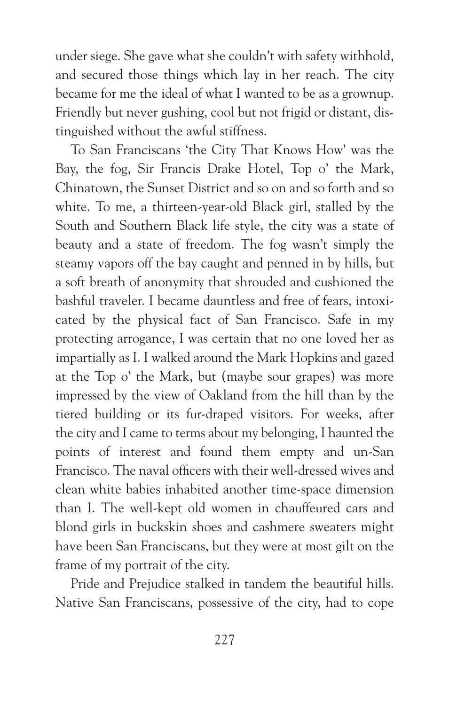under siege. She gave what she couldn't with safety withhold, and secured those things which lay in her reach. The city became for me the ideal of what I wanted to be as a grownup. Friendly but never gushing, cool but not frigid or distant, distinguished without the awful stiffness.

To San Franciscans 'the City That Knows How' was the Bay, the fog, Sir Francis Drake Hotel, Top o' the Mark, Chinatown, the Sunset District and so on and so forth and so white. To me, a thirteen-year-old Black girl, stalled by the South and Southern Black life style, the city was a state of beauty and a state of freedom. The fog wasn't simply the steamy vapors off the bay caught and penned in by hills, but a soft breath of anonymity that shrouded and cushioned the bashful traveler. I became dauntless and free of fears, intoxicated by the physical fact of San Francisco. Safe in my protecting arrogance, I was certain that no one loved her as impartially as I. I walked around the Mark Hopkins and gazed at the Top o' the Mark, but (maybe sour grapes) was more impressed by the view of Oakland from the hill than by the tiered building or its fur-draped visitors. For weeks, after the city and I came to terms about my belonging, I haunted the points of interest and found them empty and un-San Francisco. The naval officers with their well-dressed wives and clean white babies inhabited another time-space dimension than I. The well-kept old women in chauffeured cars and blond girls in buckskin shoes and cashmere sweaters might have been San Franciscans, but they were at most gilt on the frame of my portrait of the city.

Pride and Prejudice stalked in tandem the beautiful hills. Native San Franciscans, possessive of the city, had to cope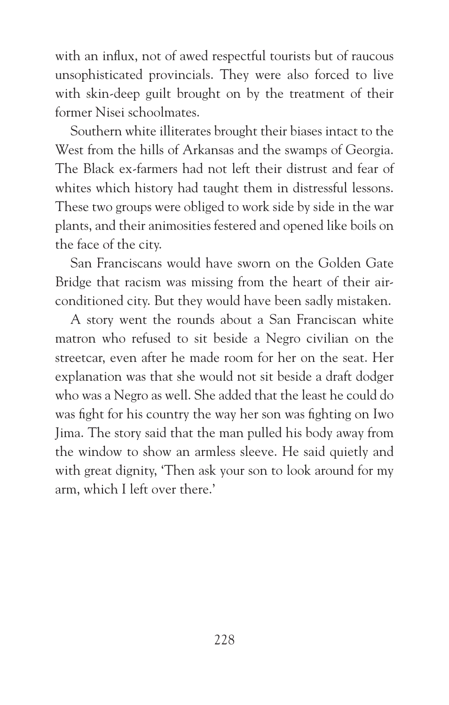with an influx, not of awed respectful tourists but of raucous unsophisticated provincials. They were also forced to live with skin-deep guilt brought on by the treatment of their former Nisei schoolmates.

Southern white illiterates brought their biases intact to the West from the hills of Arkansas and the swamps of Georgia. The Black ex-farmers had not left their distrust and fear of whites which history had taught them in distressful lessons. These two groups were obliged to work side by side in the war plants, and their animosities festered and opened like boils on the face of the city.

San Franciscans would have sworn on the Golden Gate Bridge that racism was missing from the heart of their airconditioned city. But they would have been sadly mistaken.

A story went the rounds about a San Franciscan white matron who refused to sit beside a Negro civilian on the streetcar, even after he made room for her on the seat. Her explanation was that she would not sit beside a draft dodger who was a Negro as well. She added that the least he could do was fight for his country the way her son was fighting on Iwo Jima. The story said that the man pulled his body away from the window to show an armless sleeve. He said quietly and with great dignity, 'Then ask your son to look around for my arm, which I left over there.'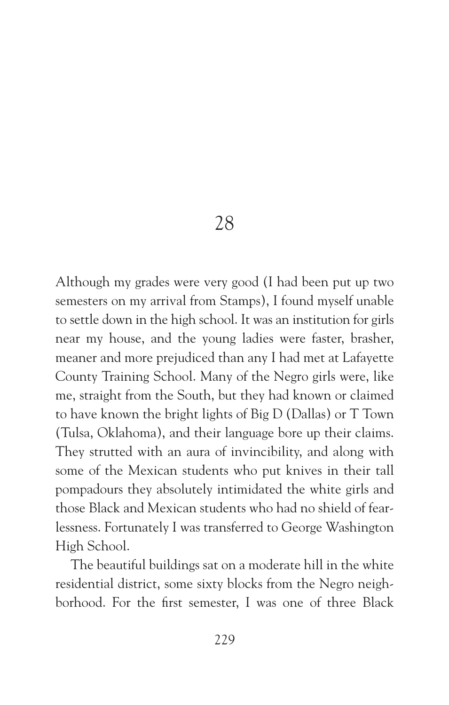28

Although my grades were very good (I had been put up two semesters on my arrival from Stamps), I found myself unable to settle down in the high school. It was an institution for girls near my house, and the young ladies were faster, brasher, meaner and more prejudiced than any I had met at Lafayette County Training School. Many of the Negro girls were, like me, straight from the South, but they had known or claimed to have known the bright lights of Big D (Dallas) or T Town (Tulsa, Oklahoma), and their language bore up their claims. They strutted with an aura of invincibility, and along with some of the Mexican students who put knives in their tall pompadours they absolutely intimidated the white girls and those Black and Mexican students who had no shield of fearlessness. Fortunately I was transferred to George Washington High School.

The beautiful buildings sat on a moderate hill in the white residential district, some sixty blocks from the Negro neighborhood. For the first semester, I was one of three Black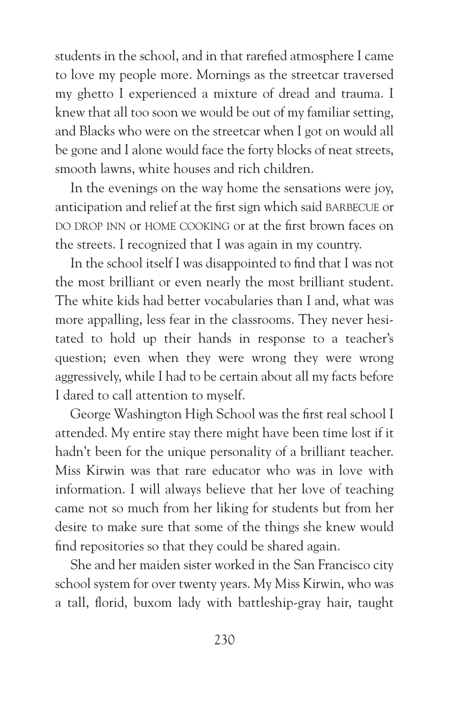students in the school, and in that rarefied atmosphere I came to love my people more. Mornings as the streetcar traversed my ghetto I experienced a mixture of dread and trauma. I knew that all too soon we would be out of my familiar setting, and Blacks who were on the streetcar when I got on would all be gone and I alone would face the forty blocks of neat streets, smooth lawns, white houses and rich children.

In the evenings on the way home the sensations were joy, anticipation and relief at the first sign which said BARBECUE or DO DROP INN or HOME COOKING or at the first brown faces on the streets. I recognized that I was again in my country.

In the school itself I was disappointed to find that I was not the most brilliant or even nearly the most brilliant student. The white kids had better vocabularies than I and, what was more appalling, less fear in the classrooms. They never hesitated to hold up their hands in response to a teacher's question; even when they were wrong they were wrong aggressively, while I had to be certain about all my facts before I dared to call attention to myself.

George Washington High School was the first real school I attended. My entire stay there might have been time lost if it hadn't been for the unique personality of a brilliant teacher. Miss Kirwin was that rare educator who was in love with information. I will always believe that her love of teaching came not so much from her liking for students but from her desire to make sure that some of the things she knew would find repositories so that they could be shared again.

She and her maiden sister worked in the San Francisco city school system for over twenty years. My Miss Kirwin, who was a tall, florid, buxom lady with battleship-gray hair, taught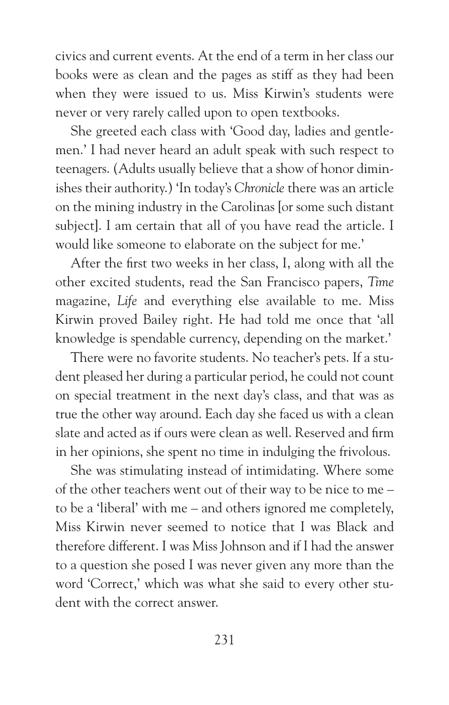civics and current events. At the end of a term in her class our books were as clean and the pages as stiff as they had been when they were issued to us. Miss Kirwin's students were never or very rarely called upon to open textbooks.

She greeted each class with 'Good day, ladies and gentlemen.' I had never heard an adult speak with such respect to teenagers. (Adults usually believe that a show of honor diminishes their authority.) 'In today's *Chronicle* there was an article on the mining industry in the Carolinas [or some such distant subject]. I am certain that all of you have read the article. I would like someone to elaborate on the subject for me.'

After the first two weeks in her class, I, along with all the other excited students, read the San Francisco papers, *Time* magazine, *Life* and everything else available to me. Miss Kirwin proved Bailey right. He had told me once that 'all knowledge is spendable currency, depending on the market.'

There were no favorite students. No teacher's pets. If a student pleased her during a particular period, he could not count on special treatment in the next day's class, and that was as true the other way around. Each day she faced us with a clean slate and acted as if ours were clean as well. Reserved and firm in her opinions, she spent no time in indulging the frivolous.

She was stimulating instead of intimidating. Where some of the other teachers went out of their way to be nice to me – to be a 'liberal' with me – and others ignored me completely, Miss Kirwin never seemed to notice that I was Black and therefore different. I was Miss Johnson and if I had the answer to a question she posed I was never given any more than the word 'Correct,' which was what she said to every other student with the correct answer.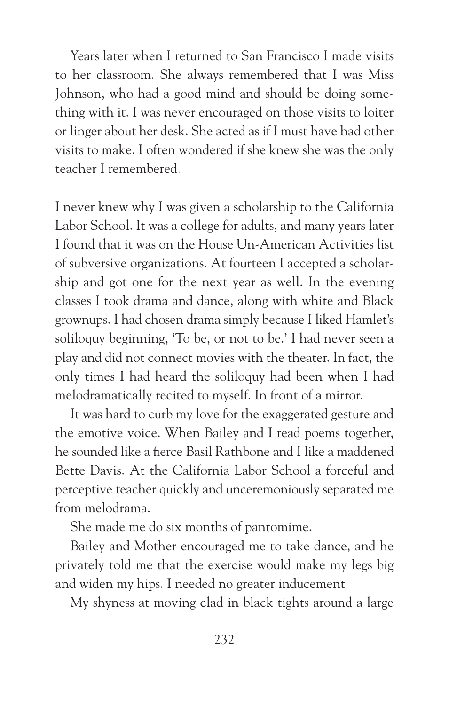Years later when I returned to San Francisco I made visits to her classroom. She always remembered that I was Miss Johnson, who had a good mind and should be doing something with it. I was never encouraged on those visits to loiter or linger about her desk. She acted as if I must have had other visits to make. I often wondered if she knew she was the only teacher I remembered.

I never knew why I was given a scholarship to the California Labor School. It was a college for adults, and many years later I found that it was on the House Un-American Activities list of subversive organizations. At fourteen I accepted a scholarship and got one for the next year as well. In the evening classes I took drama and dance, along with white and Black grownups. I had chosen drama simply because I liked Hamlet's soliloquy beginning, 'To be, or not to be.' I had never seen a play and did not connect movies with the theater. In fact, the only times I had heard the soliloquy had been when I had melodramatically recited to myself. In front of a mirror.

It was hard to curb my love for the exaggerated gesture and the emotive voice. When Bailey and I read poems together, he sounded like a fierce Basil Rathbone and I like a maddened Bette Davis. At the California Labor School a forceful and perceptive teacher quickly and unceremoniously separated me from melodrama.

She made me do six months of pantomime.

Bailey and Mother encouraged me to take dance, and he privately told me that the exercise would make my legs big and widen my hips. I needed no greater inducement.

My shyness at moving clad in black tights around a large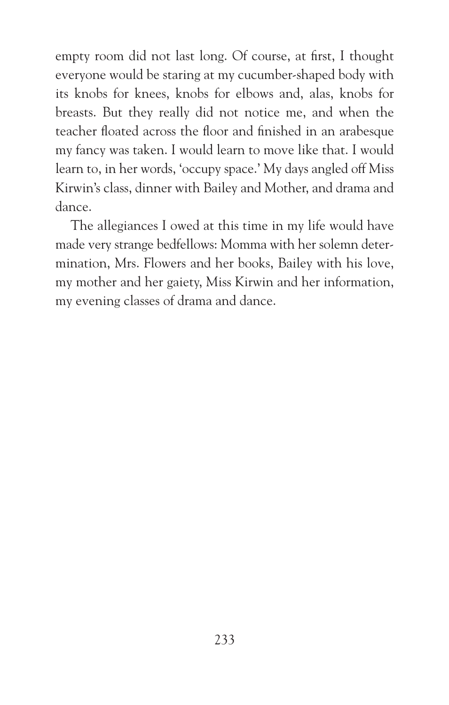empty room did not last long. Of course, at first, I thought everyone would be staring at my cucumber-shaped body with its knobs for knees, knobs for elbows and, alas, knobs for breasts. But they really did not notice me, and when the teacher floated across the floor and finished in an arabesque my fancy was taken. I would learn to move like that. I would learn to, in her words, 'occupy space.' My days angled off Miss Kirwin's class, dinner with Bailey and Mother, and drama and dance.

The allegiances I owed at this time in my life would have made very strange bedfellows: Momma with her solemn determination, Mrs. Flowers and her books, Bailey with his love, my mother and her gaiety, Miss Kirwin and her information, my evening classes of drama and dance.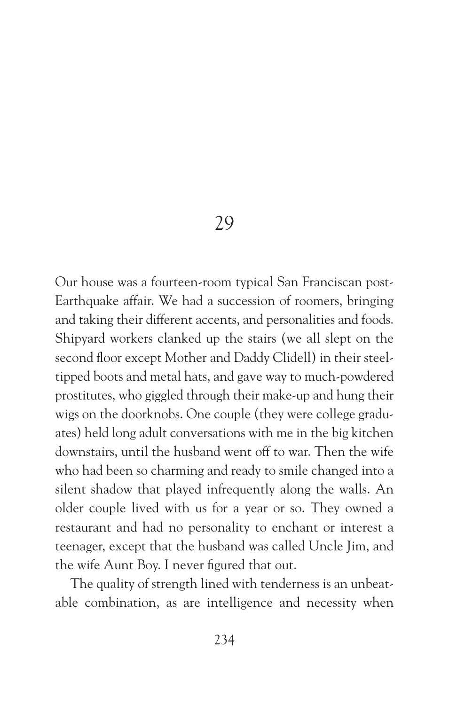## 29

Our house was a fourteen-room typical San Franciscan post-Earthquake affair. We had a succession of roomers, bringing and taking their different accents, and personalities and foods. Shipyard workers clanked up the stairs (we all slept on the second floor except Mother and Daddy Clidell) in their steeltipped boots and metal hats, and gave way to much-powdered prostitutes, who giggled through their make-up and hung their wigs on the doorknobs. One couple (they were college graduates) held long adult conversations with me in the big kitchen downstairs, until the husband went off to war. Then the wife who had been so charming and ready to smile changed into a silent shadow that played infrequently along the walls. An older couple lived with us for a year or so. They owned a restaurant and had no personality to enchant or interest a teenager, except that the husband was called Uncle Jim, and the wife Aunt Boy. I never figured that out.

The quality of strength lined with tenderness is an unbeatable combination, as are intelligence and necessity when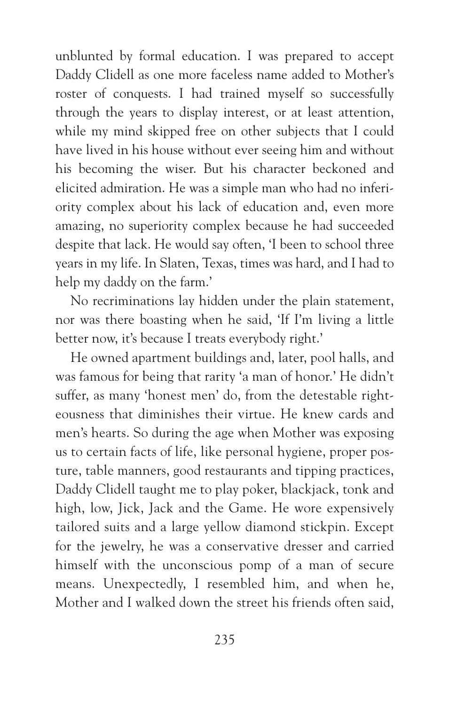unblunted by formal education. I was prepared to accept Daddy Clidell as one more faceless name added to Mother's roster of conquests. I had trained myself so successfully through the years to display interest, or at least attention, while my mind skipped free on other subjects that I could have lived in his house without ever seeing him and without his becoming the wiser. But his character beckoned and elicited admiration. He was a simple man who had no inferiority complex about his lack of education and, even more amazing, no superiority complex because he had succeeded despite that lack. He would say often, 'I been to school three years in my life. In Slaten, Texas, times was hard, and I had to help my daddy on the farm.'

No recriminations lay hidden under the plain statement, nor was there boasting when he said, 'If I'm living a little better now, it's because I treats everybody right.'

He owned apartment buildings and, later, pool halls, and was famous for being that rarity 'a man of honor.' He didn't suffer, as many 'honest men' do, from the detestable righteousness that diminishes their virtue. He knew cards and men's hearts. So during the age when Mother was exposing us to certain facts of life, like personal hygiene, proper posture, table manners, good restaurants and tipping practices, Daddy Clidell taught me to play poker, blackjack, tonk and high, low, Jick, Jack and the Game. He wore expensively tailored suits and a large yellow diamond stickpin. Except for the jewelry, he was a conservative dresser and carried himself with the unconscious pomp of a man of secure means. Unexpectedly, I resembled him, and when he, Mother and I walked down the street his friends often said,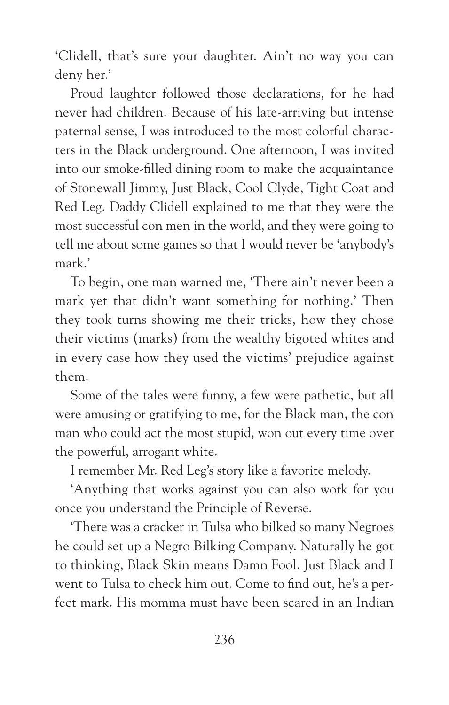'Clidell, that's sure your daughter. Ain't no way you can deny her.'

Proud laughter followed those declarations, for he had never had children. Because of his late-arriving but intense paternal sense, I was introduced to the most colorful characters in the Black underground. One afternoon, I was invited into our smoke-filled dining room to make the acquaintance of Stonewall Jimmy, Just Black, Cool Clyde, Tight Coat and Red Leg. Daddy Clidell explained to me that they were the most successful con men in the world, and they were going to tell me about some games so that I would never be 'anybody's mark.'

To begin, one man warned me, 'There ain't never been a mark yet that didn't want something for nothing.' Then they took turns showing me their tricks, how they chose their victims (marks) from the wealthy bigoted whites and in every case how they used the victims' prejudice against them.

Some of the tales were funny, a few were pathetic, but all were amusing or gratifying to me, for the Black man, the con man who could act the most stupid, won out every time over the powerful, arrogant white.

I remember Mr. Red Leg's story like a favorite melody.

'Anything that works against you can also work for you once you understand the Principle of Reverse.

'There was a cracker in Tulsa who bilked so many Negroes he could set up a Negro Bilking Company. Naturally he got to thinking, Black Skin means Damn Fool. Just Black and I went to Tulsa to check him out. Come to find out, he's a perfect mark. His momma must have been scared in an Indian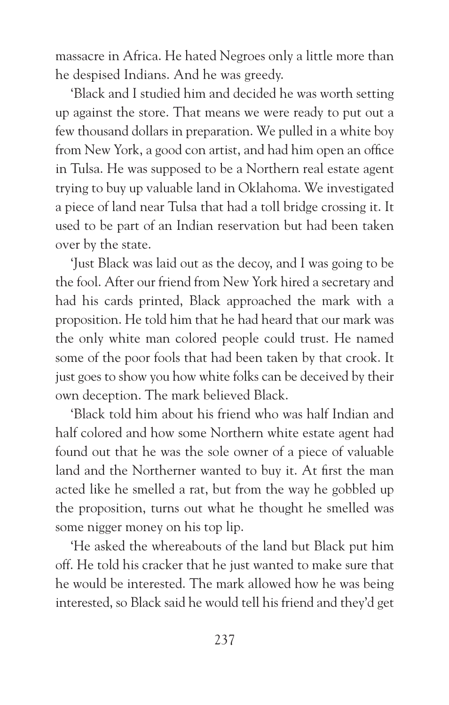massacre in Africa. He hated Negroes only a little more than he despised Indians. And he was greedy.

'Black and I studied him and decided he was worth setting up against the store. That means we were ready to put out a few thousand dollars in preparation. We pulled in a white boy from New York, a good con artist, and had him open an office in Tulsa. He was supposed to be a Northern real estate agent trying to buy up valuable land in Oklahoma. We investigated a piece of land near Tulsa that had a toll bridge crossing it. It used to be part of an Indian reservation but had been taken over by the state.

'Just Black was laid out as the decoy, and I was going to be the fool. After our friend from New York hired a secretary and had his cards printed, Black approached the mark with a proposition. He told him that he had heard that our mark was the only white man colored people could trust. He named some of the poor fools that had been taken by that crook. It just goes to show you how white folks can be deceived by their own deception. The mark believed Black.

'Black told him about his friend who was half Indian and half colored and how some Northern white estate agent had found out that he was the sole owner of a piece of valuable land and the Northerner wanted to buy it. At first the man acted like he smelled a rat, but from the way he gobbled up the proposition, turns out what he thought he smelled was some nigger money on his top lip.

'He asked the whereabouts of the land but Black put him off. He told his cracker that he just wanted to make sure that he would be interested. The mark allowed how he was being interested, so Black said he would tell his friend and they'd get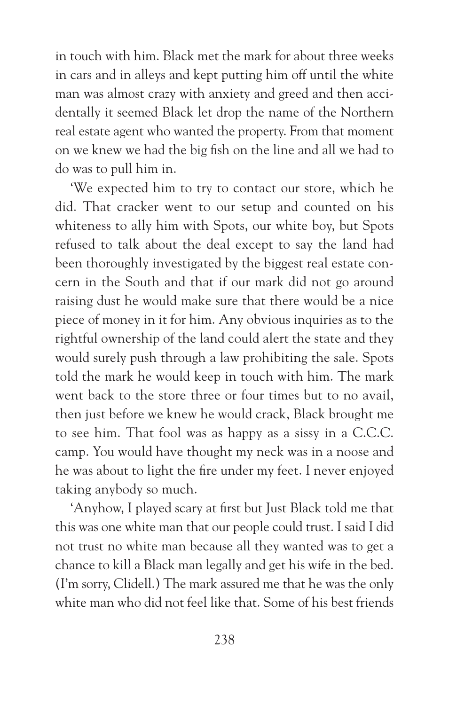in touch with him. Black met the mark for about three weeks in cars and in alleys and kept putting him off until the white man was almost crazy with anxiety and greed and then accidentally it seemed Black let drop the name of the Northern real estate agent who wanted the property. From that moment on we knew we had the big fish on the line and all we had to do was to pull him in.

'We expected him to try to contact our store, which he did. That cracker went to our setup and counted on his whiteness to ally him with Spots, our white boy, but Spots refused to talk about the deal except to say the land had been thoroughly investigated by the biggest real estate concern in the South and that if our mark did not go around raising dust he would make sure that there would be a nice piece of money in it for him. Any obvious inquiries as to the rightful ownership of the land could alert the state and they would surely push through a law prohibiting the sale. Spots told the mark he would keep in touch with him. The mark went back to the store three or four times but to no avail, then just before we knew he would crack, Black brought me to see him. That fool was as happy as a sissy in a C.C.C. camp. You would have thought my neck was in a noose and he was about to light the fire under my feet. I never enjoyed taking anybody so much.

'Anyhow, I played scary at first but Just Black told me that this was one white man that our people could trust. I said I did not trust no white man because all they wanted was to get a chance to kill a Black man legally and get his wife in the bed. (I'm sorry, Clidell.) The mark assured me that he was the only white man who did not feel like that. Some of his best friends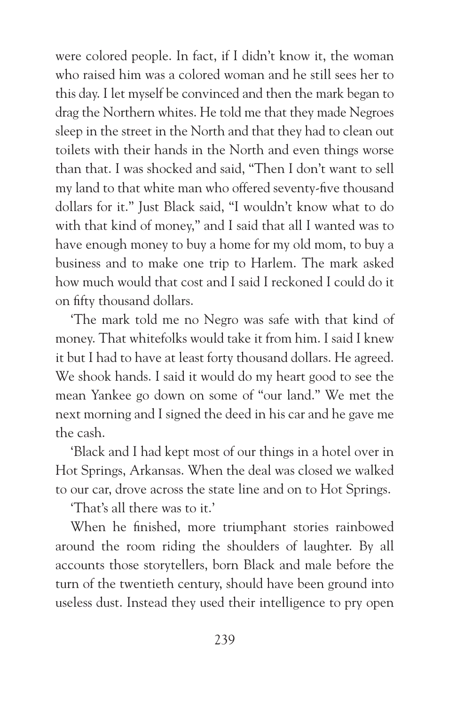were colored people. In fact, if I didn't know it, the woman who raised him was a colored woman and he still sees her to this day. I let myself be convinced and then the mark began to drag the Northern whites. He told me that they made Negroes sleep in the street in the North and that they had to clean out toilets with their hands in the North and even things worse than that. I was shocked and said, "Then I don't want to sell my land to that white man who offered seventy-five thousand dollars for it." Just Black said, "I wouldn't know what to do with that kind of money," and I said that all I wanted was to have enough money to buy a home for my old mom, to buy a business and to make one trip to Harlem. The mark asked how much would that cost and I said I reckoned I could do it on fifty thousand dollars.

'The mark told me no Negro was safe with that kind of money. That whitefolks would take it from him. I said I knew it but I had to have at least forty thousand dollars. He agreed. We shook hands. I said it would do my heart good to see the mean Yankee go down on some of "our land." We met the next morning and I signed the deed in his car and he gave me the cash.

'Black and I had kept most of our things in a hotel over in Hot Springs, Arkansas. When the deal was closed we walked to our car, drove across the state line and on to Hot Springs.

'That's all there was to it.'

When he finished, more triumphant stories rainbowed around the room riding the shoulders of laughter. By all accounts those storytellers, born Black and male before the turn of the twentieth century, should have been ground into useless dust. Instead they used their intelligence to pry open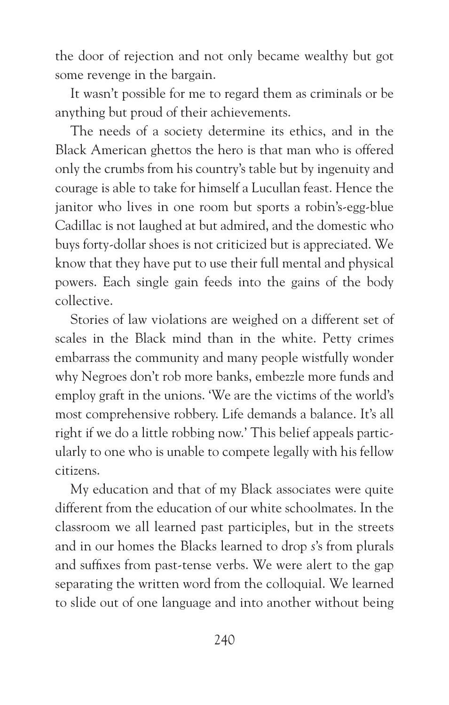the door of rejection and not only became wealthy but got some revenge in the bargain.

It wasn't possible for me to regard them as criminals or be anything but proud of their achievements.

The needs of a society determine its ethics, and in the Black American ghettos the hero is that man who is offered only the crumbs from his country's table but by ingenuity and courage is able to take for himself a Lucullan feast. Hence the janitor who lives in one room but sports a robin's-egg-blue Cadillac is not laughed at but admired, and the domestic who buys forty-dollar shoes is not criticized but is appreciated. We know that they have put to use their full mental and physical powers. Each single gain feeds into the gains of the body collective.

Stories of law violations are weighed on a different set of scales in the Black mind than in the white. Petty crimes embarrass the community and many people wistfully wonder why Negroes don't rob more banks, embezzle more funds and employ graft in the unions. 'We are the victims of the world's most comprehensive robbery. Life demands a balance. It's all right if we do a little robbing now.' This belief appeals particularly to one who is unable to compete legally with his fellow citizens.

My education and that of my Black associates were quite different from the education of our white schoolmates. In the classroom we all learned past participles, but in the streets and in our homes the Blacks learned to drop *s*'s from plurals and suffixes from past-tense verbs. We were alert to the gap separating the written word from the colloquial. We learned to slide out of one language and into another without being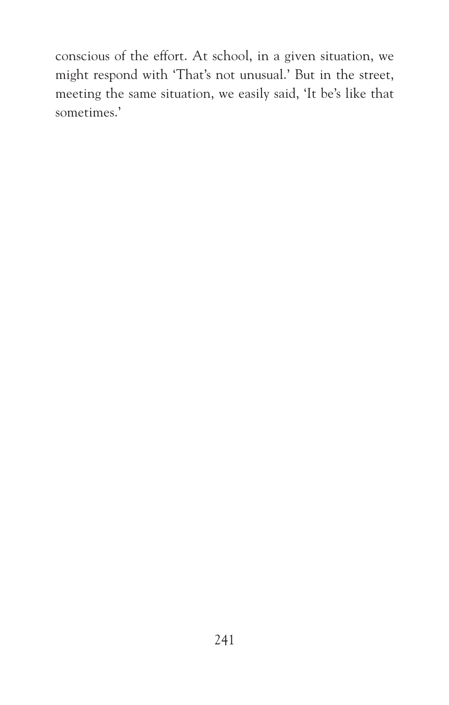conscious of the effort. At school, in a given situation, we might respond with 'That's not unusual.' But in the street, meeting the same situation, we easily said, 'It be's like that sometimes.'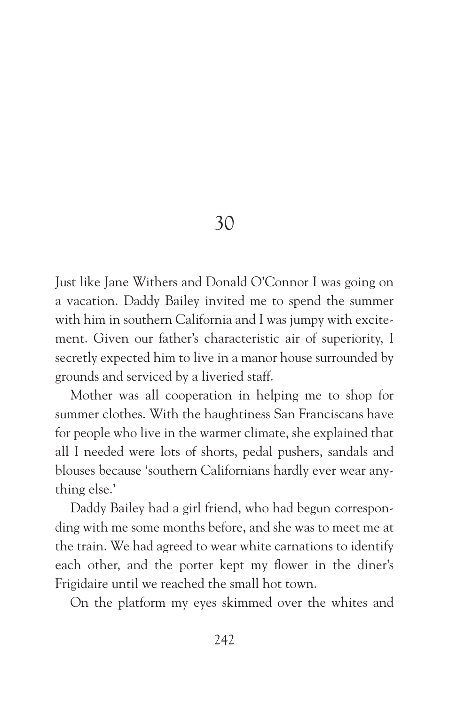30

Just like Jane Withers and Donald O'Connor I was going on a vacation. Daddy Bailey invited me to spend the summer with him in southern California and I was jumpy with excitement. Given our father's characteristic air of superiority, I secretly expected him to live in a manor house surrounded by grounds and serviced by a liveried staff.

Mother was all cooperation in helping me to shop for summer clothes. With the haughtiness San Franciscans have for people who live in the warmer climate, she explained that all I needed were lots of shorts, pedal pushers, sandals and blouses because 'southern Californians hardly ever wear anything else.'

Daddy Bailey had a girl friend, who had begun corresponding with me some months before, and she was to meet me at the train. We had agreed to wear white carnations to identify each other, and the porter kept my flower in the diner's Frigidaire until we reached the small hot town.

On the platform my eyes skimmed over the whites and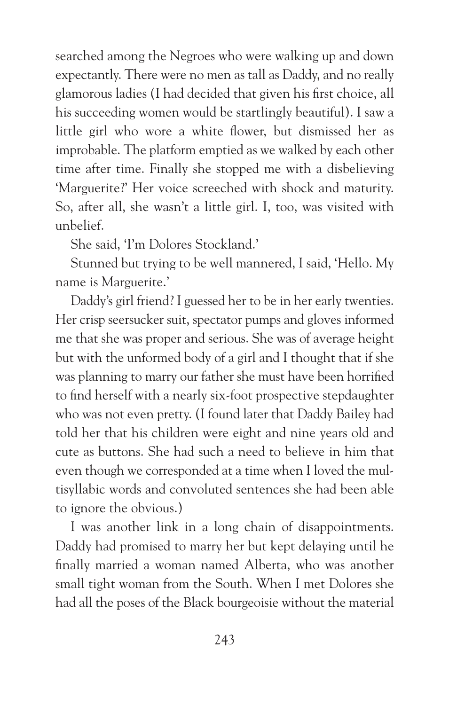searched among the Negroes who were walking up and down expectantly. There were no men as tall as Daddy, and no really glamorous ladies (I had decided that given his first choice, all his succeeding women would be startlingly beautiful). I saw a little girl who wore a white flower, but dismissed her as improbable. The platform emptied as we walked by each other time after time. Finally she stopped me with a disbelieving 'Marguerite?' Her voice screeched with shock and maturity. So, after all, she wasn't a little girl. I, too, was visited with unbelief.

She said, 'I'm Dolores Stockland.'

Stunned but trying to be well mannered, I said, 'Hello. My name is Marguerite.'

Daddy's girl friend? I guessed her to be in her early twenties. Her crisp seersucker suit, spectator pumps and gloves informed me that she was proper and serious. She was of average height but with the unformed body of a girl and I thought that if she was planning to marry our father she must have been horrified to find herself with a nearly six-foot prospective stepdaughter who was not even pretty. (I found later that Daddy Bailey had told her that his children were eight and nine years old and cute as buttons. She had such a need to believe in him that even though we corresponded at a time when I loved the multisyllabic words and convoluted sentences she had been able to ignore the obvious.)

I was another link in a long chain of disappointments. Daddy had promised to marry her but kept delaying until he finally married a woman named Alberta, who was another small tight woman from the South. When I met Dolores she had all the poses of the Black bourgeoisie without the material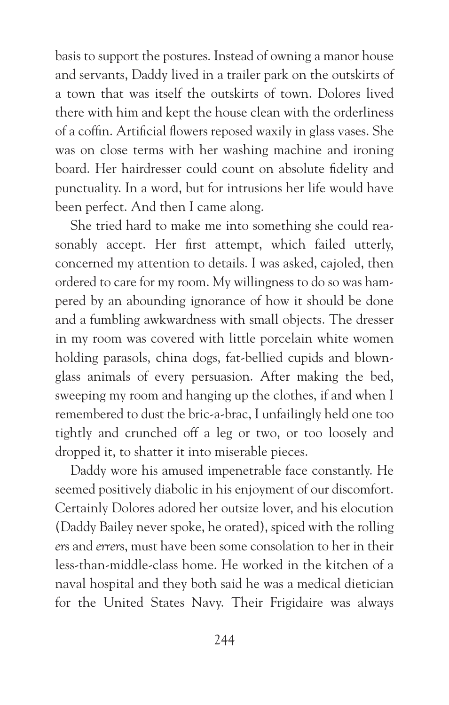basis to support the postures. Instead of owning a manor house and servants, Daddy lived in a trailer park on the outskirts of a town that was itself the outskirts of town. Dolores lived there with him and kept the house clean with the orderliness of a coffin. Artificial flowers reposed waxily in glass vases. She was on close terms with her washing machine and ironing board. Her hairdresser could count on absolute fidelity and punctuality. In a word, but for intrusions her life would have been perfect. And then I came along.

She tried hard to make me into something she could reasonably accept. Her first attempt, which failed utterly, concerned my attention to details. I was asked, cajoled, then ordered to care for my room. My willingness to do so was hampered by an abounding ignorance of how it should be done and a fumbling awkwardness with small objects. The dresser in my room was covered with little porcelain white women holding parasols, china dogs, fat-bellied cupids and blownglass animals of every persuasion. After making the bed, sweeping my room and hanging up the clothes, if and when I remembered to dust the bric-a-brac, I unfailingly held one too tightly and crunched off a leg or two, or too loosely and dropped it, to shatter it into miserable pieces.

Daddy wore his amused impenetrable face constantly. He seemed positively diabolic in his enjoyment of our discomfort. Certainly Dolores adored her outsize lover, and his elocution (Daddy Bailey never spoke, he orated), spiced with the rolling *er*s and *errer*s, must have been some consolation to her in their less-than-middle-class home. He worked in the kitchen of a naval hospital and they both said he was a medical dietician for the United States Navy. Their Frigidaire was always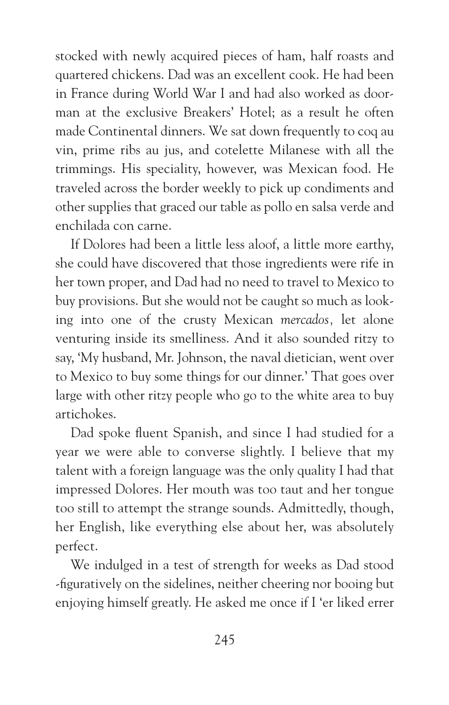stocked with newly acquired pieces of ham, half roasts and quartered chickens. Dad was an excellent cook. He had been in France during World War I and had also worked as doorman at the exclusive Breakers' Hotel; as a result he often made Continental dinners. We sat down frequently to coq au vin, prime ribs au jus, and cotelette Milanese with all the trimmings. His speciality, however, was Mexican food. He traveled across the border weekly to pick up condiments and other supplies that graced our table as pollo en salsa verde and enchilada con carne.

If Dolores had been a little less aloof, a little more earthy, she could have discovered that those ingredients were rife in her town proper, and Dad had no need to travel to Mexico to buy provisions. But she would not be caught so much as looking into one of the crusty Mexican *mercados,* let alone venturing inside its smelliness. And it also sounded ritzy to say, 'My husband, Mr. Johnson, the naval dietician, went over to Mexico to buy some things for our dinner.' That goes over large with other ritzy people who go to the white area to buy artichokes.

Dad spoke fluent Spanish, and since I had studied for a year we were able to converse slightly. I believe that my talent with a foreign language was the only quality I had that impressed Dolores. Her mouth was too taut and her tongue too still to attempt the strange sounds. Admittedly, though, her English, like everything else about her, was absolutely perfect.

We indulged in a test of strength for weeks as Dad stood -figuratively on the sidelines, neither cheering nor booing but enjoying himself greatly. He asked me once if I 'er liked errer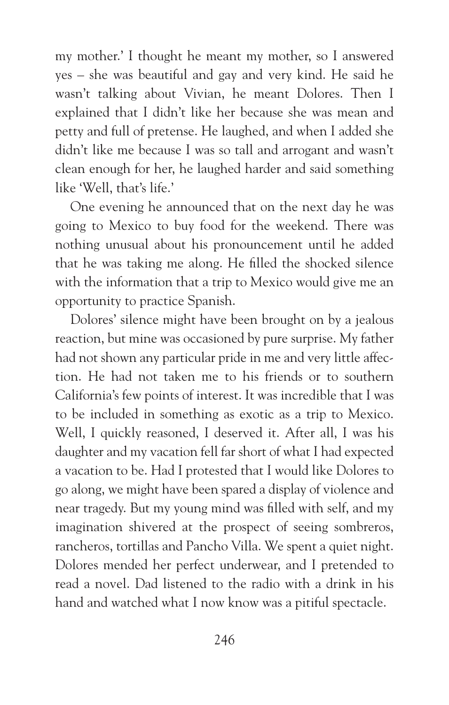my mother.' I thought he meant my mother, so I answered yes – she was beautiful and gay and very kind. He said he wasn't talking about Vivian, he meant Dolores. Then I explained that I didn't like her because she was mean and petty and full of pretense. He laughed, and when I added she didn't like me because I was so tall and arrogant and wasn't clean enough for her, he laughed harder and said something like 'Well, that's life.'

One evening he announced that on the next day he was going to Mexico to buy food for the weekend. There was nothing unusual about his pronouncement until he added that he was taking me along. He filled the shocked silence with the information that a trip to Mexico would give me an opportunity to practice Spanish.

Dolores' silence might have been brought on by a jealous reaction, but mine was occasioned by pure surprise. My father had not shown any particular pride in me and very little affection. He had not taken me to his friends or to southern California's few points of interest. It was incredible that I was to be included in something as exotic as a trip to Mexico. Well, I quickly reasoned, I deserved it. After all, I was his daughter and my vacation fell far short of what I had expected a vacation to be. Had I protested that I would like Dolores to go along, we might have been spared a display of violence and near tragedy. But my young mind was filled with self, and my imagination shivered at the prospect of seeing sombreros, rancheros, tortillas and Pancho Villa. We spent a quiet night. Dolores mended her perfect underwear, and I pretended to read a novel. Dad listened to the radio with a drink in his hand and watched what I now know was a pitiful spectacle.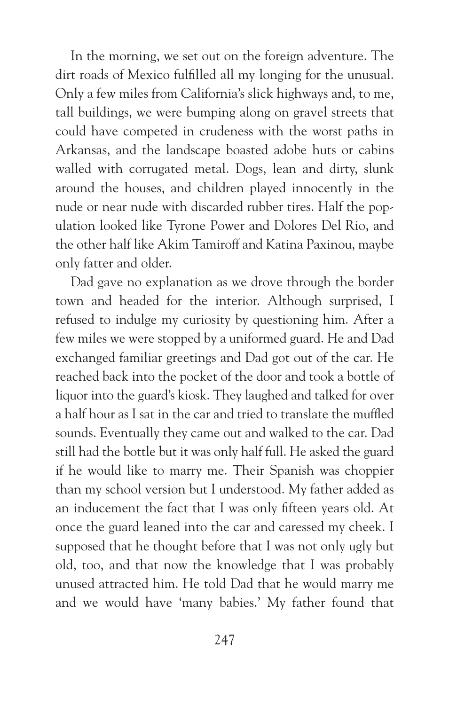In the morning, we set out on the foreign adventure. The dirt roads of Mexico fulfilled all my longing for the unusual. Only a few miles from California's slick highways and, to me, tall buildings, we were bumping along on gravel streets that could have competed in crudeness with the worst paths in Arkansas, and the landscape boasted adobe huts or cabins walled with corrugated metal. Dogs, lean and dirty, slunk around the houses, and children played innocently in the nude or near nude with discarded rubber tires. Half the population looked like Tyrone Power and Dolores Del Rio, and the other half like Akim Tamiroff and Katina Paxinou, maybe only fatter and older.

Dad gave no explanation as we drove through the border town and headed for the interior. Although surprised, I refused to indulge my curiosity by questioning him. After a few miles we were stopped by a uniformed guard. He and Dad exchanged familiar greetings and Dad got out of the car. He reached back into the pocket of the door and took a bottle of liquor into the guard's kiosk. They laughed and talked for over a half hour as I sat in the car and tried to translate the muffled sounds. Eventually they came out and walked to the car. Dad still had the bottle but it was only half full. He asked the guard if he would like to marry me. Their Spanish was choppier than my school version but I understood. My father added as an inducement the fact that I was only fifteen years old. At once the guard leaned into the car and caressed my cheek. I supposed that he thought before that I was not only ugly but old, too, and that now the knowledge that I was probably unused attracted him. He told Dad that he would marry me and we would have 'many babies.' My father found that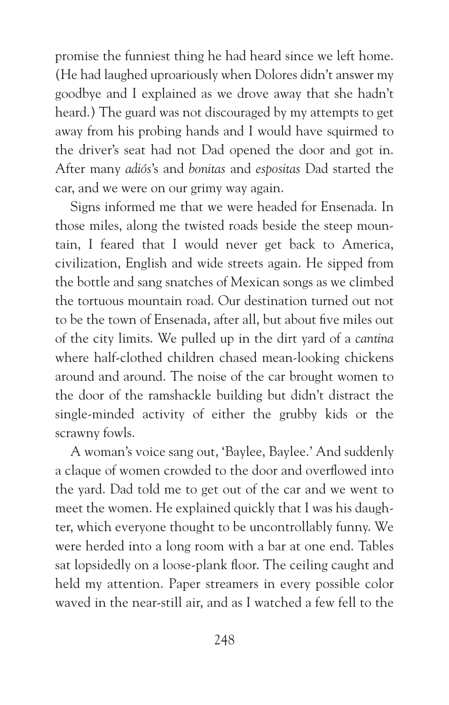promise the funniest thing he had heard since we left home. (He had laughed uproariously when Dolores didn't answer my goodbye and I explained as we drove away that she hadn't heard.) The guard was not discouraged by my attempts to get away from his probing hands and I would have squirmed to the driver's seat had not Dad opened the door and got in. After many *adiós*'s and *bonitas* and *espositas* Dad started the car, and we were on our grimy way again.

Signs informed me that we were headed for Ensenada. In those miles, along the twisted roads beside the steep mountain, I feared that I would never get back to America, civilization, English and wide streets again. He sipped from the bottle and sang snatches of Mexican songs as we climbed the tortuous mountain road. Our destination turned out not to be the town of Ensenada, after all, but about five miles out of the city limits. We pulled up in the dirt yard of a *cantina* where half-clothed children chased mean-looking chickens around and around. The noise of the car brought women to the door of the ramshackle building but didn't distract the single-minded activity of either the grubby kids or the scrawny fowls.

A woman's voice sang out, 'Baylee, Baylee.' And suddenly a claque of women crowded to the door and overflowed into the yard. Dad told me to get out of the car and we went to meet the women. He explained quickly that I was his daughter, which everyone thought to be uncontrollably funny. We were herded into a long room with a bar at one end. Tables sat lopsidedly on a loose-plank floor. The ceiling caught and held my attention. Paper streamers in every possible color waved in the near-still air, and as I watched a few fell to the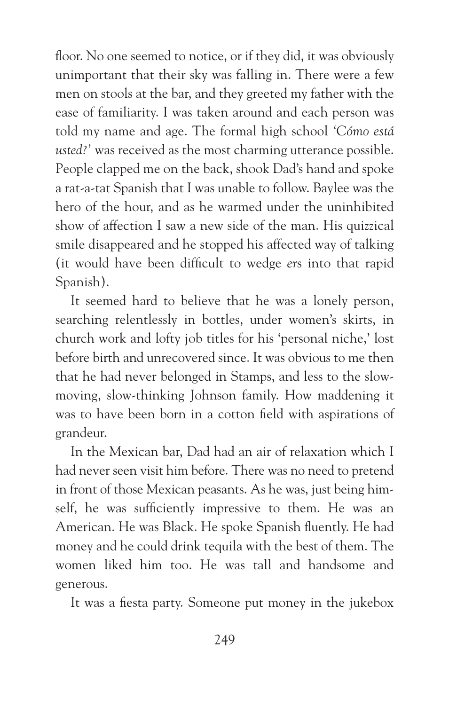floor. No one seemed to notice, or if they did, it was obviously unimportant that their sky was falling in. There were a few men on stools at the bar, and they greeted my father with the ease of familiarity. I was taken around and each person was told my name and age. The formal high school *'Cómo está usted?'* was received as the most charming utterance possible. People clapped me on the back, shook Dad's hand and spoke a rat-a-tat Spanish that I was unable to follow. Baylee was the hero of the hour, and as he warmed under the uninhibited show of affection I saw a new side of the man. His quizzical smile disappeared and he stopped his affected way of talking (it would have been difficult to wedge *er*s into that rapid Spanish).

It seemed hard to believe that he was a lonely person, searching relentlessly in bottles, under women's skirts, in church work and lofty job titles for his 'personal niche,' lost before birth and unrecovered since. It was obvious to me then that he had never belonged in Stamps, and less to the slowmoving, slow-thinking Johnson family. How maddening it was to have been born in a cotton field with aspirations of grandeur.

In the Mexican bar, Dad had an air of relaxation which I had never seen visit him before. There was no need to pretend in front of those Mexican peasants. As he was, just being himself, he was sufficiently impressive to them. He was an American. He was Black. He spoke Spanish fluently. He had money and he could drink tequila with the best of them. The women liked him too. He was tall and handsome and generous.

It was a fiesta party. Someone put money in the jukebox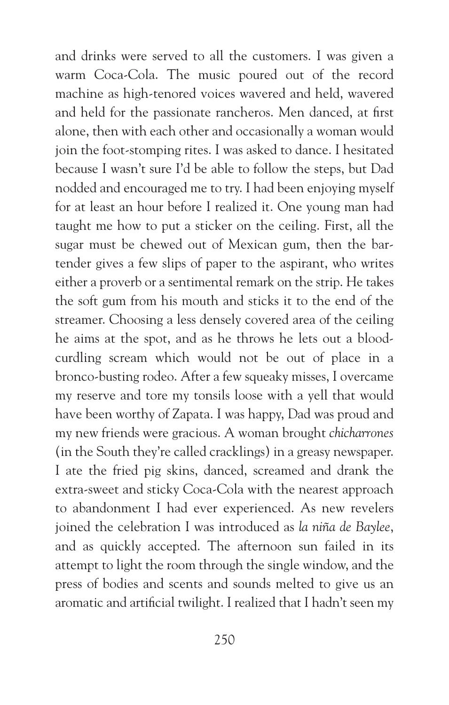and drinks were served to all the customers. I was given a warm Coca-Cola. The music poured out of the record machine as high-tenored voices wavered and held, wavered and held for the passionate rancheros. Men danced, at first alone, then with each other and occasionally a woman would join the foot-stomping rites. I was asked to dance. I hesitated because I wasn't sure I'd be able to follow the steps, but Dad nodded and encouraged me to try. I had been enjoying myself for at least an hour before I realized it. One young man had taught me how to put a sticker on the ceiling. First, all the sugar must be chewed out of Mexican gum, then the bartender gives a few slips of paper to the aspirant, who writes either a proverb or a sentimental remark on the strip. He takes the soft gum from his mouth and sticks it to the end of the streamer. Choosing a less densely covered area of the ceiling he aims at the spot, and as he throws he lets out a bloodcurdling scream which would not be out of place in a bronco-busting rodeo. After a few squeaky misses, I overcame my reserve and tore my tonsils loose with a yell that would have been worthy of Zapata. I was happy, Dad was proud and my new friends were gracious. A woman brought *chicharrones* (in the South they're called cracklings) in a greasy newspaper. I ate the fried pig skins, danced, screamed and drank the extra-sweet and sticky Coca-Cola with the nearest approach to abandonment I had ever experienced. As new revelers joined the celebration I was introduced as *la niña de Baylee*, and as quickly accepted. The afternoon sun failed in its attempt to light the room through the single window, and the press of bodies and scents and sounds melted to give us an aromatic and artificial twilight. I realized that I hadn't seen my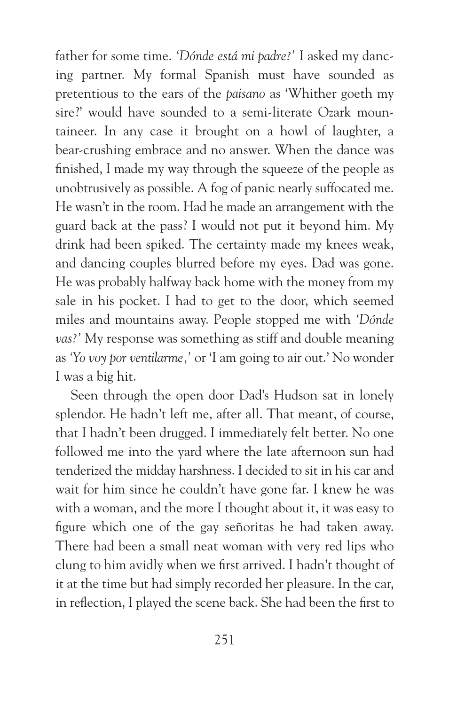father for some time. *'Dónde está mi padre?'* I asked my dancing partner. My formal Spanish must have sounded as pretentious to the ears of the *paisano* as 'Whither goeth my sire?' would have sounded to a semi-literate Ozark mountaineer. In any case it brought on a howl of laughter, a bear-crushing embrace and no answer. When the dance was finished, I made my way through the squeeze of the people as unobtrusively as possible. A fog of panic nearly suffocated me. He wasn't in the room. Had he made an arrangement with the guard back at the pass? I would not put it beyond him. My drink had been spiked. The certainty made my knees weak, and dancing couples blurred before my eyes. Dad was gone. He was probably halfway back home with the money from my sale in his pocket. I had to get to the door, which seemed miles and mountains away. People stopped me with *'Dónde vas?'* My response was something as stiff and double meaning as *'Yo voy por ventilarme,'* or 'I am going to air out.' No wonder I was a big hit.

Seen through the open door Dad's Hudson sat in lonely splendor. He hadn't left me, after all. That meant, of course, that I hadn't been drugged. I immediately felt better. No one followed me into the yard where the late afternoon sun had tenderized the midday harshness. I decided to sit in his car and wait for him since he couldn't have gone far. I knew he was with a woman, and the more I thought about it, it was easy to figure which one of the gay señoritas he had taken away. There had been a small neat woman with very red lips who clung to him avidly when we first arrived. I hadn't thought of it at the time but had simply recorded her pleasure. In the car, in reflection, I played the scene back. She had been the first to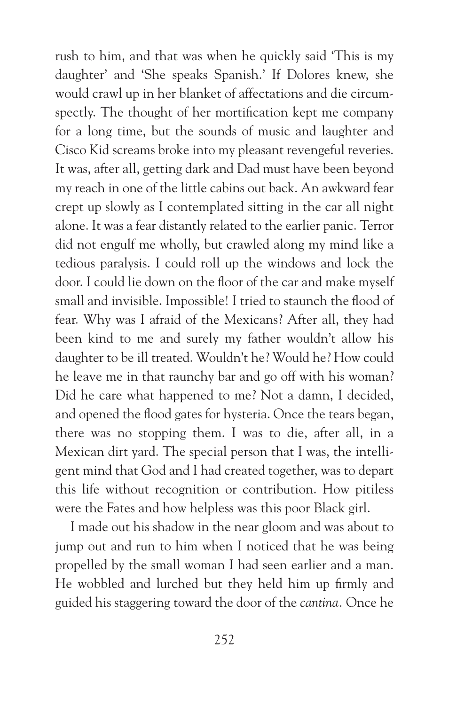rush to him, and that was when he quickly said 'This is my daughter' and 'She speaks Spanish.' If Dolores knew, she would crawl up in her blanket of affectations and die circumspectly. The thought of her mortification kept me company for a long time, but the sounds of music and laughter and Cisco Kid screams broke into my pleasant revengeful reveries. It was, after all, getting dark and Dad must have been beyond my reach in one of the little cabins out back. An awkward fear crept up slowly as I contemplated sitting in the car all night alone. It was a fear distantly related to the earlier panic. Terror did not engulf me wholly, but crawled along my mind like a tedious paralysis. I could roll up the windows and lock the door. I could lie down on the floor of the car and make myself small and invisible. Impossible! I tried to staunch the flood of fear. Why was I afraid of the Mexicans? After all, they had been kind to me and surely my father wouldn't allow his daughter to be ill treated. Wouldn't he? Would he? How could he leave me in that raunchy bar and go off with his woman? Did he care what happened to me? Not a damn, I decided, and opened the flood gates for hysteria. Once the tears began, there was no stopping them. I was to die, after all, in a Mexican dirt yard. The special person that I was, the intelligent mind that God and I had created together, was to depart this life without recognition or contribution. How pitiless were the Fates and how helpless was this poor Black girl.

I made out his shadow in the near gloom and was about to jump out and run to him when I noticed that he was being propelled by the small woman I had seen earlier and a man. He wobbled and lurched but they held him up firmly and guided his staggering toward the door of the *cantina.* Once he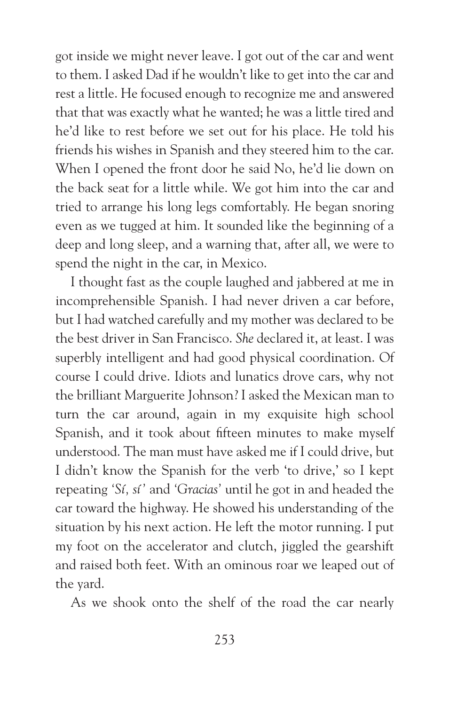got inside we might never leave. I got out of the car and went to them. I asked Dad if he wouldn't like to get into the car and rest a little. He focused enough to recognize me and answered that that was exactly what he wanted; he was a little tired and he'd like to rest before we set out for his place. He told his friends his wishes in Spanish and they steered him to the car. When I opened the front door he said No, he'd lie down on the back seat for a little while. We got him into the car and tried to arrange his long legs comfortably. He began snoring even as we tugged at him. It sounded like the beginning of a deep and long sleep, and a warning that, after all, we were to spend the night in the car, in Mexico.

I thought fast as the couple laughed and jabbered at me in incomprehensible Spanish. I had never driven a car before, but I had watched carefully and my mother was declared to be the best driver in San Francisco. *She* declared it, at least. I was superbly intelligent and had good physical coordination. Of course I could drive. Idiots and lunatics drove cars, why not the brilliant Marguerite Johnson? I asked the Mexican man to turn the car around, again in my exquisite high school Spanish, and it took about fifteen minutes to make myself understood. The man must have asked me if I could drive, but I didn't know the Spanish for the verb 'to drive,' so I kept repeating *'Sí, sí '* and *'Gracias'* until he got in and headed the car toward the highway. He showed his understanding of the situation by his next action. He left the motor running. I put my foot on the accelerator and clutch, jiggled the gearshift and raised both feet. With an ominous roar we leaped out of the yard.

As we shook onto the shelf of the road the car nearly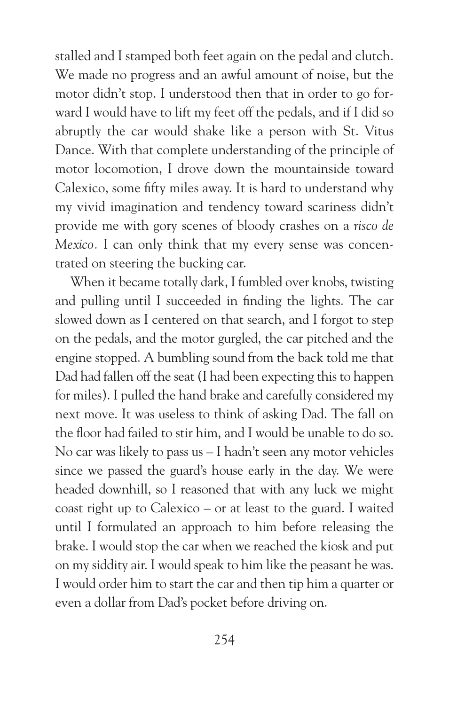stalled and I stamped both feet again on the pedal and clutch. We made no progress and an awful amount of noise, but the motor didn't stop. I understood then that in order to go forward I would have to lift my feet off the pedals, and if I did so abruptly the car would shake like a person with St. Vitus Dance. With that complete understanding of the principle of motor locomotion, I drove down the mountainside toward Calexico, some fifty miles away. It is hard to understand why my vivid imagination and tendency toward scariness didn't provide me with gory scenes of bloody crashes on a *risco de Mexico.* I can only think that my every sense was concentrated on steering the bucking car.

When it became totally dark, I fumbled over knobs, twisting and pulling until I succeeded in finding the lights. The car slowed down as I centered on that search, and I forgot to step on the pedals, and the motor gurgled, the car pitched and the engine stopped. A bumbling sound from the back told me that Dad had fallen off the seat (I had been expecting this to happen for miles). I pulled the hand brake and carefully considered my next move. It was useless to think of asking Dad. The fall on the floor had failed to stir him, and I would be unable to do so. No car was likely to pass us – I hadn't seen any motor vehicles since we passed the guard's house early in the day. We were headed downhill, so I reasoned that with any luck we might coast right up to Calexico – or at least to the guard. I waited until I formulated an approach to him before releasing the brake. I would stop the car when we reached the kiosk and put on my siddity air. I would speak to him like the peasant he was. I would order him to start the car and then tip him a quarter or even a dollar from Dad's pocket before driving on.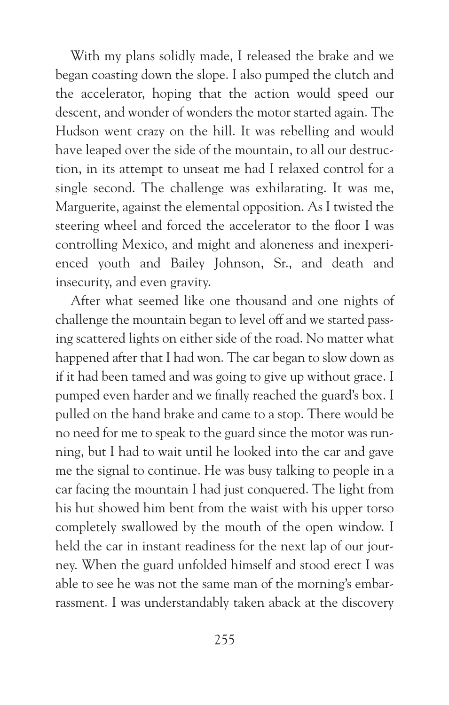With my plans solidly made, I released the brake and we began coasting down the slope. I also pumped the clutch and the accelerator, hoping that the action would speed our descent, and wonder of wonders the motor started again. The Hudson went crazy on the hill. It was rebelling and would have leaped over the side of the mountain, to all our destruction, in its attempt to unseat me had I relaxed control for a single second. The challenge was exhilarating. It was me, Marguerite, against the elemental opposition. As I twisted the steering wheel and forced the accelerator to the floor I was controlling Mexico, and might and aloneness and inexperienced youth and Bailey Johnson, Sr., and death and insecurity, and even gravity.

After what seemed like one thousand and one nights of challenge the mountain began to level off and we started passing scattered lights on either side of the road. No matter what happened after that I had won. The car began to slow down as if it had been tamed and was going to give up without grace. I pumped even harder and we finally reached the guard's box. I pulled on the hand brake and came to a stop. There would be no need for me to speak to the guard since the motor was running, but I had to wait until he looked into the car and gave me the signal to continue. He was busy talking to people in a car facing the mountain I had just conquered. The light from his hut showed him bent from the waist with his upper torso completely swallowed by the mouth of the open window. I held the car in instant readiness for the next lap of our journey. When the guard unfolded himself and stood erect I was able to see he was not the same man of the morning's embarrassment. I was understandably taken aback at the discovery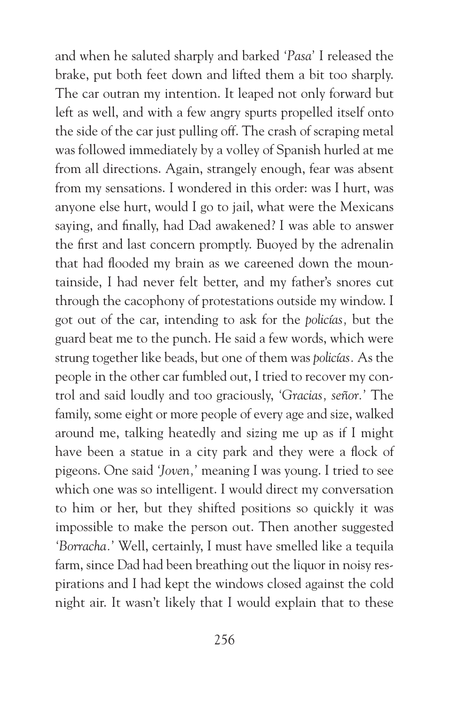and when he saluted sharply and barked *'Pasa'* I released the brake, put both feet down and lifted them a bit too sharply. The car outran my intention. It leaped not only forward but left as well, and with a few angry spurts propelled itself onto the side of the car just pulling off. The crash of scraping metal was followed immediately by a volley of Spanish hurled at me from all directions. Again, strangely enough, fear was absent from my sensations. I wondered in this order: was I hurt, was anyone else hurt, would I go to jail, what were the Mexicans saying, and finally, had Dad awakened? I was able to answer the first and last concern promptly. Buoyed by the adrenalin that had flooded my brain as we careened down the mountainside, I had never felt better, and my father's snores cut through the cacophony of protestations outside my window. I got out of the car, intending to ask for the *policías,* but the guard beat me to the punch. He said a few words, which were strung together like beads, but one of them was *policías.* As the people in the other car fumbled out, I tried to recover my control and said loudly and too graciously, *'Gracias, señor.'* The family, some eight or more people of every age and size, walked around me, talking heatedly and sizing me up as if I might have been a statue in a city park and they were a flock of pigeons. One said *'Joven,'* meaning I was young. I tried to see which one was so intelligent. I would direct my conversation to him or her, but they shifted positions so quickly it was impossible to make the person out. Then another suggested *'Borracha.'* Well, certainly, I must have smelled like a tequila farm, since Dad had been breathing out the liquor in noisy respirations and I had kept the windows closed against the cold night air. It wasn't likely that I would explain that to these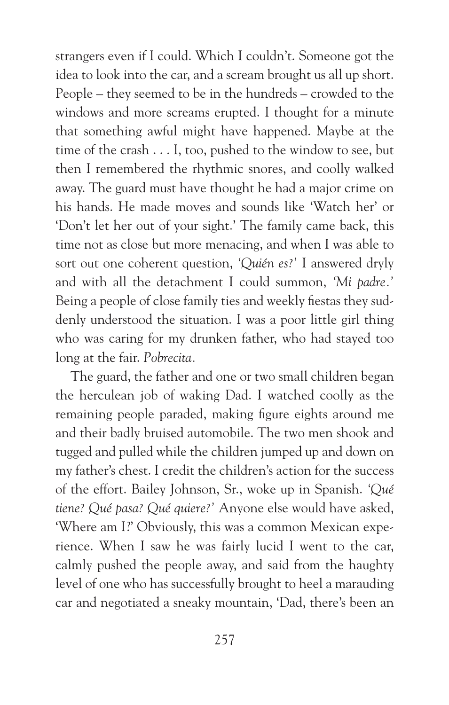strangers even if I could. Which I couldn't. Someone got the idea to look into the car, and a scream brought us all up short. People – they seemed to be in the hundreds – crowded to the windows and more screams erupted. I thought for a minute that something awful might have happened. Maybe at the time of the crash . . . I, too, pushed to the window to see, but then I remembered the rhythmic snores, and coolly walked away. The guard must have thought he had a major crime on his hands. He made moves and sounds like 'Watch her' or 'Don't let her out of your sight.' The family came back, this time not as close but more menacing, and when I was able to sort out one coherent question, *'Quién es?'* I answered dryly and with all the detachment I could summon, *'Mi padre.'* Being a people of close family ties and weekly fiestas they suddenly understood the situation. I was a poor little girl thing who was caring for my drunken father, who had stayed too long at the fair. *Pobrecita.*

The guard, the father and one or two small children began the herculean job of waking Dad. I watched coolly as the remaining people paraded, making figure eights around me and their badly bruised automobile. The two men shook and tugged and pulled while the children jumped up and down on my father's chest. I credit the children's action for the success of the effort. Bailey Johnson, Sr., woke up in Spanish. *'Qué tiene? Qué pasa? Qué quiere?'* Anyone else would have asked, 'Where am I?' Obviously, this was a common Mexican experience. When I saw he was fairly lucid I went to the car, calmly pushed the people away, and said from the haughty level of one who has successfully brought to heel a marauding car and negotiated a sneaky mountain, 'Dad, there's been an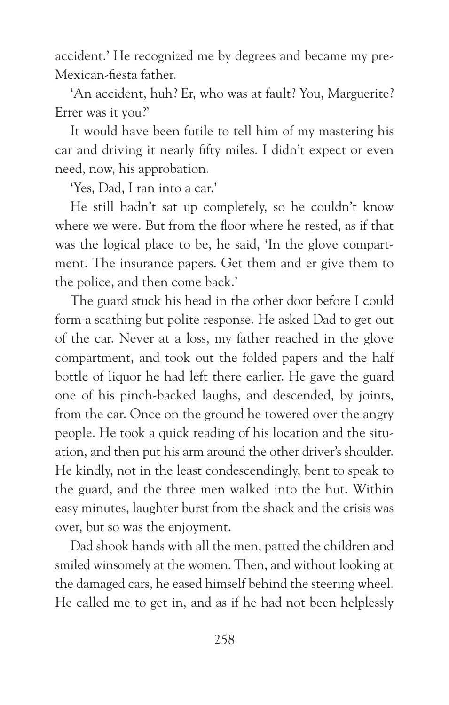accident.' He recognized me by degrees and became my pre-Mexican-fiesta father.

'An accident, huh? Er, who was at fault? You, Marguerite? Errer was it you?'

It would have been futile to tell him of my mastering his car and driving it nearly fifty miles. I didn't expect or even need, now, his approbation.

'Yes, Dad, I ran into a car.'

He still hadn't sat up completely, so he couldn't know where we were. But from the floor where he rested, as if that was the logical place to be, he said, 'In the glove compartment. The insurance papers. Get them and er give them to the police, and then come back.'

The guard stuck his head in the other door before I could form a scathing but polite response. He asked Dad to get out of the car. Never at a loss, my father reached in the glove compartment, and took out the folded papers and the half bottle of liquor he had left there earlier. He gave the guard one of his pinch-backed laughs, and descended, by joints, from the car. Once on the ground he towered over the angry people. He took a quick reading of his location and the situation, and then put his arm around the other driver's shoulder. He kindly, not in the least condescendingly, bent to speak to the guard, and the three men walked into the hut. Within easy minutes, laughter burst from the shack and the crisis was over, but so was the enjoyment.

Dad shook hands with all the men, patted the children and smiled winsomely at the women. Then, and without looking at the damaged cars, he eased himself behind the steering wheel. He called me to get in, and as if he had not been helplessly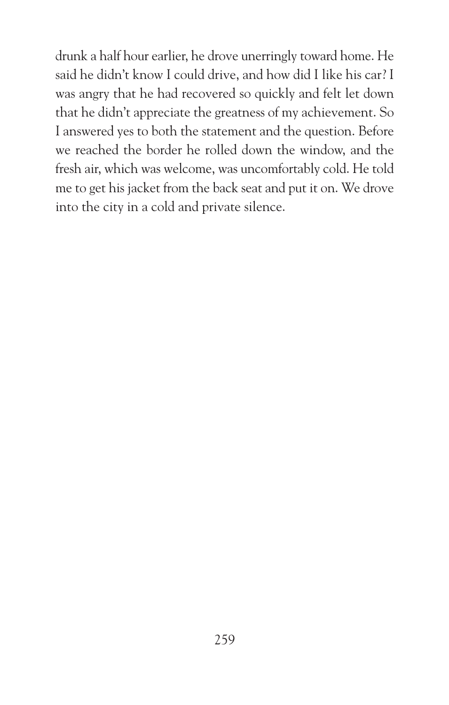drunk a half hour earlier, he drove unerringly toward home. He said he didn't know I could drive, and how did I like his car? I was angry that he had recovered so quickly and felt let down that he didn't appreciate the greatness of my achievement. So I answered yes to both the statement and the question. Before we reached the border he rolled down the window, and the fresh air, which was welcome, was uncomfortably cold. He told me to get his jacket from the back seat and put it on. We drove into the city in a cold and private silence.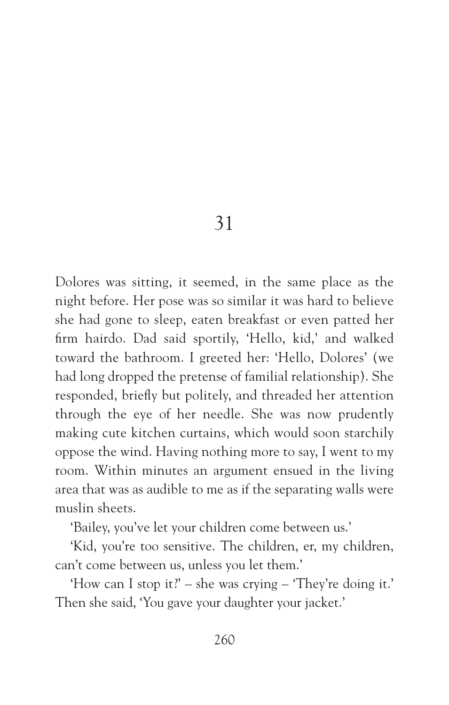31

Dolores was sitting, it seemed, in the same place as the night before. Her pose was so similar it was hard to believe she had gone to sleep, eaten breakfast or even patted her firm hairdo. Dad said sportily, 'Hello, kid,' and walked toward the bathroom. I greeted her: 'Hello, Dolores' (we had long dropped the pretense of familial relationship). She responded, briefly but politely, and threaded her attention through the eye of her needle. She was now prudently making cute kitchen curtains, which would soon starchily oppose the wind. Having nothing more to say, I went to my room. Within minutes an argument ensued in the living area that was as audible to me as if the separating walls were muslin sheets.

'Bailey, you've let your children come between us.'

'Kid, you're too sensitive. The children, er, my children, can't come between us, unless you let them.'

'How can I stop it?' – she was crying – 'They're doing it.' Then she said, 'You gave your daughter your jacket.'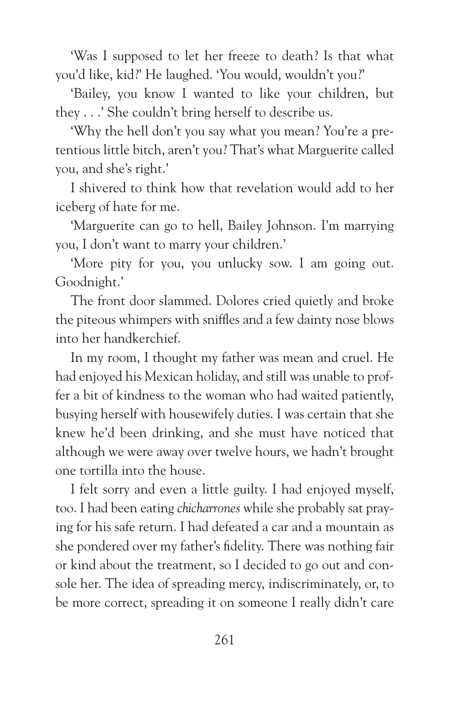'Was I supposed to let her freeze to death? Is that what you'd like, kid?' He laughed. 'You would, wouldn't you?'

'Bailey, you know I wanted to like your children, but they . . .' She couldn't bring herself to describe us.

'Why the hell don't you say what you mean? You're a pretentious little bitch, aren't you? That's what Marguerite called you, and she's right.'

I shivered to think how that revelation would add to her iceberg of hate for me.

'Marguerite can go to hell, Bailey Johnson. I'm marrying you, I don't want to marry your children.'

'More pity for you, you unlucky sow. I am going out. Goodnight.'

The front door slammed. Dolores cried quietly and broke the piteous whimpers with sniffles and a few dainty nose blows into her handkerchief.

In my room, I thought my father was mean and cruel. He had enjoyed his Mexican holiday, and still was unable to proffer a bit of kindness to the woman who had waited patiently, busying herself with housewifely duties. I was certain that she knew he'd been drinking, and she must have noticed that although we were away over twelve hours, we hadn't brought one tortilla into the house.

I felt sorry and even a little guilty. I had enjoyed myself, too. I had been eating *chicharrones* while she probably sat praying for his safe return. I had defeated a car and a mountain as she pondered over my father's fidelity. There was nothing fair or kind about the treatment, so I decided to go out and console her. The idea of spreading mercy, indiscriminately, or, to be more correct, spreading it on someone I really didn't care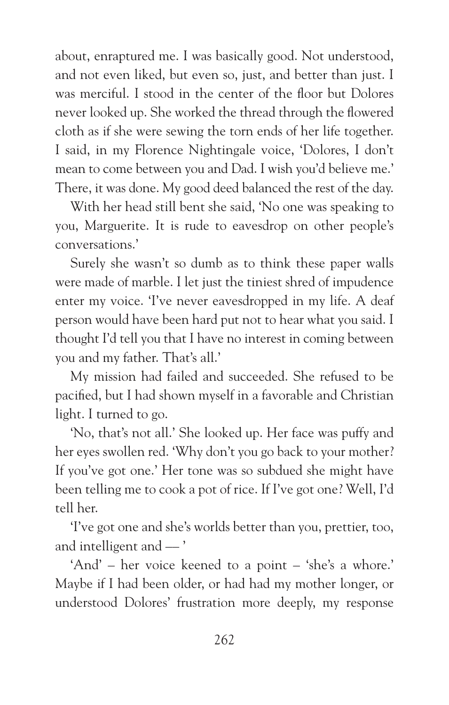about, enraptured me. I was basically good. Not understood, and not even liked, but even so, just, and better than just. I was merciful. I stood in the center of the floor but Dolores never looked up. She worked the thread through the flowered cloth as if she were sewing the torn ends of her life together. I said, in my Florence Nightingale voice, 'Dolores, I don't mean to come between you and Dad. I wish you'd believe me.' There, it was done. My good deed balanced the rest of the day.

With her head still bent she said, 'No one was speaking to you, Marguerite. It is rude to eavesdrop on other people's conversations.'

Surely she wasn't so dumb as to think these paper walls were made of marble. I let just the tiniest shred of impudence enter my voice. 'I've never eavesdropped in my life. A deaf person would have been hard put not to hear what you said. I thought I'd tell you that I have no interest in coming between you and my father. That's all.'

My mission had failed and succeeded. She refused to be pacified, but I had shown myself in a favorable and Christian light. I turned to go.

'No, that's not all.' She looked up. Her face was puffy and her eyes swollen red. 'Why don't you go back to your mother? If you've got one.' Her tone was so subdued she might have been telling me to cook a pot of rice. If I've got one? Well, I'd tell her.

'I've got one and she's worlds better than you, prettier, too, and intelligent and —'

'And' – her voice keened to a point – 'she's a whore.' Maybe if I had been older, or had had my mother longer, or understood Dolores' frustration more deeply, my response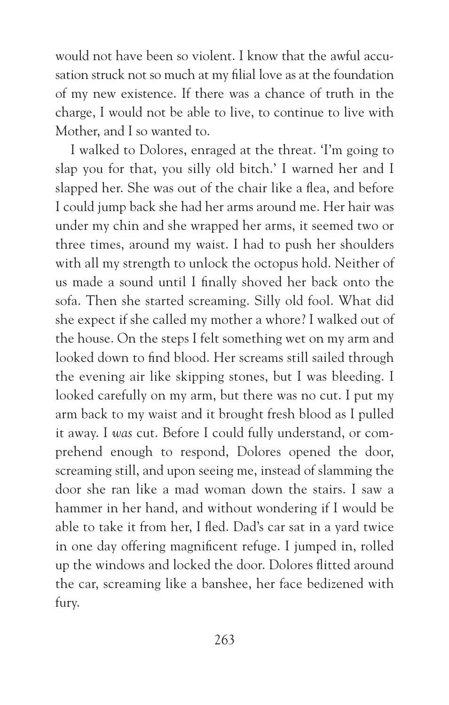would not have been so violent. I know that the awful accusation struck not so much at my filial love as at the foundation of my new existence. If there was a chance of truth in the charge, I would not be able to live, to continue to live with Mother, and I so wanted to.

I walked to Dolores, enraged at the threat. 'I'm going to slap you for that, you silly old bitch.' I warned her and I slapped her. She was out of the chair like a flea, and before I could jump back she had her arms around me. Her hair was under my chin and she wrapped her arms, it seemed two or three times, around my waist. I had to push her shoulders with all my strength to unlock the octopus hold. Neither of us made a sound until I finally shoved her back onto the sofa. Then she started screaming. Silly old fool. What did she expect if she called my mother a whore? I walked out of the house. On the steps I felt something wet on my arm and looked down to find blood. Her screams still sailed through the evening air like skipping stones, but I was bleeding. I looked carefully on my arm, but there was no cut. I put my arm back to my waist and it brought fresh blood as I pulled it away. I *was* cut. Before I could fully understand, or comprehend enough to respond, Dolores opened the door, screaming still, and upon seeing me, instead of slamming the door she ran like a mad woman down the stairs. I saw a hammer in her hand, and without wondering if I would be able to take it from her, I fled. Dad's car sat in a yard twice in one day offering magnificent refuge. I jumped in, rolled up the windows and locked the door. Dolores flitted around the car, screaming like a banshee, her face bedizened with fury.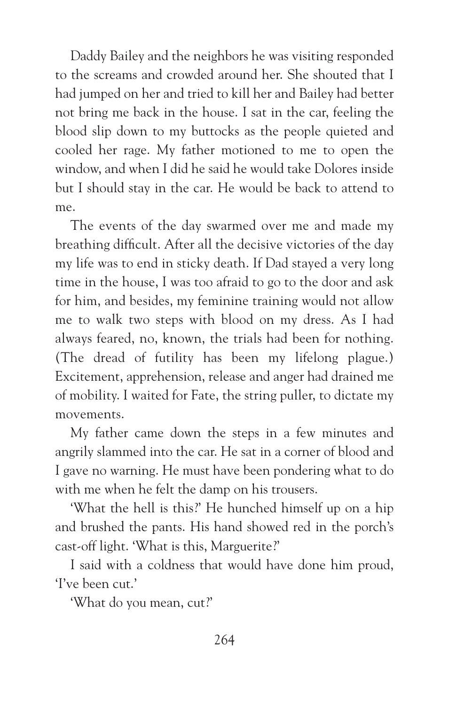Daddy Bailey and the neighbors he was visiting responded to the screams and crowded around her. She shouted that I had jumped on her and tried to kill her and Bailey had better not bring me back in the house. I sat in the car, feeling the blood slip down to my buttocks as the people quieted and cooled her rage. My father motioned to me to open the window, and when I did he said he would take Dolores inside but I should stay in the car. He would be back to attend to me.

The events of the day swarmed over me and made my breathing difficult. After all the decisive victories of the day my life was to end in sticky death. If Dad stayed a very long time in the house, I was too afraid to go to the door and ask for him, and besides, my feminine training would not allow me to walk two steps with blood on my dress. As I had always feared, no, known, the trials had been for nothing. (The dread of futility has been my lifelong plague.) Excitement, apprehension, release and anger had drained me of mobility. I waited for Fate, the string puller, to dictate my movements.

My father came down the steps in a few minutes and angrily slammed into the car. He sat in a corner of blood and I gave no warning. He must have been pondering what to do with me when he felt the damp on his trousers.

'What the hell is this?' He hunched himself up on a hip and brushed the pants. His hand showed red in the porch's cast-off light. 'What is this, Marguerite?'

I said with a coldness that would have done him proud, 'I've been cut.'

'What do you mean, cut?'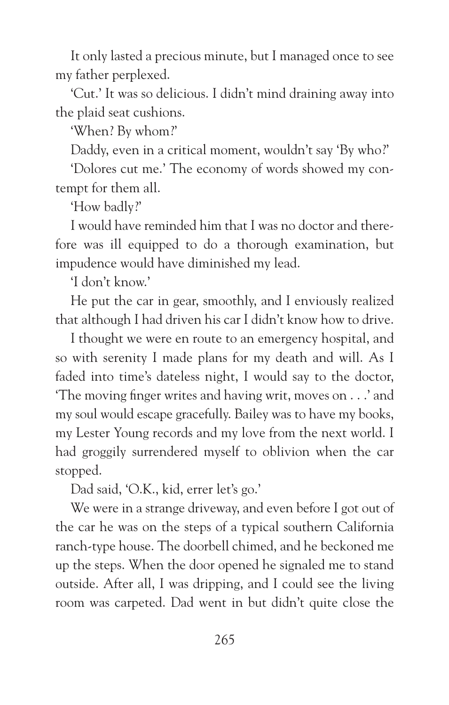It only lasted a precious minute, but I managed once to see my father perplexed.

'Cut.' It was so delicious. I didn't mind draining away into the plaid seat cushions.

'When? By whom?'

Daddy, even in a critical moment, wouldn't say 'By who?'

'Dolores cut me.' The economy of words showed my contempt for them all.

'How badly?'

I would have reminded him that I was no doctor and therefore was ill equipped to do a thorough examination, but impudence would have diminished my lead.

'I don't know.'

He put the car in gear, smoothly, and I enviously realized that although I had driven his car I didn't know how to drive.

I thought we were en route to an emergency hospital, and so with serenity I made plans for my death and will. As I faded into time's dateless night, I would say to the doctor, 'The moving finger writes and having writ, moves on . . .' and my soul would escape gracefully. Bailey was to have my books, my Lester Young records and my love from the next world. I had groggily surrendered myself to oblivion when the car stopped.

Dad said, 'O.K., kid, errer let's go.'

We were in a strange driveway, and even before I got out of the car he was on the steps of a typical southern California ranch-type house. The doorbell chimed, and he beckoned me up the steps. When the door opened he signaled me to stand outside. After all, I was dripping, and I could see the living room was carpeted. Dad went in but didn't quite close the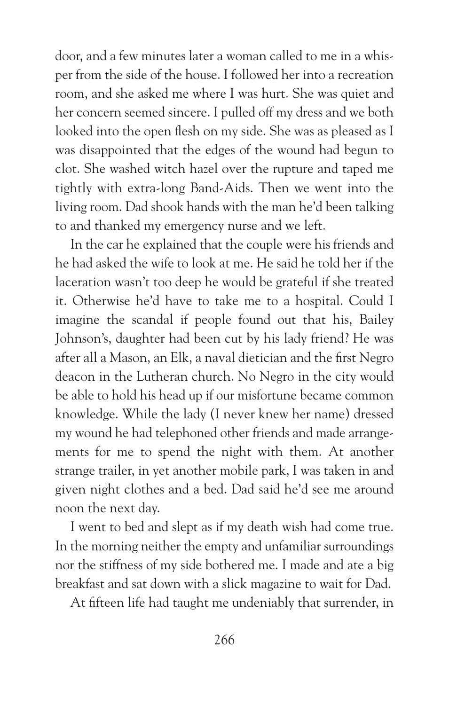door, and a few minutes later a woman called to me in a whisper from the side of the house. I followed her into a recreation room, and she asked me where I was hurt. She was quiet and her concern seemed sincere. I pulled off my dress and we both looked into the open flesh on my side. She was as pleased as I was disappointed that the edges of the wound had begun to clot. She washed witch hazel over the rupture and taped me tightly with extra-long Band-Aids. Then we went into the living room. Dad shook hands with the man he'd been talking to and thanked my emergency nurse and we left.

In the car he explained that the couple were his friends and he had asked the wife to look at me. He said he told her if the laceration wasn't too deep he would be grateful if she treated it. Otherwise he'd have to take me to a hospital. Could I imagine the scandal if people found out that his, Bailey Johnson's, daughter had been cut by his lady friend? He was after all a Mason, an Elk, a naval dietician and the first Negro deacon in the Lutheran church. No Negro in the city would be able to hold his head up if our misfortune became common knowledge. While the lady (I never knew her name) dressed my wound he had telephoned other friends and made arrangements for me to spend the night with them. At another strange trailer, in yet another mobile park, I was taken in and given night clothes and a bed. Dad said he'd see me around noon the next day.

I went to bed and slept as if my death wish had come true. In the morning neither the empty and unfamiliar surroundings nor the stiffness of my side bothered me. I made and ate a big breakfast and sat down with a slick magazine to wait for Dad.

At fifteen life had taught me undeniably that surrender, in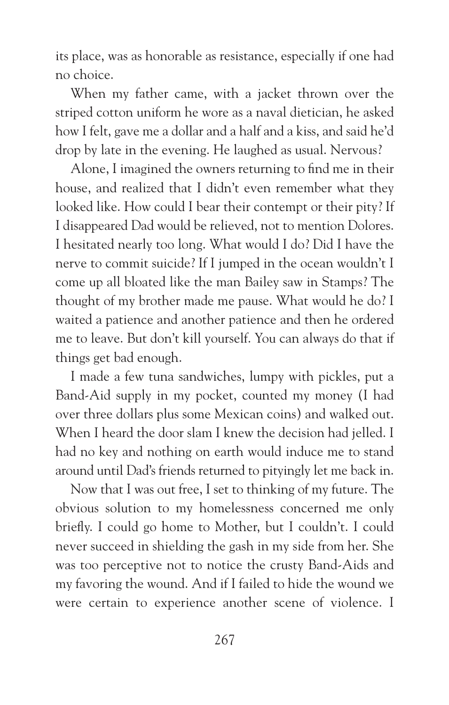its place, was as honorable as resistance, especially if one had no choice.

When my father came, with a jacket thrown over the striped cotton uniform he wore as a naval dietician, he asked how I felt, gave me a dollar and a half and a kiss, and said he'd drop by late in the evening. He laughed as usual. Nervous?

Alone, I imagined the owners returning to find me in their house, and realized that I didn't even remember what they looked like. How could I bear their contempt or their pity? If I disappeared Dad would be relieved, not to mention Dolores. I hesitated nearly too long. What would I do? Did I have the nerve to commit suicide? If I jumped in the ocean wouldn't I come up all bloated like the man Bailey saw in Stamps? The thought of my brother made me pause. What would he do? I waited a patience and another patience and then he ordered me to leave. But don't kill yourself. You can always do that if things get bad enough.

I made a few tuna sandwiches, lumpy with pickles, put a Band-Aid supply in my pocket, counted my money (I had over three dollars plus some Mexican coins) and walked out. When I heard the door slam I knew the decision had jelled. I had no key and nothing on earth would induce me to stand around until Dad's friends returned to pityingly let me back in.

Now that I was out free, I set to thinking of my future. The obvious solution to my homelessness concerned me only briefly. I could go home to Mother, but I couldn't. I could never succeed in shielding the gash in my side from her. She was too perceptive not to notice the crusty Band-Aids and my favoring the wound. And if I failed to hide the wound we were certain to experience another scene of violence. I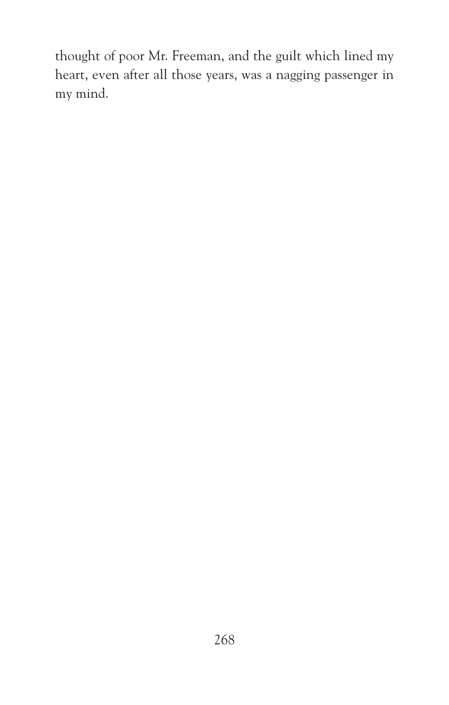thought of poor Mr. Freeman, and the guilt which lined my heart, even after all those years, was a nagging passenger in my mind.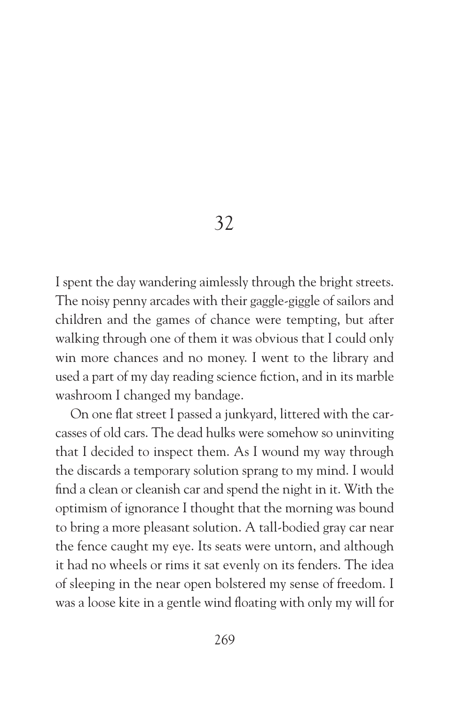32

I spent the day wandering aimlessly through the bright streets. The noisy penny arcades with their gaggle-giggle of sailors and children and the games of chance were tempting, but after walking through one of them it was obvious that I could only win more chances and no money. I went to the library and used a part of my day reading science fiction, and in its marble washroom I changed my bandage.

On one flat street I passed a junkyard, littered with the carcasses of old cars. The dead hulks were somehow so uninviting that I decided to inspect them. As I wound my way through the discards a temporary solution sprang to my mind. I would find a clean or cleanish car and spend the night in it. With the optimism of ignorance I thought that the morning was bound to bring a more pleasant solution. A tall-bodied gray car near the fence caught my eye. Its seats were untorn, and although it had no wheels or rims it sat evenly on its fenders. The idea of sleeping in the near open bolstered my sense of freedom. I was a loose kite in a gentle wind floating with only my will for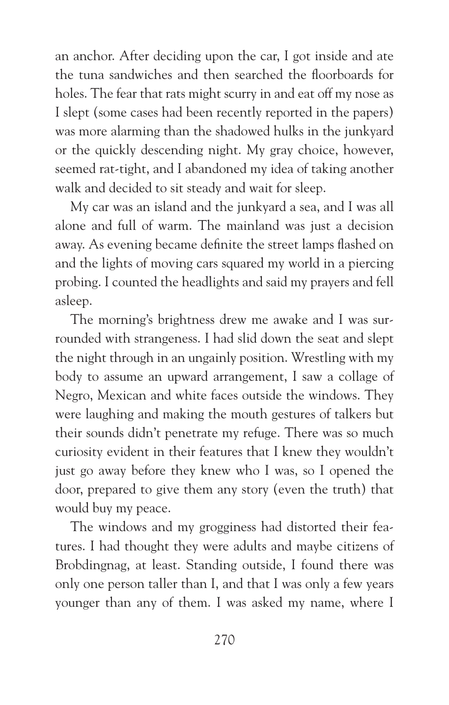an anchor. After deciding upon the car, I got inside and ate the tuna sandwiches and then searched the floorboards for holes. The fear that rats might scurry in and eat off my nose as I slept (some cases had been recently reported in the papers) was more alarming than the shadowed hulks in the junkyard or the quickly descending night. My gray choice, however, seemed rat-tight, and I abandoned my idea of taking another walk and decided to sit steady and wait for sleep.

My car was an island and the junkyard a sea, and I was all alone and full of warm. The mainland was just a decision away. As evening became definite the street lamps flashed on and the lights of moving cars squared my world in a piercing probing. I counted the headlights and said my prayers and fell asleep.

The morning's brightness drew me awake and I was surrounded with strangeness. I had slid down the seat and slept the night through in an ungainly position. Wrestling with my body to assume an upward arrangement, I saw a collage of Negro, Mexican and white faces outside the windows. They were laughing and making the mouth gestures of talkers but their sounds didn't penetrate my refuge. There was so much curiosity evident in their features that I knew they wouldn't just go away before they knew who I was, so I opened the door, prepared to give them any story (even the truth) that would buy my peace.

The windows and my grogginess had distorted their features. I had thought they were adults and maybe citizens of Brobdingnag, at least. Standing outside, I found there was only one person taller than I, and that I was only a few years younger than any of them. I was asked my name, where I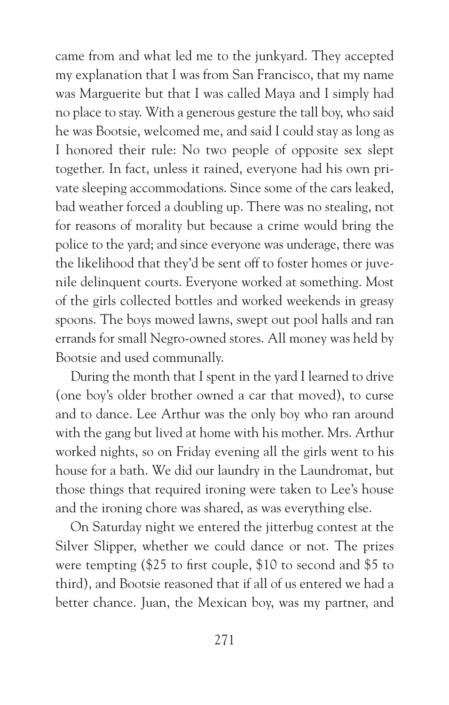came from and what led me to the junkyard. They accepted my explanation that I was from San Francisco, that my name was Marguerite but that I was called Maya and I simply had no place to stay. With a generous gesture the tall boy, who said he was Bootsie, welcomed me, and said I could stay as long as I honored their rule: No two people of opposite sex slept together. In fact, unless it rained, everyone had his own private sleeping accommodations. Since some of the cars leaked, bad weather forced a doubling up. There was no stealing, not for reasons of morality but because a crime would bring the police to the yard; and since everyone was underage, there was the likelihood that they'd be sent off to foster homes or juvenile delinquent courts. Everyone worked at something. Most of the girls collected bottles and worked weekends in greasy spoons. The boys mowed lawns, swept out pool halls and ran errands for small Negro-owned stores. All money was held by Bootsie and used communally.

During the month that I spent in the yard I learned to drive (one boy's older brother owned a car that moved), to curse and to dance. Lee Arthur was the only boy who ran around with the gang but lived at home with his mother. Mrs. Arthur worked nights, so on Friday evening all the girls went to his house for a bath. We did our laundry in the Laundromat, but those things that required ironing were taken to Lee's house and the ironing chore was shared, as was everything else.

On Saturday night we entered the jitterbug contest at the Silver Slipper, whether we could dance or not. The prizes were tempting (\$25 to first couple, \$10 to second and \$5 to third), and Bootsie reasoned that if all of us entered we had a better chance. Juan, the Mexican boy, was my partner, and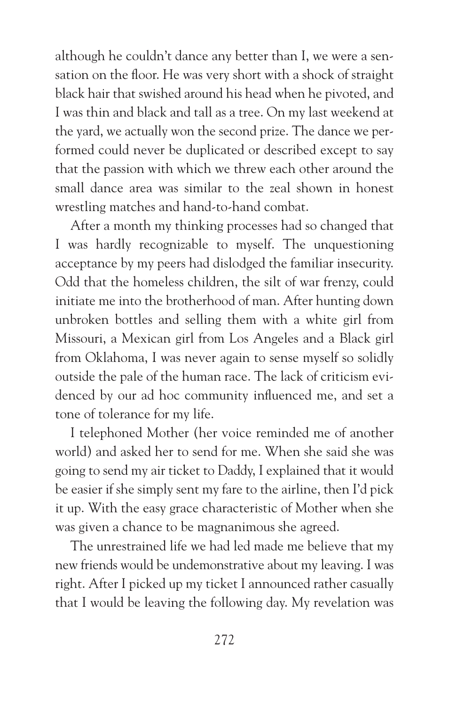although he couldn't dance any better than I, we were a sensation on the floor. He was very short with a shock of straight black hair that swished around his head when he pivoted, and I was thin and black and tall as a tree. On my last weekend at the yard, we actually won the second prize. The dance we performed could never be duplicated or described except to say that the passion with which we threw each other around the small dance area was similar to the zeal shown in honest wrestling matches and hand-to-hand combat.

After a month my thinking processes had so changed that I was hardly recognizable to myself. The unquestioning acceptance by my peers had dislodged the familiar insecurity. Odd that the homeless children, the silt of war frenzy, could initiate me into the brotherhood of man. After hunting down unbroken bottles and selling them with a white girl from Missouri, a Mexican girl from Los Angeles and a Black girl from Oklahoma, I was never again to sense myself so solidly outside the pale of the human race. The lack of criticism evidenced by our ad hoc community influenced me, and set a tone of tolerance for my life.

I telephoned Mother (her voice reminded me of another world) and asked her to send for me. When she said she was going to send my air ticket to Daddy, I explained that it would be easier if she simply sent my fare to the airline, then I'd pick it up. With the easy grace characteristic of Mother when she was given a chance to be magnanimous she agreed.

The unrestrained life we had led made me believe that my new friends would be undemonstrative about my leaving. I was right. After I picked up my ticket I announced rather casually that I would be leaving the following day. My revelation was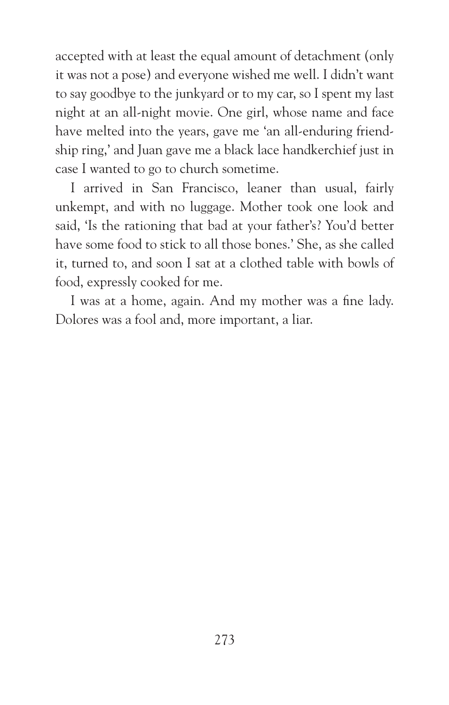accepted with at least the equal amount of detachment (only it was not a pose) and everyone wished me well. I didn't want to say goodbye to the junkyard or to my car, so I spent my last night at an all-night movie. One girl, whose name and face have melted into the years, gave me 'an all-enduring friendship ring,' and Juan gave me a black lace handkerchief just in case I wanted to go to church sometime.

I arrived in San Francisco, leaner than usual, fairly unkempt, and with no luggage. Mother took one look and said, 'Is the rationing that bad at your father's? You'd better have some food to stick to all those bones.' She, as she called it, turned to, and soon I sat at a clothed table with bowls of food, expressly cooked for me.

I was at a home, again. And my mother was a fine lady. Dolores was a fool and, more important, a liar.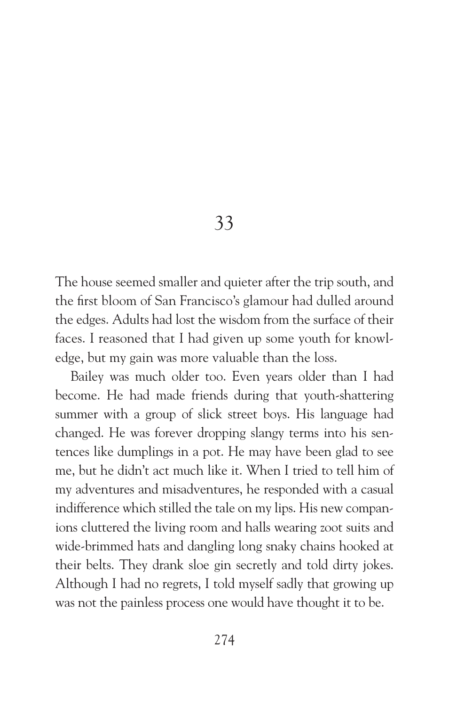33

The house seemed smaller and quieter after the trip south, and the first bloom of San Francisco's glamour had dulled around the edges. Adults had lost the wisdom from the surface of their faces. I reasoned that I had given up some youth for knowledge, but my gain was more valuable than the loss.

Bailey was much older too. Even years older than I had become. He had made friends during that youth-shattering summer with a group of slick street boys. His language had changed. He was forever dropping slangy terms into his sentences like dumplings in a pot. He may have been glad to see me, but he didn't act much like it. When I tried to tell him of my adventures and misadventures, he responded with a casual indifference which stilled the tale on my lips. His new companions cluttered the living room and halls wearing zoot suits and wide-brimmed hats and dangling long snaky chains hooked at their belts. They drank sloe gin secretly and told dirty jokes. Although I had no regrets, I told myself sadly that growing up was not the painless process one would have thought it to be.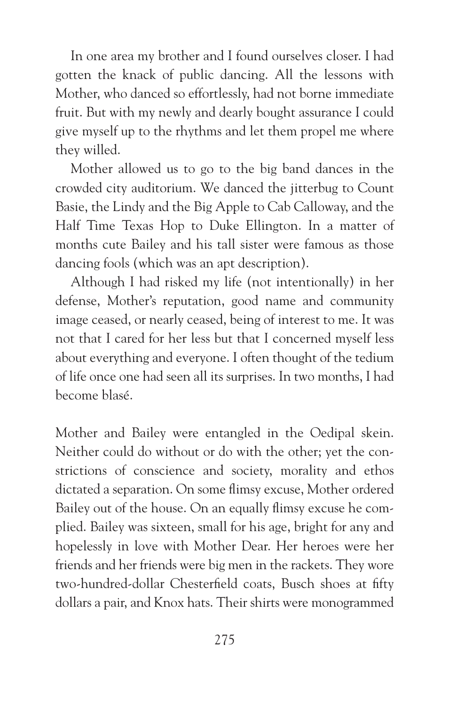In one area my brother and I found ourselves closer. I had gotten the knack of public dancing. All the lessons with Mother, who danced so effortlessly, had not borne immediate fruit. But with my newly and dearly bought assurance I could give myself up to the rhythms and let them propel me where they willed.

Mother allowed us to go to the big band dances in the crowded city auditorium. We danced the jitterbug to Count Basie, the Lindy and the Big Apple to Cab Calloway, and the Half Time Texas Hop to Duke Ellington. In a matter of months cute Bailey and his tall sister were famous as those dancing fools (which was an apt description).

Although I had risked my life (not intentionally) in her defense, Mother's reputation, good name and community image ceased, or nearly ceased, being of interest to me. It was not that I cared for her less but that I concerned myself less about everything and everyone. I often thought of the tedium of life once one had seen all its surprises. In two months, I had become blasé.

Mother and Bailey were entangled in the Oedipal skein. Neither could do without or do with the other; yet the constrictions of conscience and society, morality and ethos dictated a separation. On some flimsy excuse, Mother ordered Bailey out of the house. On an equally flimsy excuse he complied. Bailey was sixteen, small for his age, bright for any and hopelessly in love with Mother Dear. Her heroes were her friends and her friends were big men in the rackets. They wore two-hundred-dollar Chesterfield coats, Busch shoes at fifty dollars a pair, and Knox hats. Their shirts were monogrammed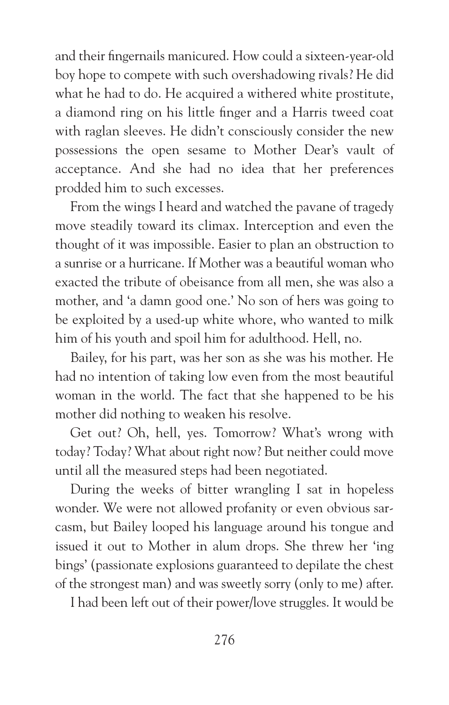and their fingernails manicured. How could a sixteen-year-old boy hope to compete with such overshadowing rivals? He did what he had to do. He acquired a withered white prostitute, a diamond ring on his little finger and a Harris tweed coat with raglan sleeves. He didn't consciously consider the new possessions the open sesame to Mother Dear's vault of acceptance. And she had no idea that her preferences prodded him to such excesses.

From the wings I heard and watched the pavane of tragedy move steadily toward its climax. Interception and even the thought of it was impossible. Easier to plan an obstruction to a sunrise or a hurricane. If Mother was a beautiful woman who exacted the tribute of obeisance from all men, she was also a mother, and 'a damn good one.' No son of hers was going to be exploited by a used-up white whore, who wanted to milk him of his youth and spoil him for adulthood. Hell, no.

Bailey, for his part, was her son as she was his mother. He had no intention of taking low even from the most beautiful woman in the world. The fact that she happened to be his mother did nothing to weaken his resolve.

Get out? Oh, hell, yes. Tomorrow? What's wrong with today? Today? What about right now? But neither could move until all the measured steps had been negotiated.

During the weeks of bitter wrangling I sat in hopeless wonder. We were not allowed profanity or even obvious sarcasm, but Bailey looped his language around his tongue and issued it out to Mother in alum drops. She threw her 'ing bings' (passionate explosions guaranteed to depilate the chest of the strongest man) and was sweetly sorry (only to me) after.

I had been left out of their power/love struggles. It would be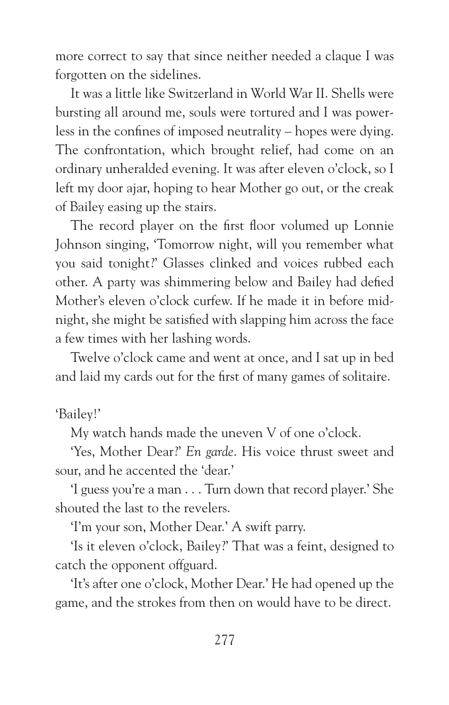more correct to say that since neither needed a claque I was forgotten on the sidelines.

It was a little like Switzerland in World War II. Shells were bursting all around me, souls were tortured and I was powerless in the confines of imposed neutrality – hopes were dying. The confrontation, which brought relief, had come on an ordinary unheralded evening. It was after eleven o'clock, so I left my door ajar, hoping to hear Mother go out, or the creak of Bailey easing up the stairs.

The record player on the first floor volumed up Lonnie Johnson singing, 'Tomorrow night, will you remember what you said tonight?' Glasses clinked and voices rubbed each other. A party was shimmering below and Bailey had defied Mother's eleven o'clock curfew. If he made it in before midnight, she might be satisfied with slapping him across the face a few times with her lashing words.

Twelve o'clock came and went at once, and I sat up in bed and laid my cards out for the first of many games of solitaire.

'Bailey!'

My watch hands made the uneven V of one o'clock.

'Yes, Mother Dear?' *En garde*. His voice thrust sweet and sour, and he accented the 'dear.'

'I guess you're a man . . . Turn down that record player.' She shouted the last to the revelers.

'I'm your son, Mother Dear.' A swift parry.

'Is it eleven o'clock, Bailey?' That was a feint, designed to catch the opponent offguard.

'It's after one o'clock, Mother Dear.' He had opened up the game, and the strokes from then on would have to be direct.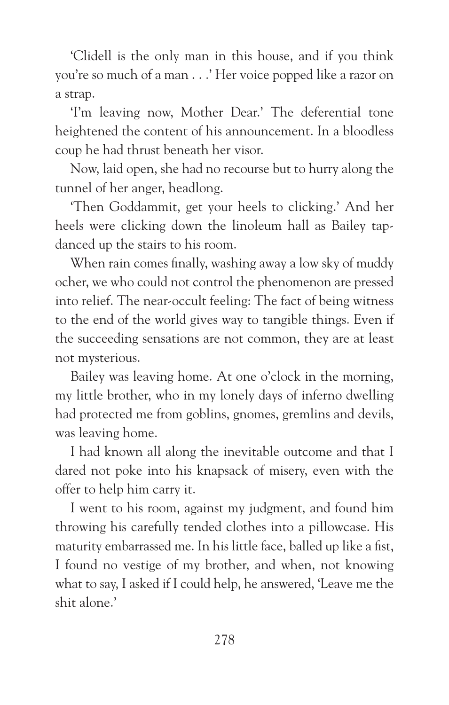'Clidell is the only man in this house, and if you think you're so much of a man . . .' Her voice popped like a razor on a strap.

'I'm leaving now, Mother Dear.' The deferential tone heightened the content of his announcement. In a bloodless coup he had thrust beneath her visor.

Now, laid open, she had no recourse but to hurry along the tunnel of her anger, headlong.

'Then Goddammit, get your heels to clicking.' And her heels were clicking down the linoleum hall as Bailey tapdanced up the stairs to his room.

When rain comes finally, washing away a low sky of muddy ocher, we who could not control the phenomenon are pressed into relief. The near-occult feeling: The fact of being witness to the end of the world gives way to tangible things. Even if the succeeding sensations are not common, they are at least not mysterious.

Bailey was leaving home. At one o'clock in the morning, my little brother, who in my lonely days of inferno dwelling had protected me from goblins, gnomes, gremlins and devils, was leaving home.

I had known all along the inevitable outcome and that I dared not poke into his knapsack of misery, even with the offer to help him carry it.

I went to his room, against my judgment, and found him throwing his carefully tended clothes into a pillowcase. His maturity embarrassed me. In his little face, balled up like a fist, I found no vestige of my brother, and when, not knowing what to say, I asked if I could help, he answered, 'Leave me the shit alone.'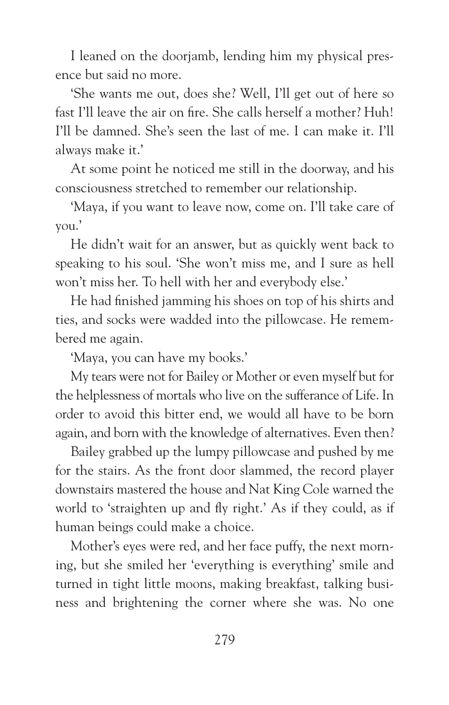I leaned on the doorjamb, lending him my physical presence but said no more.

'She wants me out, does she? Well, I'll get out of here so fast I'll leave the air on fire. She calls herself a mother? Huh! I'll be damned. She's seen the last of me. I can make it. I'll always make it.'

At some point he noticed me still in the doorway, and his consciousness stretched to remember our relationship.

'Maya, if you want to leave now, come on. I'll take care of you.'

He didn't wait for an answer, but as quickly went back to speaking to his soul. 'She won't miss me, and I sure as hell won't miss her. To hell with her and everybody else.'

He had finished jamming his shoes on top of his shirts and ties, and socks were wadded into the pillowcase. He remembered me again.

'Maya, you can have my books.'

My tears were not for Bailey or Mother or even myself but for the helplessness of mortals who live on the sufferance of Life. In order to avoid this bitter end, we would all have to be born again, and born with the knowledge of alternatives. Even then?

Bailey grabbed up the lumpy pillowcase and pushed by me for the stairs. As the front door slammed, the record player downstairs mastered the house and Nat King Cole warned the world to 'straighten up and fly right.' As if they could, as if human beings could make a choice.

Mother's eyes were red, and her face puffy, the next morning, but she smiled her 'everything is everything' smile and turned in tight little moons, making breakfast, talking business and brightening the corner where she was. No one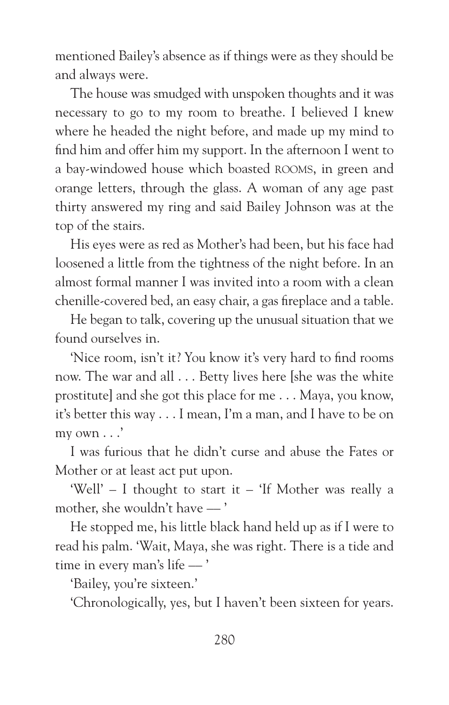mentioned Bailey's absence as if things were as they should be and always were.

The house was smudged with unspoken thoughts and it was necessary to go to my room to breathe. I believed I knew where he headed the night before, and made up my mind to find him and offer him my support. In the afternoon I went to a bay-windowed house which boasted ROOMS, in green and orange letters, through the glass. A woman of any age past thirty answered my ring and said Bailey Johnson was at the top of the stairs.

His eyes were as red as Mother's had been, but his face had loosened a little from the tightness of the night before. In an almost formal manner I was invited into a room with a clean chenille-covered bed, an easy chair, a gas fireplace and a table.

He began to talk, covering up the unusual situation that we found ourselves in.

'Nice room, isn't it? You know it's very hard to find rooms now. The war and all . . . Betty lives here [she was the white prostitute] and she got this place for me . . . Maya, you know, it's better this way . . . I mean, I'm a man, and I have to be on my own . . .'

I was furious that he didn't curse and abuse the Fates or Mother or at least act put upon.

'Well' – I thought to start it – 'If Mother was really a mother, she wouldn't have -

He stopped me, his little black hand held up as if I were to read his palm. 'Wait, Maya, she was right. There is a tide and time in every man's life —'

'Bailey, you're sixteen.'

'Chronologically, yes, but I haven't been sixteen for years.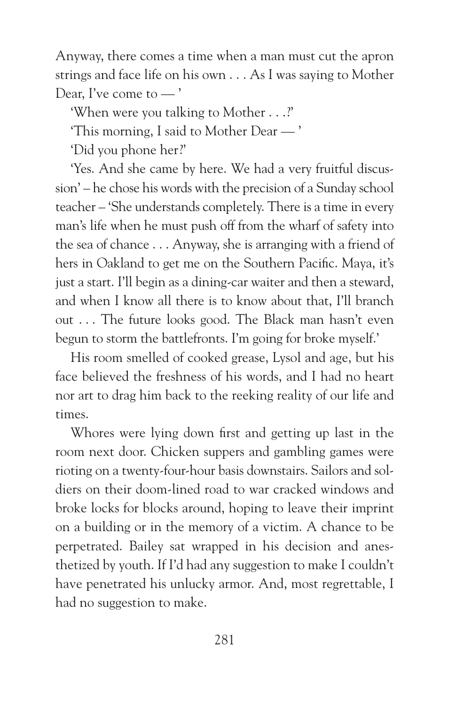Anyway, there comes a time when a man must cut the apron strings and face life on his own . . . As I was saying to Mother Dear, I've come to  $-$ '

'When were you talking to Mother . . .?'

'This morning, I said to Mother Dear — '

'Did you phone her?'

'Yes. And she came by here. We had a very fruitful discussion' – he chose his words with the precision of a Sunday school teacher – 'She understands completely. There is a time in every man's life when he must push off from the wharf of safety into the sea of chance . . . Anyway, she is arranging with a friend of hers in Oakland to get me on the Southern Pacific. Maya, it's just a start. I'll begin as a dining-car waiter and then a steward, and when I know all there is to know about that, I'll branch out . . . The future looks good. The Black man hasn't even begun to storm the battlefronts. I'm going for broke myself.'

His room smelled of cooked grease, Lysol and age, but his face believed the freshness of his words, and I had no heart nor art to drag him back to the reeking reality of our life and times.

Whores were lying down first and getting up last in the room next door. Chicken suppers and gambling games were rioting on a twenty-four-hour basis downstairs. Sailors and soldiers on their doom-lined road to war cracked windows and broke locks for blocks around, hoping to leave their imprint on a building or in the memory of a victim. A chance to be perpetrated. Bailey sat wrapped in his decision and anesthetized by youth. If I'd had any suggestion to make I couldn't have penetrated his unlucky armor. And, most regrettable, I had no suggestion to make.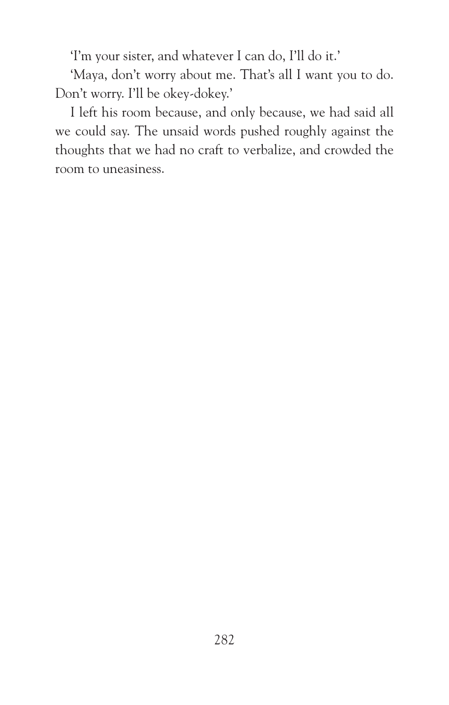'I'm your sister, and whatever I can do, I'll do it.'

'Maya, don't worry about me. That's all I want you to do. Don't worry. I'll be okey-dokey.'

I left his room because, and only because, we had said all we could say. The unsaid words pushed roughly against the thoughts that we had no craft to verbalize, and crowded the room to uneasiness.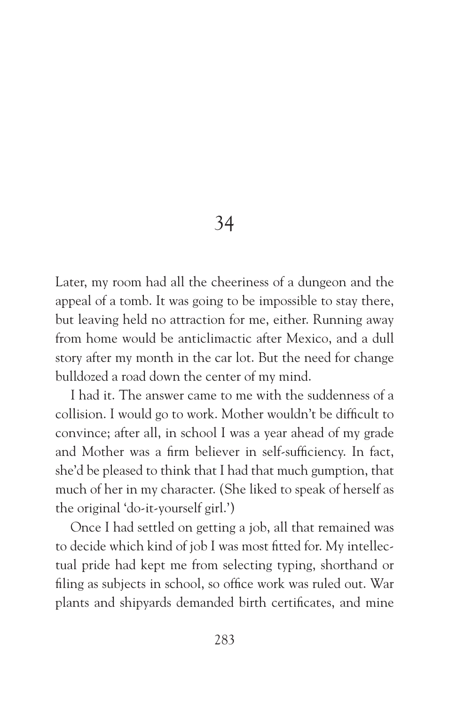34

Later, my room had all the cheeriness of a dungeon and the appeal of a tomb. It was going to be impossible to stay there, but leaving held no attraction for me, either. Running away from home would be anticlimactic after Mexico, and a dull story after my month in the car lot. But the need for change bulldozed a road down the center of my mind.

I had it. The answer came to me with the suddenness of a collision. I would go to work. Mother wouldn't be difficult to convince; after all, in school I was a year ahead of my grade and Mother was a firm believer in self-sufficiency. In fact, she'd be pleased to think that I had that much gumption, that much of her in my character. (She liked to speak of herself as the original 'do-it-yourself girl.')

Once I had settled on getting a job, all that remained was to decide which kind of job I was most fitted for. My intellectual pride had kept me from selecting typing, shorthand or filing as subjects in school, so office work was ruled out. War plants and shipyards demanded birth certificates, and mine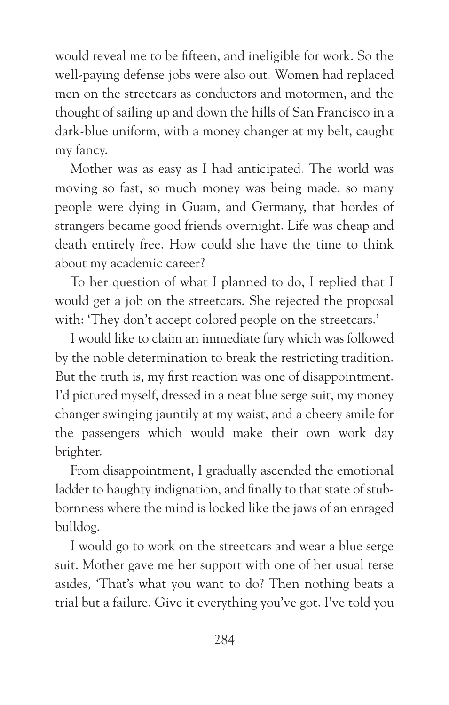would reveal me to be fifteen, and ineligible for work. So the well-paying defense jobs were also out. Women had replaced men on the streetcars as conductors and motormen, and the thought of sailing up and down the hills of San Francisco in a dark-blue uniform, with a money changer at my belt, caught my fancy.

Mother was as easy as I had anticipated. The world was moving so fast, so much money was being made, so many people were dying in Guam, and Germany, that hordes of strangers became good friends overnight. Life was cheap and death entirely free. How could she have the time to think about my academic career?

To her question of what I planned to do, I replied that I would get a job on the streetcars. She rejected the proposal with: 'They don't accept colored people on the streetcars.'

I would like to claim an immediate fury which was followed by the noble determination to break the restricting tradition. But the truth is, my first reaction was one of disappointment. I'd pictured myself, dressed in a neat blue serge suit, my money changer swinging jauntily at my waist, and a cheery smile for the passengers which would make their own work day brighter.

From disappointment, I gradually ascended the emotional ladder to haughty indignation, and finally to that state of stubbornness where the mind is locked like the jaws of an enraged bulldog.

I would go to work on the streetcars and wear a blue serge suit. Mother gave me her support with one of her usual terse asides, 'That's what you want to do? Then nothing beats a trial but a failure. Give it everything you've got. I've told you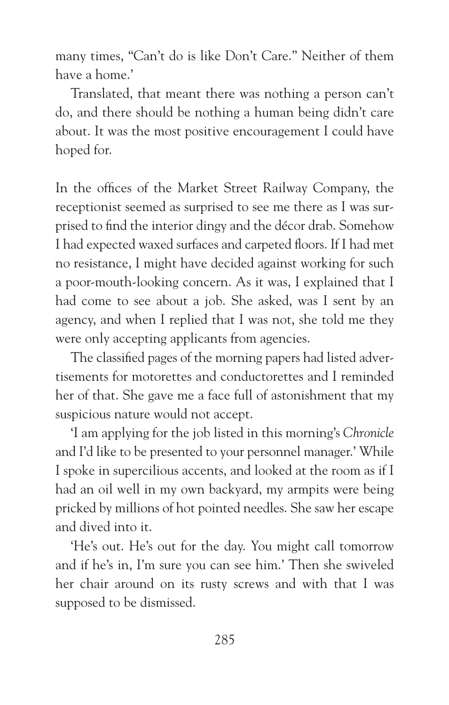many times, "Can't do is like Don't Care." Neither of them have a home.'

Translated, that meant there was nothing a person can't do, and there should be nothing a human being didn't care about. It was the most positive encouragement I could have hoped for.

In the offices of the Market Street Railway Company, the receptionist seemed as surprised to see me there as I was surprised to find the interior dingy and the décor drab. Somehow I had expected waxed surfaces and carpeted floors. If I had met no resistance, I might have decided against working for such a poor-mouth-looking concern. As it was, I explained that I had come to see about a job. She asked, was I sent by an agency, and when I replied that I was not, she told me they were only accepting applicants from agencies.

The classified pages of the morning papers had listed advertisements for motorettes and conductorettes and I reminded her of that. She gave me a face full of astonishment that my suspicious nature would not accept.

'I am applying for the job listed in this morning's *Chronicle* and I'd like to be presented to your personnel manager.' While I spoke in supercilious accents, and looked at the room as if I had an oil well in my own backyard, my armpits were being pricked by millions of hot pointed needles. She saw her escape and dived into it.

'He's out. He's out for the day. You might call tomorrow and if he's in, I'm sure you can see him.' Then she swiveled her chair around on its rusty screws and with that I was supposed to be dismissed.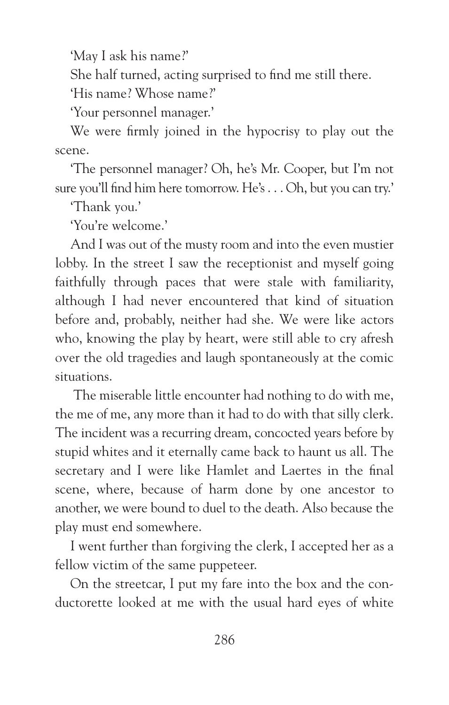'May I ask his name?'

She half turned, acting surprised to find me still there.

'His name? Whose name?'

'Your personnel manager.'

We were firmly joined in the hypocrisy to play out the scene.

'The personnel manager? Oh, he's Mr. Cooper, but I'm not sure you'll find him here tomorrow. He's . . . Oh, but you can try.'

'Thank you.'

'You're welcome.'

And I was out of the musty room and into the even mustier lobby. In the street I saw the receptionist and myself going faithfully through paces that were stale with familiarity, although I had never encountered that kind of situation before and, probably, neither had she. We were like actors who, knowing the play by heart, were still able to cry afresh over the old tragedies and laugh spontaneously at the comic situations.

The miserable little encounter had nothing to do with me, the me of me, any more than it had to do with that silly clerk. The incident was a recurring dream, concocted years before by stupid whites and it eternally came back to haunt us all. The secretary and I were like Hamlet and Laertes in the final scene, where, because of harm done by one ancestor to another, we were bound to duel to the death. Also because the play must end somewhere.

I went further than forgiving the clerk, I accepted her as a fellow victim of the same puppeteer.

On the streetcar, I put my fare into the box and the conductorette looked at me with the usual hard eyes of white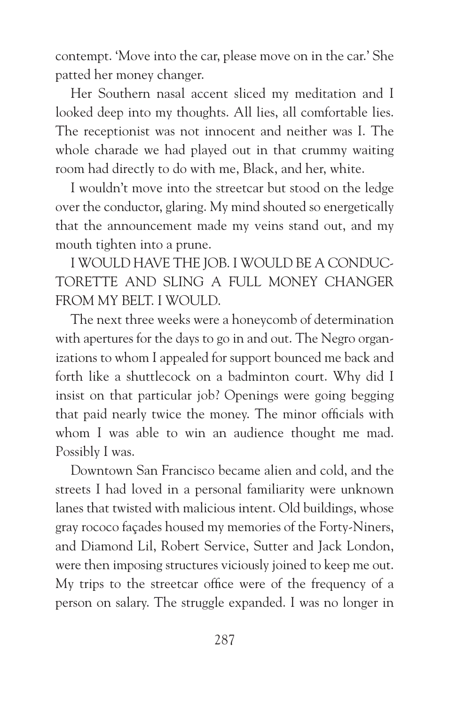contempt. 'Move into the car, please move on in the car.' She patted her money changer.

Her Southern nasal accent sliced my meditation and I looked deep into my thoughts. All lies, all comfortable lies. The receptionist was not innocent and neither was I. The whole charade we had played out in that crummy waiting room had directly to do with me, Black, and her, white.

I wouldn't move into the streetcar but stood on the ledge over the conductor, glaring. My mind shouted so energetically that the announcement made my veins stand out, and my mouth tighten into a prune.

I WOULD HAVE THE JOB. I WOULD BE A CONDUC-TORETTE AND SLING A FULL MONEY CHANGER FROM MY BELT. I WOULD.

The next three weeks were a honeycomb of determination with apertures for the days to go in and out. The Negro organizations to whom I appealed for support bounced me back and forth like a shuttlecock on a badminton court. Why did I insist on that particular job? Openings were going begging that paid nearly twice the money. The minor officials with whom I was able to win an audience thought me mad. Possibly I was.

Downtown San Francisco became alien and cold, and the streets I had loved in a personal familiarity were unknown lanes that twisted with malicious intent. Old buildings, whose gray rococo façades housed my memories of the Forty-Niners, and Diamond Lil, Robert Service, Sutter and Jack London, were then imposing structures viciously joined to keep me out. My trips to the streetcar office were of the frequency of a person on salary. The struggle expanded. I was no longer in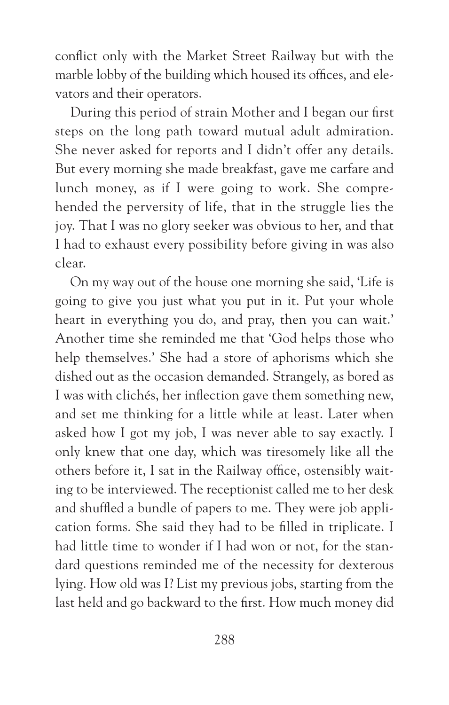conflict only with the Market Street Railway but with the marble lobby of the building which housed its offices, and elevators and their operators.

During this period of strain Mother and I began our first steps on the long path toward mutual adult admiration. She never asked for reports and I didn't offer any details. But every morning she made breakfast, gave me carfare and lunch money, as if I were going to work. She comprehended the perversity of life, that in the struggle lies the joy. That I was no glory seeker was obvious to her, and that I had to exhaust every possibility before giving in was also clear.

On my way out of the house one morning she said, 'Life is going to give you just what you put in it. Put your whole heart in everything you do, and pray, then you can wait.' Another time she reminded me that 'God helps those who help themselves.' She had a store of aphorisms which she dished out as the occasion demanded. Strangely, as bored as I was with clichés, her inflection gave them something new, and set me thinking for a little while at least. Later when asked how I got my job, I was never able to say exactly. I only knew that one day, which was tiresomely like all the others before it, I sat in the Railway office, ostensibly waiting to be interviewed. The receptionist called me to her desk and shuffled a bundle of papers to me. They were job application forms. She said they had to be filled in triplicate. I had little time to wonder if I had won or not, for the standard questions reminded me of the necessity for dexterous lying. How old was I? List my previous jobs, starting from the last held and go backward to the first. How much money did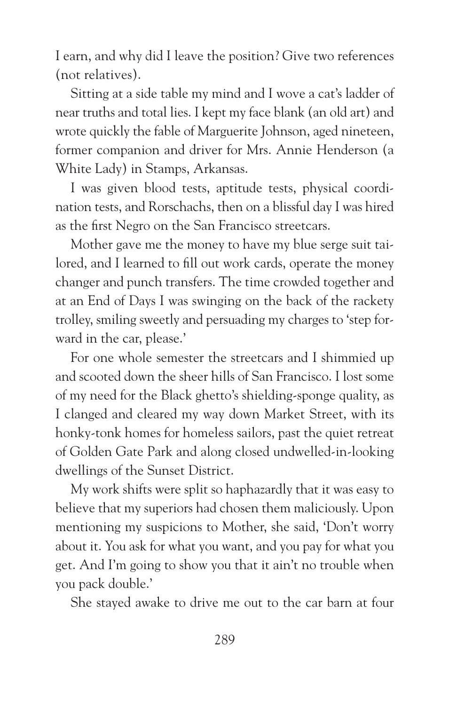I earn, and why did I leave the position? Give two references (not relatives).

Sitting at a side table my mind and I wove a cat's ladder of near truths and total lies. I kept my face blank (an old art) and wrote quickly the fable of Marguerite Johnson, aged nineteen, former companion and driver for Mrs. Annie Henderson (a White Lady) in Stamps, Arkansas.

I was given blood tests, aptitude tests, physical coordination tests, and Rorschachs, then on a blissful day I was hired as the first Negro on the San Francisco streetcars.

Mother gave me the money to have my blue serge suit tailored, and I learned to fill out work cards, operate the money changer and punch transfers. The time crowded together and at an End of Days I was swinging on the back of the rackety trolley, smiling sweetly and persuading my charges to 'step forward in the car, please.'

For one whole semester the streetcars and I shimmied up and scooted down the sheer hills of San Francisco. I lost some of my need for the Black ghetto's shielding-sponge quality, as I clanged and cleared my way down Market Street, with its honky-tonk homes for homeless sailors, past the quiet retreat of Golden Gate Park and along closed undwelled-in-looking dwellings of the Sunset District.

My work shifts were split so haphazardly that it was easy to believe that my superiors had chosen them maliciously. Upon mentioning my suspicions to Mother, she said, 'Don't worry about it. You ask for what you want, and you pay for what you get. And I'm going to show you that it ain't no trouble when you pack double.'

She stayed awake to drive me out to the car barn at four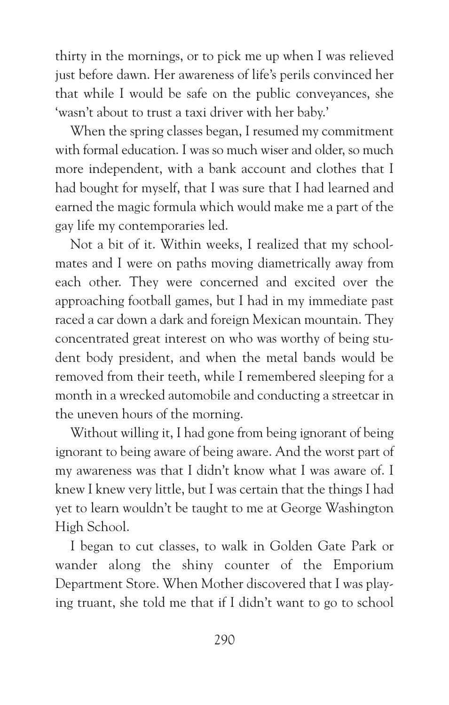thirty in the mornings, or to pick me up when I was relieved just before dawn. Her awareness of life's perils convinced her that while I would be safe on the public conveyances, she 'wasn't about to trust a taxi driver with her baby.'

When the spring classes began, I resumed my commitment with formal education. I was so much wiser and older, so much more independent, with a bank account and clothes that I had bought for myself, that I was sure that I had learned and earned the magic formula which would make me a part of the gay life my contemporaries led.

Not a bit of it. Within weeks, I realized that my schoolmates and I were on paths moving diametrically away from each other. They were concerned and excited over the approaching football games, but I had in my immediate past raced a car down a dark and foreign Mexican mountain. They concentrated great interest on who was worthy of being student body president, and when the metal bands would be removed from their teeth, while I remembered sleeping for a month in a wrecked automobile and conducting a streetcar in the uneven hours of the morning.

Without willing it, I had gone from being ignorant of being ignorant to being aware of being aware. And the worst part of my awareness was that I didn't know what I was aware of. I knew I knew very little, but I was certain that the things I had yet to learn wouldn't be taught to me at George Washington High School.

I began to cut classes, to walk in Golden Gate Park or wander along the shiny counter of the Emporium Department Store. When Mother discovered that I was playing truant, she told me that if I didn't want to go to school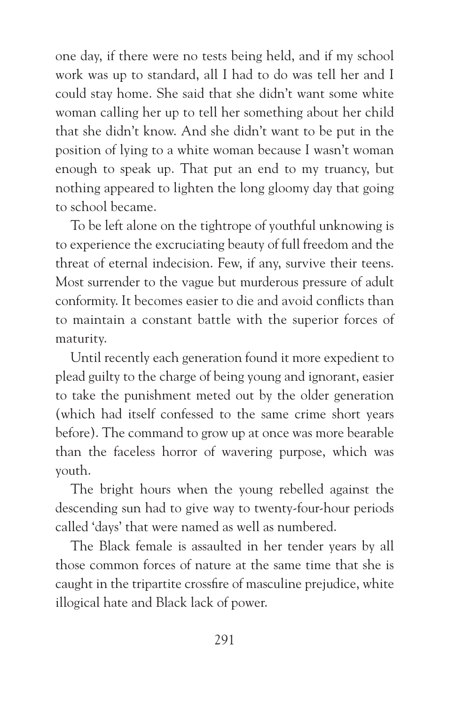one day, if there were no tests being held, and if my school work was up to standard, all I had to do was tell her and I could stay home. She said that she didn't want some white woman calling her up to tell her something about her child that she didn't know. And she didn't want to be put in the position of lying to a white woman because I wasn't woman enough to speak up. That put an end to my truancy, but nothing appeared to lighten the long gloomy day that going to school became.

To be left alone on the tightrope of youthful unknowing is to experience the excruciating beauty of full freedom and the threat of eternal indecision. Few, if any, survive their teens. Most surrender to the vague but murderous pressure of adult conformity. It becomes easier to die and avoid conflicts than to maintain a constant battle with the superior forces of maturity.

Until recently each generation found it more expedient to plead guilty to the charge of being young and ignorant, easier to take the punishment meted out by the older generation (which had itself confessed to the same crime short years before). The command to grow up at once was more bearable than the faceless horror of wavering purpose, which was youth.

The bright hours when the young rebelled against the descending sun had to give way to twenty-four-hour periods called 'days' that were named as well as numbered.

The Black female is assaulted in her tender years by all those common forces of nature at the same time that she is caught in the tripartite crossfire of masculine prejudice, white illogical hate and Black lack of power.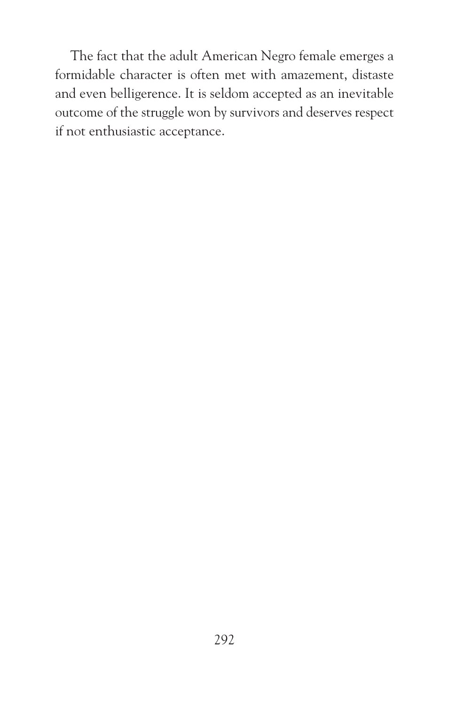The fact that the adult American Negro female emerges a formidable character is often met with amazement, distaste and even belligerence. It is seldom accepted as an inevitable outcome of the struggle won by survivors and deserves respect if not enthusiastic acceptance.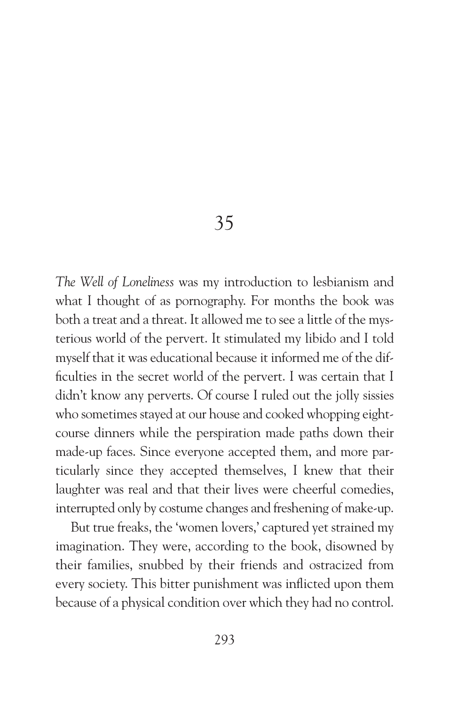35

*The Well of Loneliness* was my introduction to lesbianism and what I thought of as pornography. For months the book was both a treat and a threat. It allowed me to see a little of the mysterious world of the pervert. It stimulated my libido and I told myself that it was educational because it informed me of the difficulties in the secret world of the pervert. I was certain that I didn't know any perverts. Of course I ruled out the jolly sissies who sometimes stayed at our house and cooked whopping eightcourse dinners while the perspiration made paths down their made-up faces. Since everyone accepted them, and more particularly since they accepted themselves, I knew that their laughter was real and that their lives were cheerful comedies, interrupted only by costume changes and freshening of make-up.

But true freaks, the 'women lovers,' captured yet strained my imagination. They were, according to the book, disowned by their families, snubbed by their friends and ostracized from every society. This bitter punishment was inflicted upon them because of a physical condition over which they had no control.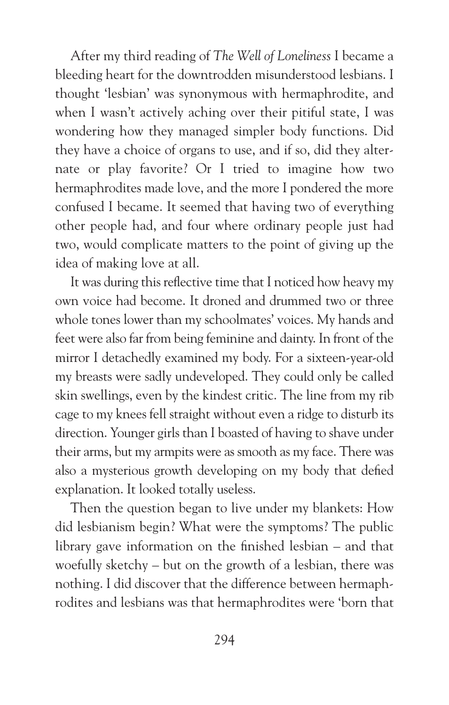After my third reading of *The Well of Loneliness* I became a bleeding heart for the downtrodden misunderstood lesbians. I thought 'lesbian' was synonymous with hermaphrodite, and when I wasn't actively aching over their pitiful state, I was wondering how they managed simpler body functions. Did they have a choice of organs to use, and if so, did they alternate or play favorite? Or I tried to imagine how two hermaphrodites made love, and the more I pondered the more confused I became. It seemed that having two of everything other people had, and four where ordinary people just had two, would complicate matters to the point of giving up the idea of making love at all.

It was during this reflective time that I noticed how heavy my own voice had become. It droned and drummed two or three whole tones lower than my schoolmates' voices. My hands and feet were also far from being feminine and dainty. In front of the mirror I detachedly examined my body. For a sixteen-year-old my breasts were sadly undeveloped. They could only be called skin swellings, even by the kindest critic. The line from my rib cage to my knees fell straight without even a ridge to disturb its direction. Younger girls than I boasted of having to shave under their arms, but my armpits were as smooth as my face. There was also a mysterious growth developing on my body that defied explanation. It looked totally useless.

Then the question began to live under my blankets: How did lesbianism begin? What were the symptoms? The public library gave information on the finished lesbian – and that woefully sketchy – but on the growth of a lesbian, there was nothing. I did discover that the difference between hermaphrodites and lesbians was that hermaphrodites were 'born that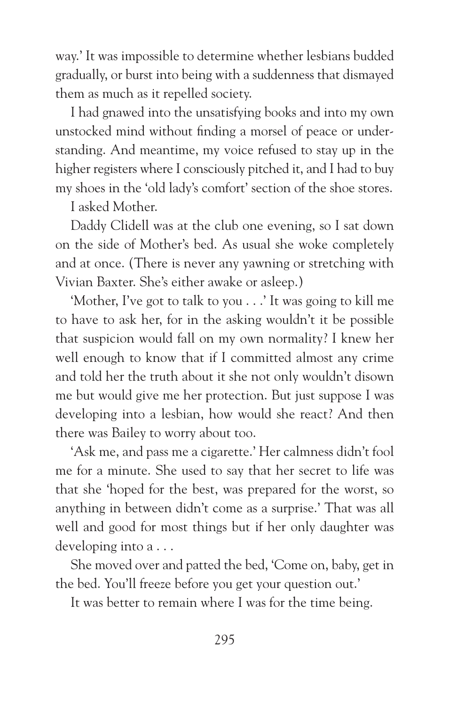way.' It was impossible to determine whether lesbians budded gradually, or burst into being with a suddenness that dismayed them as much as it repelled society.

I had gnawed into the unsatisfying books and into my own unstocked mind without finding a morsel of peace or understanding. And meantime, my voice refused to stay up in the higher registers where I consciously pitched it, and I had to buy my shoes in the 'old lady's comfort' section of the shoe stores.

I asked Mother.

Daddy Clidell was at the club one evening, so I sat down on the side of Mother's bed. As usual she woke completely and at once. (There is never any yawning or stretching with Vivian Baxter. She's either awake or asleep.)

'Mother, I've got to talk to you . . .' It was going to kill me to have to ask her, for in the asking wouldn't it be possible that suspicion would fall on my own normality? I knew her well enough to know that if I committed almost any crime and told her the truth about it she not only wouldn't disown me but would give me her protection. But just suppose I was developing into a lesbian, how would she react? And then there was Bailey to worry about too.

'Ask me, and pass me a cigarette.' Her calmness didn't fool me for a minute. She used to say that her secret to life was that she 'hoped for the best, was prepared for the worst, so anything in between didn't come as a surprise.' That was all well and good for most things but if her only daughter was developing into a...

She moved over and patted the bed, 'Come on, baby, get in the bed. You'll freeze before you get your question out.'

It was better to remain where I was for the time being.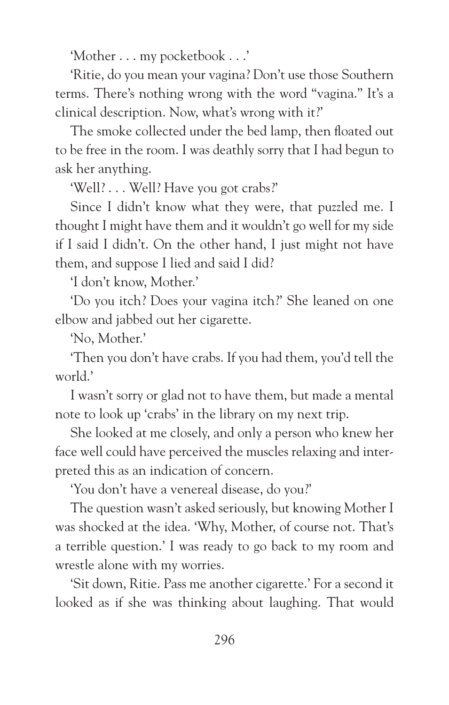'Mother . . . my pocketbook . . .'

'Ritie, do you mean your vagina? Don't use those Southern terms. There's nothing wrong with the word "vagina." It's a clinical description. Now, what's wrong with it?'

The smoke collected under the bed lamp, then floated out to be free in the room. I was deathly sorry that I had begun to ask her anything.

'Well? . . . Well? Have you got crabs?'

Since I didn't know what they were, that puzzled me. I thought I might have them and it wouldn't go well for my side if I said I didn't. On the other hand, I just might not have them, and suppose I lied and said I did?

'I don't know, Mother.'

'Do you itch? Does your vagina itch?' She leaned on one elbow and jabbed out her cigarette.

'No, Mother.'

'Then you don't have crabs. If you had them, you'd tell the world.'

I wasn't sorry or glad not to have them, but made a mental note to look up 'crabs' in the library on my next trip.

She looked at me closely, and only a person who knew her face well could have perceived the muscles relaxing and interpreted this as an indication of concern.

'You don't have a venereal disease, do you?'

The question wasn't asked seriously, but knowing Mother I was shocked at the idea. 'Why, Mother, of course not. That's a terrible question.' I was ready to go back to my room and wrestle alone with my worries.

'Sit down, Ritie. Pass me another cigarette.' For a second it looked as if she was thinking about laughing. That would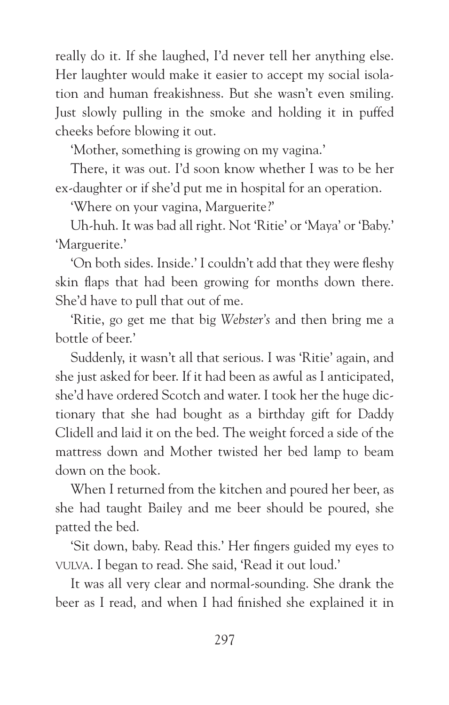really do it. If she laughed, I'd never tell her anything else. Her laughter would make it easier to accept my social isolation and human freakishness. But she wasn't even smiling. Just slowly pulling in the smoke and holding it in puffed cheeks before blowing it out.

'Mother, something is growing on my vagina.'

There, it was out. I'd soon know whether I was to be her ex-daughter or if she'd put me in hospital for an operation.

'Where on your vagina, Marguerite?'

Uh-huh. It was bad all right. Not 'Ritie' or 'Maya' or 'Baby.' 'Marguerite.'

'On both sides. Inside.' I couldn't add that they were fleshy skin flaps that had been growing for months down there. She'd have to pull that out of me.

'Ritie, go get me that big *Webster's* and then bring me a bottle of beer.'

Suddenly, it wasn't all that serious. I was 'Ritie' again, and she just asked for beer. If it had been as awful as I anticipated, she'd have ordered Scotch and water. I took her the huge dictionary that she had bought as a birthday gift for Daddy Clidell and laid it on the bed. The weight forced a side of the mattress down and Mother twisted her bed lamp to beam down on the book.

When I returned from the kitchen and poured her beer, as she had taught Bailey and me beer should be poured, she patted the bed.

'Sit down, baby. Read this.' Her fingers guided my eyes to VULVA. I began to read. She said, 'Read it out loud.'

It was all very clear and normal-sounding. She drank the beer as I read, and when I had finished she explained it in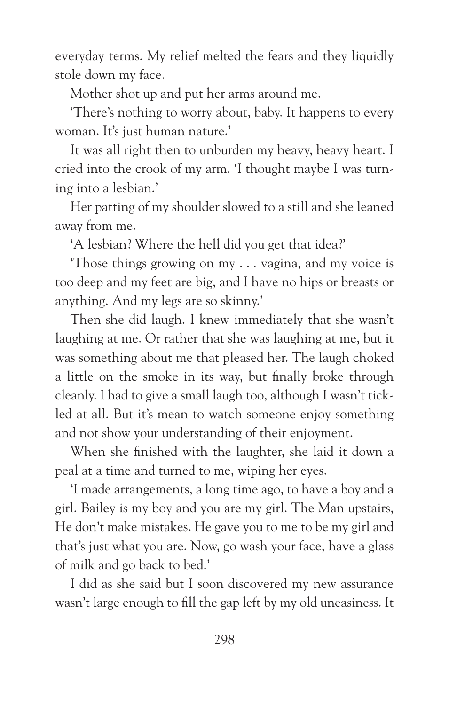everyday terms. My relief melted the fears and they liquidly stole down my face.

Mother shot up and put her arms around me.

'There's nothing to worry about, baby. It happens to every woman. It's just human nature.'

It was all right then to unburden my heavy, heavy heart. I cried into the crook of my arm. 'I thought maybe I was turning into a lesbian.'

Her patting of my shoulder slowed to a still and she leaned away from me.

'A lesbian? Where the hell did you get that idea?'

'Those things growing on my . . . vagina, and my voice is too deep and my feet are big, and I have no hips or breasts or anything. And my legs are so skinny.'

Then she did laugh. I knew immediately that she wasn't laughing at me. Or rather that she was laughing at me, but it was something about me that pleased her. The laugh choked a little on the smoke in its way, but finally broke through cleanly. I had to give a small laugh too, although I wasn't tickled at all. But it's mean to watch someone enjoy something and not show your understanding of their enjoyment.

When she finished with the laughter, she laid it down a peal at a time and turned to me, wiping her eyes.

'I made arrangements, a long time ago, to have a boy and a girl. Bailey is my boy and you are my girl. The Man upstairs, He don't make mistakes. He gave you to me to be my girl and that's just what you are. Now, go wash your face, have a glass of milk and go back to bed.'

I did as she said but I soon discovered my new assurance wasn't large enough to fill the gap left by my old uneasiness. It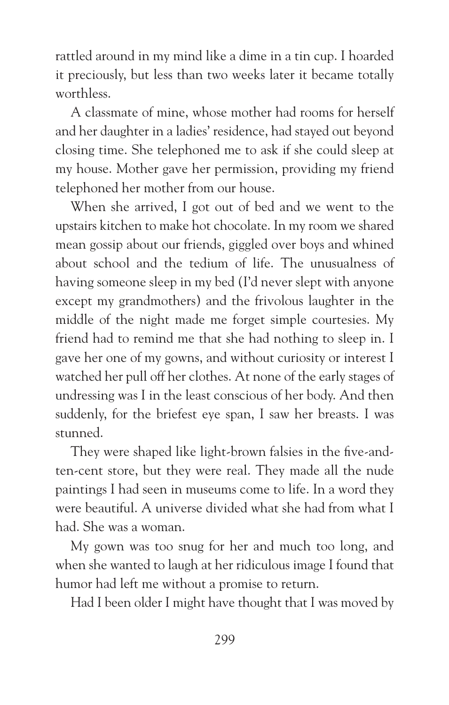rattled around in my mind like a dime in a tin cup. I hoarded it preciously, but less than two weeks later it became totally worthless.

A classmate of mine, whose mother had rooms for herself and her daughter in a ladies' residence, had stayed out beyond closing time. She telephoned me to ask if she could sleep at my house. Mother gave her permission, providing my friend telephoned her mother from our house.

When she arrived, I got out of bed and we went to the upstairs kitchen to make hot chocolate. In my room we shared mean gossip about our friends, giggled over boys and whined about school and the tedium of life. The unusualness of having someone sleep in my bed (I'd never slept with anyone except my grandmothers) and the frivolous laughter in the middle of the night made me forget simple courtesies. My friend had to remind me that she had nothing to sleep in. I gave her one of my gowns, and without curiosity or interest I watched her pull off her clothes. At none of the early stages of undressing was I in the least conscious of her body. And then suddenly, for the briefest eye span, I saw her breasts. I was stunned.

They were shaped like light-brown falsies in the five-andten-cent store, but they were real. They made all the nude paintings I had seen in museums come to life. In a word they were beautiful. A universe divided what she had from what I had. She was a woman.

My gown was too snug for her and much too long, and when she wanted to laugh at her ridiculous image I found that humor had left me without a promise to return.

Had I been older I might have thought that I was moved by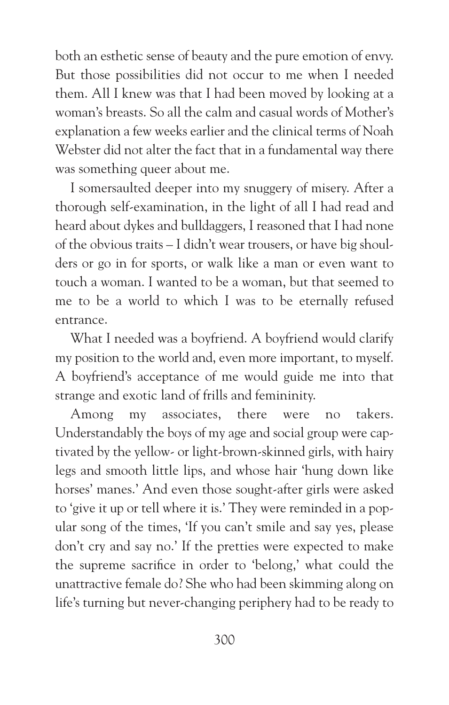both an esthetic sense of beauty and the pure emotion of envy. But those possibilities did not occur to me when I needed them. All I knew was that I had been moved by looking at a woman's breasts. So all the calm and casual words of Mother's explanation a few weeks earlier and the clinical terms of Noah Webster did not alter the fact that in a fundamental way there was something queer about me.

I somersaulted deeper into my snuggery of misery. After a thorough self-examination, in the light of all I had read and heard about dykes and bulldaggers, I reasoned that I had none of the obvious traits – I didn't wear trousers, or have big shoulders or go in for sports, or walk like a man or even want to touch a woman. I wanted to be a woman, but that seemed to me to be a world to which I was to be eternally refused entrance.

What I needed was a boyfriend. A boyfriend would clarify my position to the world and, even more important, to myself. A boyfriend's acceptance of me would guide me into that strange and exotic land of frills and femininity.

Among my associates, there were no takers. Understandably the boys of my age and social group were captivated by the yellow- or light-brown-skinned girls, with hairy legs and smooth little lips, and whose hair 'hung down like horses' manes.' And even those sought-after girls were asked to 'give it up or tell where it is.' They were reminded in a popular song of the times, 'If you can't smile and say yes, please don't cry and say no.' If the pretties were expected to make the supreme sacrifice in order to 'belong,' what could the unattractive female do? She who had been skimming along on life's turning but never-changing periphery had to be ready to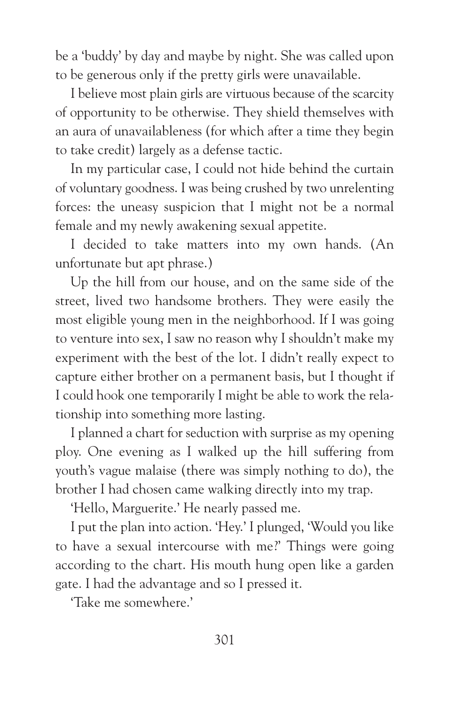be a 'buddy' by day and maybe by night. She was called upon to be generous only if the pretty girls were unavailable.

I believe most plain girls are virtuous because of the scarcity of opportunity to be otherwise. They shield themselves with an aura of unavailableness (for which after a time they begin to take credit) largely as a defense tactic.

In my particular case, I could not hide behind the curtain of voluntary goodness. I was being crushed by two unrelenting forces: the uneasy suspicion that I might not be a normal female and my newly awakening sexual appetite.

I decided to take matters into my own hands. (An unfortunate but apt phrase.)

Up the hill from our house, and on the same side of the street, lived two handsome brothers. They were easily the most eligible young men in the neighborhood. If I was going to venture into sex, I saw no reason why I shouldn't make my experiment with the best of the lot. I didn't really expect to capture either brother on a permanent basis, but I thought if I could hook one temporarily I might be able to work the relationship into something more lasting.

I planned a chart for seduction with surprise as my opening ploy. One evening as I walked up the hill suffering from youth's vague malaise (there was simply nothing to do), the brother I had chosen came walking directly into my trap.

'Hello, Marguerite.' He nearly passed me.

I put the plan into action. 'Hey.' I plunged, 'Would you like to have a sexual intercourse with me?' Things were going according to the chart. His mouth hung open like a garden gate. I had the advantage and so I pressed it.

'Take me somewhere.'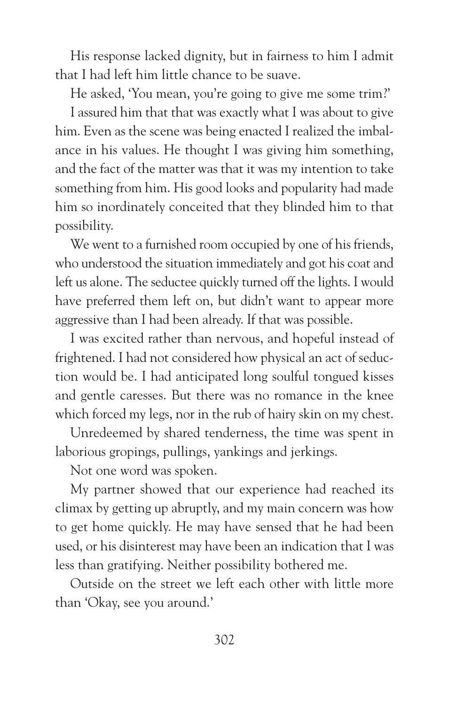His response lacked dignity, but in fairness to him I admit that I had left him little chance to be suave.

He asked, 'You mean, you're going to give me some trim?'

I assured him that that was exactly what I was about to give him. Even as the scene was being enacted I realized the imbalance in his values. He thought I was giving him something, and the fact of the matter was that it was my intention to take something from him. His good looks and popularity had made him so inordinately conceited that they blinded him to that possibility.

We went to a furnished room occupied by one of his friends, who understood the situation immediately and got his coat and left us alone. The seductee quickly turned off the lights. I would have preferred them left on, but didn't want to appear more aggressive than I had been already. If that was possible.

I was excited rather than nervous, and hopeful instead of frightened. I had not considered how physical an act of seduction would be. I had anticipated long soulful tongued kisses and gentle caresses. But there was no romance in the knee which forced my legs, nor in the rub of hairy skin on my chest.

Unredeemed by shared tenderness, the time was spent in laborious gropings, pullings, yankings and jerkings.

Not one word was spoken.

My partner showed that our experience had reached its climax by getting up abruptly, and my main concern was how to get home quickly. He may have sensed that he had been used, or his disinterest may have been an indication that I was less than gratifying. Neither possibility bothered me.

Outside on the street we left each other with little more than 'Okay, see you around.'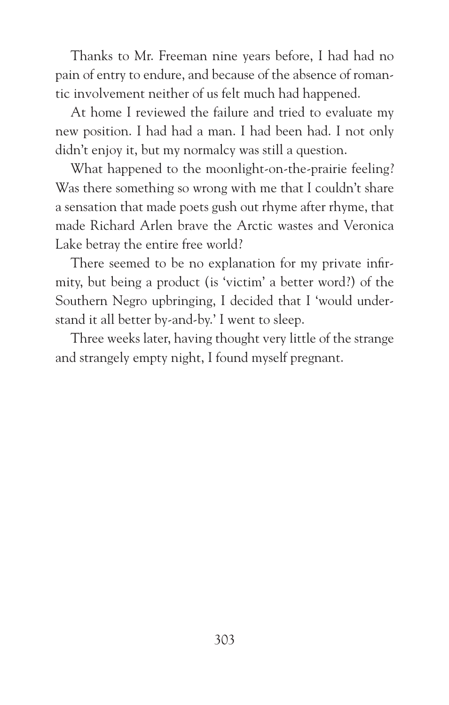Thanks to Mr. Freeman nine years before, I had had no pain of entry to endure, and because of the absence of romantic involvement neither of us felt much had happened.

At home I reviewed the failure and tried to evaluate my new position. I had had a man. I had been had. I not only didn't enjoy it, but my normalcy was still a question.

What happened to the moonlight-on-the-prairie feeling? Was there something so wrong with me that I couldn't share a sensation that made poets gush out rhyme after rhyme, that made Richard Arlen brave the Arctic wastes and Veronica Lake betray the entire free world?

There seemed to be no explanation for my private infirmity, but being a product (is 'victim' a better word?) of the Southern Negro upbringing, I decided that I 'would understand it all better by-and-by.' I went to sleep.

Three weeks later, having thought very little of the strange and strangely empty night, I found myself pregnant.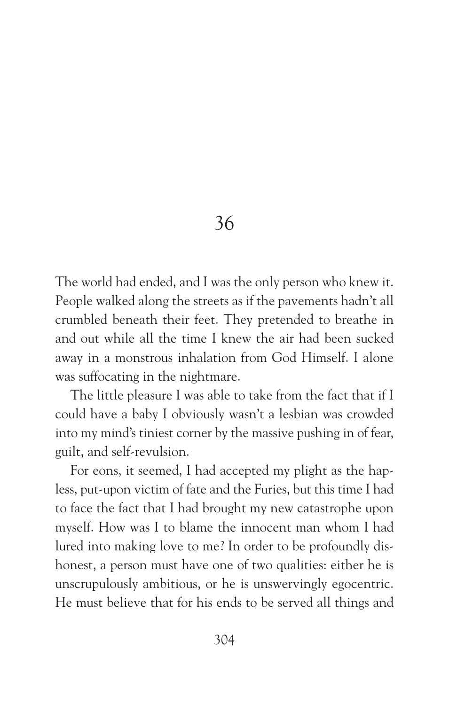36

The world had ended, and I was the only person who knew it. People walked along the streets as if the pavements hadn't all crumbled beneath their feet. They pretended to breathe in and out while all the time I knew the air had been sucked away in a monstrous inhalation from God Himself. I alone was suffocating in the nightmare.

The little pleasure I was able to take from the fact that if I could have a baby I obviously wasn't a lesbian was crowded into my mind's tiniest corner by the massive pushing in of fear, guilt, and self-revulsion.

For eons, it seemed, I had accepted my plight as the hapless, put-upon victim of fate and the Furies, but this time I had to face the fact that I had brought my new catastrophe upon myself. How was I to blame the innocent man whom I had lured into making love to me? In order to be profoundly dishonest, a person must have one of two qualities: either he is unscrupulously ambitious, or he is unswervingly egocentric. He must believe that for his ends to be served all things and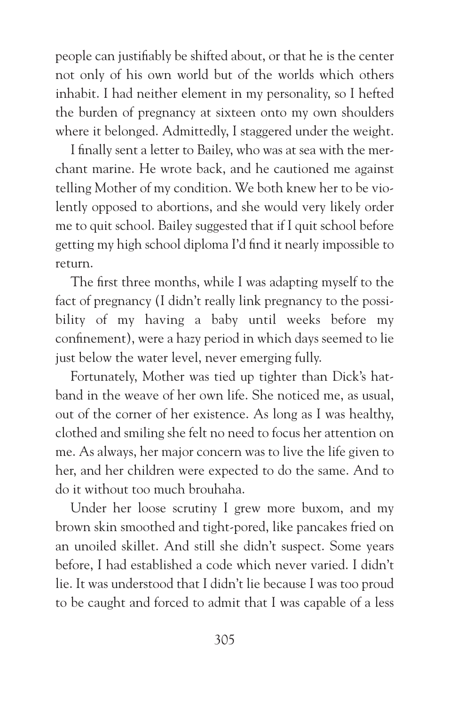people can justifiably be shifted about, or that he is the center not only of his own world but of the worlds which others inhabit. I had neither element in my personality, so I hefted the burden of pregnancy at sixteen onto my own shoulders where it belonged. Admittedly, I staggered under the weight.

I finally sent a letter to Bailey, who was at sea with the merchant marine. He wrote back, and he cautioned me against telling Mother of my condition. We both knew her to be violently opposed to abortions, and she would very likely order me to quit school. Bailey suggested that if I quit school before getting my high school diploma I'd find it nearly impossible to return.

The first three months, while I was adapting myself to the fact of pregnancy (I didn't really link pregnancy to the possibility of my having a baby until weeks before my confinement), were a hazy period in which days seemed to lie just below the water level, never emerging fully.

Fortunately, Mother was tied up tighter than Dick's hatband in the weave of her own life. She noticed me, as usual, out of the corner of her existence. As long as I was healthy, clothed and smiling she felt no need to focus her attention on me. As always, her major concern was to live the life given to her, and her children were expected to do the same. And to do it without too much brouhaha.

Under her loose scrutiny I grew more buxom, and my brown skin smoothed and tight-pored, like pancakes fried on an unoiled skillet. And still she didn't suspect. Some years before, I had established a code which never varied. I didn't lie. It was understood that I didn't lie because I was too proud to be caught and forced to admit that I was capable of a less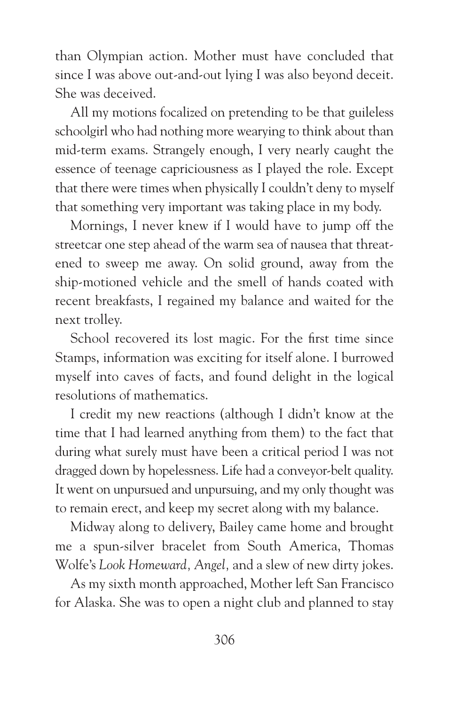than Olympian action. Mother must have concluded that since I was above out-and-out lying I was also beyond deceit. She was deceived.

All my motions focalized on pretending to be that guileless schoolgirl who had nothing more wearying to think about than mid-term exams. Strangely enough, I very nearly caught the essence of teenage capriciousness as I played the role. Except that there were times when physically I couldn't deny to myself that something very important was taking place in my body.

Mornings, I never knew if I would have to jump off the streetcar one step ahead of the warm sea of nausea that threatened to sweep me away. On solid ground, away from the ship-motioned vehicle and the smell of hands coated with recent breakfasts, I regained my balance and waited for the next trolley.

School recovered its lost magic. For the first time since Stamps, information was exciting for itself alone. I burrowed myself into caves of facts, and found delight in the logical resolutions of mathematics.

I credit my new reactions (although I didn't know at the time that I had learned anything from them) to the fact that during what surely must have been a critical period I was not dragged down by hopelessness. Life had a conveyor-belt quality. It went on unpursued and unpursuing, and my only thought was to remain erect, and keep my secret along with my balance.

Midway along to delivery, Bailey came home and brought me a spun-silver bracelet from South America, Thomas Wolfe's *Look Homeward, Angel,* and a slew of new dirty jokes.

As my sixth month approached, Mother left San Francisco for Alaska. She was to open a night club and planned to stay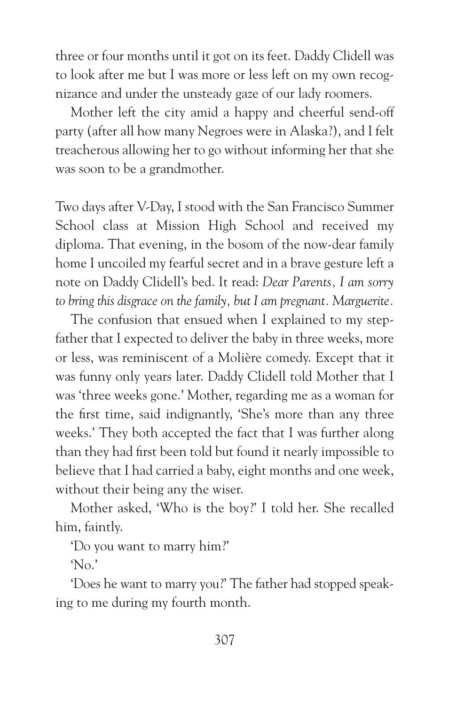three or four months until it got on its feet. Daddy Clidell was to look after me but I was more or less left on my own recognizance and under the unsteady gaze of our lady roomers.

Mother left the city amid a happy and cheerful send-off party (after all how many Negroes were in Alaska?), and I felt treacherous allowing her to go without informing her that she was soon to be a grandmother.

Two days after V-Day, I stood with the San Francisco Summer School class at Mission High School and received my diploma. That evening, in the bosom of the now-dear family home I uncoiled my fearful secret and in a brave gesture left a note on Daddy Clidell's bed. It read: *Dear Parents, I am sorry to bring this disgrace on the family, but I am pregnant. Marguerite.*

The confusion that ensued when I explained to my stepfather that I expected to deliver the baby in three weeks, more or less, was reminiscent of a Molière comedy. Except that it was funny only years later. Daddy Clidell told Mother that I was 'three weeks gone.' Mother, regarding me as a woman for the first time, said indignantly, 'She's more than any three weeks.' They both accepted the fact that I was further along than they had first been told but found it nearly impossible to believe that I had carried a baby, eight months and one week, without their being any the wiser.

Mother asked, 'Who is the boy?' I told her. She recalled him, faintly.

'Do you want to marry him?'

'No.'

'Does he want to marry you?' The father had stopped speaking to me during my fourth month.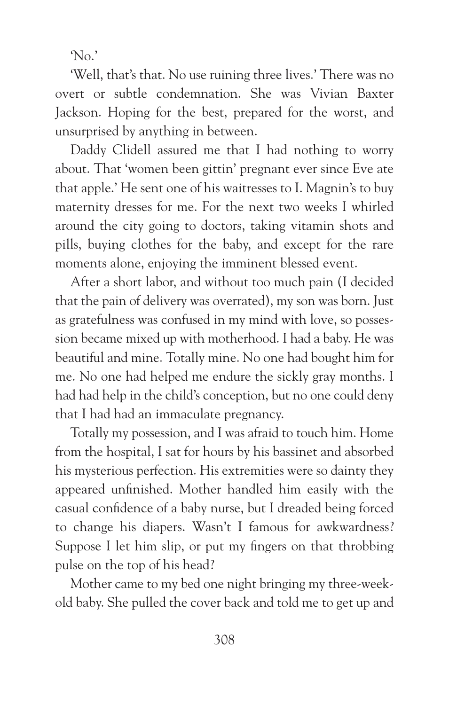'No.'

'Well, that's that. No use ruining three lives.' There was no overt or subtle condemnation. She was Vivian Baxter Jackson. Hoping for the best, prepared for the worst, and unsurprised by anything in between.

Daddy Clidell assured me that I had nothing to worry about. That 'women been gittin' pregnant ever since Eve ate that apple.' He sent one of his waitresses to I. Magnin's to buy maternity dresses for me. For the next two weeks I whirled around the city going to doctors, taking vitamin shots and pills, buying clothes for the baby, and except for the rare moments alone, enjoying the imminent blessed event.

After a short labor, and without too much pain (I decided that the pain of delivery was overrated), my son was born. Just as gratefulness was confused in my mind with love, so possession became mixed up with motherhood. I had a baby. He was beautiful and mine. Totally mine. No one had bought him for me. No one had helped me endure the sickly gray months. I had had help in the child's conception, but no one could deny that I had had an immaculate pregnancy.

Totally my possession, and I was afraid to touch him. Home from the hospital, I sat for hours by his bassinet and absorbed his mysterious perfection. His extremities were so dainty they appeared unfinished. Mother handled him easily with the casual confidence of a baby nurse, but I dreaded being forced to change his diapers. Wasn't I famous for awkwardness? Suppose I let him slip, or put my fingers on that throbbing pulse on the top of his head?

Mother came to my bed one night bringing my three-weekold baby. She pulled the cover back and told me to get up and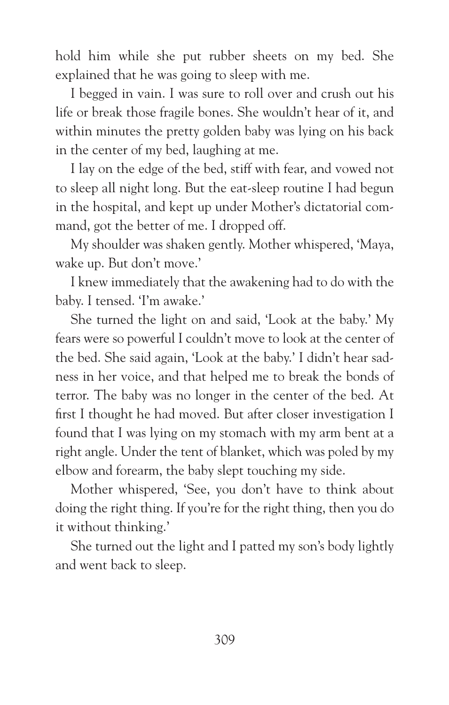hold him while she put rubber sheets on my bed. She explained that he was going to sleep with me.

I begged in vain. I was sure to roll over and crush out his life or break those fragile bones. She wouldn't hear of it, and within minutes the pretty golden baby was lying on his back in the center of my bed, laughing at me.

I lay on the edge of the bed, stiff with fear, and vowed not to sleep all night long. But the eat-sleep routine I had begun in the hospital, and kept up under Mother's dictatorial command, got the better of me. I dropped off.

My shoulder was shaken gently. Mother whispered, 'Maya, wake up. But don't move.'

I knew immediately that the awakening had to do with the baby. I tensed. 'I'm awake.'

She turned the light on and said, 'Look at the baby.' My fears were so powerful I couldn't move to look at the center of the bed. She said again, 'Look at the baby.' I didn't hear sadness in her voice, and that helped me to break the bonds of terror. The baby was no longer in the center of the bed. At first I thought he had moved. But after closer investigation I found that I was lying on my stomach with my arm bent at a right angle. Under the tent of blanket, which was poled by my elbow and forearm, the baby slept touching my side.

Mother whispered, 'See, you don't have to think about doing the right thing. If you're for the right thing, then you do it without thinking.'

She turned out the light and I patted my son's body lightly and went back to sleep.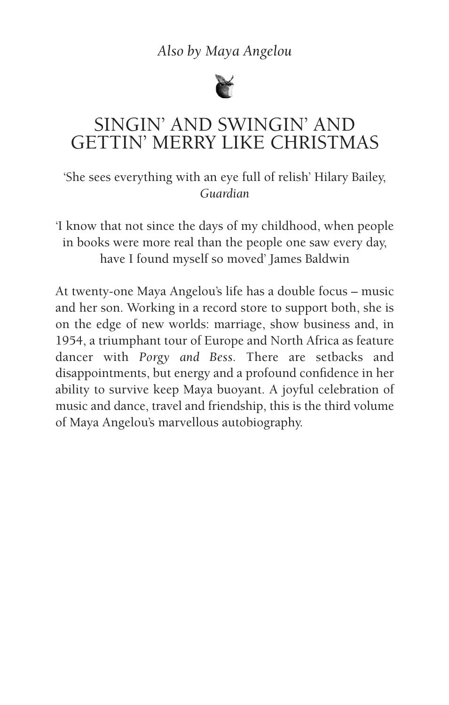*Also by Maya Angelou*



## SINGIN' AND SWINGIN' AND GETTIN' MERRY LIKE CHRISTMAS

'She sees everything with an eye full of relish' Hilary Bailey, *Guardian*

'I know that not since the days of my childhood, when people in books were more real than the people one saw every day, have I found myself so moved' James Baldwin

At twenty-one Maya Angelou's life has a double focus – music and her son. Working in a record store to support both, she is on the edge of new worlds: marriage, show business and, in 1954, a triumphant tour of Europe and North Africa as feature dancer with *Porgy and Bess.* There are setbacks and disappointments, but energy and a profound confidence in her ability to survive keep Maya buoyant. A joyful celebration of music and dance, travel and friendship, this is the third volume of Maya Angelou's marvellous autobiography.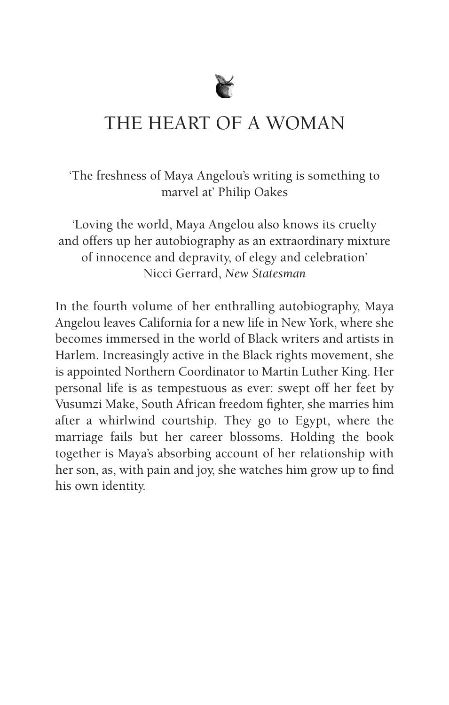

## THE HEART OF A WOMAN

'The freshness of Maya Angelou's writing is something to marvel at' Philip Oakes

'Loving the world, Maya Angelou also knows its cruelty and offers up her autobiography as an extraordinary mixture of innocence and depravity, of elegy and celebration' Nicci Gerrard, *New Statesman*

In the fourth volume of her enthralling autobiography, Maya Angelou leaves California for a new life in New York, where she becomes immersed in the world of Black writers and artists in Harlem. Increasingly active in the Black rights movement, she is appointed Northern Coordinator to Martin Luther King. Her personal life is as tempestuous as ever: swept off her feet by Vusumzi Make, South African freedom fighter, she marries him after a whirlwind courtship. They go to Egypt, where the marriage fails but her career blossoms. Holding the book together is Maya's absorbing account of her relationship with her son, as, with pain and joy, she watches him grow up to find his own identity.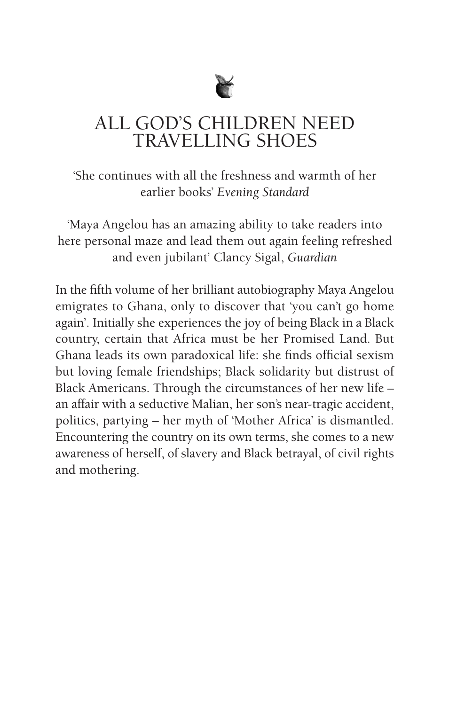

## ALL GOD'S CHILDREN NEED TRAVELLING SHOES

'She continues with all the freshness and warmth of her earlier books' *Evening Standard*

'Maya Angelou has an amazing ability to take readers into here personal maze and lead them out again feeling refreshed and even jubilant' Clancy Sigal, *Guardian*

In the fifth volume of her brilliant autobiography Maya Angelou emigrates to Ghana, only to discover that 'you can't go home again'. Initially she experiences the joy of being Black in a Black country, certain that Africa must be her Promised Land. But Ghana leads its own paradoxical life: she finds official sexism but loving female friendships; Black solidarity but distrust of Black Americans. Through the circumstances of her new life – an affair with a seductive Malian, her son's near-tragic accident, politics, partying – her myth of 'Mother Africa' is dismantled. Encountering the country on its own terms, she comes to a new awareness of herself, of slavery and Black betrayal, of civil rights and mothering.